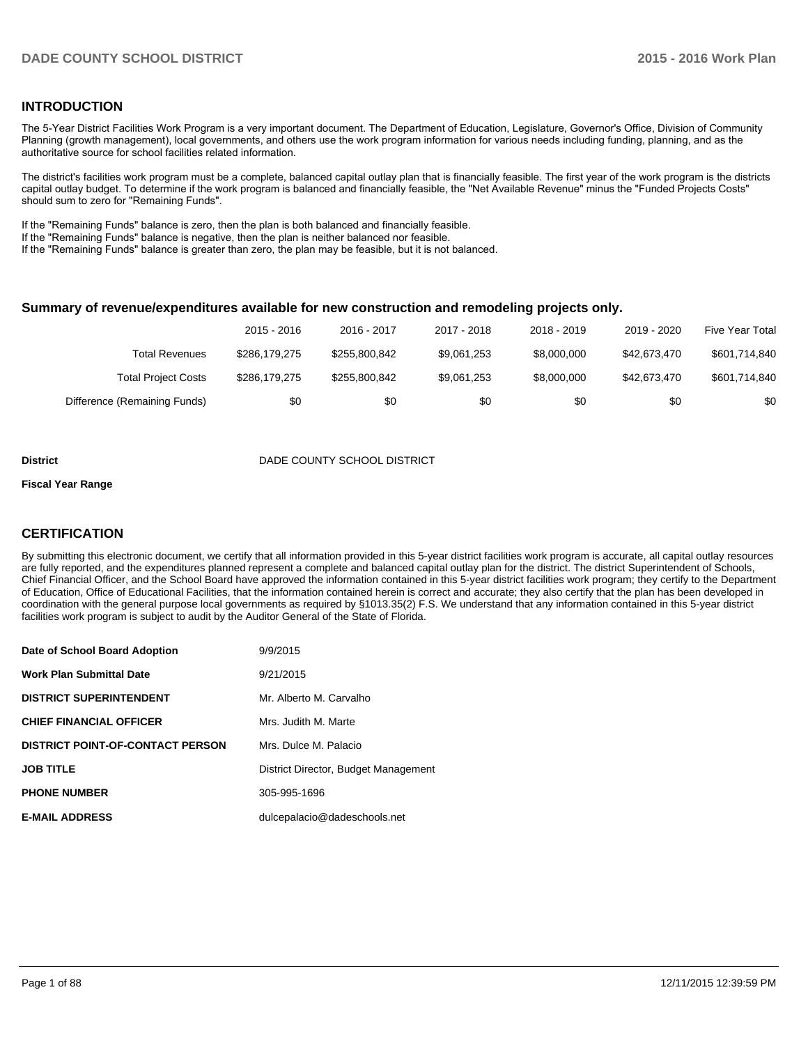#### **INTRODUCTION**

The 5-Year District Facilities Work Program is a very important document. The Department of Education, Legislature, Governor's Office, Division of Community Planning (growth management), local governments, and others use the work program information for various needs including funding, planning, and as the authoritative source for school facilities related information.

The district's facilities work program must be a complete, balanced capital outlay plan that is financially feasible. The first year of the work program is the districts capital outlay budget. To determine if the work program is balanced and financially feasible, the "Net Available Revenue" minus the "Funded Projects Costs" should sum to zero for "Remaining Funds".

If the "Remaining Funds" balance is zero, then the plan is both balanced and financially feasible.

If the "Remaining Funds" balance is negative, then the plan is neither balanced nor feasible.

If the "Remaining Funds" balance is greater than zero, the plan may be feasible, but it is not balanced.

#### **Summary of revenue/expenditures available for new construction and remodeling projects only.**

|                              | 2015 - 2016   | 2016 - 2017   | 2017 - 2018 | 2018 - 2019 | 2019 - 2020  | Five Year Total |
|------------------------------|---------------|---------------|-------------|-------------|--------------|-----------------|
| Total Revenues               | \$286,179,275 | \$255,800.842 | \$9,061,253 | \$8,000,000 | \$42,673,470 | \$601,714,840   |
| <b>Total Project Costs</b>   | \$286,179,275 | \$255.800.842 | \$9,061,253 | \$8,000,000 | \$42.673.470 | \$601,714,840   |
| Difference (Remaining Funds) | \$0           | \$0           | \$0         | \$0         | \$0          | \$0             |

#### **District District DADE COUNTY SCHOOL DISTRICT**

#### **Fiscal Year Range**

#### **CERTIFICATION**

By submitting this electronic document, we certify that all information provided in this 5-year district facilities work program is accurate, all capital outlay resources are fully reported, and the expenditures planned represent a complete and balanced capital outlay plan for the district. The district Superintendent of Schools, Chief Financial Officer, and the School Board have approved the information contained in this 5-year district facilities work program; they certify to the Department of Education, Office of Educational Facilities, that the information contained herein is correct and accurate; they also certify that the plan has been developed in coordination with the general purpose local governments as required by §1013.35(2) F.S. We understand that any information contained in this 5-year district facilities work program is subject to audit by the Auditor General of the State of Florida.

| Date of School Board Adoption           | 9/9/2015                             |
|-----------------------------------------|--------------------------------------|
| <b>Work Plan Submittal Date</b>         | 9/21/2015                            |
| <b>DISTRICT SUPERINTENDENT</b>          | Mr. Alberto M. Carvalho              |
| <b>CHIEF FINANCIAL OFFICER</b>          | Mrs. Judith M. Marte                 |
| <b>DISTRICT POINT-OF-CONTACT PERSON</b> | Mrs. Dulce M. Palacio                |
| <b>JOB TITLE</b>                        | District Director, Budget Management |
| <b>PHONE NUMBER</b>                     | 305-995-1696                         |
| <b>E-MAIL ADDRESS</b>                   | dulcepalacio@dadeschools.net         |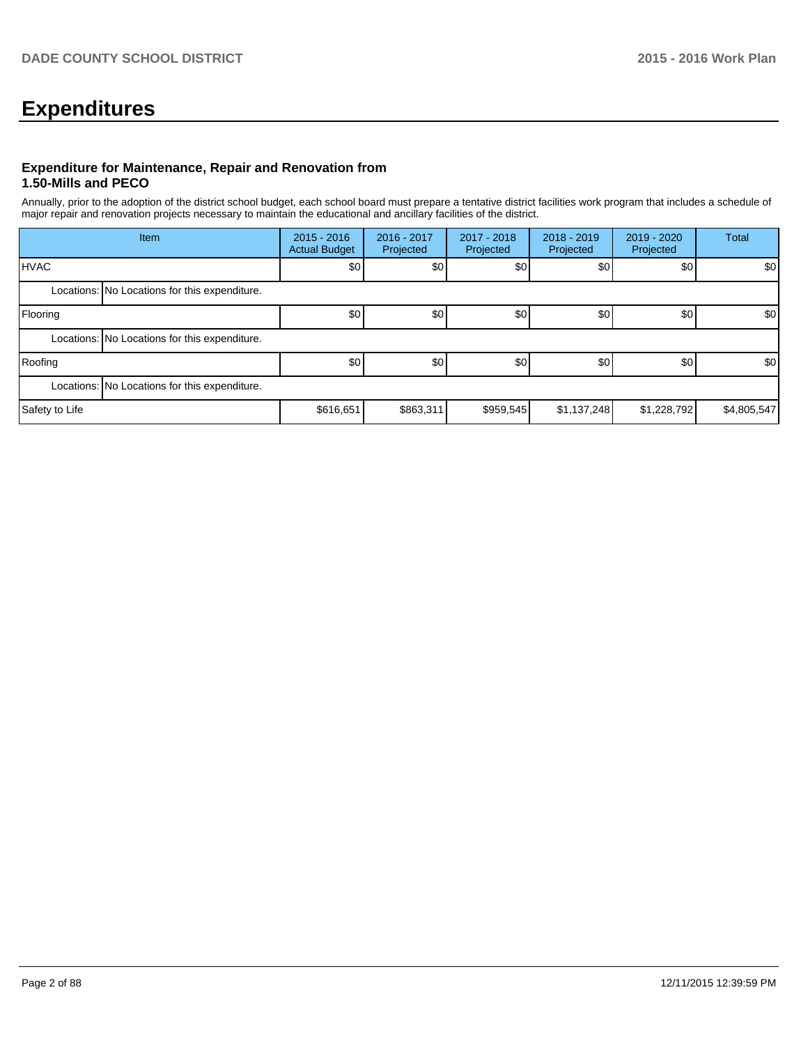# **Expenditures**

#### **Expenditure for Maintenance, Repair and Renovation from 1.50-Mills and PECO**

Annually, prior to the adoption of the district school budget, each school board must prepare a tentative district facilities work program that includes a schedule of major repair and renovation projects necessary to maintain the educational and ancillary facilities of the district.

| Item           |                                               | $2015 - 2016$<br><b>Actual Budget</b> | 2016 - 2017<br>Projected | 2017 - 2018<br>Projected | $2018 - 2019$<br>Projected | $2019 - 2020$<br>Projected | Total       |  |  |  |
|----------------|-----------------------------------------------|---------------------------------------|--------------------------|--------------------------|----------------------------|----------------------------|-------------|--|--|--|
| IHVAC          |                                               | \$0                                   | \$0                      | \$0                      | \$0                        | \$0                        | \$0         |  |  |  |
|                | Locations: No Locations for this expenditure. |                                       |                          |                          |                            |                            |             |  |  |  |
| Flooring       |                                               | \$0                                   | \$0                      | \$0 <sup>1</sup>         | \$0                        | \$0                        | \$0         |  |  |  |
|                | Locations: No Locations for this expenditure. |                                       |                          |                          |                            |                            |             |  |  |  |
| Roofing        |                                               | \$0                                   | \$0                      | \$0                      | \$0                        | \$0                        | \$0         |  |  |  |
|                | Locations: No Locations for this expenditure. |                                       |                          |                          |                            |                            |             |  |  |  |
| Safety to Life |                                               | \$616,651                             | \$863,311                | \$959,545                | \$1,137,248                | \$1,228,792                | \$4,805,547 |  |  |  |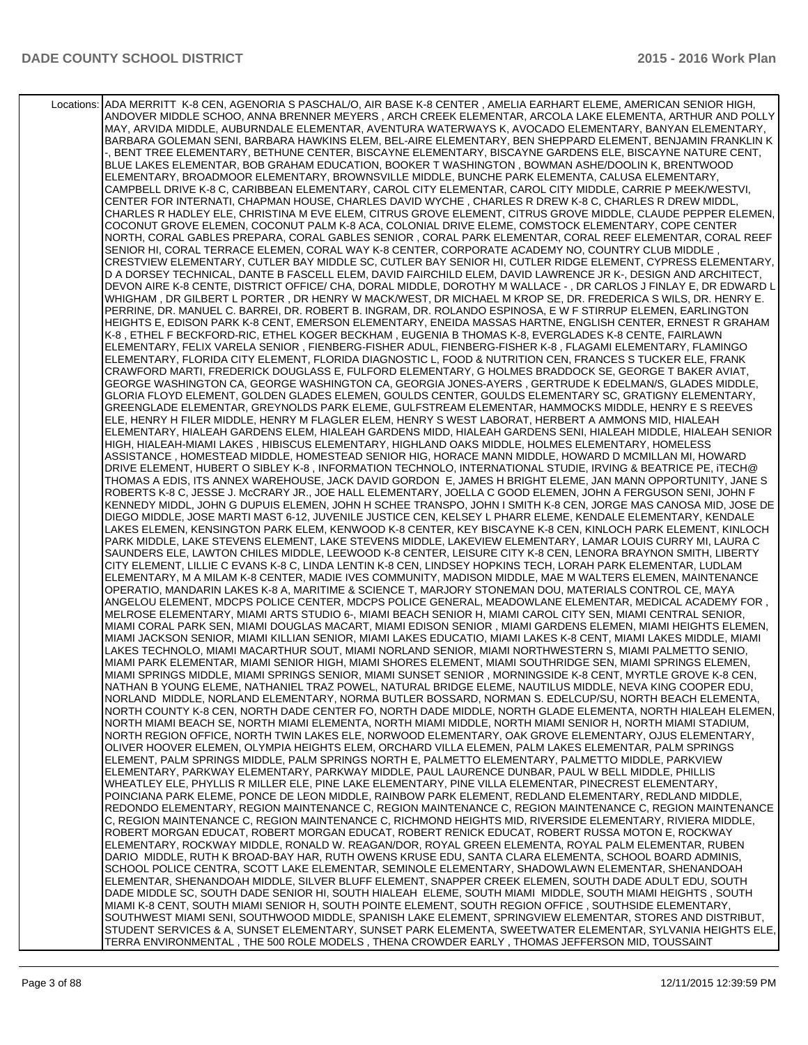Locations: ADA MERRITT K-8 CEN, AGENORIA S PASCHAL/O, AIR BASE K-8 CENTER , AMELIA EARHART ELEME, AMERICAN SENIOR HIGH, ANDOVER MIDDLE SCHOO, ANNA BRENNER MEYERS , ARCH CREEK ELEMENTAR, ARCOLA LAKE ELEMENTA, ARTHUR AND POLLY MAY, ARVIDA MIDDLE, AUBURNDALE ELEMENTAR, AVENTURA WATERWAYS K, AVOCADO ELEMENTARY, BANYAN ELEMENTARY, BARBARA GOLEMAN SENI, BARBARA HAWKINS ELEM, BEL-AIRE ELEMENTARY, BEN SHEPPARD ELEMENT, BENJAMIN FRANKLIN K -, BENT TREE ELEMENTARY, BETHUNE CENTER, BISCAYNE ELEMENTARY, BISCAYNE GARDENS ELE, BISCAYNE NATURE CENT, BLUE LAKES ELEMENTAR, BOB GRAHAM EDUCATION, BOOKER T WASHINGTON , BOWMAN ASHE/DOOLIN K, BRENTWOOD ELEMENTARY, BROADMOOR ELEMENTARY, BROWNSVILLE MIDDLE, BUNCHE PARK ELEMENTA, CALUSA ELEMENTARY, CAMPBELL DRIVE K-8 C, CARIBBEAN ELEMENTARY, CAROL CITY ELEMENTAR, CAROL CITY MIDDLE, CARRIE P MEEK/WESTVI, CENTER FOR INTERNATI, CHAPMAN HOUSE, CHARLES DAVID WYCHE , CHARLES R DREW K-8 C, CHARLES R DREW MIDDL, CHARLES R HADLEY ELE, CHRISTINA M EVE ELEM, CITRUS GROVE ELEMENT, CITRUS GROVE MIDDLE, CLAUDE PEPPER ELEMEN, COCONUT GROVE ELEMEN, COCONUT PALM K-8 ACA, COLONIAL DRIVE ELEME, COMSTOCK ELEMENTARY, COPE CENTER NORTH, CORAL GABLES PREPARA, CORAL GABLES SENIOR , CORAL PARK ELEMENTAR, CORAL REEF ELEMENTAR, CORAL REEF SENIOR HI, CORAL TERRACE ELEMEN, CORAL WAY K-8 CENTER, CORPORATE ACADEMY NO, COUNTRY CLUB MIDDLE , CRESTVIEW ELEMENTARY, CUTLER BAY MIDDLE SC, CUTLER BAY SENIOR HI, CUTLER RIDGE ELEMENT, CYPRESS ELEMENTARY, D A DORSEY TECHNICAL, DANTE B FASCELL ELEM, DAVID FAIRCHILD ELEM, DAVID LAWRENCE JR K-, DESIGN AND ARCHITECT, DEVON AIRE K-8 CENTE, DISTRICT OFFICE/ CHA, DORAL MIDDLE, DOROTHY M WALLACE - , DR CARLOS J FINLAY E, DR EDWARD L WHIGHAM , DR GILBERT L PORTER , DR HENRY W MACK/WEST, DR MICHAEL M KROP SE, DR. FREDERICA S WILS, DR. HENRY E. PERRINE, DR. MANUEL C. BARREI, DR. ROBERT B. INGRAM, DR. ROLANDO ESPINOSA, E W F STIRRUP ELEMEN, EARLINGTON HEIGHTS E, EDISON PARK K-8 CENT, EMERSON ELEMENTARY, ENEIDA MASSAS HARTNE, ENGLISH CENTER, ERNEST R GRAHAM K-8 , ETHEL F BECKFORD-RIC, ETHEL KOGER BECKHAM , EUGENIA B THOMAS K-8, EVERGLADES K-8 CENTE, FAIRLAWN ELEMENTARY, FELIX VARELA SENIOR , FIENBERG-FISHER ADUL, FIENBERG-FISHER K-8 , FLAGAMI ELEMENTARY, FLAMINGO ELEMENTARY, FLORIDA CITY ELEMENT, FLORIDA DIAGNOSTIC L, FOOD & NUTRITION CEN, FRANCES S TUCKER ELE, FRANK CRAWFORD MARTI, FREDERICK DOUGLASS E, FULFORD ELEMENTARY, G HOLMES BRADDOCK SE, GEORGE T BAKER AVIAT, GEORGE WASHINGTON CA, GEORGE WASHINGTON CA, GEORGIA JONES-AYERS , GERTRUDE K EDELMAN/S, GLADES MIDDLE, GLORIA FLOYD ELEMENT, GOLDEN GLADES ELEMEN, GOULDS CENTER, GOULDS ELEMENTARY SC, GRATIGNY ELEMENTARY, GREENGLADE ELEMENTAR, GREYNOLDS PARK ELEME, GULFSTREAM ELEMENTAR, HAMMOCKS MIDDLE, HENRY E S REEVES ELE, HENRY H FILER MIDDLE, HENRY M FLAGLER ELEM, HENRY S WEST LABORAT, HERBERT A AMMONS MID, HIALEAH ELEMENTARY, HIALEAH GARDENS ELEM, HIALEAH GARDENS MIDD, HIALEAH GARDENS SENI, HIALEAH MIDDLE, HIALEAH SENIOR HIGH, HIALEAH-MIAMI LAKES , HIBISCUS ELEMENTARY, HIGHLAND OAKS MIDDLE, HOLMES ELEMENTARY, HOMELESS ASSISTANCE , HOMESTEAD MIDDLE, HOMESTEAD SENIOR HIG, HORACE MANN MIDDLE, HOWARD D MCMILLAN MI, HOWARD DRIVE ELEMENT, HUBERT O SIBLEY K-8 , INFORMATION TECHNOLO, INTERNATIONAL STUDIE, IRVING & BEATRICE PE, iTECH@ THOMAS A EDIS, ITS ANNEX WAREHOUSE, JACK DAVID GORDON E, JAMES H BRIGHT ELEME, JAN MANN OPPORTUNITY, JANE S ROBERTS K-8 C, JESSE J. McCRARY JR., JOE HALL ELEMENTARY, JOELLA C GOOD ELEMEN, JOHN A FERGUSON SENI, JOHN F KENNEDY MIDDL, JOHN G DUPUIS ELEMEN, JOHN H SCHEE TRANSPO, JOHN I SMITH K-8 CEN, JORGE MAS CANOSA MID, JOSE DE DIEGO MIDDLE, JOSE MARTI MAST 6-12, JUVENILE JUSTICE CEN, KELSEY L PHARR ELEME, KENDALE ELEMENTARY, KENDALE LAKES ELEMEN, KENSINGTON PARK ELEM, KENWOOD K-8 CENTER, KEY BISCAYNE K-8 CEN, KINLOCH PARK ELEMENT, KINLOCH PARK MIDDLE, LAKE STEVENS ELEMENT, LAKE STEVENS MIDDLE, LAKEVIEW ELEMENTARY, LAMAR LOUIS CURRY MI, LAURA C SAUNDERS ELE, LAWTON CHILES MIDDLE, LEEWOOD K-8 CENTER, LEISURE CITY K-8 CEN, LENORA BRAYNON SMITH, LIBERTY CITY ELEMENT, LILLIE C EVANS K-8 C, LINDA LENTIN K-8 CEN, LINDSEY HOPKINS TECH, LORAH PARK ELEMENTAR, LUDLAM ELEMENTARY, M A MILAM K-8 CENTER, MADIE IVES COMMUNITY, MADISON MIDDLE, MAE M WALTERS ELEMEN, MAINTENANCE OPERATIO, MANDARIN LAKES K-8 A, MARITIME & SCIENCE T, MARJORY STONEMAN DOU, MATERIALS CONTROL CE, MAYA ANGELOU ELEMENT, MDCPS POLICE CENTER, MDCPS POLICE GENERAL, MEADOWLANE ELEMENTAR, MEDICAL ACADEMY FOR , MELROSE ELEMENTARY, MIAMI ARTS STUDIO 6-, MIAMI BEACH SENIOR H, MIAMI CAROL CITY SEN, MIAMI CENTRAL SENIOR, MIAMI CORAL PARK SEN, MIAMI DOUGLAS MACART, MIAMI EDISON SENIOR , MIAMI GARDENS ELEMEN, MIAMI HEIGHTS ELEMEN, MIAMI JACKSON SENIOR, MIAMI KILLIAN SENIOR, MIAMI LAKES EDUCATIO, MIAMI LAKES K-8 CENT, MIAMI LAKES MIDDLE, MIAMI LAKES TECHNOLO, MIAMI MACARTHUR SOUT, MIAMI NORLAND SENIOR, MIAMI NORTHWESTERN S, MIAMI PALMETTO SENIO, MIAMI PARK ELEMENTAR, MIAMI SENIOR HIGH, MIAMI SHORES ELEMENT, MIAMI SOUTHRIDGE SEN, MIAMI SPRINGS ELEMEN, MIAMI SPRINGS MIDDLE, MIAMI SPRINGS SENIOR, MIAMI SUNSET SENIOR , MORNINGSIDE K-8 CENT, MYRTLE GROVE K-8 CEN, NATHAN B YOUNG ELEME, NATHANIEL TRAZ POWEL, NATURAL BRIDGE ELEME, NAUTILUS MIDDLE, NEVA KING COOPER EDU, NORLAND MIDDLE, NORLAND ELEMENTARY, NORMA BUTLER BOSSARD, NORMAN S. EDELCUP/SU, NORTH BEACH ELEMENTA, NORTH COUNTY K-8 CEN, NORTH DADE CENTER FO, NORTH DADE MIDDLE, NORTH GLADE ELEMENTA, NORTH HIALEAH ELEMEN, NORTH MIAMI BEACH SE, NORTH MIAMI ELEMENTA, NORTH MIAMI MIDDLE, NORTH MIAMI SENIOR H, NORTH MIAMI STADIUM, NORTH REGION OFFICE, NORTH TWIN LAKES ELE, NORWOOD ELEMENTARY, OAK GROVE ELEMENTARY, OJUS ELEMENTARY, OLIVER HOOVER ELEMEN, OLYMPIA HEIGHTS ELEM, ORCHARD VILLA ELEMEN, PALM LAKES ELEMENTAR, PALM SPRINGS ELEMENT, PALM SPRINGS MIDDLE, PALM SPRINGS NORTH E, PALMETTO ELEMENTARY, PALMETTO MIDDLE, PARKVIEW ELEMENTARY, PARKWAY ELEMENTARY, PARKWAY MIDDLE, PAUL LAURENCE DUNBAR, PAUL W BELL MIDDLE, PHILLIS WHEATLEY ELE, PHYLLIS R MILLER ELE, PINE LAKE ELEMENTARY, PINE VILLA ELEMENTAR, PINECREST ELEMENTARY, POINCIANA PARK ELEME, PONCE DE LEON MIDDLE, RAINBOW PARK ELEMENT, REDLAND ELEMENTARY, REDLAND MIDDLE, REDONDO ELEMENTARY, REGION MAINTENANCE C, REGION MAINTENANCE C, REGION MAINTENANCE C, REGION MAINTENANCE C, REGION MAINTENANCE C, REGION MAINTENANCE C, RICHMOND HEIGHTS MID, RIVERSIDE ELEMENTARY, RIVIERA MIDDLE, ROBERT MORGAN EDUCAT, ROBERT MORGAN EDUCAT, ROBERT RENICK EDUCAT, ROBERT RUSSA MOTON E, ROCKWAY ELEMENTARY, ROCKWAY MIDDLE, RONALD W. REAGAN/DOR, ROYAL GREEN ELEMENTA, ROYAL PALM ELEMENTAR, RUBEN DARIO MIDDLE, RUTH K BROAD-BAY HAR, RUTH OWENS KRUSE EDU, SANTA CLARA ELEMENTA, SCHOOL BOARD ADMINIS, SCHOOL POLICE CENTRA, SCOTT LAKE ELEMENTAR, SEMINOLE ELEMENTARY, SHADOWLAWN ELEMENTAR, SHENANDOAH ELEMENTAR, SHENANDOAH MIDDLE, SILVER BLUFF ELEMENT, SNAPPER CREEK ELEMEN, SOUTH DADE ADULT EDU, SOUTH DADE MIDDLE SC, SOUTH DADE SENIOR HI, SOUTH HIALEAH ELEME, SOUTH MIAMI MIDDLE, SOUTH MIAMI HEIGHTS , SOUTH MIAMI K-8 CENT, SOUTH MIAMI SENIOR H, SOUTH POINTE ELEMENT, SOUTH REGION OFFICE , SOUTHSIDE ELEMENTARY, SOUTHWEST MIAMI SENI, SOUTHWOOD MIDDLE, SPANISH LAKE ELEMENT, SPRINGVIEW ELEMENTAR, STORES AND DISTRIBUT, STUDENT SERVICES & A, SUNSET ELEMENTARY, SUNSET PARK ELEMENTA, SWEETWATER ELEMENTAR, SYLVANIA HEIGHTS ELE, TERRA ENVIRONMENTAL , THE 500 ROLE MODELS , THENA CROWDER EARLY , THOMAS JEFFERSON MID, TOUSSAINT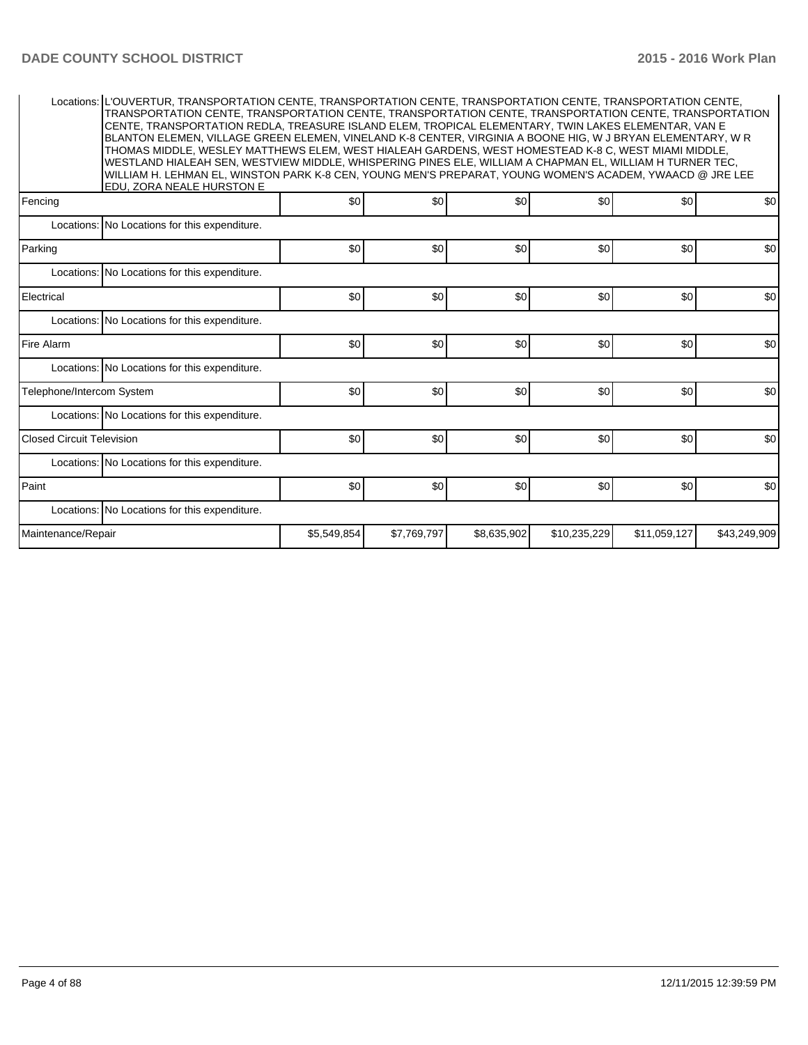|                                  | Locations: L'OUVERTUR, TRANSPORTATION CENTE, TRANSPORTATION CENTE, TRANSPORTATION CENTE, TRANSPORTATION CENTE,<br>TRANSPORTATION CENTE, TRANSPORTATION CENTE, TRANSPORTATION CENTE, TRANSPORTATION CENTE, TRANSPORTATION<br>CENTE, TRANSPORTATION REDLA, TREASURE ISLAND ELEM, TROPICAL ELEMENTARY, TWIN LAKES ELEMENTAR, VAN E<br>BLANTON ELEMEN, VILLAGE GREEN ELEMEN, VINELAND K-8 CENTER, VIRGINIA A BOONE HIG, W J BRYAN ELEMENTARY, W R<br>THOMAS MIDDLE, WESLEY MATTHEWS ELEM, WEST HIALEAH GARDENS, WEST HOMESTEAD K-8 C, WEST MIAMI MIDDLE,<br>WESTLAND HIALEAH SEN, WESTVIEW MIDDLE, WHISPERING PINES ELE, WILLIAM A CHAPMAN EL, WILLIAM H TURNER TEC,<br>WILLIAM H. LEHMAN EL, WINSTON PARK K-8 CEN, YOUNG MEN'S PREPARAT, YOUNG WOMEN'S ACADEM, YWAACD @ JRE LEE<br>EDU. ZORA NEALE HURSTON E |             |             |             |              |              |              |
|----------------------------------|-----------------------------------------------------------------------------------------------------------------------------------------------------------------------------------------------------------------------------------------------------------------------------------------------------------------------------------------------------------------------------------------------------------------------------------------------------------------------------------------------------------------------------------------------------------------------------------------------------------------------------------------------------------------------------------------------------------------------------------------------------------------------------------------------------------|-------------|-------------|-------------|--------------|--------------|--------------|
| Fencing                          |                                                                                                                                                                                                                                                                                                                                                                                                                                                                                                                                                                                                                                                                                                                                                                                                           | \$0         | \$0         | \$0         | \$0          | \$0          | \$0          |
|                                  | Locations: No Locations for this expenditure.                                                                                                                                                                                                                                                                                                                                                                                                                                                                                                                                                                                                                                                                                                                                                             |             |             |             |              |              |              |
| Parking                          |                                                                                                                                                                                                                                                                                                                                                                                                                                                                                                                                                                                                                                                                                                                                                                                                           | \$0         | \$0         | \$0         | \$0          | \$0          | \$0          |
|                                  | Locations: No Locations for this expenditure.                                                                                                                                                                                                                                                                                                                                                                                                                                                                                                                                                                                                                                                                                                                                                             |             |             |             |              |              |              |
| Electrical                       |                                                                                                                                                                                                                                                                                                                                                                                                                                                                                                                                                                                                                                                                                                                                                                                                           | \$0         | \$0         | \$0         | \$0          | \$0          | \$0          |
|                                  | Locations: No Locations for this expenditure.                                                                                                                                                                                                                                                                                                                                                                                                                                                                                                                                                                                                                                                                                                                                                             |             |             |             |              |              |              |
| Fire Alarm                       |                                                                                                                                                                                                                                                                                                                                                                                                                                                                                                                                                                                                                                                                                                                                                                                                           | \$0         | \$0         | \$0         | \$0          | \$0          | \$0          |
|                                  | Locations: No Locations for this expenditure.                                                                                                                                                                                                                                                                                                                                                                                                                                                                                                                                                                                                                                                                                                                                                             |             |             |             |              |              |              |
| Telephone/Intercom System        |                                                                                                                                                                                                                                                                                                                                                                                                                                                                                                                                                                                                                                                                                                                                                                                                           | \$0         | \$0         | \$0         | \$0          | \$0          | \$0          |
|                                  | Locations: No Locations for this expenditure.                                                                                                                                                                                                                                                                                                                                                                                                                                                                                                                                                                                                                                                                                                                                                             |             |             |             |              |              |              |
| <b>Closed Circuit Television</b> |                                                                                                                                                                                                                                                                                                                                                                                                                                                                                                                                                                                                                                                                                                                                                                                                           | \$0         | \$0         | \$0         | \$0          | \$0          | \$0          |
|                                  | Locations: No Locations for this expenditure.                                                                                                                                                                                                                                                                                                                                                                                                                                                                                                                                                                                                                                                                                                                                                             |             |             |             |              |              |              |
| Paint                            |                                                                                                                                                                                                                                                                                                                                                                                                                                                                                                                                                                                                                                                                                                                                                                                                           | \$0         | \$0         | \$0         | \$0          | \$0          | \$0          |
|                                  | Locations: No Locations for this expenditure.                                                                                                                                                                                                                                                                                                                                                                                                                                                                                                                                                                                                                                                                                                                                                             |             |             |             |              |              |              |
| Maintenance/Repair               |                                                                                                                                                                                                                                                                                                                                                                                                                                                                                                                                                                                                                                                                                                                                                                                                           | \$5,549,854 | \$7.769.797 | \$8.635.902 | \$10,235,229 | \$11,059,127 | \$43,249,909 |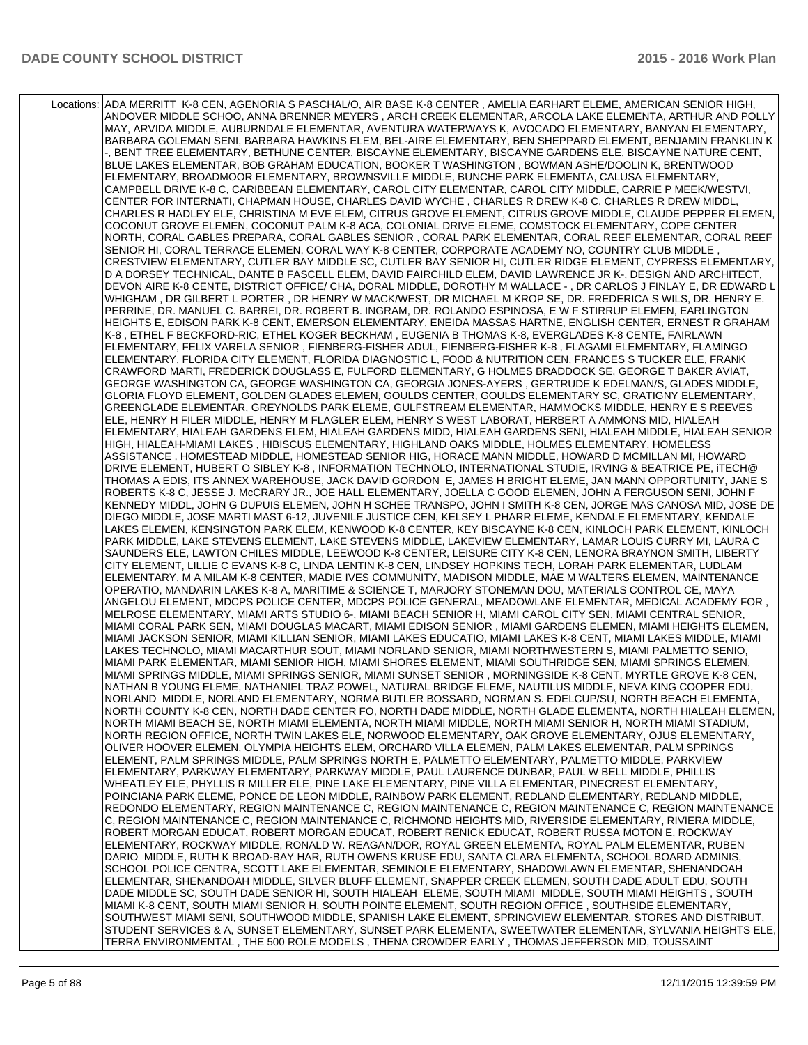Locations: ADA MERRITT K-8 CEN, AGENORIA S PASCHAL/O, AIR BASE K-8 CENTER , AMELIA EARHART ELEME, AMERICAN SENIOR HIGH, ANDOVER MIDDLE SCHOO, ANNA BRENNER MEYERS , ARCH CREEK ELEMENTAR, ARCOLA LAKE ELEMENTA, ARTHUR AND POLLY MAY, ARVIDA MIDDLE, AUBURNDALE ELEMENTAR, AVENTURA WATERWAYS K, AVOCADO ELEMENTARY, BANYAN ELEMENTARY, BARBARA GOLEMAN SENI, BARBARA HAWKINS ELEM, BEL-AIRE ELEMENTARY, BEN SHEPPARD ELEMENT, BENJAMIN FRANKLIN K -, BENT TREE ELEMENTARY, BETHUNE CENTER, BISCAYNE ELEMENTARY, BISCAYNE GARDENS ELE, BISCAYNE NATURE CENT, BLUE LAKES ELEMENTAR, BOB GRAHAM EDUCATION, BOOKER T WASHINGTON , BOWMAN ASHE/DOOLIN K, BRENTWOOD ELEMENTARY, BROADMOOR ELEMENTARY, BROWNSVILLE MIDDLE, BUNCHE PARK ELEMENTA, CALUSA ELEMENTARY, CAMPBELL DRIVE K-8 C, CARIBBEAN ELEMENTARY, CAROL CITY ELEMENTAR, CAROL CITY MIDDLE, CARRIE P MEEK/WESTVI, CENTER FOR INTERNATI, CHAPMAN HOUSE, CHARLES DAVID WYCHE , CHARLES R DREW K-8 C, CHARLES R DREW MIDDL, CHARLES R HADLEY ELE, CHRISTINA M EVE ELEM, CITRUS GROVE ELEMENT, CITRUS GROVE MIDDLE, CLAUDE PEPPER ELEMEN, COCONUT GROVE ELEMEN, COCONUT PALM K-8 ACA, COLONIAL DRIVE ELEME, COMSTOCK ELEMENTARY, COPE CENTER NORTH, CORAL GABLES PREPARA, CORAL GABLES SENIOR , CORAL PARK ELEMENTAR, CORAL REEF ELEMENTAR, CORAL REEF SENIOR HI, CORAL TERRACE ELEMEN, CORAL WAY K-8 CENTER, CORPORATE ACADEMY NO, COUNTRY CLUB MIDDLE , CRESTVIEW ELEMENTARY, CUTLER BAY MIDDLE SC, CUTLER BAY SENIOR HI, CUTLER RIDGE ELEMENT, CYPRESS ELEMENTARY, D A DORSEY TECHNICAL, DANTE B FASCELL ELEM, DAVID FAIRCHILD ELEM, DAVID LAWRENCE JR K-, DESIGN AND ARCHITECT, DEVON AIRE K-8 CENTE, DISTRICT OFFICE/ CHA, DORAL MIDDLE, DOROTHY M WALLACE - , DR CARLOS J FINLAY E, DR EDWARD L WHIGHAM , DR GILBERT L PORTER , DR HENRY W MACK/WEST, DR MICHAEL M KROP SE, DR. FREDERICA S WILS, DR. HENRY E. PERRINE, DR. MANUEL C. BARREI, DR. ROBERT B. INGRAM, DR. ROLANDO ESPINOSA, E W F STIRRUP ELEMEN, EARLINGTON HEIGHTS E, EDISON PARK K-8 CENT, EMERSON ELEMENTARY, ENEIDA MASSAS HARTNE, ENGLISH CENTER, ERNEST R GRAHAM K-8 , ETHEL F BECKFORD-RIC, ETHEL KOGER BECKHAM , EUGENIA B THOMAS K-8, EVERGLADES K-8 CENTE, FAIRLAWN ELEMENTARY, FELIX VARELA SENIOR , FIENBERG-FISHER ADUL, FIENBERG-FISHER K-8 , FLAGAMI ELEMENTARY, FLAMINGO ELEMENTARY, FLORIDA CITY ELEMENT, FLORIDA DIAGNOSTIC L, FOOD & NUTRITION CEN, FRANCES S TUCKER ELE, FRANK CRAWFORD MARTI, FREDERICK DOUGLASS E, FULFORD ELEMENTARY, G HOLMES BRADDOCK SE, GEORGE T BAKER AVIAT, GEORGE WASHINGTON CA, GEORGE WASHINGTON CA, GEORGIA JONES-AYERS , GERTRUDE K EDELMAN/S, GLADES MIDDLE, GLORIA FLOYD ELEMENT, GOLDEN GLADES ELEMEN, GOULDS CENTER, GOULDS ELEMENTARY SC, GRATIGNY ELEMENTARY, GREENGLADE ELEMENTAR, GREYNOLDS PARK ELEME, GULFSTREAM ELEMENTAR, HAMMOCKS MIDDLE, HENRY E S REEVES ELE, HENRY H FILER MIDDLE, HENRY M FLAGLER ELEM, HENRY S WEST LABORAT, HERBERT A AMMONS MID, HIALEAH ELEMENTARY, HIALEAH GARDENS ELEM, HIALEAH GARDENS MIDD, HIALEAH GARDENS SENI, HIALEAH MIDDLE, HIALEAH SENIOR HIGH, HIALEAH-MIAMI LAKES , HIBISCUS ELEMENTARY, HIGHLAND OAKS MIDDLE, HOLMES ELEMENTARY, HOMELESS ASSISTANCE , HOMESTEAD MIDDLE, HOMESTEAD SENIOR HIG, HORACE MANN MIDDLE, HOWARD D MCMILLAN MI, HOWARD DRIVE ELEMENT, HUBERT O SIBLEY K-8 , INFORMATION TECHNOLO, INTERNATIONAL STUDIE, IRVING & BEATRICE PE, iTECH@ THOMAS A EDIS, ITS ANNEX WAREHOUSE, JACK DAVID GORDON E, JAMES H BRIGHT ELEME, JAN MANN OPPORTUNITY, JANE S ROBERTS K-8 C, JESSE J. McCRARY JR., JOE HALL ELEMENTARY, JOELLA C GOOD ELEMEN, JOHN A FERGUSON SENI, JOHN F KENNEDY MIDDL, JOHN G DUPUIS ELEMEN, JOHN H SCHEE TRANSPO, JOHN I SMITH K-8 CEN, JORGE MAS CANOSA MID, JOSE DE DIEGO MIDDLE, JOSE MARTI MAST 6-12, JUVENILE JUSTICE CEN, KELSEY L PHARR ELEME, KENDALE ELEMENTARY, KENDALE LAKES ELEMEN, KENSINGTON PARK ELEM, KENWOOD K-8 CENTER, KEY BISCAYNE K-8 CEN, KINLOCH PARK ELEMENT, KINLOCH PARK MIDDLE, LAKE STEVENS ELEMENT, LAKE STEVENS MIDDLE, LAKEVIEW ELEMENTARY, LAMAR LOUIS CURRY MI, LAURA C SAUNDERS ELE, LAWTON CHILES MIDDLE, LEEWOOD K-8 CENTER, LEISURE CITY K-8 CEN, LENORA BRAYNON SMITH, LIBERTY CITY ELEMENT, LILLIE C EVANS K-8 C, LINDA LENTIN K-8 CEN, LINDSEY HOPKINS TECH, LORAH PARK ELEMENTAR, LUDLAM ELEMENTARY, M A MILAM K-8 CENTER, MADIE IVES COMMUNITY, MADISON MIDDLE, MAE M WALTERS ELEMEN, MAINTENANCE OPERATIO, MANDARIN LAKES K-8 A, MARITIME & SCIENCE T, MARJORY STONEMAN DOU, MATERIALS CONTROL CE, MAYA ANGELOU ELEMENT, MDCPS POLICE CENTER, MDCPS POLICE GENERAL, MEADOWLANE ELEMENTAR, MEDICAL ACADEMY FOR , MELROSE ELEMENTARY, MIAMI ARTS STUDIO 6-, MIAMI BEACH SENIOR H, MIAMI CAROL CITY SEN, MIAMI CENTRAL SENIOR, MIAMI CORAL PARK SEN, MIAMI DOUGLAS MACART, MIAMI EDISON SENIOR , MIAMI GARDENS ELEMEN, MIAMI HEIGHTS ELEMEN, MIAMI JACKSON SENIOR, MIAMI KILLIAN SENIOR, MIAMI LAKES EDUCATIO, MIAMI LAKES K-8 CENT, MIAMI LAKES MIDDLE, MIAMI LAKES TECHNOLO, MIAMI MACARTHUR SOUT, MIAMI NORLAND SENIOR, MIAMI NORTHWESTERN S, MIAMI PALMETTO SENIO, MIAMI PARK ELEMENTAR, MIAMI SENIOR HIGH, MIAMI SHORES ELEMENT, MIAMI SOUTHRIDGE SEN, MIAMI SPRINGS ELEMEN, MIAMI SPRINGS MIDDLE, MIAMI SPRINGS SENIOR, MIAMI SUNSET SENIOR , MORNINGSIDE K-8 CENT, MYRTLE GROVE K-8 CEN, NATHAN B YOUNG ELEME, NATHANIEL TRAZ POWEL, NATURAL BRIDGE ELEME, NAUTILUS MIDDLE, NEVA KING COOPER EDU, NORLAND MIDDLE, NORLAND ELEMENTARY, NORMA BUTLER BOSSARD, NORMAN S. EDELCUP/SU, NORTH BEACH ELEMENTA, NORTH COUNTY K-8 CEN, NORTH DADE CENTER FO, NORTH DADE MIDDLE, NORTH GLADE ELEMENTA, NORTH HIALEAH ELEMEN, NORTH MIAMI BEACH SE, NORTH MIAMI ELEMENTA, NORTH MIAMI MIDDLE, NORTH MIAMI SENIOR H, NORTH MIAMI STADIUM, NORTH REGION OFFICE, NORTH TWIN LAKES ELE, NORWOOD ELEMENTARY, OAK GROVE ELEMENTARY, OJUS ELEMENTARY, OLIVER HOOVER ELEMEN, OLYMPIA HEIGHTS ELEM, ORCHARD VILLA ELEMEN, PALM LAKES ELEMENTAR, PALM SPRINGS ELEMENT, PALM SPRINGS MIDDLE, PALM SPRINGS NORTH E, PALMETTO ELEMENTARY, PALMETTO MIDDLE, PARKVIEW ELEMENTARY, PARKWAY ELEMENTARY, PARKWAY MIDDLE, PAUL LAURENCE DUNBAR, PAUL W BELL MIDDLE, PHILLIS WHEATLEY ELE, PHYLLIS R MILLER ELE, PINE LAKE ELEMENTARY, PINE VILLA ELEMENTAR, PINECREST ELEMENTARY, POINCIANA PARK ELEME, PONCE DE LEON MIDDLE, RAINBOW PARK ELEMENT, REDLAND ELEMENTARY, REDLAND MIDDLE, REDONDO ELEMENTARY, REGION MAINTENANCE C, REGION MAINTENANCE C, REGION MAINTENANCE C, REGION MAINTENANCE C, REGION MAINTENANCE C, REGION MAINTENANCE C, RICHMOND HEIGHTS MID, RIVERSIDE ELEMENTARY, RIVIERA MIDDLE, ROBERT MORGAN EDUCAT, ROBERT MORGAN EDUCAT, ROBERT RENICK EDUCAT, ROBERT RUSSA MOTON E, ROCKWAY ELEMENTARY, ROCKWAY MIDDLE, RONALD W. REAGAN/DOR, ROYAL GREEN ELEMENTA, ROYAL PALM ELEMENTAR, RUBEN DARIO MIDDLE, RUTH K BROAD-BAY HAR, RUTH OWENS KRUSE EDU, SANTA CLARA ELEMENTA, SCHOOL BOARD ADMINIS, SCHOOL POLICE CENTRA, SCOTT LAKE ELEMENTAR, SEMINOLE ELEMENTARY, SHADOWLAWN ELEMENTAR, SHENANDOAH ELEMENTAR, SHENANDOAH MIDDLE, SILVER BLUFF ELEMENT, SNAPPER CREEK ELEMEN, SOUTH DADE ADULT EDU, SOUTH DADE MIDDLE SC, SOUTH DADE SENIOR HI, SOUTH HIALEAH ELEME, SOUTH MIAMI MIDDLE, SOUTH MIAMI HEIGHTS , SOUTH MIAMI K-8 CENT, SOUTH MIAMI SENIOR H, SOUTH POINTE ELEMENT, SOUTH REGION OFFICE , SOUTHSIDE ELEMENTARY, SOUTHWEST MIAMI SENI, SOUTHWOOD MIDDLE, SPANISH LAKE ELEMENT, SPRINGVIEW ELEMENTAR, STORES AND DISTRIBUT, STUDENT SERVICES & A, SUNSET ELEMENTARY, SUNSET PARK ELEMENTA, SWEETWATER ELEMENTAR, SYLVANIA HEIGHTS ELE, TERRA ENVIRONMENTAL , THE 500 ROLE MODELS , THENA CROWDER EARLY , THOMAS JEFFERSON MID, TOUSSAINT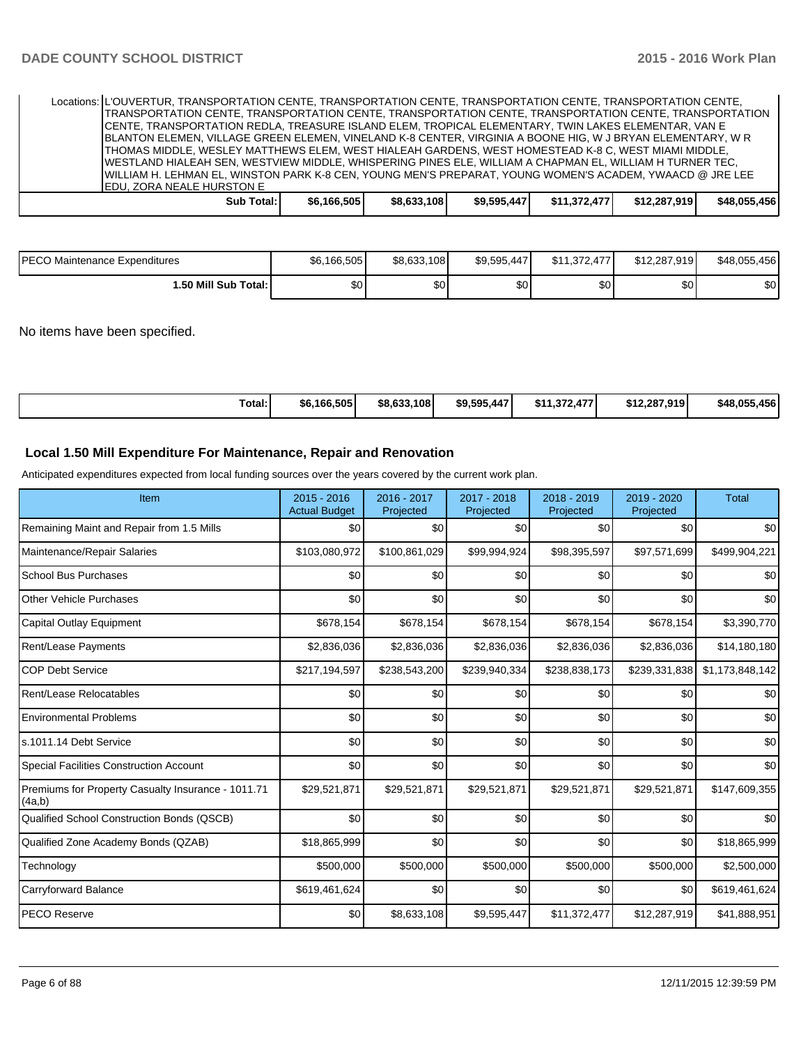| Locations: IL'OUVERTUR, TRANSPORTATION CENTE, TRANSPORTATION CENTE, TRANSPORTATION CENTE, TRANSPORTATION CENTE,                                 |            |             |             |             |              |              |              |
|-------------------------------------------------------------------------------------------------------------------------------------------------|------------|-------------|-------------|-------------|--------------|--------------|--------------|
| TRANSPORTATION CENTE, TRANSPORTATION CENTE, TRANSPORTATION CENTE, TRANSPORTATION CENTE, TRANSPORTATION                                          |            |             |             |             |              |              |              |
| ICENTE, TRANSPORTATION REDLA, TREASURE ISLAND ELEM, TROPICAL ELEMENTARY, TWIN LAKES ELEMENTAR, VAN E                                            |            |             |             |             |              |              |              |
| BLANTON ELEMEN, VILLAGE GREEN ELEMEN, VINELAND K-8 CENTER, VIRGINIA A BOONE HIG, W J BRYAN ELEMENTARY, W R                                      |            |             |             |             |              |              |              |
| THOMAS MIDDLE, WESLEY MATTHEWS ELEM, WEST HIALEAH GARDENS, WEST HOMESTEAD K-8 C, WEST MIAMI MIDDLE,                                             |            |             |             |             |              |              |              |
| IWESTLAND HIALEAH SEN, WESTVIEW MIDDLE, WHISPERING PINES ELE, WILLIAM A CHAPMAN EL, WILLIAM H TURNER TEC,                                       |            |             |             |             |              |              |              |
|                                                                                                                                                 |            |             |             |             |              |              |              |
|                                                                                                                                                 |            |             |             |             |              |              |              |
|                                                                                                                                                 | Sub Total: | \$6,166,505 | \$8,633,108 | \$9,595,447 | \$11,372,477 | \$12,287,919 | \$48.055.456 |
| WILLIAM H. LEHMAN EL. WINSTON PARK K-8 CEN. YOUNG MEN'S PREPARAT. YOUNG WOMEN'S ACADEM. YWAACD @ JRE LEE ا<br><b>IEDU, ZORA NEALE HURSTON E</b> |            |             |             |             |              |              |              |

| <b>IPECO Maintenance Expenditures</b> | \$6,166,505 | \$8,633,108 | \$9,595,447 | \$11,372,477<br>177 | \$12,287,919 | \$48,055,456 |
|---------------------------------------|-------------|-------------|-------------|---------------------|--------------|--------------|
| 1.50 Mill Sub Total: I                | ሶሳ<br>J∪ '  | ሶሳ<br>ъU    | ሶስ<br>აი    | \$0 <sub>0</sub>    | ¢η<br>υŒ     | \$0          |

No items have been specified.

| Total:<br>\$6,166,505<br>\$8.633.108 | \$9.595.447<br>272<br>$1 - 1$<br>\$11<br>11.372.47. | \$12,287.919<br>\$48.055.456 |
|--------------------------------------|-----------------------------------------------------|------------------------------|
|--------------------------------------|-----------------------------------------------------|------------------------------|

#### **Local 1.50 Mill Expenditure For Maintenance, Repair and Renovation**

Anticipated expenditures expected from local funding sources over the years covered by the current work plan.

| Item                                                         | $2015 - 2016$<br><b>Actual Budget</b> | 2016 - 2017<br>Projected | 2017 - 2018<br>Projected | 2018 - 2019<br>Projected | 2019 - 2020<br>Projected | <b>Total</b>     |
|--------------------------------------------------------------|---------------------------------------|--------------------------|--------------------------|--------------------------|--------------------------|------------------|
| Remaining Maint and Repair from 1.5 Mills                    | \$0                                   | \$0                      | \$0                      | \$0                      | \$0                      | \$0 <sub>1</sub> |
| Maintenance/Repair Salaries                                  | \$103,080,972                         | \$100,861,029            | \$99,994,924             | \$98,395,597             | \$97,571,699             | \$499,904,221    |
| <b>School Bus Purchases</b>                                  | \$0                                   | \$0                      | \$0                      | \$0                      | \$0                      | \$0              |
| <b>Other Vehicle Purchases</b>                               | \$0                                   | \$0                      | \$0                      | \$0                      | \$0                      | \$0              |
| Capital Outlay Equipment                                     | \$678,154                             | \$678,154                | \$678,154                | \$678,154                | \$678,154                | \$3,390,770      |
| <b>Rent/Lease Payments</b>                                   | \$2,836,036                           | \$2,836,036              | \$2,836,036              | \$2,836,036              | \$2,836,036              | \$14,180,180     |
| <b>COP Debt Service</b>                                      | \$217,194,597                         | \$238,543,200            | \$239,940,334            | \$238,838,173            | \$239,331,838            | \$1,173,848,142  |
| Rent/Lease Relocatables                                      | \$0                                   | \$0                      | \$0                      | \$0                      | \$0                      | \$0              |
| <b>Environmental Problems</b>                                | \$0                                   | \$0                      | \$0                      | \$0                      | \$0                      | \$0              |
| s.1011.14 Debt Service                                       | \$0                                   | \$0                      | \$0                      | \$0                      | \$0                      | \$0              |
| <b>Special Facilities Construction Account</b>               | \$0                                   | \$0                      | \$0                      | \$0                      | \$0                      | \$0              |
| Premiums for Property Casualty Insurance - 1011.71<br>(4a,b) | \$29,521,871                          | \$29,521,871             | \$29,521,871             | \$29,521,871             | \$29,521,871             | \$147,609,355    |
| Qualified School Construction Bonds (QSCB)                   | \$0                                   | \$0                      | \$0                      | \$0                      | \$0                      | \$0              |
| Qualified Zone Academy Bonds (QZAB)                          | \$18,865,999                          | \$0                      | \$0                      | \$0                      | \$0                      | \$18,865,999     |
| Technology                                                   | \$500,000                             | \$500,000                | \$500,000                | \$500,000                | \$500,000                | \$2,500,000      |
| Carryforward Balance                                         | \$619,461,624                         | \$0                      | \$0                      | \$0                      | \$0                      | \$619,461,624    |
| <b>PECO Reserve</b>                                          | \$0                                   | \$8,633,108              | \$9,595,447              | \$11,372,477             | \$12,287,919             | \$41,888,951     |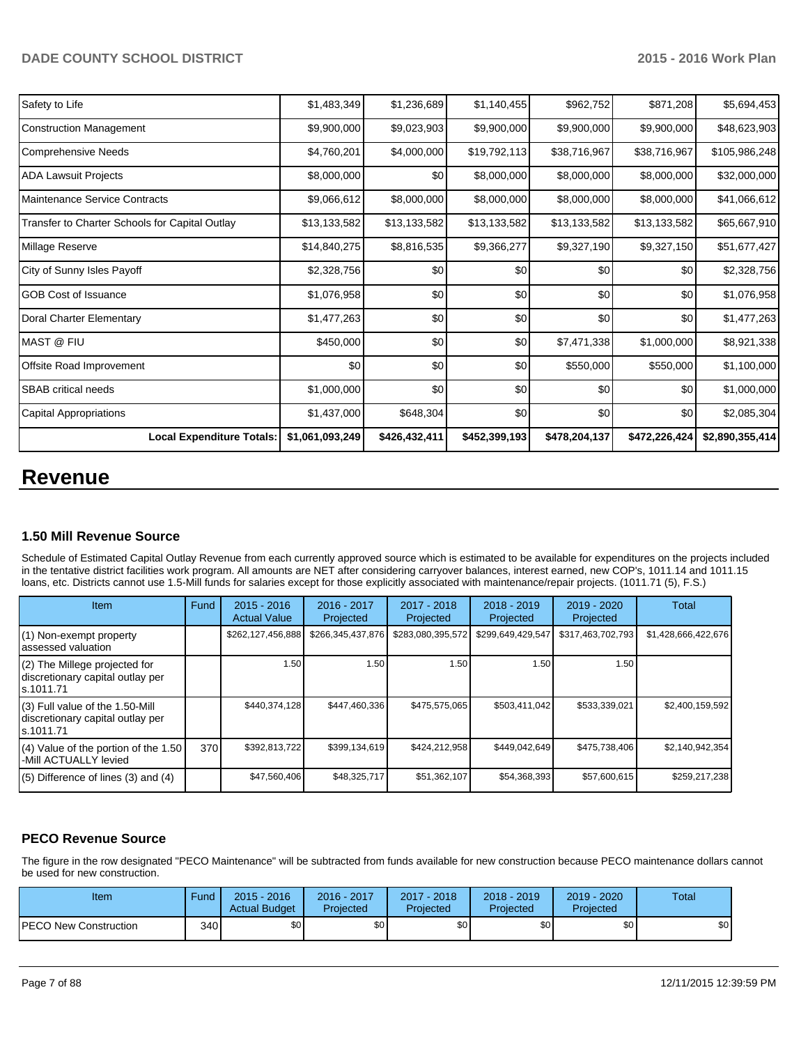| <b>Local Expenditure Totals:</b>               | \$1,061,093,249 | \$426,432,411 | \$452,399,193 | \$478,204,137 | \$472,226,424 | \$2,890,355,414 |
|------------------------------------------------|-----------------|---------------|---------------|---------------|---------------|-----------------|
| Capital Appropriations                         | \$1,437,000     | \$648,304     | \$0           | \$0           | \$0           | \$2,085,304     |
| <b>SBAB</b> critical needs                     | \$1,000,000     | \$0           | \$0           | \$0           | \$0           | \$1,000,000     |
| Offsite Road Improvement                       | \$0             | \$0           | \$0           | \$550,000     | \$550,000     | \$1,100,000     |
| <b>MAST @ FIU</b>                              | \$450,000       | \$0           | \$0           | \$7,471,338   | \$1,000,000   | \$8,921,338     |
| Doral Charter Elementary                       | \$1,477,263     | \$0           | \$0           | \$0           | \$0           | \$1,477,263     |
| <b>GOB Cost of Issuance</b>                    | \$1,076,958     | \$0           | \$0           | \$0           | \$0           | \$1,076,958     |
| City of Sunny Isles Payoff                     | \$2,328,756     | \$0           | \$0           | \$0           | \$0           | \$2,328,756     |
| Millage Reserve                                | \$14,840,275    | \$8,816,535   | \$9,366,277   | \$9,327,190   | \$9,327,150   | \$51,677,427    |
| Transfer to Charter Schools for Capital Outlay | \$13,133,582    | \$13,133,582  | \$13,133,582  | \$13,133,582  | \$13,133,582  | \$65,667,910    |
| Maintenance Service Contracts                  | \$9,066,612     | \$8,000,000   | \$8,000,000   | \$8,000,000   | \$8,000,000   | \$41,066,612    |
| <b>ADA Lawsuit Projects</b>                    | \$8,000,000     | \$0           | \$8,000,000   | \$8,000,000   | \$8,000,000   | \$32,000,000    |
| Comprehensive Needs                            | \$4,760,201     | \$4,000,000   | \$19,792,113  | \$38,716,967  | \$38,716,967  | \$105,986,248   |
| Construction Management                        | \$9,900,000     | \$9,023,903   | \$9,900,000   | \$9,900,000   | \$9,900,000   | \$48,623,903    |
| Safety to Life                                 | \$1,483,349     | \$1,236,689   | \$1,140,455   | \$962,752     | \$871,208     | \$5,694,453     |

## **Revenue**

#### **1.50 Mill Revenue Source**

Schedule of Estimated Capital Outlay Revenue from each currently approved source which is estimated to be available for expenditures on the projects included in the tentative district facilities work program. All amounts are NET after considering carryover balances, interest earned, new COP's, 1011.14 and 1011.15 loans, etc. Districts cannot use 1.5-Mill funds for salaries except for those explicitly associated with maintenance/repair projects. (1011.71 (5), F.S.)

| Item                                                                                | Fund | $2015 - 2016$<br><b>Actual Value</b> | 2016 - 2017<br>Projected | 2017 - 2018<br>Projected | $2018 - 2019$<br>Projected | 2019 - 2020<br>Projected | Total               |
|-------------------------------------------------------------------------------------|------|--------------------------------------|--------------------------|--------------------------|----------------------------|--------------------------|---------------------|
| (1) Non-exempt property<br>lassessed valuation                                      |      | \$262,127,456,888                    | \$266,345,437,876        | \$283,080,395,572        | \$299,649,429,547          | \$317,463,702,793        | \$1,428,666,422,676 |
| (2) The Millege projected for<br>discretionary capital outlay per<br>ls.1011.71     |      | 1.50                                 | 1.50                     | 1.50'                    | 1.50                       | 1.50                     |                     |
| $(3)$ Full value of the 1.50-Mill<br>discretionary capital outlay per<br>ls.1011.71 |      | \$440,374,128                        | \$447,460,336            | \$475,575,065            | \$503,411,042              | \$533,339,021            | \$2,400,159,592     |
| $(4)$ Value of the portion of the 1.50<br>-Mill ACTUALLY levied                     | 370  | \$392,813,722                        | \$399,134,619            | \$424,212,958            | \$449,042,649              | \$475,738,406            | \$2,140,942,354     |
| $(5)$ Difference of lines (3) and (4)                                               |      | \$47,560,406                         | \$48,325,717             | \$51,362,107             | \$54,368,393               | \$57,600,615             | \$259,217,238       |

#### **PECO Revenue Source**

The figure in the row designated "PECO Maintenance" will be subtracted from funds available for new construction because PECO maintenance dollars cannot be used for new construction.

| Item                          | Fund  | $2015 - 2016$<br><b>Actual Budget</b> | 2016 - 2017<br>Projected | $2017 - 2018$<br>Projected | $2018 - 2019$<br>Projected | $2019 - 2020$<br>Projected | <b>Total</b> |
|-------------------------------|-------|---------------------------------------|--------------------------|----------------------------|----------------------------|----------------------------|--------------|
| <b>IPECO New Construction</b> | 340 l | \$0 <sub>1</sub>                      | \$0                      | \$0                        | \$0 <sub>1</sub>           | \$0                        | \$0          |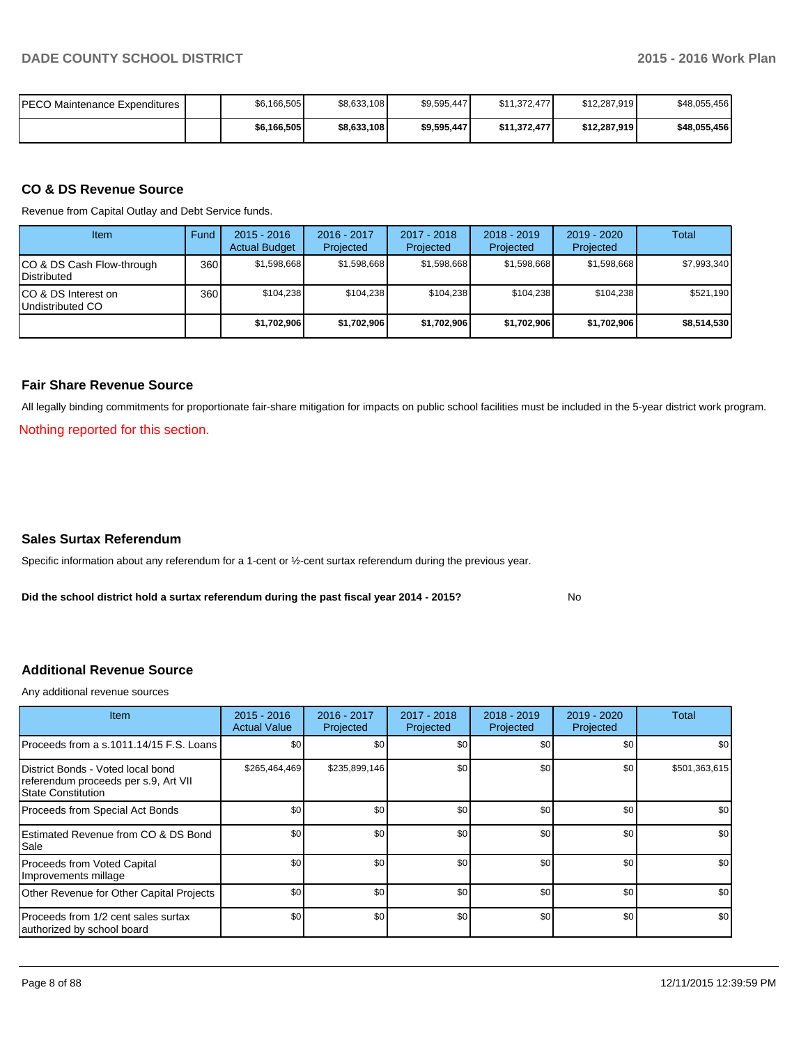| <b>PECO Maintenance Expenditures</b> | \$6,166,505 | \$8,633,108 | \$9,595,447 | \$11.372.477 | \$12.287.919 | \$48.055.456 |
|--------------------------------------|-------------|-------------|-------------|--------------|--------------|--------------|
|                                      | \$6,166,505 | \$8,633,108 | \$9,595,447 | \$11.372.477 | \$12,287,919 | \$48.055.456 |

#### **CO & DS Revenue Source**

Revenue from Capital Outlay and Debt Service funds.

| Item                                               | Fund | $2015 - 2016$<br><b>Actual Budget</b> | $2016 - 2017$<br>Projected | $2017 - 2018$<br>Projected | $2018 - 2019$<br>Projected | $2019 - 2020$<br>Projected | Total       |
|----------------------------------------------------|------|---------------------------------------|----------------------------|----------------------------|----------------------------|----------------------------|-------------|
| ICO & DS Cash Flow-through<br><b>I</b> Distributed | 360  | \$1,598,668                           | \$1,598,668                | \$1,598,668                | \$1,598,668                | \$1,598,668                | \$7,993,340 |
| ICO & DS Interest on<br>Undistributed CO           | 360  | \$104.238                             | \$104.238                  | \$104.238                  | \$104.238                  | \$104.238                  | \$521,190   |
|                                                    |      | \$1,702,906                           | \$1,702,906                | \$1,702,906                | \$1,702,906                | \$1,702,906                | \$8,514,530 |

#### **Fair Share Revenue Source**

All legally binding commitments for proportionate fair-share mitigation for impacts on public school facilities must be included in the 5-year district work program.

Nothing reported for this section.

#### **Sales Surtax Referendum**

Specific information about any referendum for a 1-cent or ½-cent surtax referendum during the previous year.

**Did the school district hold a surtax referendum during the past fiscal year 2014 - 2015?**

No

#### **Additional Revenue Source**

Any additional revenue sources

| Item                                                                                              | $2015 - 2016$<br><b>Actual Value</b> | 2016 - 2017<br>Projected | 2017 - 2018<br>Projected | 2018 - 2019<br>Projected | 2019 - 2020<br>Projected | Total            |
|---------------------------------------------------------------------------------------------------|--------------------------------------|--------------------------|--------------------------|--------------------------|--------------------------|------------------|
| Proceeds from a s.1011.14/15 F.S. Loans                                                           | \$0                                  | \$0                      | \$0                      | \$0                      | \$0                      | \$0              |
| District Bonds - Voted local bond<br>referendum proceeds per s.9, Art VII<br>l State Constitution | \$265,464,469                        | \$235,899,146            | \$0                      | \$0                      | \$0                      | \$501,363,615    |
| Proceeds from Special Act Bonds                                                                   | \$0                                  | \$0                      | \$0                      | \$0                      | \$0                      | \$0              |
| <b>IEstimated Revenue from CO &amp; DS Bond</b><br>l Sale                                         | \$0                                  | \$0                      | \$0                      | \$0                      | \$0                      | \$0 <sub>1</sub> |
| Proceeds from Voted Capital<br>Improvements millage                                               | \$0                                  | \$0                      | \$0                      | \$0                      | \$0                      | \$0              |
| Other Revenue for Other Capital Projects                                                          | \$0                                  | \$0                      | \$0                      | \$0                      | \$0                      | \$0 <sub>1</sub> |
| Proceeds from 1/2 cent sales surtax<br>authorized by school board                                 | \$0                                  | \$0                      | \$0                      | \$0                      | \$0                      | \$0              |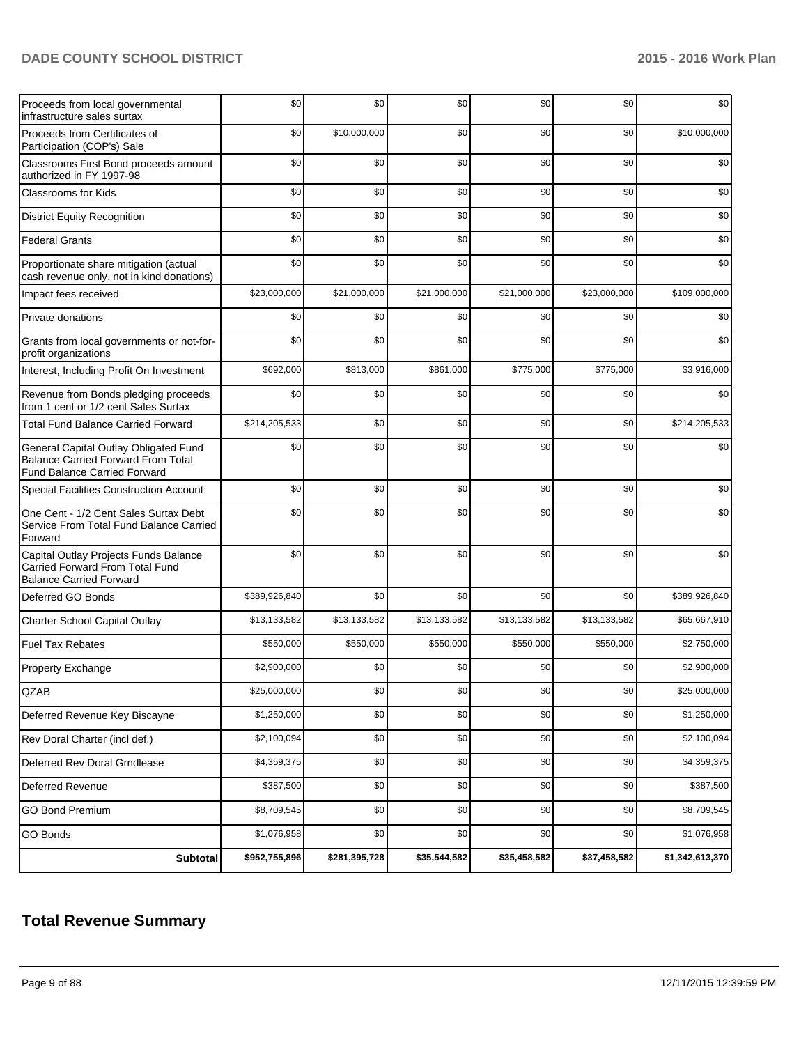| Proceeds from local governmental<br>infrastructure sales surtax                                                           | \$0           | \$0           | \$0          | \$0          | \$0          | \$0             |
|---------------------------------------------------------------------------------------------------------------------------|---------------|---------------|--------------|--------------|--------------|-----------------|
| Proceeds from Certificates of<br>Participation (COP's) Sale                                                               | \$0           | \$10,000,000  | \$0          | \$0          | \$0          | \$10,000,000    |
| Classrooms First Bond proceeds amount<br>authorized in FY 1997-98                                                         | \$0           | \$0           | \$0          | \$0          | \$0          | \$0             |
| <b>Classrooms for Kids</b>                                                                                                | \$0           | \$0           | \$0          | \$0          | \$0          | \$0             |
| <b>District Equity Recognition</b>                                                                                        | \$0           | \$0           | \$0          | \$0          | \$0          | \$0             |
| <b>Federal Grants</b>                                                                                                     | \$0           | \$0           | \$0          | \$0          | \$0          | \$0             |
| Proportionate share mitigation (actual<br>cash revenue only, not in kind donations)                                       | \$0           | \$0           | \$0          | \$0          | \$0          | \$0             |
| Impact fees received                                                                                                      | \$23,000,000  | \$21,000,000  | \$21,000,000 | \$21,000,000 | \$23,000,000 | \$109,000,000   |
| Private donations                                                                                                         | \$0           | \$0           | \$0          | \$0          | \$0          | \$0             |
| Grants from local governments or not-for-<br>profit organizations                                                         | \$0           | \$0           | \$0          | \$0          | \$0          | \$0             |
| Interest, Including Profit On Investment                                                                                  | \$692,000     | \$813,000     | \$861,000    | \$775,000    | \$775,000    | \$3,916,000     |
| Revenue from Bonds pledging proceeds<br>from 1 cent or 1/2 cent Sales Surtax                                              | \$0           | \$0           | \$0          | \$0          | \$0          | \$0             |
| <b>Total Fund Balance Carried Forward</b>                                                                                 | \$214,205,533 | \$0           | \$0          | \$0          | \$0          | \$214,205,533   |
| General Capital Outlay Obligated Fund<br><b>Balance Carried Forward From Total</b><br><b>Fund Balance Carried Forward</b> | \$0           | \$0           | \$0          | \$0          | \$0          | \$0             |
| <b>Special Facilities Construction Account</b>                                                                            | \$0           | \$0           | \$0          | \$0          | \$0          | \$0             |
| One Cent - 1/2 Cent Sales Surtax Debt<br>Service From Total Fund Balance Carried<br>Forward                               | \$0           | \$0           | \$0          | \$0          | \$0          | \$0             |
| Capital Outlay Projects Funds Balance<br>Carried Forward From Total Fund<br><b>Balance Carried Forward</b>                | \$0           | \$0           | \$0          | \$0          | \$0          | \$0             |
| Deferred GO Bonds                                                                                                         | \$389,926,840 | \$0           | \$0          | \$0          | \$0          | \$389,926,840   |
| Charter School Capital Outlay                                                                                             | \$13,133,582  | \$13,133,582  | \$13,133,582 | \$13,133,582 | \$13,133,582 | \$65,667,910    |
| <b>Fuel Tax Rebates</b>                                                                                                   | \$550,000     | \$550,000     | \$550,000    | \$550,000    | \$550,000    | \$2,750,000     |
| Property Exchange                                                                                                         | \$2,900,000   | \$0           | \$0          | \$0          | \$0          | \$2,900,000     |
| QZAB                                                                                                                      | \$25,000,000  | \$0           | \$0          | \$0          | \$0          | \$25,000,000    |
| Deferred Revenue Key Biscayne                                                                                             | \$1,250,000   | \$0           | \$0          | \$0          | \$0          | \$1,250,000     |
| Rev Doral Charter (incl def.)                                                                                             | \$2,100,094   | \$0           | \$0          | \$0          | \$0          | \$2,100,094     |
| Deferred Rev Doral Grndlease                                                                                              | \$4,359,375   | \$0           | \$0          | \$0          | \$0          | \$4,359,375     |
| Deferred Revenue                                                                                                          | \$387,500     | \$0           | \$0          | \$0          | \$0          | \$387,500       |
| <b>GO Bond Premium</b>                                                                                                    | \$8,709,545   | \$0           | \$0          | \$0          | \$0          | \$8,709,545     |
| <b>GO Bonds</b>                                                                                                           | \$1,076,958   | \$0           | \$0          | \$0          | \$0          | \$1,076,958     |
| Subtotal                                                                                                                  | \$952,755,896 | \$281,395,728 | \$35,544,582 | \$35,458,582 | \$37,458,582 | \$1,342,613,370 |

## **Total Revenue Summary**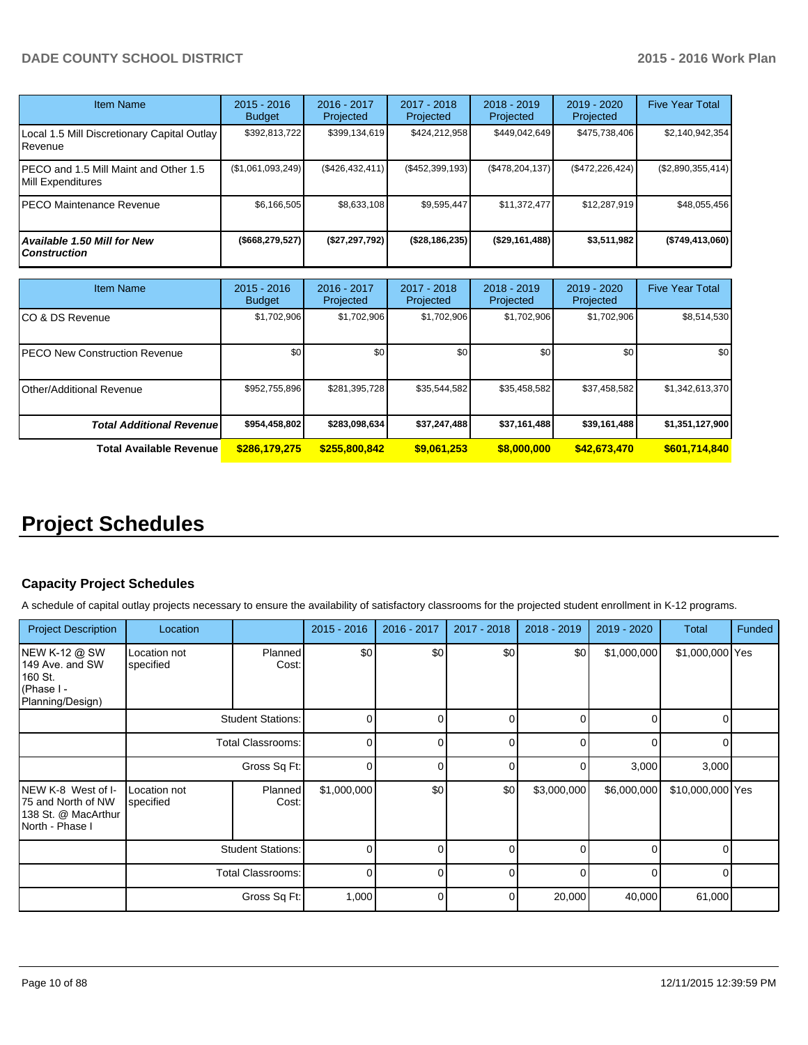| <b>Item Name</b>                                           | $2015 - 2016$<br><b>Budget</b> | $2016 - 2017$<br>Projected | $2017 - 2018$<br>Projected | $2018 - 2019$<br>Projected | $2019 - 2020$<br>Projected | <b>Five Year Total</b> |
|------------------------------------------------------------|--------------------------------|----------------------------|----------------------------|----------------------------|----------------------------|------------------------|
| Local 1.5 Mill Discretionary Capital Outlay  <br>Revenue   | \$392,813,722                  | \$399,134,619              | \$424,212,958              | \$449,042,649              | \$475,738,406              | \$2,140,942,354        |
| PECO and 1.5 Mill Maint and Other 1.5<br>Mill Expenditures | $($ \$1,061,093,249)           | (\$426,432,411)            | (\$452,399,193)            | (S478, 204, 137)           | $(\$472,226,424)$          | (\$2,890,355,414)      |
| PECO Maintenance Revenue                                   | \$6,166,505                    | \$8.633.108                | \$9.595.447                | \$11.372.477               | \$12,287.919               | \$48,055,456           |
| Available 1.50 Mill for New<br><b>Construction</b>         | (\$668, 279, 527)              | (\$27,297,792)             | (\$28,186,235)             | (\$29,161,488)             | \$3,511,982                | (\$749,413,060)        |

| Item Name                             | $2015 - 2016$<br><b>Budget</b> | $2016 - 2017$<br>Projected | 2017 - 2018<br>Projected | $2018 - 2019$<br>Projected | $2019 - 2020$<br>Projected | <b>Five Year Total</b> |
|---------------------------------------|--------------------------------|----------------------------|--------------------------|----------------------------|----------------------------|------------------------|
| ICO & DS Revenue                      | \$1,702,906                    | \$1,702,906                | \$1,702,906              | \$1,702,906                | \$1,702,906                | \$8,514,530            |
| <b>IPECO New Construction Revenue</b> | \$0                            | \$0                        | \$0                      | \$0                        | \$0                        | \$0 <sub>1</sub>       |
| <b>I</b> Other/Additional Revenue     | \$952,755,896                  | \$281,395,728              | \$35,544,582             | \$35,458,582               | \$37,458,582               | \$1,342,613,370        |
| <b>Total Additional Revenuel</b>      | \$954,458,802                  | \$283,098,634              | \$37,247,488             | \$37,161,488               | \$39,161,488               | \$1,351,127,900        |
| <b>Total Available Revenue</b>        | \$286,179,275                  | \$255,800,842              | \$9,061,253              | \$8,000,000                | \$42,673,470               | \$601,714,840          |

## **Project Schedules**

## **Capacity Project Schedules**

A schedule of capital outlay projects necessary to ensure the availability of satisfactory classrooms for the projected student enrollment in K-12 programs.

| <b>Project Description</b>                                                           | Location                  |                          | 2015 - 2016 | 2016 - 2017 | 2017 - 2018 | 2018 - 2019 | 2019 - 2020 | <b>Total</b>     | Funded |
|--------------------------------------------------------------------------------------|---------------------------|--------------------------|-------------|-------------|-------------|-------------|-------------|------------------|--------|
| <b>NEW K-12 @ SW</b><br>149 Ave. and SW<br>160 St.<br>(Phase I -<br>Planning/Design) | Location not<br>specified | Planned<br>Cost:         | \$0         | \$0         | \$0         | \$0         | \$1,000,000 | \$1,000,000 Yes  |        |
|                                                                                      |                           | <b>Student Stations:</b> | 0           |             |             |             |             |                  |        |
|                                                                                      |                           | <b>Total Classrooms:</b> | 0           |             |             |             |             |                  |        |
|                                                                                      |                           | Gross Sq Ft:             | $\Omega$    |             | $\Omega$    |             | 3,000       | 3,000            |        |
| NEW K-8 West of I-<br>75 and North of NW<br>138 St. @ MacArthur<br>North - Phase I   | Location not<br>specified | <b>Planned</b><br>Cost:  | \$1,000,000 | \$0         | \$0         | \$3,000,000 | \$6,000,000 | \$10,000,000 Yes |        |
|                                                                                      |                           | <b>Student Stations:</b> |             |             |             |             |             |                  |        |
|                                                                                      |                           | Total Classrooms:        | 0           |             |             |             |             |                  |        |
|                                                                                      |                           | Gross Sq Ft:             | 1,000       |             | 0           | 20,000      | 40,000      | 61,000           |        |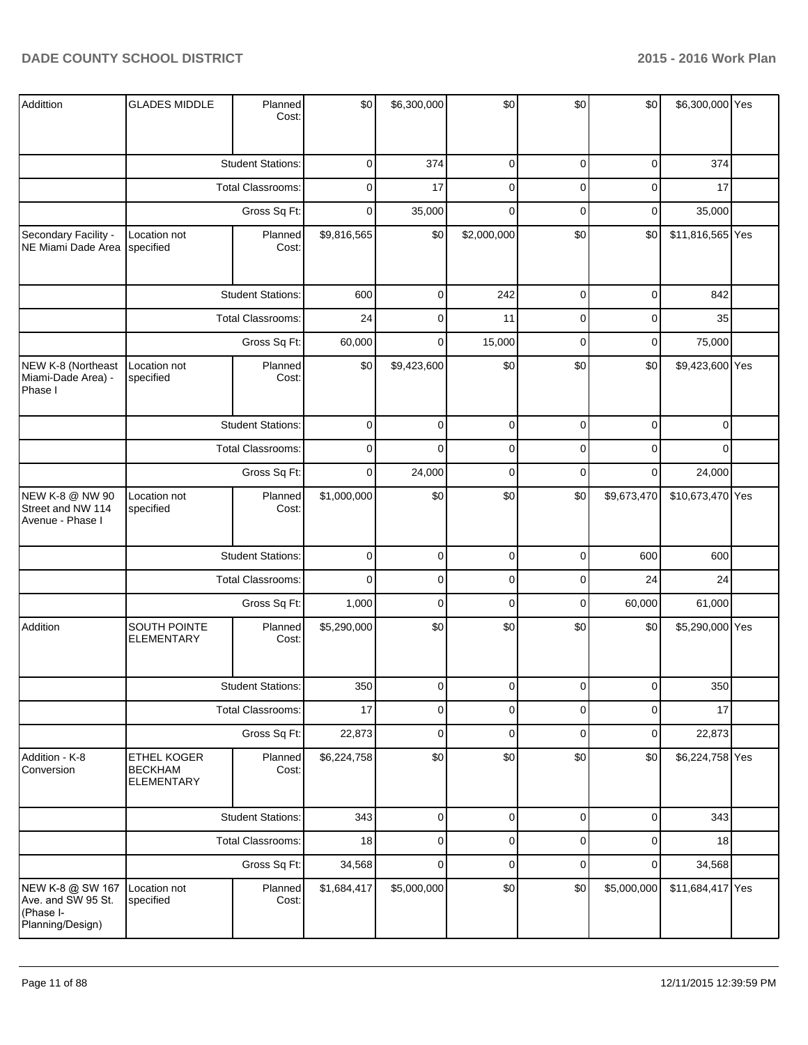| Addittion                                                               | <b>GLADES MIDDLE</b>                                      | Planned<br>Cost:         | \$0         | \$6,300,000 | \$0         | \$0         | \$0            | \$6,300,000 Yes  |  |
|-------------------------------------------------------------------------|-----------------------------------------------------------|--------------------------|-------------|-------------|-------------|-------------|----------------|------------------|--|
|                                                                         |                                                           | <b>Student Stations:</b> | $\mathbf 0$ | 374         | $\pmb{0}$   | $\mathbf 0$ | $\mathbf 0$    | 374              |  |
|                                                                         |                                                           | Total Classrooms:        | 0           | 17          | $\mathbf 0$ | $\mathbf 0$ | $\mathbf 0$    | 17               |  |
|                                                                         |                                                           | Gross Sq Ft:             | $\mathbf 0$ | 35,000      | $\mathbf 0$ | $\mathbf 0$ | $\mathbf 0$    | 35,000           |  |
| Secondary Facility -<br>NE Miami Dade Area                              | Location not<br>specified                                 | Planned<br>Cost:         | \$9,816,565 | \$0         | \$2,000,000 | \$0         | \$0            | \$11,816,565 Yes |  |
|                                                                         |                                                           | <b>Student Stations:</b> | 600         | $\mathbf 0$ | 242         | $\pmb{0}$   | $\overline{0}$ | 842              |  |
|                                                                         |                                                           | Total Classrooms:        | 24          | $\mathbf 0$ | 11          | $\mathbf 0$ | $\mathbf 0$    | 35               |  |
|                                                                         |                                                           | Gross Sq Ft:             | 60,000      | $\mathbf 0$ | 15,000      | $\mathbf 0$ | $\mathbf 0$    | 75,000           |  |
| NEW K-8 (Northeast<br>Miami-Dade Area) -<br>Phase I                     | Location not<br>specified                                 | Planned<br>Cost:         | \$0         | \$9,423,600 | \$0         | \$0         | \$0            | \$9,423,600 Yes  |  |
|                                                                         |                                                           | <b>Student Stations:</b> | $\mathbf 0$ | $\mathbf 0$ | $\pmb{0}$   | $\mathbf 0$ | $\mathbf 0$    | 0                |  |
|                                                                         |                                                           | Total Classrooms:        | $\mathbf 0$ | $\mathbf 0$ | $\pmb{0}$   | $\mathbf 0$ | $\mathbf 0$    | 0                |  |
|                                                                         |                                                           | Gross Sq Ft:             | $\mathbf 0$ | 24,000      | $\mathbf 0$ | $\mathbf 0$ | $\mathbf 0$    | 24,000           |  |
| NEW K-8 @ NW 90<br>Street and NW 114<br>Avenue - Phase I                | Location not<br>specified                                 | Planned<br>Cost:         | \$1,000,000 | \$0         | \$0         | \$0         | \$9,673,470    | \$10,673,470 Yes |  |
|                                                                         |                                                           | <b>Student Stations:</b> | $\mathbf 0$ | $\pmb{0}$   | $\pmb{0}$   | $\pmb{0}$   | 600            | 600              |  |
|                                                                         |                                                           | Total Classrooms:        | $\mathbf 0$ | $\mathbf 0$ | $\pmb{0}$   | $\mathbf 0$ | 24             | 24               |  |
|                                                                         |                                                           | Gross Sq Ft:             | 1,000       | $\pmb{0}$   | $\mathbf 0$ | $\mathbf 0$ | 60,000         | 61,000           |  |
| Addition                                                                | SOUTH POINTE<br><b>ELEMENTARY</b>                         | Planned<br>Cost:         | \$5,290,000 | \$0         | \$0         | \$0         | \$0            | \$5,290,000 Yes  |  |
|                                                                         |                                                           | <b>Student Stations:</b> | 350         | $\Omega$    | $\Omega$    | $\Omega$    | $\Omega$       | 350              |  |
|                                                                         |                                                           | <b>Total Classrooms:</b> | 17          | $\pmb{0}$   | $\pmb{0}$   | $\pmb{0}$   | $\mathbf 0$    | 17               |  |
|                                                                         |                                                           | Gross Sq Ft:             | 22,873      | $\pmb{0}$   | $\pmb{0}$   | $\mathbf 0$ | $\mathbf 0$    | 22,873           |  |
| Addition - K-8<br>Conversion                                            | <b>ETHEL KOGER</b><br><b>BECKHAM</b><br><b>ELEMENTARY</b> | Planned<br>Cost:         | \$6,224,758 | \$0         | \$0         | \$0         | \$0            | \$6,224,758 Yes  |  |
|                                                                         |                                                           | <b>Student Stations:</b> | 343         | $\pmb{0}$   | $\pmb{0}$   | $\pmb{0}$   | $\overline{0}$ | 343              |  |
|                                                                         |                                                           | Total Classrooms:        | 18          | $\pmb{0}$   | $\pmb{0}$   | $\pmb{0}$   | $\overline{0}$ | 18               |  |
|                                                                         |                                                           | Gross Sq Ft:             | 34,568      | $\pmb{0}$   | $\pmb{0}$   | $\pmb{0}$   | $\mathbf 0$    | 34,568           |  |
| NEW K-8 @ SW 167<br>Ave. and SW 95 St.<br>(Phase I-<br>Planning/Design) | Location not<br>specified                                 | Planned<br>Cost:         | \$1,684,417 | \$5,000,000 | \$0         | \$0         | \$5,000,000    | \$11,684,417 Yes |  |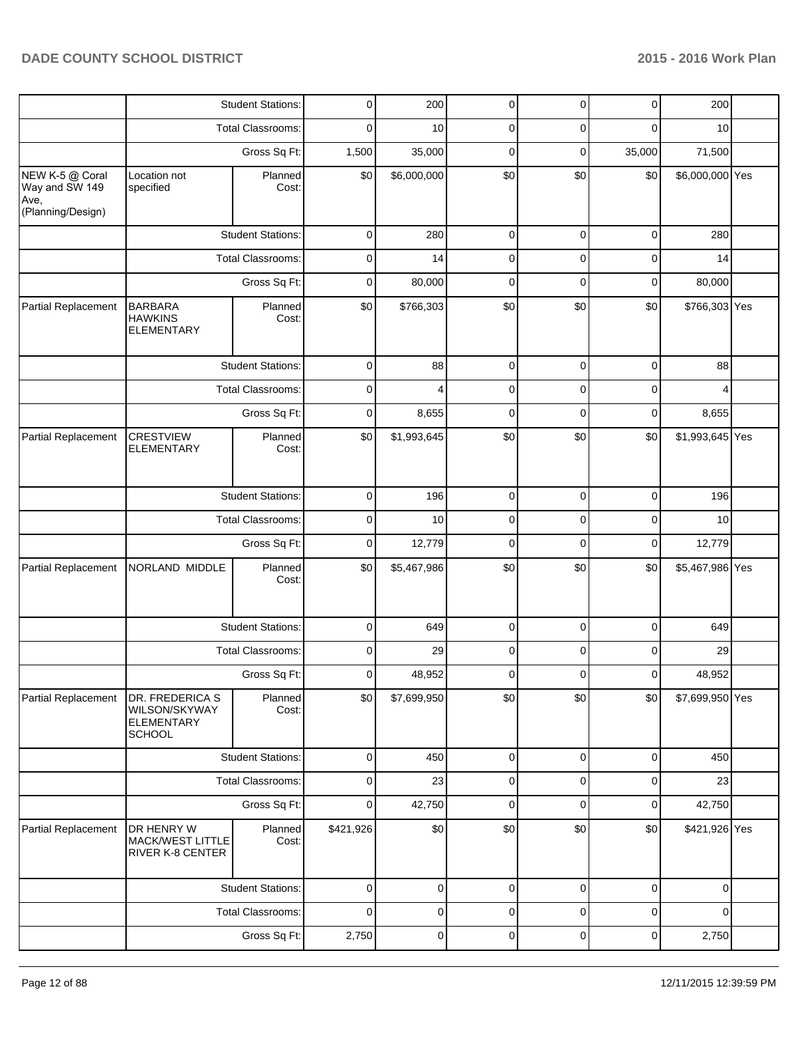|                                           |                                                                        | <b>Student Stations:</b> | 0           | 200         | 0              | 0           | 0           | 200             |  |
|-------------------------------------------|------------------------------------------------------------------------|--------------------------|-------------|-------------|----------------|-------------|-------------|-----------------|--|
|                                           |                                                                        | <b>Total Classrooms:</b> | 0           | 10          | 0              | 0           | 0           | 10              |  |
|                                           |                                                                        | Gross Sq Ft:             | 1,500       | 35,000      | 0              | 0           | 35,000      | 71,500          |  |
| NEW K-5 @ Coral<br>Way and SW 149<br>Ave, | Location not<br>specified                                              | Planned<br>Cost:         | \$0         | \$6,000,000 | \$0            | \$0         | \$0         | \$6,000,000 Yes |  |
| (Planning/Design)                         |                                                                        |                          |             |             |                |             |             |                 |  |
|                                           |                                                                        | <b>Student Stations:</b> | $\mathbf 0$ | 280         | $\mathbf 0$    | 0           | 0           | 280             |  |
|                                           |                                                                        | <b>Total Classrooms:</b> | 0           | 14          | 0              | 0           | $\mathbf 0$ | 14              |  |
|                                           |                                                                        | Gross Sq Ft:             | 0           | 80,000      | $\mathbf 0$    | $\mathbf 0$ | 0           | 80,000          |  |
| Partial Replacement                       | <b>BARBARA</b><br><b>HAWKINS</b><br><b>ELEMENTARY</b>                  | Planned<br>Cost:         | \$0         | \$766,303   | \$0            | \$0         | \$0         | \$766,303 Yes   |  |
|                                           |                                                                        | <b>Student Stations:</b> | 0           | 88          | 0              | 0           | 0           | 88              |  |
|                                           |                                                                        | <b>Total Classrooms:</b> | 0           | 4           | 0              | 0           | 0           | 4               |  |
|                                           |                                                                        | Gross Sq Ft:             | 0           | 8,655       | $\mathbf 0$    | 0           | 0           | 8,655           |  |
| Partial Replacement                       | <b>CRESTVIEW</b><br><b>ELEMENTARY</b>                                  | Planned<br>Cost:         | \$0         | \$1,993,645 | \$0            | \$0         | \$0         | \$1,993,645 Yes |  |
|                                           |                                                                        | <b>Student Stations:</b> | 0           | 196         | 0              | 0           | $\mathbf 0$ | 196             |  |
|                                           |                                                                        | Total Classrooms:        | 0           | 10          | 0              | $\mathbf 0$ | 0           | 10              |  |
|                                           |                                                                        | Gross Sq Ft:             | 0           | 12,779      | $\overline{0}$ | 0           | 0           | 12,779          |  |
| Partial Replacement                       | NORLAND MIDDLE                                                         | Planned<br>Cost:         | \$0         | \$5,467,986 | \$0            | \$0         | \$0         | \$5,467,986 Yes |  |
|                                           |                                                                        | <b>Student Stations:</b> | 0           | 649         | 0              | 0           | 0           | 649             |  |
|                                           |                                                                        | <b>Total Classrooms:</b> | 0           | 29          | 0              | 0           | 0           | 29              |  |
|                                           |                                                                        | Gross Sq Ft:             | 0           | 48,952      | $\mathbf 0$    | 0           | $\mathbf 0$ | 48,952          |  |
| Partial Replacement                       | DR. FREDERICA S<br>WILSON/SKYWAY<br><b>ELEMENTARY</b><br><b>SCHOOL</b> | Planned<br>Cost:         | \$0         | \$7,699,950 | \$0            | \$0         | \$0         | \$7,699,950 Yes |  |
|                                           |                                                                        | <b>Student Stations:</b> | $\mathbf 0$ | 450         | $\pmb{0}$      | $\pmb{0}$   | $\mathbf 0$ | 450             |  |
|                                           |                                                                        | <b>Total Classrooms:</b> | 0           | 23          | 0              | 0           | 0           | 23              |  |
|                                           |                                                                        | Gross Sq Ft:             | 0           | 42,750      | $\mathbf 0$    | $\mathbf 0$ | $\mathbf 0$ | 42,750          |  |
| Partial Replacement                       | DR HENRY W<br><b>MACK/WEST LITTLE</b><br>RIVER K-8 CENTER              | Planned<br>Cost:         | \$421,926   | \$0         | \$0            | \$0         | \$0         | \$421,926 Yes   |  |
|                                           |                                                                        | <b>Student Stations:</b> | 0           | 0           | 0              | 0           | 0           | $\mathbf 0$     |  |
|                                           |                                                                        | <b>Total Classrooms:</b> | 0           | 0           | 0              | 0           | 0           | 0               |  |
|                                           |                                                                        | Gross Sq Ft:             | 2,750       | 0           | 0              | 0           | 0           | 2,750           |  |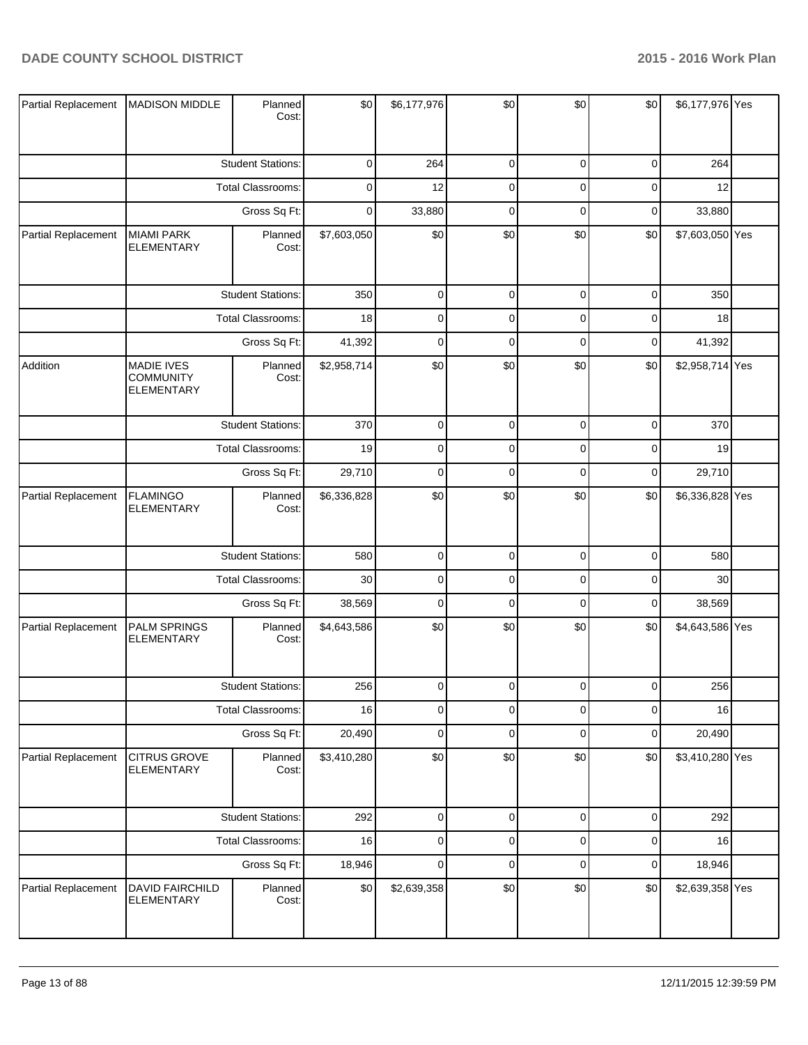| Partial Replacement | <b>MADISON MIDDLE</b>                                      | Planned<br>Cost:         | \$0         | \$6,177,976 | \$0         | \$0         | \$0       | \$6,177,976 Yes |  |
|---------------------|------------------------------------------------------------|--------------------------|-------------|-------------|-------------|-------------|-----------|-----------------|--|
|                     |                                                            | <b>Student Stations:</b> | 0           | 264         | $\pmb{0}$   | $\mathbf 0$ | 0         | 264             |  |
|                     |                                                            | <b>Total Classrooms:</b> | 0           | 12          | $\mathbf 0$ | $\mathbf 0$ | 0         | 12              |  |
|                     |                                                            | Gross Sq Ft:             | $\mathbf 0$ | 33,880      | $\pmb{0}$   | $\mathbf 0$ | 0         | 33,880          |  |
| Partial Replacement | <b>MIAMI PARK</b><br><b>ELEMENTARY</b>                     | Planned<br>Cost:         | \$7,603,050 | \$0         | \$0         | \$0         | \$0       | \$7,603,050 Yes |  |
|                     |                                                            | <b>Student Stations:</b> | 350         | $\mathbf 0$ | $\pmb{0}$   | $\mathbf 0$ | $\pmb{0}$ | 350             |  |
|                     |                                                            | <b>Total Classrooms:</b> | 18          | $\mathbf 0$ | $\mathbf 0$ | $\mathbf 0$ | $\pmb{0}$ | 18              |  |
|                     |                                                            | Gross Sq Ft:             | 41,392      | $\mathbf 0$ | $\mathbf 0$ | $\mathbf 0$ | 0         | 41,392          |  |
| Addition            | <b>MADIE IVES</b><br><b>COMMUNITY</b><br><b>ELEMENTARY</b> | Planned<br>Cost:         | \$2,958,714 | \$0         | \$0         | \$0         | \$0       | \$2,958,714 Yes |  |
|                     |                                                            | <b>Student Stations:</b> | 370         | $\mathbf 0$ | $\pmb{0}$   | $\mathbf 0$ | $\pmb{0}$ | 370             |  |
|                     |                                                            | Total Classrooms:        | 19          | $\mathbf 0$ | $\mathbf 0$ | $\mathbf 0$ | $\pmb{0}$ | 19              |  |
|                     |                                                            | Gross Sq Ft:             | 29,710      | $\mathbf 0$ | $\mathbf 0$ | $\mathbf 0$ | $\pmb{0}$ | 29,710          |  |
| Partial Replacement | <b>FLAMINGO</b><br><b>ELEMENTARY</b>                       | Planned<br>Cost:         | \$6,336,828 | \$0         | \$0         | \$0         | \$0       | \$6,336,828 Yes |  |
|                     |                                                            | <b>Student Stations:</b> | 580         | $\mathbf 0$ | $\mathbf 0$ | $\mathbf 0$ | $\pmb{0}$ | 580             |  |
|                     |                                                            | Total Classrooms:        | 30          | $\mathbf 0$ | $\mathbf 0$ | $\mathbf 0$ | $\pmb{0}$ | 30              |  |
|                     |                                                            | Gross Sq Ft:             | 38,569      | $\mathbf 0$ | $\mathbf 0$ | $\mathbf 0$ | $\pmb{0}$ | 38,569          |  |
| Partial Replacement | <b>PALM SPRINGS</b><br><b>ELEMENTARY</b>                   | Planned<br>Cost:         | \$4,643,586 | \$0         | \$0         | \$0         | \$0       | \$4,643,586 Yes |  |
|                     |                                                            | <b>Student Stations:</b> | 256         | $\mathbf 0$ | $\mathbf 0$ | $\mathbf 0$ | 0         | 256             |  |
|                     |                                                            | <b>Total Classrooms:</b> | 16          | $\mathbf 0$ | $\mathbf 0$ | $\mathbf 0$ | $\pmb{0}$ | 16              |  |
|                     |                                                            | Gross Sq Ft:             | 20,490      | $\mathbf 0$ | $\pmb{0}$   | $\mathbf 0$ | $\pmb{0}$ | 20,490          |  |
| Partial Replacement | <b>CITRUS GROVE</b><br>ELEMENTARY                          | Planned<br>Cost:         | \$3,410,280 | \$0         | \$0         | \$0         | \$0       | \$3,410,280 Yes |  |
|                     |                                                            | <b>Student Stations:</b> | 292         | $\mathbf 0$ | $\pmb{0}$   | $\mathbf 0$ | $\pmb{0}$ | 292             |  |
|                     |                                                            | Total Classrooms:        | 16          | $\mathbf 0$ | $\mathbf 0$ | $\mathbf 0$ | $\pmb{0}$ | 16              |  |
|                     |                                                            | Gross Sq Ft:             | 18,946      | $\mathbf 0$ | $\mathbf 0$ | $\mathbf 0$ | $\pmb{0}$ | 18,946          |  |
| Partial Replacement | DAVID FAIRCHILD<br><b>ELEMENTARY</b>                       | Planned<br>Cost:         | \$0         | \$2,639,358 | \$0         | \$0         | \$0       | \$2,639,358 Yes |  |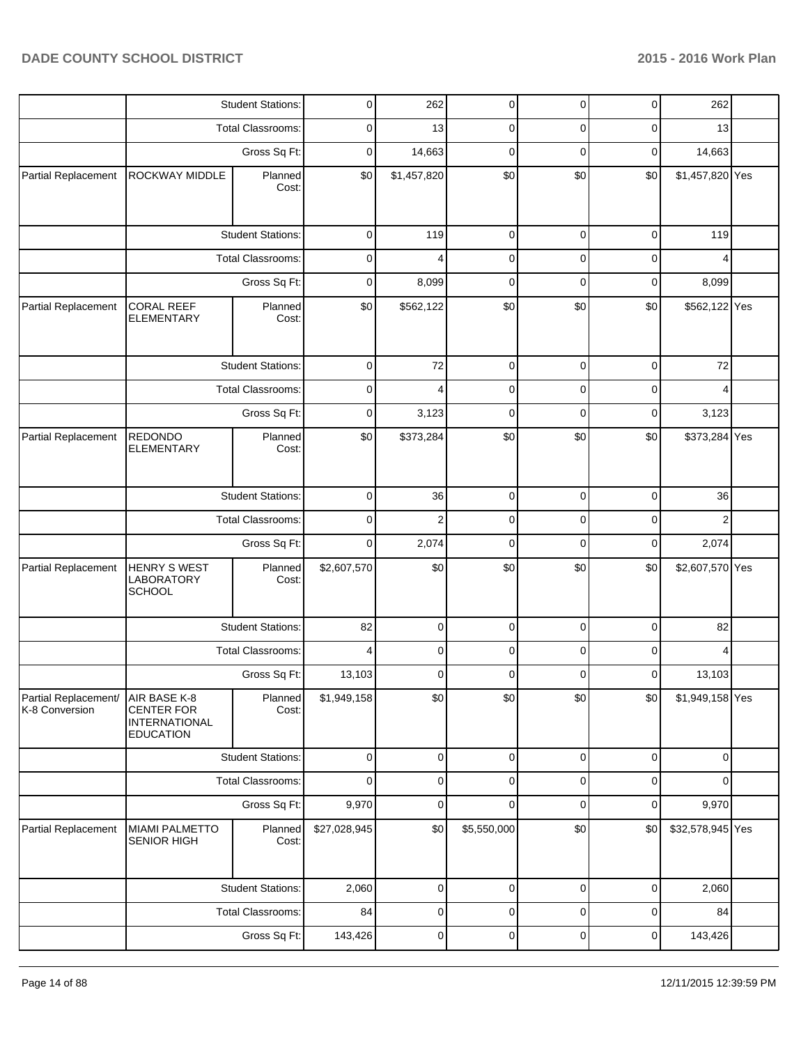|                                        |                                                                               | <b>Student Stations:</b> | 0            | 262            | $\pmb{0}$   | $\overline{0}$ | $\overline{0}$ | 262              |  |
|----------------------------------------|-------------------------------------------------------------------------------|--------------------------|--------------|----------------|-------------|----------------|----------------|------------------|--|
|                                        |                                                                               | <b>Total Classrooms:</b> | 0            | 13             | 0           | 0              | 0              | 13               |  |
|                                        |                                                                               | Gross Sq Ft:             | 0            | 14,663         | 0           | 0              | 0              | 14,663           |  |
| Partial Replacement                    | ROCKWAY MIDDLE                                                                | Planned<br>Cost:         | \$0          | \$1,457,820    | \$0         | \$0            | \$0            | \$1,457,820 Yes  |  |
|                                        |                                                                               | <b>Student Stations:</b> | $\mathbf 0$  | 119            | $\mathbf 0$ | $\mathbf 0$    | 0              | 119              |  |
|                                        |                                                                               | <b>Total Classrooms:</b> | $\mathbf 0$  | 4              | $\mathbf 0$ | 0              | 0              | 4                |  |
|                                        |                                                                               | Gross Sq Ft:             | 0            | 8,099          | $\mathbf 0$ | $\mathbf 0$    | 0              | 8,099            |  |
| Partial Replacement                    | <b>CORAL REEF</b><br><b>ELEMENTARY</b>                                        | Planned<br>Cost:         | \$0          | \$562,122      | \$0         | \$0            | \$0            | \$562,122 Yes    |  |
|                                        |                                                                               | <b>Student Stations:</b> | 0            | 72             | 0           | 0              | 0              | 72               |  |
|                                        |                                                                               | <b>Total Classrooms:</b> | 0            | 4              | 0           | 0              | 0              | 4                |  |
|                                        |                                                                               | Gross Sq Ft:             | 0            | 3,123          | 0           | 0              | 0              | 3,123            |  |
| Partial Replacement                    | <b>REDONDO</b><br><b>ELEMENTARY</b>                                           | Planned<br>Cost:         | \$0          | \$373,284      | \$0         | \$0            | \$0            | \$373,284 Yes    |  |
|                                        |                                                                               | <b>Student Stations:</b> | $\mathbf 0$  | 36             | $\mathbf 0$ | $\mathbf 0$    | $\mathbf 0$    | 36               |  |
|                                        |                                                                               | <b>Total Classrooms:</b> | 0            | $\overline{2}$ | $\mathbf 0$ | 0              | 0              | $\overline{2}$   |  |
|                                        |                                                                               | Gross Sq Ft:             | 0            | 2,074          | $\mathbf 0$ | $\mathbf 0$    | $\mathbf 0$    | 2,074            |  |
| Partial Replacement                    | <b>HENRY S WEST</b><br>LABORATORY<br><b>SCHOOL</b>                            | Planned<br>Cost:         | \$2,607,570  | \$0            | \$0         | \$0            | \$0            | \$2,607,570 Yes  |  |
|                                        |                                                                               | <b>Student Stations:</b> | 82           | 0              | 0           | 0              | 0              | 82               |  |
|                                        |                                                                               | Total Classrooms:        | 4            | 0              | 0           | 0              | 0              | 4                |  |
|                                        |                                                                               | Gross Sq Ft:             | 13,103       | 0              | 0           | 0              | 0              | 13,103           |  |
| Partial Replacement/<br>K-8 Conversion | AIR BASE K-8<br><b>CENTER FOR</b><br><b>INTERNATIONAL</b><br><b>EDUCATION</b> | Planned<br>Cost:         | \$1,949,158  | \$0            | \$0         | \$0            | \$0            | \$1,949,158 Yes  |  |
|                                        |                                                                               | <b>Student Stations:</b> | $\mathbf 0$  | $\pmb{0}$      | $\mathbf 0$ | $\mathbf 0$    | $\mathbf 0$    | $\mathbf 0$      |  |
|                                        |                                                                               | <b>Total Classrooms:</b> | $\mathbf 0$  | 0              | $\mathbf 0$ | $\mathbf 0$    | 0              | 0                |  |
|                                        |                                                                               | Gross Sq Ft:             | 9,970        | $\mathbf 0$    | $\mathbf 0$ | $\mathbf 0$    | $\mathbf 0$    | 9,970            |  |
| Partial Replacement                    | <b>MIAMI PALMETTO</b><br><b>SENIOR HIGH</b>                                   | Planned<br>Cost:         | \$27,028,945 | \$0            | \$5,550,000 | \$0            | \$0            | \$32,578,945 Yes |  |
|                                        |                                                                               | <b>Student Stations:</b> | 2,060        | 0              | 0           | 0              | 0              | 2,060            |  |
|                                        |                                                                               | <b>Total Classrooms:</b> | 84           | 0              | 0           | 0              | 0              | 84               |  |
|                                        |                                                                               | Gross Sq Ft:             | 143,426      | 0              | $\pmb{0}$   | 0              | 0              | 143,426          |  |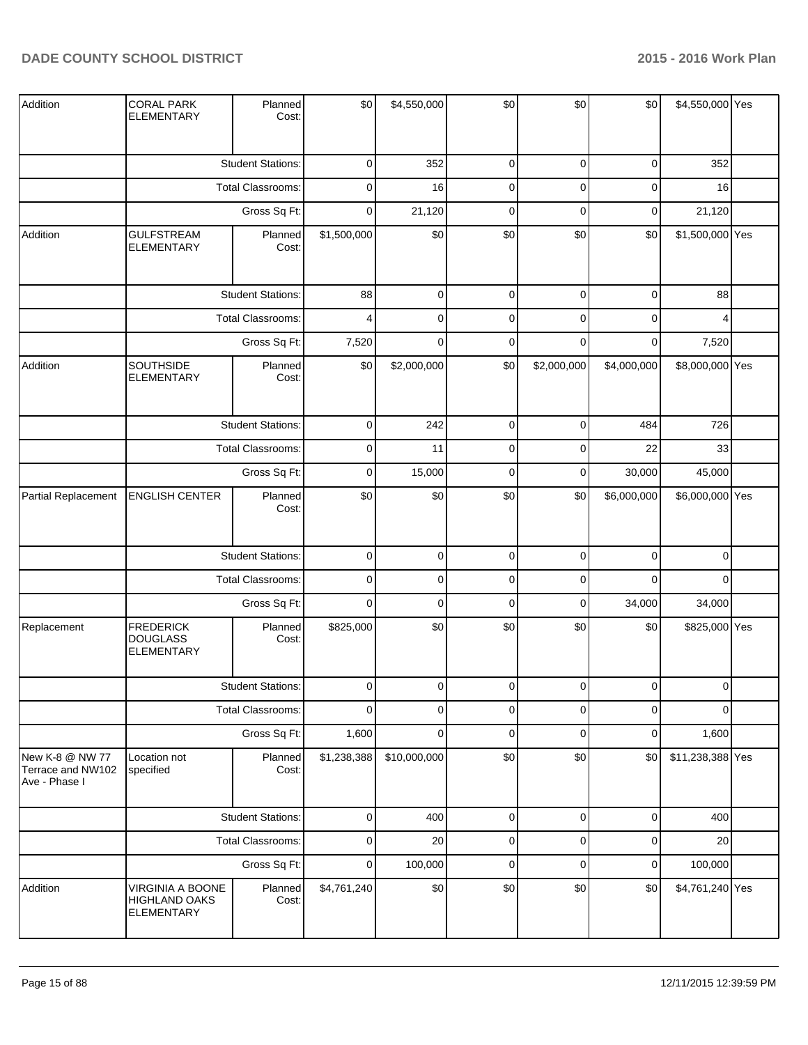| Addition                                              | <b>CORAL PARK</b><br><b>ELEMENTARY</b>                        | Planned<br>Cost:         | \$0         | \$4,550,000  | \$0         | \$0         | \$0         | \$4,550,000 Yes  |  |
|-------------------------------------------------------|---------------------------------------------------------------|--------------------------|-------------|--------------|-------------|-------------|-------------|------------------|--|
|                                                       |                                                               | <b>Student Stations:</b> | $\mathbf 0$ | 352          | 0           | 0           | 0           | 352              |  |
|                                                       |                                                               | <b>Total Classrooms:</b> | $\mathbf 0$ | 16           | 0           | 0           | 0           | 16               |  |
|                                                       |                                                               | Gross Sq Ft:             | $\mathbf 0$ | 21,120       | $\pmb{0}$   | $\mathbf 0$ | $\pmb{0}$   | 21,120           |  |
| Addition                                              | <b>GULFSTREAM</b><br>ELEMENTARY                               | Planned<br>Cost:         | \$1,500,000 | \$0          | \$0         | \$0         | \$0         | \$1,500,000 Yes  |  |
|                                                       |                                                               | <b>Student Stations:</b> | 88          | $\mathbf 0$  | $\pmb{0}$   | $\mathbf 0$ | $\mathsf 0$ | 88               |  |
|                                                       |                                                               | Total Classrooms:        | 4           | $\mathbf 0$  | $\pmb{0}$   | $\mathbf 0$ | $\pmb{0}$   | 4                |  |
|                                                       |                                                               | Gross Sq Ft:             | 7,520       | $\mathbf 0$  | $\mathbf 0$ | $\mathbf 0$ | 0           | 7,520            |  |
| Addition                                              | SOUTHSIDE<br><b>ELEMENTARY</b>                                | Planned<br>Cost:         | \$0         | \$2,000,000  | \$0         | \$2,000,000 | \$4,000,000 | \$8,000,000 Yes  |  |
|                                                       |                                                               | <b>Student Stations:</b> | $\mathbf 0$ | 242          | $\pmb{0}$   | $\mathbf 0$ | 484         | 726              |  |
|                                                       |                                                               | <b>Total Classrooms:</b> | $\mathbf 0$ | 11           | $\pmb{0}$   | 0           | 22          | 33               |  |
|                                                       |                                                               | Gross Sq Ft:             | 0           | 15,000       | 0           | 0           | 30,000      | 45,000           |  |
| Partial Replacement                                   | <b>ENGLISH CENTER</b>                                         | Planned<br>Cost:         | \$0         | \$0          | \$0         | \$0         | \$6,000,000 | \$6,000,000 Yes  |  |
|                                                       |                                                               | <b>Student Stations:</b> | $\pmb{0}$   | $\mathbf 0$  | $\pmb{0}$   | $\pmb{0}$   | $\pmb{0}$   | $\pmb{0}$        |  |
|                                                       |                                                               | Total Classrooms:        | $\mathbf 0$ | $\mathbf 0$  | $\pmb{0}$   | $\mathbf 0$ | $\mathbf 0$ | $\mathbf 0$      |  |
|                                                       |                                                               | Gross Sq Ft:             | $\pmb{0}$   | $\mathbf 0$  | $\pmb{0}$   | $\pmb{0}$   | 34,000      | 34,000           |  |
| Replacement                                           | <b>FREDERICK</b><br><b>DOUGLASS</b><br><b>ELEMENTARY</b>      | Planned<br>Cost:         | \$825,000   | \$0          | \$0         | \$0         | \$0         | \$825,000 Yes    |  |
|                                                       |                                                               | <b>Student Stations:</b> | $\Omega$    | $\Omega$     | $\Omega$    | $\Omega$    | $\Omega$    | $\Omega$         |  |
|                                                       |                                                               | <b>Total Classrooms:</b> | $\mathbf 0$ | $\mathbf 0$  | $\mathbf 0$ | $\mathbf 0$ | $\mathbf 0$ | $\Omega$         |  |
|                                                       |                                                               | Gross Sq Ft:             | 1,600       | $\mathbf 0$  | $\pmb{0}$   | $\mathbf 0$ | $\mathbf 0$ | 1,600            |  |
| New K-8 @ NW 77<br>Terrace and NW102<br>Ave - Phase I | Location not<br>specified                                     | Planned<br>Cost:         | \$1,238,388 | \$10,000,000 | \$0         | \$0         | \$0         | \$11,238,388 Yes |  |
|                                                       |                                                               | <b>Student Stations:</b> | $\mathbf 0$ | 400          | $\pmb{0}$   | $\pmb{0}$   | $\pmb{0}$   | 400              |  |
|                                                       |                                                               | <b>Total Classrooms:</b> | $\mathbf 0$ | 20           | $\pmb{0}$   | $\mathbf 0$ | $\mathbf 0$ | 20               |  |
|                                                       |                                                               | Gross Sq Ft:             | $\mathbf 0$ | 100,000      | $\pmb{0}$   | $\mathbf 0$ | $\pmb{0}$   | 100,000          |  |
| Addition                                              | VIRGINIA A BOONE<br><b>HIGHLAND OAKS</b><br><b>ELEMENTARY</b> | Planned<br>Cost:         | \$4,761,240 | \$0          | \$0         | \$0         | \$0         | \$4,761,240 Yes  |  |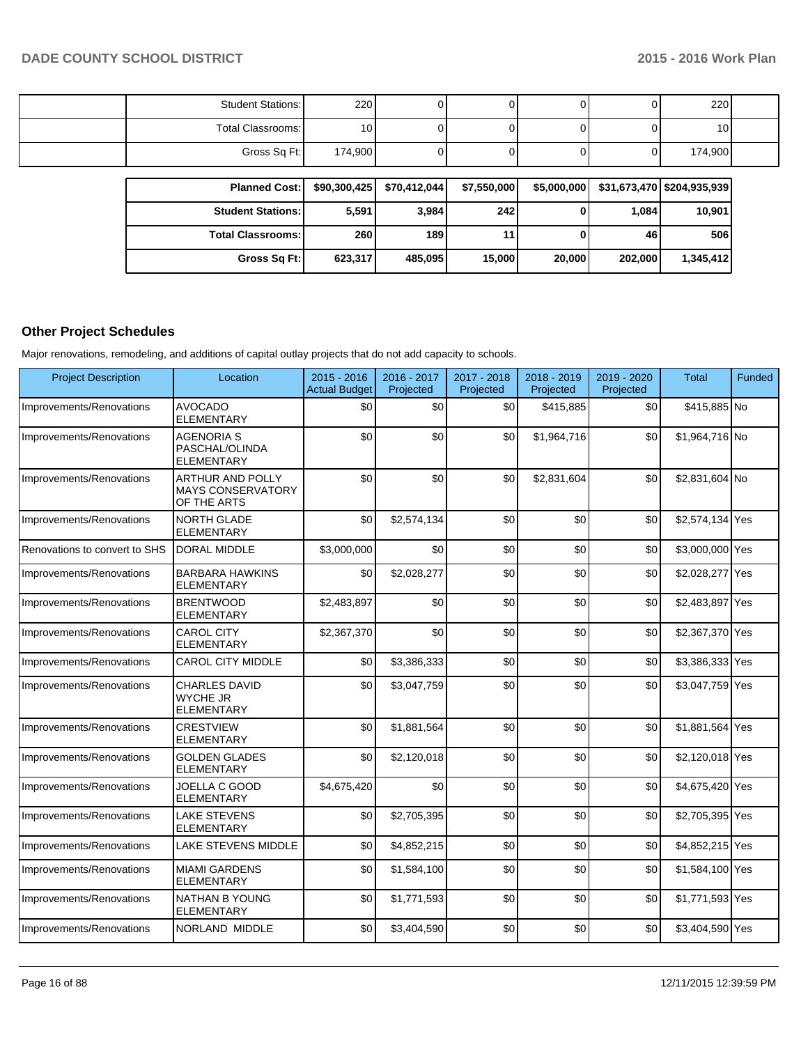| Student Stations: | 220             |  |  | 220             |  |
|-------------------|-----------------|--|--|-----------------|--|
| Total Classrooms: | 10 <sub>l</sub> |  |  | 10 <sub>1</sub> |  |
| Gross Sq Ft:      | 174,900         |  |  | 174,900         |  |

| <b>Planned Cost: I</b>     | \$90.300.425 | \$70.412.044 | \$7,550,000 | \$5,000,000 |         | \$31,673,470   \$204,935,939 |
|----------------------------|--------------|--------------|-------------|-------------|---------|------------------------------|
| <b>Student Stations: I</b> | 5,591        | 3,984        | 242         | 0           | 1.084   | 10,901                       |
| <b>Total Classrooms:</b>   | 260          | 189          |             |             | 46      | 506                          |
| Gross Sq Ft:               | 623,317      | 485.095      | 15,000      | 20,000      | 202.000 | 1,345,412                    |

#### **Other Project Schedules**

Major renovations, remodeling, and additions of capital outlay projects that do not add capacity to schools.

| <b>Project Description</b>    | Location                                                     | 2015 - 2016<br><b>Actual Budget</b> | 2016 - 2017<br>Projected | 2017 - 2018<br>Projected | 2018 - 2019<br>Projected | 2019 - 2020<br>Projected | <b>Total</b>    | Funded |
|-------------------------------|--------------------------------------------------------------|-------------------------------------|--------------------------|--------------------------|--------------------------|--------------------------|-----------------|--------|
| Improvements/Renovations      | <b>AVOCADO</b><br><b>ELEMENTARY</b>                          | \$0                                 | \$0                      | \$0                      | \$415,885                | \$0                      | \$415,885 No    |        |
| Improvements/Renovations      | <b>AGENORIA S</b><br>PASCHAL/OLINDA<br><b>ELEMENTARY</b>     | \$0                                 | \$0                      | \$0                      | \$1,964,716              | \$0                      | \$1,964,716 No  |        |
| Improvements/Renovations      | ARTHUR AND POLLY<br><b>MAYS CONSERVATORY</b><br>OF THE ARTS  | \$0                                 | \$0                      | \$0                      | \$2,831,604              | \$0                      | \$2,831,604 No  |        |
| Improvements/Renovations      | <b>NORTH GLADE</b><br><b>ELEMENTARY</b>                      | \$0                                 | \$2,574,134              | \$0                      | \$0                      | \$0                      | \$2,574,134 Yes |        |
| Renovations to convert to SHS | DORAL MIDDLE                                                 | \$3,000,000                         | 30                       | \$0                      | \$0                      | \$0                      | \$3,000,000 Yes |        |
| Improvements/Renovations      | <b>BARBARA HAWKINS</b><br><b>ELEMENTARY</b>                  | \$0                                 | \$2,028,277              | \$0                      | \$0                      | \$0                      | \$2,028,277 Yes |        |
| Improvements/Renovations      | <b>BRENTWOOD</b><br><b>ELEMENTARY</b>                        | \$2,483,897                         | \$0                      | \$0                      | \$0                      | \$0                      | \$2,483,897 Yes |        |
| Improvements/Renovations      | <b>CAROL CITY</b><br><b>ELEMENTARY</b>                       | \$2,367,370                         | \$0                      | \$0                      | \$0                      | \$0                      | \$2,367,370 Yes |        |
| Improvements/Renovations      | <b>CAROL CITY MIDDLE</b>                                     | \$0                                 | \$3,386,333              | \$0                      | \$0                      | \$0                      | \$3,386,333 Yes |        |
| Improvements/Renovations      | <b>CHARLES DAVID</b><br><b>WYCHE JR</b><br><b>ELEMENTARY</b> | \$0                                 | \$3,047,759              | \$0                      | \$0                      | \$0                      | \$3,047,759 Yes |        |
| Improvements/Renovations      | <b>CRESTVIEW</b><br><b>ELEMENTARY</b>                        | \$0                                 | \$1,881,564              | \$0                      | \$0                      | \$0                      | \$1,881,564 Yes |        |
| Improvements/Renovations      | <b>GOLDEN GLADES</b><br><b>ELEMENTARY</b>                    | \$0                                 | \$2,120,018              | \$0                      | \$0                      | \$0                      | \$2,120,018 Yes |        |
| Improvements/Renovations      | JOELLA C GOOD<br><b>ELEMENTARY</b>                           | \$4,675,420                         | \$0                      | \$0                      | \$0                      | \$0                      | \$4,675,420 Yes |        |
| Improvements/Renovations      | <b>LAKE STEVENS</b><br><b>ELEMENTARY</b>                     | \$0                                 | \$2,705,395              | \$0                      | \$0                      | \$0                      | \$2,705,395 Yes |        |
| Improvements/Renovations      | <b>LAKE STEVENS MIDDLE</b>                                   | \$0                                 | \$4,852,215              | \$0                      | \$0                      | \$0                      | \$4,852,215 Yes |        |
| Improvements/Renovations      | <b>MIAMI GARDENS</b><br><b>ELEMENTARY</b>                    | \$0                                 | \$1,584,100              | \$0                      | \$0                      | \$0                      | \$1,584,100 Yes |        |
| Improvements/Renovations      | <b>NATHAN B YOUNG</b><br><b>ELEMENTARY</b>                   | \$0                                 | \$1,771,593              | \$0                      | \$0                      | \$0                      | \$1,771,593 Yes |        |
| Improvements/Renovations      | NORLAND MIDDLE                                               | \$0                                 | \$3,404,590              | \$0                      | \$0                      | \$0                      | \$3,404,590 Yes |        |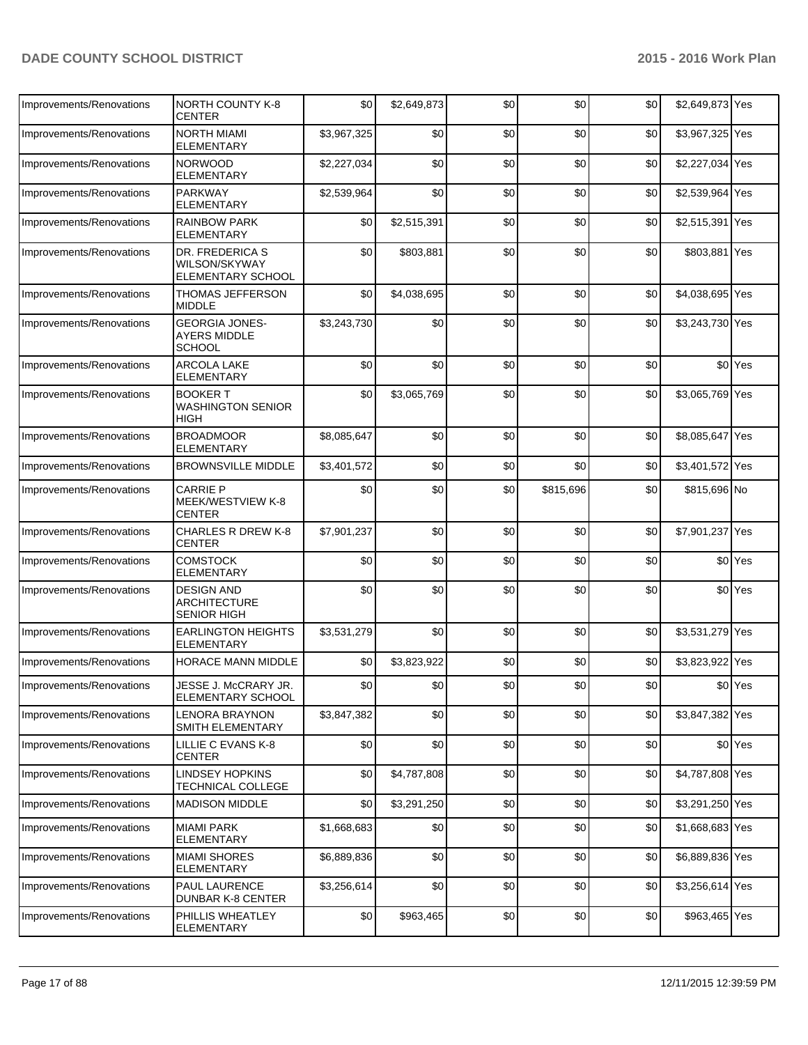| Improvements/Renovations | <b>NORTH COUNTY K-8</b><br>CENTER                              | \$0         | \$2,649,873 | \$0 | \$0       | \$0  | \$2,649,873 Yes |                    |
|--------------------------|----------------------------------------------------------------|-------------|-------------|-----|-----------|------|-----------------|--------------------|
| Improvements/Renovations | <b>NORTH MIAMI</b><br>ELEMENTARY                               | \$3,967,325 | \$0         | \$0 | \$0       | \$0  | \$3,967,325 Yes |                    |
| Improvements/Renovations | <b>NORWOOD</b><br><b>ELEMENTARY</b>                            | \$2,227,034 | \$0         | \$0 | \$0       | \$0  | \$2,227,034 Yes |                    |
| Improvements/Renovations | <b>PARKWAY</b><br><b>ELEMENTARY</b>                            | \$2,539,964 | \$0         | \$0 | \$0       | \$0  | \$2,539,964 Yes |                    |
| Improvements/Renovations | <b>RAINBOW PARK</b><br><b>ELEMENTARY</b>                       | \$0         | \$2,515,391 | \$0 | \$0       | \$0  | \$2,515,391 Yes |                    |
| Improvements/Renovations | DR. FREDERICA S<br>WILSON/SKYWAY<br>ELEMENTARY SCHOOL          | \$0         | \$803,881   | \$0 | \$0       | \$0  | \$803,881 Yes   |                    |
| Improvements/Renovations | THOMAS JEFFERSON<br>MIDDLE                                     | \$0         | \$4,038,695 | \$0 | \$0       | \$0  | \$4,038,695 Yes |                    |
| Improvements/Renovations | <b>GEORGIA JONES-</b><br><b>AYERS MIDDLE</b><br>SCHOOL         | \$3,243,730 | \$0         | \$0 | \$0       | \$0  | \$3,243,730 Yes |                    |
| Improvements/Renovations | <b>ARCOLA LAKE</b><br><b>ELEMENTARY</b>                        | \$0         | \$0         | \$0 | \$0       | \$0  |                 | \$0 <sup>Yes</sup> |
| Improvements/Renovations | <b>BOOKER T</b><br><b>WASHINGTON SENIOR</b><br>HIGH            | \$0         | \$3,065,769 | \$0 | \$0       | \$0  | \$3,065,769 Yes |                    |
| Improvements/Renovations | <b>BROADMOOR</b><br><b>ELEMENTARY</b>                          | \$8,085,647 | \$0         | \$0 | \$0       | \$0  | \$8,085,647 Yes |                    |
| Improvements/Renovations | <b>BROWNSVILLE MIDDLE</b>                                      | \$3,401,572 | \$0         | \$0 | \$0       | \$0  | \$3,401,572 Yes |                    |
| Improvements/Renovations | <b>CARRIE P</b><br>MEEK/WESTVIEW K-8<br>CENTER                 | \$0         | \$0         | \$0 | \$815,696 | \$0  | \$815,696 No    |                    |
| Improvements/Renovations | <b>CHARLES R DREW K-8</b><br>CENTER                            | \$7,901,237 | \$0         | \$0 | \$0       | \$0  | \$7,901,237 Yes |                    |
| Improvements/Renovations | <b>COMSTOCK</b><br>ELEMENTARY                                  | \$0         | \$0         | \$0 | \$0       | \$0  |                 | \$0 <sup>Yes</sup> |
| Improvements/Renovations | <b>DESIGN AND</b><br><b>ARCHITECTURE</b><br><b>SENIOR HIGH</b> | \$0         | \$0         | \$0 | \$0       | \$0  |                 | \$0 <sup>Yes</sup> |
| Improvements/Renovations | <b>EARLINGTON HEIGHTS</b><br>ELEMENTARY                        | \$3,531,279 | \$0         | \$0 | \$0       | \$0  | \$3,531,279 Yes |                    |
| Improvements/Renovations | HORACE MANN MIDDLE                                             | \$0         | \$3,823,922 | \$0 | \$0       | \$0  | \$3,823,922 Yes |                    |
| Improvements/Renovations | JESSE J. McCRARY JR.<br>ELEMENTARY SCHOOL                      | \$0         | \$0         | \$0 | \$0       | \$0] |                 | \$0 Yes            |
| Improvements/Renovations | <b>LENORA BRAYNON</b><br>SMITH ELEMENTARY                      | \$3,847,382 | \$0         | \$0 | \$0       | \$0  | \$3,847,382 Yes |                    |
| Improvements/Renovations | LILLIE C EVANS K-8<br><b>CENTER</b>                            | \$0         | \$0         | \$0 | \$0       | \$0  |                 | \$0 <sup>Yes</sup> |
| Improvements/Renovations | <b>LINDSEY HOPKINS</b><br>TECHNICAL COLLEGE                    | \$0         | \$4,787,808 | \$0 | \$0       | \$0  | \$4,787,808 Yes |                    |
| Improvements/Renovations | <b>MADISON MIDDLE</b>                                          | \$0         | \$3,291,250 | \$0 | \$0       | \$0  | \$3,291,250 Yes |                    |
| Improvements/Renovations | MIAMI PARK<br>ELEMENTARY                                       | \$1,668,683 | \$0         | \$0 | \$0       | \$0  | \$1,668,683 Yes |                    |
| Improvements/Renovations | <b>MIAMI SHORES</b><br><b>ELEMENTARY</b>                       | \$6,889,836 | \$0         | \$0 | \$0       | \$0  | \$6,889,836 Yes |                    |
| Improvements/Renovations | PAUL LAURENCE<br>DUNBAR K-8 CENTER                             | \$3,256,614 | \$0         | \$0 | \$0       | \$0  | \$3,256,614 Yes |                    |
| Improvements/Renovations | PHILLIS WHEATLEY<br>ELEMENTARY                                 | \$0         | \$963,465   | \$0 | \$0       | \$0  | \$963,465 Yes   |                    |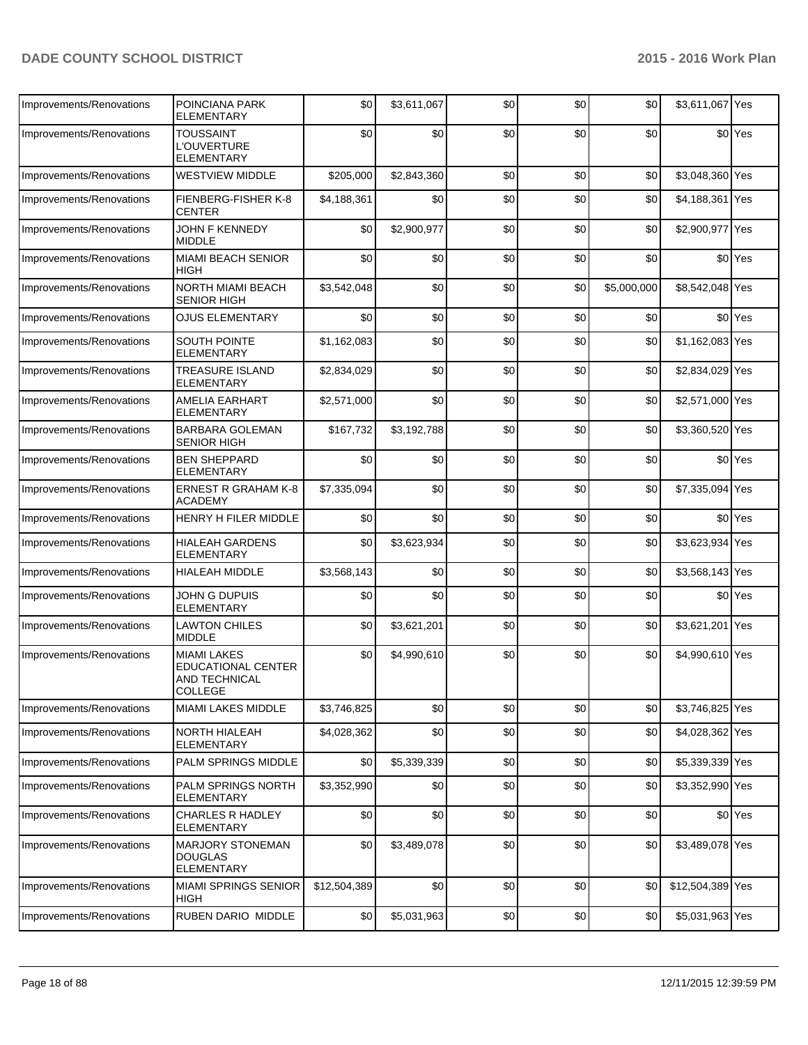| Improvements/Renovations | POINCIANA PARK<br><b>ELEMENTARY</b>                                                | \$0          | \$3,611,067 | \$0 | \$0 | \$0         | \$3,611,067 Yes  |                    |
|--------------------------|------------------------------------------------------------------------------------|--------------|-------------|-----|-----|-------------|------------------|--------------------|
| Improvements/Renovations | <b>TOUSSAINT</b><br><b>L'OUVERTURE</b><br><b>ELEMENTARY</b>                        | \$0          | \$0         | \$0 | \$0 | \$0         |                  | \$0 <sup>Yes</sup> |
| Improvements/Renovations | <b>WESTVIEW MIDDLE</b>                                                             | \$205,000    | \$2,843,360 | \$0 | \$0 | \$0         | \$3,048,360 Yes  |                    |
| Improvements/Renovations | FIENBERG-FISHER K-8<br><b>CENTER</b>                                               | \$4,188,361  | \$0         | \$0 | \$0 | \$0         | \$4,188,361 Yes  |                    |
| Improvements/Renovations | <b>JOHN F KENNEDY</b><br><b>MIDDLE</b>                                             | \$0          | \$2,900,977 | \$0 | \$0 | \$0         | \$2,900,977 Yes  |                    |
| Improvements/Renovations | <b>MIAMI BEACH SENIOR</b><br><b>HIGH</b>                                           | \$0          | \$0         | \$0 | \$0 | \$0         |                  | \$0 <sup>Yes</sup> |
| Improvements/Renovations | NORTH MIAMI BEACH<br><b>SENIOR HIGH</b>                                            | \$3,542,048  | \$0         | \$0 | \$0 | \$5,000,000 | \$8,542,048 Yes  |                    |
| Improvements/Renovations | <b>OJUS ELEMENTARY</b>                                                             | \$0          | \$0         | \$0 | \$0 | \$0         |                  | \$0 <sup>Yes</sup> |
| Improvements/Renovations | SOUTH POINTE<br><b>ELEMENTARY</b>                                                  | \$1,162,083  | \$0         | \$0 | \$0 | \$0         | \$1,162,083 Yes  |                    |
| Improvements/Renovations | <b>TREASURE ISLAND</b><br><b>ELEMENTARY</b>                                        | \$2,834,029  | \$0         | \$0 | \$0 | \$0         | \$2,834,029 Yes  |                    |
| Improvements/Renovations | <b>AMELIA EARHART</b><br><b>ELEMENTARY</b>                                         | \$2,571,000  | \$0         | \$0 | \$0 | \$0         | \$2,571,000 Yes  |                    |
| Improvements/Renovations | <b>BARBARA GOLEMAN</b><br><b>SENIOR HIGH</b>                                       | \$167,732    | \$3,192,788 | \$0 | \$0 | \$0         | \$3,360,520 Yes  |                    |
| Improvements/Renovations | <b>BEN SHEPPARD</b><br><b>ELEMENTARY</b>                                           | \$0          | \$0         | \$0 | \$0 | \$0         |                  | \$0 <sup>Yes</sup> |
| Improvements/Renovations | <b>ERNEST R GRAHAM K-8</b><br><b>ACADEMY</b>                                       | \$7,335,094  | \$0         | \$0 | \$0 | \$0         | \$7,335,094 Yes  |                    |
| Improvements/Renovations | <b>HENRY H FILER MIDDLE</b>                                                        | \$0          | \$0         | \$0 | \$0 | \$0         |                  | \$0 <sup>Yes</sup> |
| Improvements/Renovations | <b>HIALEAH GARDENS</b><br><b>ELEMENTARY</b>                                        | \$0          | \$3,623,934 | \$0 | \$0 | \$0         | \$3,623,934 Yes  |                    |
| Improvements/Renovations | <b>HIALEAH MIDDLE</b>                                                              | \$3,568,143  | \$0         | \$0 | \$0 | \$0         | \$3,568,143 Yes  |                    |
| Improvements/Renovations | JOHN G DUPUIS<br><b>ELEMENTARY</b>                                                 | \$0          | \$0         | \$0 | \$0 | \$0         |                  | \$0 <sup>Yes</sup> |
| Improvements/Renovations | <b>LAWTON CHILES</b><br><b>MIDDLE</b>                                              | \$0          | \$3,621,201 | \$0 | \$0 | \$0         | \$3,621,201 Yes  |                    |
| Improvements/Renovations | <b>MIAMI LAKES</b><br><b>EDUCATIONAL CENTER</b><br>AND TECHNICAL<br><b>COLLEGE</b> | \$0          | \$4,990,610 | \$0 | \$0 | \$0         | \$4,990,610 Yes  |                    |
| Improvements/Renovations | <b>MIAMI LAKES MIDDLE</b>                                                          | \$3,746,825  | \$0         | \$0 | \$0 | \$0         | \$3,746,825 Yes  |                    |
| Improvements/Renovations | <b>NORTH HIALEAH</b><br><b>ELEMENTARY</b>                                          | \$4,028,362  | \$0         | \$0 | \$0 | \$0         | \$4,028,362 Yes  |                    |
| Improvements/Renovations | PALM SPRINGS MIDDLE                                                                | \$0          | \$5,339,339 | \$0 | \$0 | \$0         | \$5,339,339 Yes  |                    |
| Improvements/Renovations | PALM SPRINGS NORTH<br><b>ELEMENTARY</b>                                            | \$3,352,990  | \$0         | \$0 | \$0 | \$0         | \$3,352,990 Yes  |                    |
| Improvements/Renovations | <b>CHARLES R HADLEY</b><br><b>ELEMENTARY</b>                                       | \$0          | \$0         | \$0 | \$0 | \$0         |                  | \$0 Yes            |
| Improvements/Renovations | <b>MARJORY STONEMAN</b><br><b>DOUGLAS</b><br><b>ELEMENTARY</b>                     | \$0          | \$3,489,078 | \$0 | \$0 | \$0         | \$3,489,078 Yes  |                    |
| Improvements/Renovations | <b>MIAMI SPRINGS SENIOR</b><br><b>HIGH</b>                                         | \$12,504,389 | \$0         | \$0 | \$0 | \$0         | \$12,504,389 Yes |                    |
| Improvements/Renovations | RUBEN DARIO MIDDLE                                                                 | \$0          | \$5,031,963 | \$0 | \$0 | \$0         | \$5,031,963 Yes  |                    |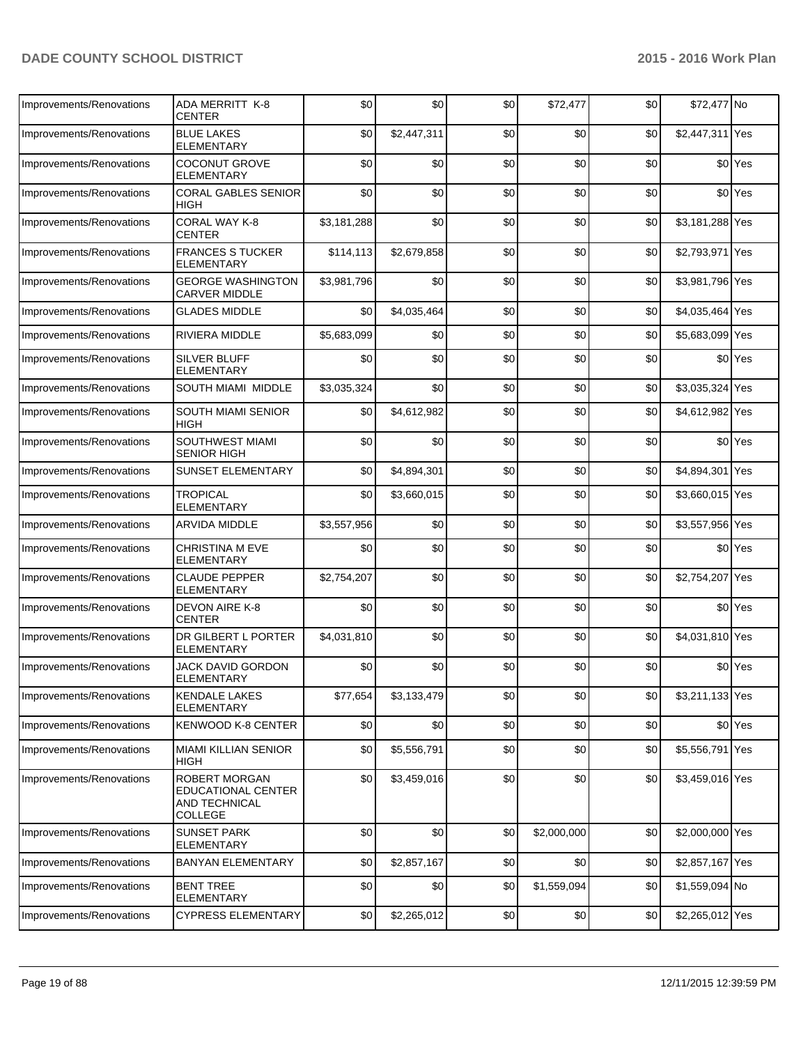| Improvements/Renovations | ADA MERRITT K-8<br>CENTER                                       | \$0         | \$0         | \$0 | \$72,477    | \$0 | \$72,477 No     |                    |
|--------------------------|-----------------------------------------------------------------|-------------|-------------|-----|-------------|-----|-----------------|--------------------|
| Improvements/Renovations | <b>BLUE LAKES</b><br><b>ELEMENTARY</b>                          | \$0         | \$2,447,311 | \$0 | \$0         | \$0 | \$2,447,311 Yes |                    |
| Improvements/Renovations | <b>COCONUT GROVE</b><br><b>ELEMENTARY</b>                       | \$0         | \$0         | \$0 | \$0         | \$0 |                 | \$0 <sup>Yes</sup> |
| Improvements/Renovations | <b>CORAL GABLES SENIOR</b><br>HIGH                              | \$0         | \$0         | \$0 | \$0         | \$0 |                 | \$0 <sup>Yes</sup> |
| Improvements/Renovations | CORAL WAY K-8<br>CENTER                                         | \$3,181,288 | \$0         | \$0 | \$0         | \$0 | \$3,181,288 Yes |                    |
| Improvements/Renovations | <b>FRANCES S TUCKER</b><br>ELEMENTARY                           | \$114,113   | \$2,679,858 | \$0 | \$0         | \$0 | \$2,793,971 Yes |                    |
| Improvements/Renovations | <b>GEORGE WASHINGTON</b><br><b>CARVER MIDDLE</b>                | \$3,981,796 | \$0         | \$0 | \$0         | \$0 | \$3,981,796 Yes |                    |
| Improvements/Renovations | <b>GLADES MIDDLE</b>                                            | \$0         | \$4,035,464 | \$0 | \$0         | \$0 | \$4,035,464 Yes |                    |
| Improvements/Renovations | RIVIERA MIDDLE                                                  | \$5,683,099 | \$0         | \$0 | \$0         | \$0 | \$5,683,099 Yes |                    |
| Improvements/Renovations | <b>SILVER BLUFF</b><br><b>ELEMENTARY</b>                        | \$0         | \$0         | \$0 | \$0         | \$0 |                 | \$0 <sup>Yes</sup> |
| Improvements/Renovations | SOUTH MIAMI MIDDLE                                              | \$3,035,324 | \$0         | \$0 | \$0         | \$0 | \$3,035,324 Yes |                    |
| Improvements/Renovations | <b>SOUTH MIAMI SENIOR</b><br><b>HIGH</b>                        | \$0         | \$4,612,982 | \$0 | \$0         | \$0 | \$4,612,982 Yes |                    |
| Improvements/Renovations | SOUTHWEST MIAMI<br><b>SENIOR HIGH</b>                           | \$0         | \$0         | \$0 | \$0         | \$0 |                 | \$0 <sup>Yes</sup> |
| Improvements/Renovations | SUNSET ELEMENTARY                                               | \$0         | \$4,894,301 | \$0 | \$0         | \$0 | \$4,894,301 Yes |                    |
| Improvements/Renovations | <b>TROPICAL</b><br><b>ELEMENTARY</b>                            | \$0         | \$3,660,015 | \$0 | \$0         | \$0 | \$3,660,015 Yes |                    |
| Improvements/Renovations | <b>ARVIDA MIDDLE</b>                                            | \$3,557,956 | \$0         | \$0 | \$0         | \$0 | \$3,557,956 Yes |                    |
| Improvements/Renovations | <b>CHRISTINA M EVE</b><br><b>ELEMENTARY</b>                     | \$0         | \$0         | \$0 | \$0         | \$0 |                 | \$0 <sup>Yes</sup> |
| Improvements/Renovations | <b>CLAUDE PEPPER</b><br>ELEMENTARY                              | \$2,754,207 | \$0         | \$0 | \$0         | \$0 | \$2,754,207 Yes |                    |
| Improvements/Renovations | DEVON AIRE K-8<br><b>CENTER</b>                                 | \$0         | \$0         | \$0 | \$0         | \$0 |                 | \$0 <sup>Yes</sup> |
| Improvements/Renovations | DR GILBERT L PORTER<br><b>ELEMENTARY</b>                        | \$4,031,810 | \$0         | \$0 | \$0         | \$0 | \$4,031,810 Yes |                    |
| Improvements/Renovations | JACK DAVID GORDON<br><b>ELEMENTARY</b>                          | \$0         | \$0         | \$0 | \$0         | \$0 |                 | \$0 <sup>Yes</sup> |
| Improvements/Renovations | <b>KENDALE LAKES</b><br><b>ELEMENTARY</b>                       | \$77,654    | \$3,133,479 | \$0 | \$0         | \$0 | \$3,211,133 Yes |                    |
| Improvements/Renovations | KENWOOD K-8 CENTER                                              | \$0         | \$0         | \$0 | \$0         | \$0 |                 | \$0 Yes            |
| Improvements/Renovations | <b>MIAMI KILLIAN SENIOR</b><br><b>HIGH</b>                      | \$0         | \$5,556,791 | \$0 | \$0         | \$0 | \$5,556,791 Yes |                    |
| Improvements/Renovations | ROBERT MORGAN<br>EDUCATIONAL CENTER<br>AND TECHNICAL<br>COLLEGE | \$0         | \$3,459,016 | \$0 | \$0         | \$0 | \$3,459,016 Yes |                    |
| Improvements/Renovations | <b>SUNSET PARK</b><br>ELEMENTARY                                | \$0         | \$0         | \$0 | \$2,000,000 | \$0 | \$2,000,000 Yes |                    |
| Improvements/Renovations | <b>BANYAN ELEMENTARY</b>                                        | \$0         | \$2,857,167 | \$0 | \$0         | \$0 | \$2,857,167 Yes |                    |
| Improvements/Renovations | <b>BENT TREE</b><br><b>ELEMENTARY</b>                           | \$0         | \$0         | \$0 | \$1,559,094 | \$0 | \$1,559,094 No  |                    |
| Improvements/Renovations | <b>CYPRESS ELEMENTARY</b>                                       | \$0         | \$2,265,012 | \$0 | \$0         | \$0 | \$2,265,012 Yes |                    |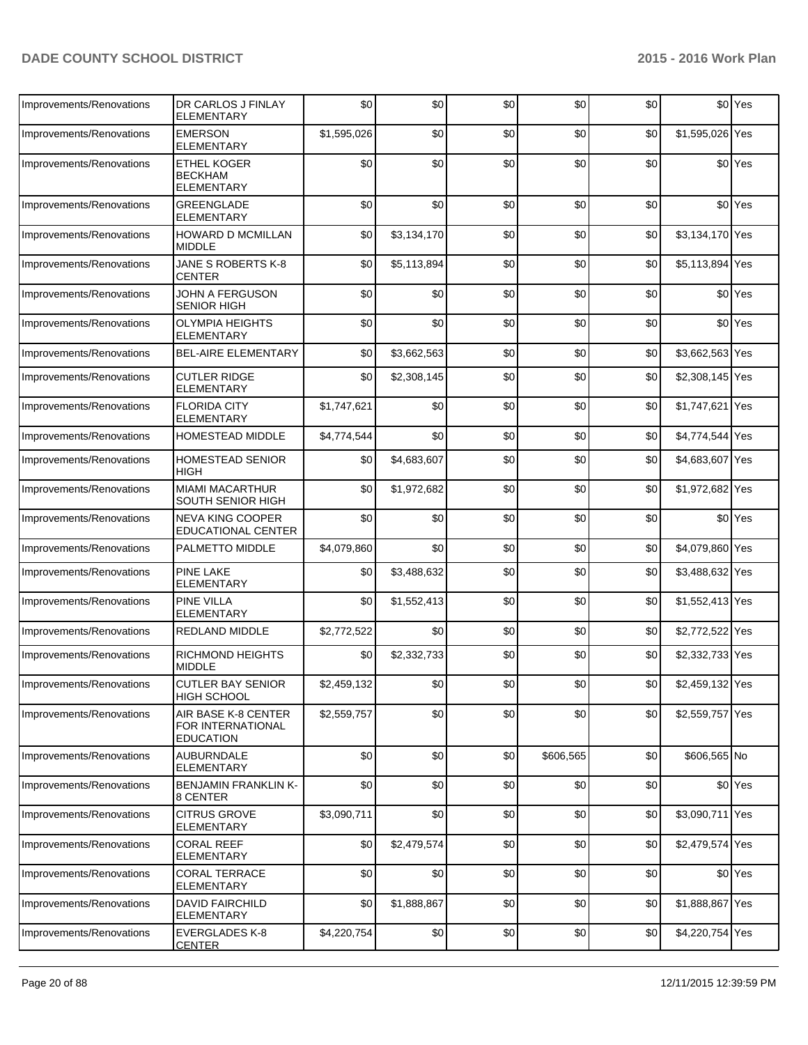| Improvements/Renovations | DR CARLOS J FINLAY<br>ELEMENTARY                             | \$0         | \$0         | \$0 | \$0       | \$0   |                 | \$0 Yes            |
|--------------------------|--------------------------------------------------------------|-------------|-------------|-----|-----------|-------|-----------------|--------------------|
| Improvements/Renovations | <b>EMERSON</b><br>ELEMENTARY                                 | \$1,595,026 | \$0         | \$0 | \$0       | \$0   | \$1,595,026 Yes |                    |
| Improvements/Renovations | <b>ETHEL KOGER</b><br><b>BECKHAM</b><br><b>ELEMENTARY</b>    | \$0         | \$0         | \$0 | \$0       | \$0   |                 | \$0 <sup>Yes</sup> |
| Improvements/Renovations | GREENGLADE<br>ELEMENTARY                                     | \$0         | \$0         | \$0 | \$0       | \$0   |                 | \$0 <sup>Yes</sup> |
| Improvements/Renovations | <b>HOWARD D MCMILLAN</b><br><b>MIDDIF</b>                    | \$0         | \$3,134,170 | \$0 | \$0       | \$0   | \$3,134,170 Yes |                    |
| Improvements/Renovations | JANE S ROBERTS K-8<br><b>CENTER</b>                          | \$0         | \$5,113,894 | \$0 | \$0       | \$0   | \$5,113,894 Yes |                    |
| Improvements/Renovations | JOHN A FERGUSON<br>SENIOR HIGH                               | \$0         | \$0         | \$0 | \$0       | \$0   |                 | \$0 <sup>Yes</sup> |
| Improvements/Renovations | <b>OLYMPIA HEIGHTS</b><br><b>ELEMENTARY</b>                  | \$0         | \$0         | \$0 | \$0       | \$0   |                 | \$0 <sup>Yes</sup> |
| Improvements/Renovations | <b>BEL-AIRE ELEMENTARY</b>                                   | \$0         | \$3,662,563 | \$0 | \$0       | \$0   | \$3,662,563 Yes |                    |
| Improvements/Renovations | <b>CUTLER RIDGE</b><br>ELEMENTARY                            | \$0         | \$2,308,145 | \$0 | \$0       | \$0   | \$2,308,145 Yes |                    |
| Improvements/Renovations | <b>FLORIDA CITY</b><br><b>ELEMENTARY</b>                     | \$1,747,621 | \$0         | \$0 | \$0       | \$0   | \$1,747,621 Yes |                    |
| Improvements/Renovations | HOMESTEAD MIDDLE                                             | \$4,774,544 | \$0         | \$0 | \$0       | \$0   | \$4,774,544 Yes |                    |
| Improvements/Renovations | HOMESTEAD SENIOR<br><b>HIGH</b>                              | \$0         | \$4,683,607 | \$0 | \$0       | \$0   | \$4,683,607 Yes |                    |
| Improvements/Renovations | <b>MIAMI MACARTHUR</b><br>SOUTH SENIOR HIGH                  | \$0         | \$1,972,682 | \$0 | \$0       | \$0   | \$1,972,682 Yes |                    |
| Improvements/Renovations | NEVA KING COOPER<br>EDUCATIONAL CENTER                       | \$0         | \$0         | \$0 | \$0       | \$0   |                 | \$0 <sup>Yes</sup> |
| Improvements/Renovations | PALMETTO MIDDLE                                              | \$4,079,860 | \$0         | \$0 | \$0       | \$0   | \$4,079,860 Yes |                    |
| Improvements/Renovations | <b>PINE LAKE</b><br><b>ELEMENTARY</b>                        | \$0         | \$3,488,632 | \$0 | \$0       | \$0   | \$3,488,632 Yes |                    |
| Improvements/Renovations | <b>PINE VILLA</b><br>ELEMENTARY                              | \$0         | \$1,552,413 | \$0 | \$0       | \$0   | \$1,552,413 Yes |                    |
| Improvements/Renovations | REDLAND MIDDLE                                               | \$2,772,522 | \$0         | \$0 | \$0       | \$0   | \$2,772,522 Yes |                    |
| Improvements/Renovations | RICHMOND HEIGHTS<br>MIDDLE                                   | \$0         | \$2,332,733 | \$0 | \$0       | \$0   | \$2,332,733 Yes |                    |
| Improvements/Renovations | <b>CUTLER BAY SENIOR</b><br><b>HIGH SCHOOL</b>               | \$2,459,132 | \$0         | \$0 | \$0       | $$0$$ | \$2,459,132 Yes |                    |
| Improvements/Renovations | AIR BASE K-8 CENTER<br>FOR INTERNATIONAL<br><b>EDUCATION</b> | \$2,559,757 | \$0         | \$0 | \$0       | \$0   | \$2,559,757 Yes |                    |
| Improvements/Renovations | <b>AUBURNDALE</b><br><b>ELEMENTARY</b>                       | \$0         | \$0         | \$0 | \$606,565 | \$0   | \$606,565 No    |                    |
| Improvements/Renovations | <b>BENJAMIN FRANKLIN K-</b><br>8 CENTER                      | \$0         | \$0         | \$0 | \$0       | \$0   |                 | \$0 Yes            |
| Improvements/Renovations | CITRUS GROVE<br><b>ELEMENTARY</b>                            | \$3,090,711 | \$0         | \$0 | \$0       | \$0   | \$3,090,711 Yes |                    |
| Improvements/Renovations | <b>CORAL REEF</b><br>ELEMENTARY                              | \$0         | \$2,479,574 | \$0 | \$0       | \$0   | \$2,479,574 Yes |                    |
| Improvements/Renovations | CORAL TERRACE<br>ELEMENTARY                                  | \$0         | \$0         | \$0 | \$0       | \$0   |                 | \$0 Yes            |
| Improvements/Renovations | <b>DAVID FAIRCHILD</b><br>ELEMENTARY                         | \$0         | \$1,888,867 | \$0 | \$0       | \$0   | \$1,888,867 Yes |                    |
| Improvements/Renovations | <b>EVERGLADES K-8</b><br><b>CENTER</b>                       | \$4,220,754 | \$0         | \$0 | \$0       | \$0   | \$4,220,754 Yes |                    |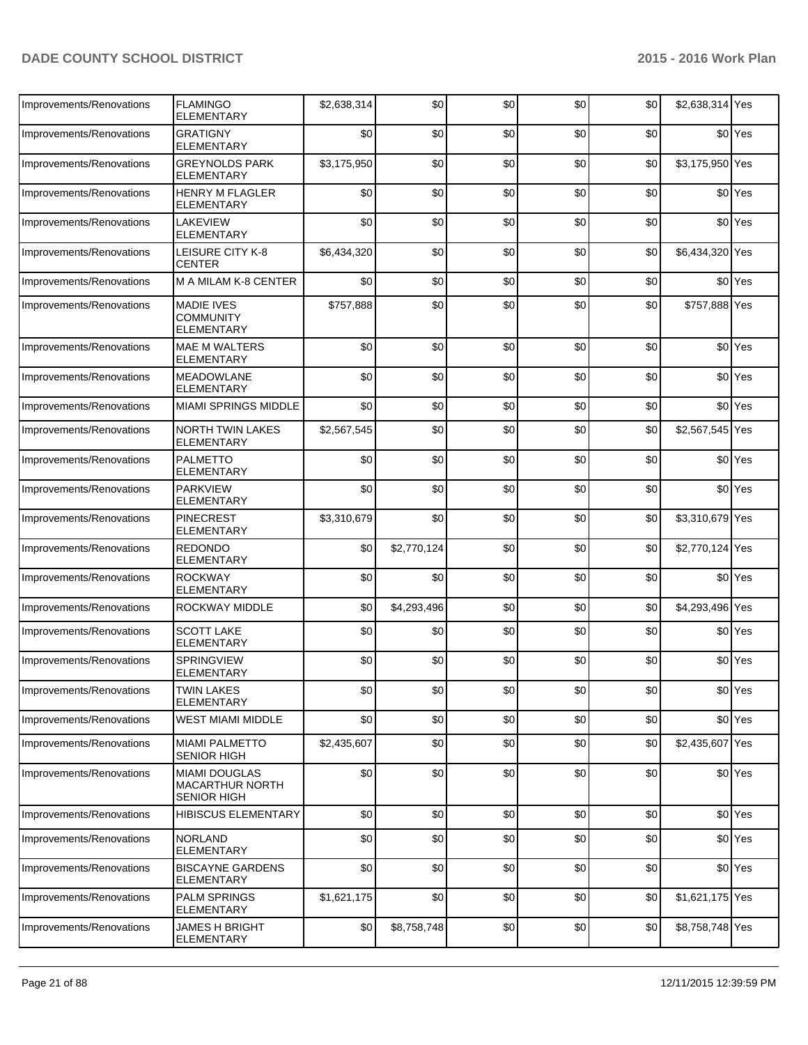| Improvements/Renovations | <b>FLAMINGO</b><br><b>ELEMENTARY</b>                                 | \$2,638,314 | \$0         | \$0 | \$0  | \$0 | \$2,638,314 Yes |                      |
|--------------------------|----------------------------------------------------------------------|-------------|-------------|-----|------|-----|-----------------|----------------------|
| Improvements/Renovations | <b>GRATIGNY</b><br>ELEMENTARY                                        | \$0         | \$0         | \$0 | \$0  | \$0 |                 | \$0 <sup>Yes</sup>   |
| Improvements/Renovations | <b>GREYNOLDS PARK</b><br><b>ELEMENTARY</b>                           | \$3,175,950 | \$0         | \$0 | \$0  | \$0 | \$3,175,950 Yes |                      |
| Improvements/Renovations | <b>HENRY M FLAGLER</b><br>ELEMENTARY                                 | \$0         | \$0         | \$0 | \$0  | \$0 |                 | \$0 <sup>Yes</sup>   |
| Improvements/Renovations | <b>LAKEVIEW</b><br>ELEMENTARY                                        | \$0         | \$0         | \$0 | \$0  | \$0 |                 | \$0 <sup>Yes</sup>   |
| Improvements/Renovations | LEISURE CITY K-8<br>CENTER                                           | \$6,434,320 | \$0         | \$0 | \$0  | \$0 | \$6,434,320 Yes |                      |
| Improvements/Renovations | M A MILAM K-8 CENTER                                                 | \$0         | \$0         | \$0 | \$0  | \$0 |                 | \$0 <sup>Yes</sup>   |
| Improvements/Renovations | <b>MADIE IVES</b><br><b>COMMUNITY</b><br><b>ELEMENTARY</b>           | \$757,888   | \$0         | \$0 | \$0  | \$0 | \$757,888 Yes   |                      |
| Improvements/Renovations | <b>MAE M WALTERS</b><br><b>ELEMENTARY</b>                            | \$0         | \$0         | \$0 | \$0  | \$0 |                 | \$0 <sup>Yes</sup>   |
| Improvements/Renovations | <b>MEADOWLANE</b><br>ELEMENTARY                                      | \$0         | \$0         | \$0 | \$0  | \$0 |                 | \$0 <sup>Yes</sup>   |
| Improvements/Renovations | <b>MIAMI SPRINGS MIDDLE</b>                                          | \$0         | \$0         | \$0 | \$0  | \$0 |                 | \$0 <sup>Yes</sup>   |
| Improvements/Renovations | <b>NORTH TWIN LAKES</b><br><b>ELEMENTARY</b>                         | \$2,567,545 | \$0         | \$0 | \$0  | \$0 | \$2,567,545 Yes |                      |
| Improvements/Renovations | <b>PALMETTO</b><br>ELEMENTARY                                        | \$0         | \$0         | \$0 | \$0  | \$0 |                 | \$0 <sup>l</sup> Yes |
| Improvements/Renovations | <b>PARKVIEW</b><br>ELEMENTARY                                        | \$0         | \$0         | \$0 | \$0  | \$0 |                 | \$0 <sup>Yes</sup>   |
| Improvements/Renovations | <b>PINECREST</b><br>ELEMENTARY                                       | \$3,310,679 | \$0         | \$0 | \$0  | \$0 | \$3,310,679 Yes |                      |
| Improvements/Renovations | <b>REDONDO</b><br><b>ELEMENTARY</b>                                  | \$0         | \$2,770,124 | \$0 | \$0  | \$0 | \$2,770,124 Yes |                      |
| Improvements/Renovations | <b>ROCKWAY</b><br><b>ELEMENTARY</b>                                  | \$0         | \$0         | \$0 | \$0  | \$0 |                 | \$0 <sup>Yes</sup>   |
| Improvements/Renovations | ROCKWAY MIDDLE                                                       | \$0         | \$4,293,496 | \$0 | \$0  | \$0 | \$4,293,496 Yes |                      |
| Improvements/Renovations | <b>SCOTT LAKE</b><br><b>ELEMENTARY</b>                               | \$0         | \$0         | \$0 | \$0  | \$0 |                 | \$0 <sup>Yes</sup>   |
| Improvements/Renovations | SPRINGVIEW<br>ELEMENTARY                                             | \$0         | \$0         | \$0 | \$0  | \$0 |                 | \$0 <sup>Yes</sup>   |
| Improvements/Renovations | <b>TWIN LAKES</b><br><b>ELEMENTARY</b>                               | \$0         | \$0         | \$0 | \$0] | \$0 |                 | \$0 <sup>Yes</sup>   |
| Improvements/Renovations | <b>WEST MIAMI MIDDLE</b>                                             | \$0         | \$0         | \$0 | \$0  | \$0 |                 | \$0 <sup>Yes</sup>   |
| Improvements/Renovations | <b>MIAMI PALMETTO</b><br><b>SENIOR HIGH</b>                          | \$2,435,607 | \$0         | \$0 | \$0  | \$0 | \$2,435,607 Yes |                      |
| Improvements/Renovations | <b>MIAMI DOUGLAS</b><br><b>MACARTHUR NORTH</b><br><b>SENIOR HIGH</b> | \$0         | \$0         | \$0 | \$0  | \$0 |                 | \$0 Yes              |
| Improvements/Renovations | <b>HIBISCUS ELEMENTARY</b>                                           | \$0         | \$0         | \$0 | \$0  | \$0 |                 | \$0 <sup>Yes</sup>   |
| Improvements/Renovations | <b>NORLAND</b><br><b>ELEMENTARY</b>                                  | \$0         | \$0         | \$0 | \$0  | \$0 |                 | \$0 <sup>Yes</sup>   |
| Improvements/Renovations | <b>BISCAYNE GARDENS</b><br>ELEMENTARY                                | \$0         | \$0         | \$0 | \$0  | \$0 |                 | \$0 <sup>Yes</sup>   |
| Improvements/Renovations | PALM SPRINGS<br>ELEMENTARY                                           | \$1,621,175 | \$0         | \$0 | \$0  | \$0 | \$1,621,175 Yes |                      |
| Improvements/Renovations | <b>JAMES H BRIGHT</b><br>ELEMENTARY                                  | \$0         | \$8,758,748 | \$0 | \$0  | \$0 | \$8,758,748 Yes |                      |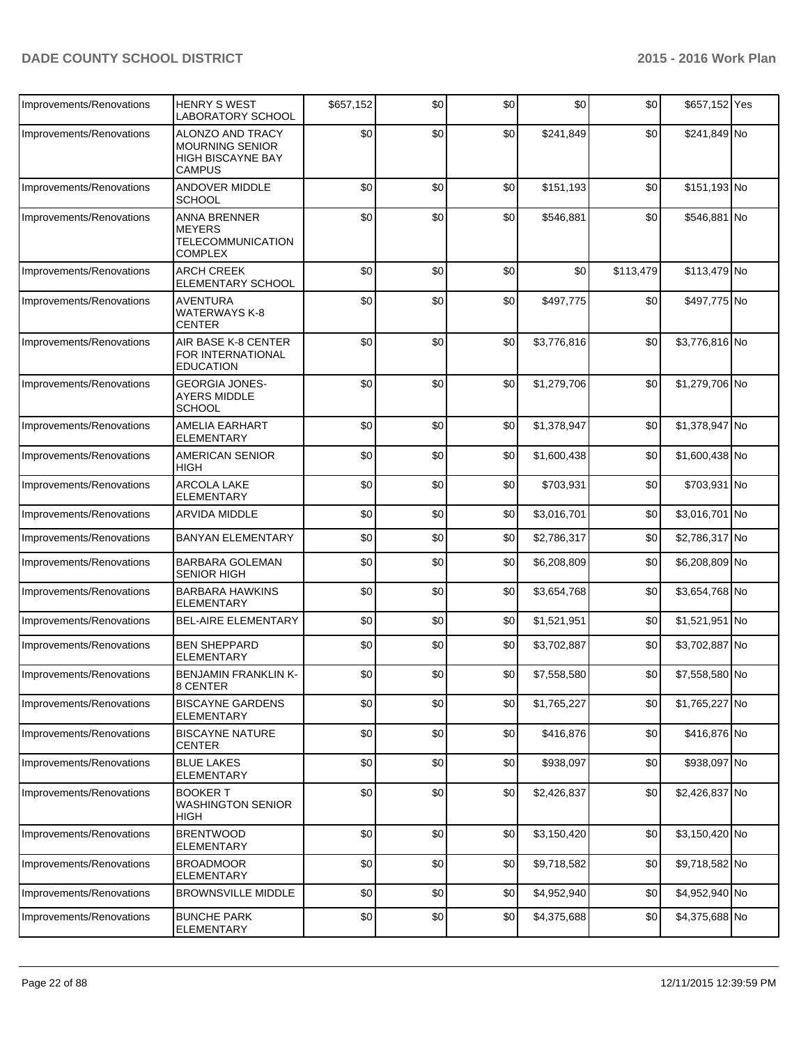| Improvements/Renovations | <b>HENRY S WEST</b><br><b>LABORATORY SCHOOL</b>                                         | \$657,152 | \$0 | \$0 | \$0         | \$0       | \$657,152 Yes  |  |
|--------------------------|-----------------------------------------------------------------------------------------|-----------|-----|-----|-------------|-----------|----------------|--|
| Improvements/Renovations | ALONZO AND TRACY<br><b>MOURNING SENIOR</b><br><b>HIGH BISCAYNE BAY</b><br><b>CAMPUS</b> | \$0       | \$0 | \$0 | \$241,849   | \$0       | \$241,849 No   |  |
| Improvements/Renovations | <b>ANDOVER MIDDLE</b><br><b>SCHOOL</b>                                                  | \$0       | \$0 | \$0 | \$151,193   | \$0       | \$151,193 No   |  |
| Improvements/Renovations | ANNA BRENNER<br><b>MEYERS</b><br><b>TELECOMMUNICATION</b><br><b>COMPLEX</b>             | \$0       | \$0 | \$0 | \$546,881   | \$0       | \$546,881 No   |  |
| Improvements/Renovations | <b>ARCH CREEK</b><br><b>ELEMENTARY SCHOOL</b>                                           | \$0       | \$0 | \$0 | \$0         | \$113,479 | \$113,479 No   |  |
| Improvements/Renovations | AVENTURA<br><b>WATERWAYS K-8</b><br><b>CENTER</b>                                       | \$0       | \$0 | \$0 | \$497,775   | \$0       | \$497,775 No   |  |
| Improvements/Renovations | AIR BASE K-8 CENTER<br>FOR INTERNATIONAL<br><b>EDUCATION</b>                            | \$0       | \$0 | \$0 | \$3,776,816 | \$0       | \$3,776,816 No |  |
| Improvements/Renovations | <b>GEORGIA JONES-</b><br><b>AYERS MIDDLE</b><br><b>SCHOOL</b>                           | \$0       | \$0 | \$0 | \$1,279,706 | \$0       | \$1,279,706 No |  |
| Improvements/Renovations | <b>AMELIA EARHART</b><br><b>ELEMENTARY</b>                                              | \$0       | \$0 | \$0 | \$1,378,947 | \$0       | \$1,378,947 No |  |
| Improvements/Renovations | <b>AMERICAN SENIOR</b><br>HIGH                                                          | \$0       | \$0 | \$0 | \$1,600,438 | \$0       | \$1,600,438 No |  |
| Improvements/Renovations | <b>ARCOLA LAKE</b><br><b>ELEMENTARY</b>                                                 | \$0       | \$0 | \$0 | \$703,931   | \$0       | \$703,931 No   |  |
| Improvements/Renovations | ARVIDA MIDDLE                                                                           | \$0       | \$0 | \$0 | \$3,016,701 | \$0       | \$3,016,701 No |  |
| Improvements/Renovations | <b>BANYAN ELEMENTARY</b>                                                                | \$0       | \$0 | \$0 | \$2,786,317 | \$0       | \$2,786,317 No |  |
| Improvements/Renovations | <b>BARBARA GOLEMAN</b><br><b>SENIOR HIGH</b>                                            | \$0       | \$0 | \$0 | \$6,208,809 | \$0       | \$6,208,809 No |  |
| Improvements/Renovations | <b>BARBARA HAWKINS</b><br><b>ELEMENTARY</b>                                             | \$0       | \$0 | \$0 | \$3,654,768 | \$0       | \$3,654,768 No |  |
| Improvements/Renovations | <b>BEL-AIRE ELEMENTARY</b>                                                              | \$0       | \$0 | \$0 | \$1,521,951 | \$0       | \$1,521,951 No |  |
| Improvements/Renovations | <b>BEN SHEPPARD</b><br><b>ELEMENTARY</b>                                                | \$0       | \$0 | \$0 | \$3,702,887 | \$0       | \$3,702,887 No |  |
| Improvements/Renovations | <b>BENJAMIN FRANKLIN K-</b><br>8 CENTER                                                 | \$0       | \$0 | \$0 | \$7,558,580 | \$0       | \$7,558,580 No |  |
| Improvements/Renovations | <b>BISCAYNE GARDENS</b><br>ELEMENTARY                                                   | \$0       | \$0 | \$0 | \$1,765,227 | \$0       | \$1,765,227 No |  |
| Improvements/Renovations | <b>BISCAYNE NATURE</b><br><b>CENTER</b>                                                 | \$0       | \$0 | \$0 | \$416,876   | \$0       | \$416,876 No   |  |
| Improvements/Renovations | <b>BLUE LAKES</b><br>ELEMENTARY                                                         | \$0       | \$0 | \$0 | \$938,097   | \$0       | \$938,097 No   |  |
| Improvements/Renovations | <b>BOOKER T</b><br><b>WASHINGTON SENIOR</b><br><b>HIGH</b>                              | \$0       | \$0 | \$0 | \$2,426,837 | \$0       | \$2,426,837 No |  |
| Improvements/Renovations | <b>BRENTWOOD</b><br>ELEMENTARY                                                          | \$0       | \$0 | \$0 | \$3,150,420 | \$0       | \$3,150,420 No |  |
| Improvements/Renovations | <b>BROADMOOR</b><br>ELEMENTARY                                                          | \$0       | \$0 | \$0 | \$9,718,582 | \$0       | \$9,718,582 No |  |
| Improvements/Renovations | <b>BROWNSVILLE MIDDLE</b>                                                               | \$0       | \$0 | \$0 | \$4,952,940 | \$0       | \$4,952,940 No |  |
| Improvements/Renovations | <b>BUNCHE PARK</b><br>ELEMENTARY                                                        | \$0       | \$0 | \$0 | \$4,375,688 | \$0       | \$4,375,688 No |  |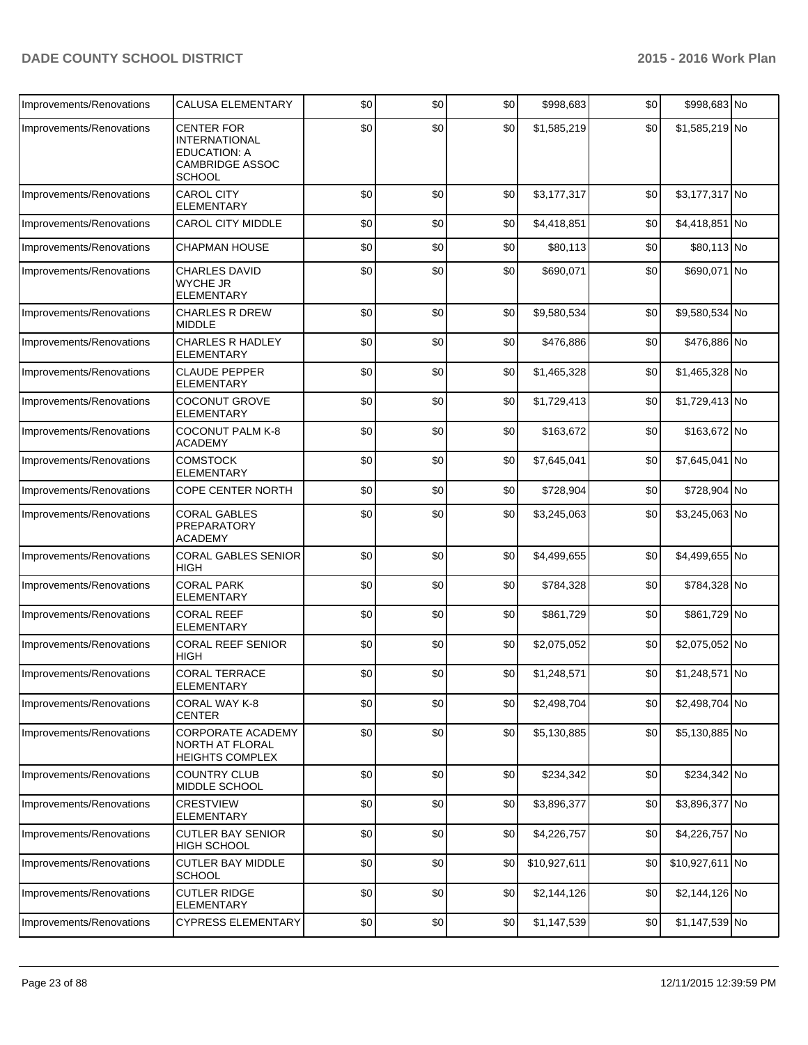| Improvements/Renovations | <b>CALUSA ELEMENTARY</b>                                                                                    | \$0 | \$0 | \$0 | \$998,683    | \$0 | \$998,683 No    |  |
|--------------------------|-------------------------------------------------------------------------------------------------------------|-----|-----|-----|--------------|-----|-----------------|--|
| Improvements/Renovations | <b>CENTER FOR</b><br><b>INTERNATIONAL</b><br><b>EDUCATION: A</b><br><b>CAMBRIDGE ASSOC</b><br><b>SCHOOL</b> | \$0 | \$0 | \$0 | \$1,585,219  | \$0 | \$1,585,219 No  |  |
| Improvements/Renovations | <b>CAROL CITY</b><br><b>ELEMENTARY</b>                                                                      | \$0 | \$0 | \$0 | \$3,177,317  | \$0 | \$3,177,317 No  |  |
| Improvements/Renovations | <b>CAROL CITY MIDDLE</b>                                                                                    | \$0 | \$0 | \$0 | \$4,418,851  | \$0 | \$4,418,851 No  |  |
| Improvements/Renovations | <b>CHAPMAN HOUSE</b>                                                                                        | \$0 | \$0 | \$0 | \$80,113     | \$0 | \$80,113 No     |  |
| Improvements/Renovations | <b>CHARLES DAVID</b><br><b>WYCHE JR</b><br><b>ELEMENTARY</b>                                                | \$0 | \$0 | \$0 | \$690,071    | \$0 | \$690,071 No    |  |
| Improvements/Renovations | <b>CHARLES R DREW</b><br><b>MIDDLE</b>                                                                      | \$0 | \$0 | \$0 | \$9,580,534  | \$0 | \$9,580,534 No  |  |
| Improvements/Renovations | <b>CHARLES R HADLEY</b><br><b>ELEMENTARY</b>                                                                | \$0 | \$0 | \$0 | \$476,886    | \$0 | \$476,886 No    |  |
| Improvements/Renovations | <b>CLAUDE PEPPER</b><br><b>ELEMENTARY</b>                                                                   | \$0 | \$0 | \$0 | \$1,465,328  | \$0 | \$1,465,328 No  |  |
| Improvements/Renovations | <b>COCONUT GROVE</b><br><b>ELEMENTARY</b>                                                                   | \$0 | \$0 | \$0 | \$1,729,413  | \$0 | \$1,729,413 No  |  |
| Improvements/Renovations | <b>COCONUT PALM K-8</b><br><b>ACADEMY</b>                                                                   | \$0 | \$0 | \$0 | \$163,672    | \$0 | \$163,672 No    |  |
| Improvements/Renovations | <b>COMSTOCK</b><br>ELEMENTARY                                                                               | \$0 | \$0 | \$0 | \$7,645,041  | \$0 | \$7,645,041 No  |  |
| Improvements/Renovations | COPE CENTER NORTH                                                                                           | \$0 | \$0 | \$0 | \$728,904    | \$0 | \$728,904 No    |  |
| Improvements/Renovations | <b>CORAL GABLES</b><br>PREPARATORY<br><b>ACADEMY</b>                                                        | \$0 | \$0 | \$0 | \$3,245,063  | \$0 | \$3,245,063 No  |  |
| Improvements/Renovations | <b>CORAL GABLES SENIOR</b><br><b>HIGH</b>                                                                   | \$0 | \$0 | \$0 | \$4,499,655  | \$0 | \$4,499,655 No  |  |
| Improvements/Renovations | <b>CORAL PARK</b><br><b>ELEMENTARY</b>                                                                      | \$0 | \$0 | \$0 | \$784,328    | \$0 | \$784,328 No    |  |
| Improvements/Renovations | <b>CORAL REEF</b><br><b>ELEMENTARY</b>                                                                      | \$0 | \$0 | \$0 | \$861.729    | \$0 | \$861,729 No    |  |
| Improvements/Renovations | <b>CORAL REEF SENIOR</b><br>HIGH                                                                            | \$0 | \$0 | \$0 | \$2,075,052  | \$0 | \$2,075,052 No  |  |
| Improvements/Renovations | <b>CORAL TERRACE</b><br>ELEMENTARY                                                                          | \$0 | \$0 | \$0 | \$1,248,571  | \$0 | \$1,248,571 No  |  |
| Improvements/Renovations | CORAL WAY K-8<br><b>CENTER</b>                                                                              | \$0 | \$0 | \$0 | \$2,498,704  | \$0 | \$2,498,704 No  |  |
| Improvements/Renovations | CORPORATE ACADEMY<br>NORTH AT FLORAL<br>HEIGHTS COMPLEX                                                     | \$0 | \$0 | \$0 | \$5,130,885  | \$0 | \$5,130,885 No  |  |
| Improvements/Renovations | <b>COUNTRY CLUB</b><br>MIDDLE SCHOOL                                                                        | \$0 | \$0 | \$0 | \$234,342    | \$0 | \$234,342 No    |  |
| Improvements/Renovations | <b>CRESTVIEW</b><br>ELEMENTARY                                                                              | \$0 | \$0 | \$0 | \$3,896,377  | \$0 | \$3,896,377 No  |  |
| Improvements/Renovations | <b>CUTLER BAY SENIOR</b><br><b>HIGH SCHOOL</b>                                                              | \$0 | \$0 | \$0 | \$4,226,757  | \$0 | \$4,226,757 No  |  |
| Improvements/Renovations | <b>CUTLER BAY MIDDLE</b><br><b>SCHOOL</b>                                                                   | \$0 | \$0 | \$0 | \$10,927,611 | \$0 | \$10,927,611 No |  |
| Improvements/Renovations | <b>CUTLER RIDGE</b><br><b>ELEMENTARY</b>                                                                    | \$0 | \$0 | \$0 | \$2,144,126  | \$0 | \$2,144,126 No  |  |
| Improvements/Renovations | <b>CYPRESS ELEMENTARY</b>                                                                                   | \$0 | \$0 | \$0 | \$1,147,539  | \$0 | \$1,147,539 No  |  |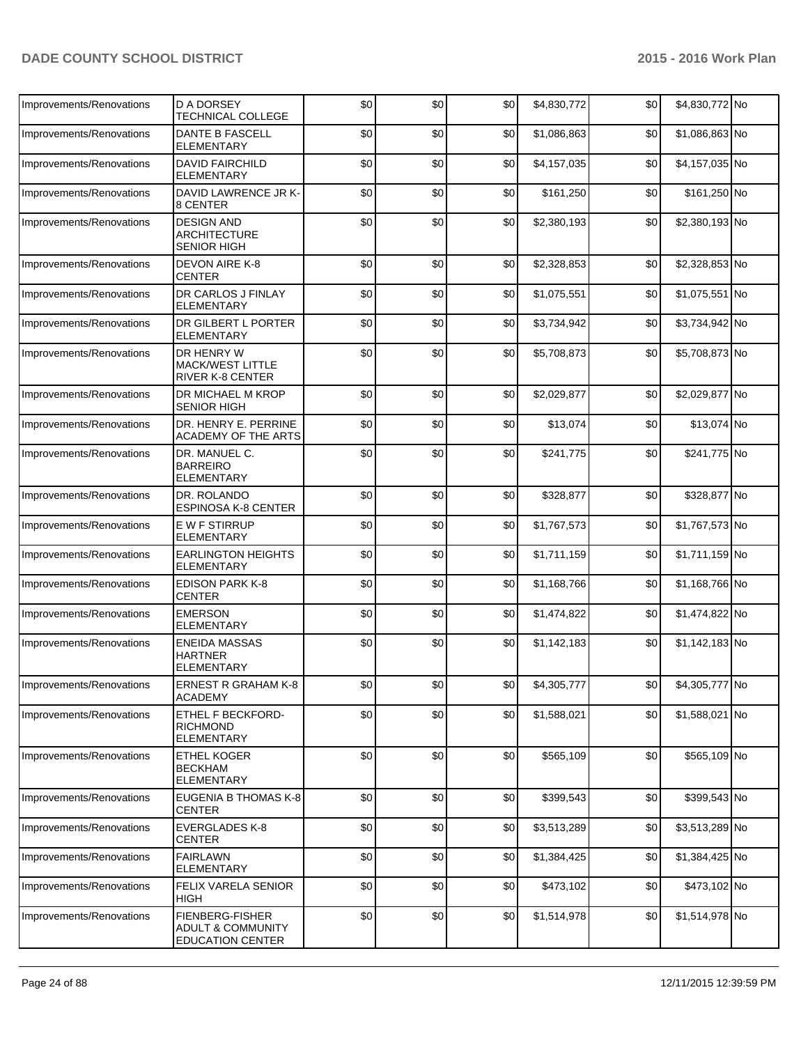| Improvements/Renovations | <b>D A DORSEY</b><br><b>TECHNICAL COLLEGE</b>                    | \$0 | \$0  | \$0 | \$4,830,772 | \$0 | \$4,830,772 No |  |
|--------------------------|------------------------------------------------------------------|-----|------|-----|-------------|-----|----------------|--|
| Improvements/Renovations | <b>DANTE B FASCELL</b><br><b>ELEMENTARY</b>                      | \$0 | \$0  | \$0 | \$1,086,863 | \$0 | \$1,086,863 No |  |
| Improvements/Renovations | <b>DAVID FAIRCHILD</b><br><b>ELEMENTARY</b>                      | \$0 | \$0  | \$0 | \$4,157,035 | \$0 | \$4,157,035 No |  |
| Improvements/Renovations | DAVID LAWRENCE JR K-<br>8 CENTER                                 | \$0 | \$0  | \$0 | \$161,250   | \$0 | \$161,250 No   |  |
| Improvements/Renovations | <b>DESIGN AND</b><br><b>ARCHITECTURE</b><br><b>SENIOR HIGH</b>   | \$0 | \$0  | \$0 | \$2,380,193 | \$0 | \$2,380,193 No |  |
| Improvements/Renovations | <b>DEVON AIRE K-8</b><br><b>CENTER</b>                           | \$0 | \$0  | \$0 | \$2,328,853 | \$0 | \$2,328,853 No |  |
| Improvements/Renovations | DR CARLOS J FINLAY<br><b>ELEMENTARY</b>                          | \$0 | \$0  | \$0 | \$1,075,551 | \$0 | \$1,075,551 No |  |
| Improvements/Renovations | DR GILBERT L PORTER<br><b>ELEMENTARY</b>                         | \$0 | \$0  | \$0 | \$3,734,942 | \$0 | \$3,734,942 No |  |
| Improvements/Renovations | DR HENRY W<br><b>MACK/WEST LITTLE</b><br><b>RIVER K-8 CENTER</b> | \$0 | \$0  | \$0 | \$5,708,873 | \$0 | \$5,708,873 No |  |
| Improvements/Renovations | DR MICHAEL M KROP<br><b>SENIOR HIGH</b>                          | \$0 | \$0  | \$0 | \$2,029,877 | \$0 | \$2,029,877 No |  |
| Improvements/Renovations | DR. HENRY E. PERRINE<br>ACADEMY OF THE ARTS                      | \$0 | \$0  | \$0 | \$13,074    | \$0 | \$13,074 No    |  |
| Improvements/Renovations | DR. MANUEL C.<br><b>BARREIRO</b><br><b>ELEMENTARY</b>            | \$0 | \$0  | \$0 | \$241,775   | \$0 | \$241,775 No   |  |
| Improvements/Renovations | DR. ROLANDO<br><b>ESPINOSA K-8 CENTER</b>                        | \$0 | \$0  | \$0 | \$328,877   | \$0 | \$328,877 No   |  |
| Improvements/Renovations | <b>E W F STIRRUP</b><br><b>ELEMENTARY</b>                        | \$0 | \$0  | \$0 | \$1,767,573 | \$0 | \$1,767,573 No |  |
| Improvements/Renovations | <b>EARLINGTON HEIGHTS</b><br><b>ELEMENTARY</b>                   | \$0 | \$0  | \$0 | \$1,711,159 | \$0 | \$1,711,159 No |  |
| Improvements/Renovations | <b>EDISON PARK K-8</b><br><b>CENTER</b>                          | \$0 | \$0  | \$0 | \$1,168,766 | \$0 | \$1,168,766 No |  |
| Improvements/Renovations | <b>EMERSON</b><br><b>ELEMENTARY</b>                              | \$0 | \$0  | \$0 | \$1,474,822 | \$0 | \$1,474,822 No |  |
| Improvements/Renovations | <b>ENEIDA MASSAS</b><br><b>HARTNER</b><br><b>ELEMENTARY</b>      | \$0 | \$0  | \$0 | \$1,142,183 | \$0 | \$1,142,183 No |  |
| Improvements/Renovations | <b>ERNEST R GRAHAM K-8</b><br><b>ACADEMY</b>                     | \$0 | \$0] | \$0 | \$4,305,777 | \$0 | \$4,305,777 No |  |
| Improvements/Renovations | ETHEL F BECKFORD-<br><b>RICHMOND</b><br><b>ELEMENTARY</b>        | \$0 | \$0  | \$0 | \$1,588,021 | \$0 | \$1,588,021 No |  |
| Improvements/Renovations | <b>ETHEL KOGER</b><br><b>BECKHAM</b><br><b>ELEMENTARY</b>        | \$0 | \$0  | \$0 | \$565,109   | \$0 | \$565,109 No   |  |
| Improvements/Renovations | EUGENIA B THOMAS K-8<br><b>CENTER</b>                            | \$0 | \$0  | \$0 | \$399,543   | \$0 | \$399,543 No   |  |
| Improvements/Renovations | <b>EVERGLADES K-8</b><br><b>CENTER</b>                           | \$0 | \$0  | \$0 | \$3,513,289 | \$0 | \$3,513,289 No |  |
| Improvements/Renovations | <b>FAIRLAWN</b><br><b>ELEMENTARY</b>                             | \$0 | \$0  | \$0 | \$1,384,425 | \$0 | \$1,384,425 No |  |
| Improvements/Renovations | FELIX VARELA SENIOR<br><b>HIGH</b>                               | \$0 | \$0  | \$0 | \$473,102   | \$0 | \$473,102 No   |  |
| Improvements/Renovations | FIENBERG-FISHER<br>ADULT & COMMUNITY<br><b>EDUCATION CENTER</b>  | \$0 | \$0  | \$0 | \$1,514,978 | \$0 | \$1,514,978 No |  |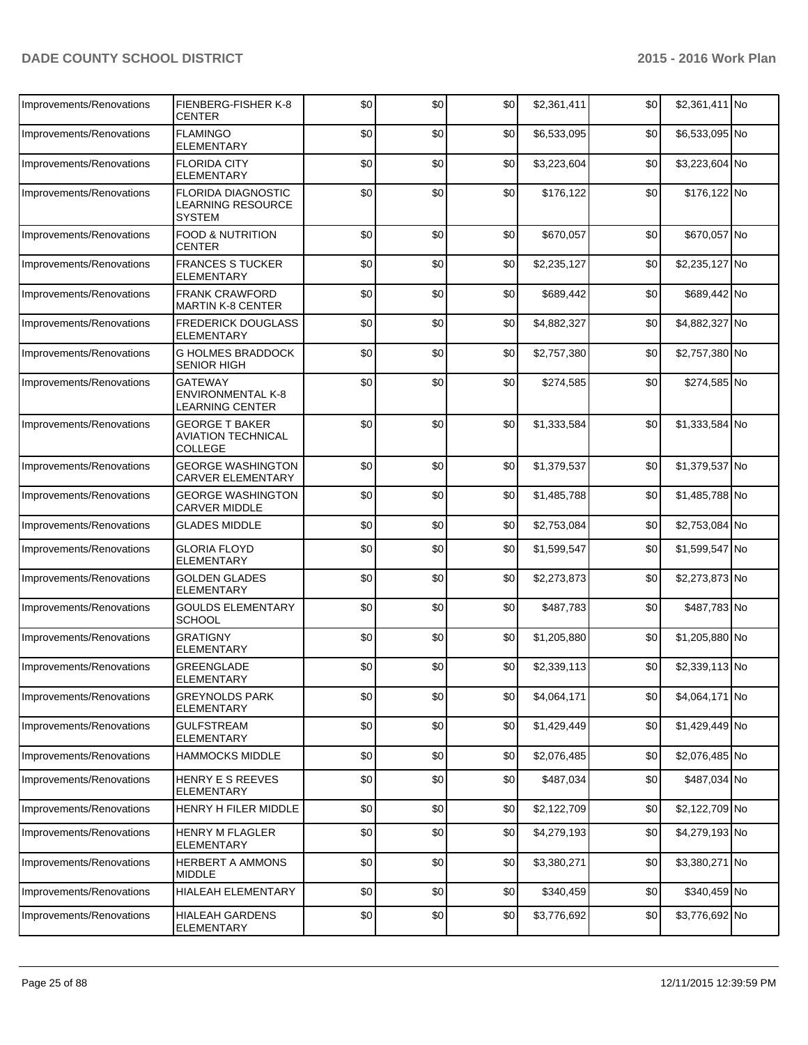| Improvements/Renovations | FIENBERG-FISHER K-8<br><b>CENTER</b>                                 | \$0 | \$0 | \$0 | \$2,361,411 | \$0 | \$2,361,411 No |  |
|--------------------------|----------------------------------------------------------------------|-----|-----|-----|-------------|-----|----------------|--|
| Improvements/Renovations | <b>FLAMINGO</b><br>ELEMENTARY                                        | \$0 | \$0 | \$0 | \$6,533,095 | \$0 | \$6,533,095 No |  |
| Improvements/Renovations | <b>FLORIDA CITY</b><br><b>ELEMENTARY</b>                             | \$0 | \$0 | \$0 | \$3,223,604 | \$0 | \$3,223,604 No |  |
| Improvements/Renovations | FLORIDA DIAGNOSTIC<br><b>LEARNING RESOURCE</b><br><b>SYSTEM</b>      | \$0 | \$0 | \$0 | \$176,122   | \$0 | \$176,122 No   |  |
| Improvements/Renovations | <b>FOOD &amp; NUTRITION</b><br><b>CENTER</b>                         | \$0 | \$0 | \$0 | \$670,057   | \$0 | \$670,057 No   |  |
| Improvements/Renovations | <b>FRANCES S TUCKER</b><br>ELEMENTARY                                | \$0 | \$0 | \$0 | \$2,235,127 | \$0 | \$2,235,127 No |  |
| Improvements/Renovations | <b>FRANK CRAWFORD</b><br><b>MARTIN K-8 CENTER</b>                    | \$0 | \$0 | \$0 | \$689,442   | \$0 | \$689,442 No   |  |
| Improvements/Renovations | <b>FREDERICK DOUGLASS</b><br><b>ELEMENTARY</b>                       | \$0 | \$0 | \$0 | \$4,882,327 | \$0 | \$4,882,327 No |  |
| Improvements/Renovations | <b>G HOLMES BRADDOCK</b><br><b>SENIOR HIGH</b>                       | \$0 | \$0 | \$0 | \$2,757,380 | \$0 | \$2,757,380 No |  |
| Improvements/Renovations | <b>GATEWAY</b><br><b>ENVIRONMENTAL K-8</b><br>LEARNING CENTER        | \$0 | \$0 | \$0 | \$274,585   | \$0 | \$274,585 No   |  |
| Improvements/Renovations | <b>GEORGE T BAKER</b><br><b>AVIATION TECHNICAL</b><br><b>COLLEGE</b> | \$0 | \$0 | \$0 | \$1,333,584 | \$0 | \$1,333,584 No |  |
| Improvements/Renovations | <b>GEORGE WASHINGTON</b><br><b>CARVER ELEMENTARY</b>                 | \$0 | \$0 | \$0 | \$1,379,537 | \$0 | \$1,379,537 No |  |
| Improvements/Renovations | <b>GEORGE WASHINGTON</b><br><b>CARVER MIDDLE</b>                     | \$0 | \$0 | \$0 | \$1,485,788 | \$0 | \$1,485,788 No |  |
| Improvements/Renovations | <b>GLADES MIDDLE</b>                                                 | \$0 | \$0 | \$0 | \$2,753,084 | \$0 | \$2,753,084 No |  |
| Improvements/Renovations | <b>GLORIA FLOYD</b><br><b>ELEMENTARY</b>                             | \$0 | \$0 | \$0 | \$1,599,547 | \$0 | \$1,599,547 No |  |
| Improvements/Renovations | <b>GOLDEN GLADES</b><br><b>ELEMENTARY</b>                            | \$0 | \$0 | \$0 | \$2,273,873 | \$0 | \$2,273,873 No |  |
| Improvements/Renovations | <b>GOULDS ELEMENTARY</b><br><b>SCHOOL</b>                            | \$0 | \$0 | \$0 | \$487,783   | \$0 | \$487,783 No   |  |
| Improvements/Renovations | <b>GRATIGNY</b><br><b>ELEMENTARY</b>                                 | \$0 | \$0 | \$0 | \$1,205,880 | \$0 | \$1,205,880 No |  |
| Improvements/Renovations | <b>GREENGLADE</b><br><b>ELEMENTARY</b>                               | \$0 | \$0 | \$0 | \$2,339,113 | \$0 | \$2,339,113 No |  |
| Improvements/Renovations | <b>GREYNOLDS PARK</b><br><b>ELEMENTARY</b>                           | \$0 | \$0 | \$0 | \$4,064,171 | \$0 | \$4,064,171 No |  |
| Improvements/Renovations | <b>GULFSTREAM</b><br><b>ELEMENTARY</b>                               | \$0 | \$0 | \$0 | \$1,429,449 | \$0 | \$1,429,449 No |  |
| Improvements/Renovations | <b>HAMMOCKS MIDDLE</b>                                               | \$0 | \$0 | \$0 | \$2,076,485 | \$0 | \$2,076,485 No |  |
| Improvements/Renovations | <b>HENRY E S REEVES</b><br>ELEMENTARY                                | \$0 | \$0 | \$0 | \$487,034   | \$0 | \$487,034 No   |  |
| Improvements/Renovations | HENRY H FILER MIDDLE                                                 | \$0 | \$0 | \$0 | \$2,122,709 | \$0 | \$2,122,709 No |  |
| Improvements/Renovations | <b>HENRY M FLAGLER</b><br>ELEMENTARY                                 | \$0 | \$0 | \$0 | \$4,279,193 | \$0 | \$4,279,193 No |  |
| Improvements/Renovations | <b>HERBERT A AMMONS</b><br>MIDDLE                                    | \$0 | \$0 | \$0 | \$3,380,271 | \$0 | \$3,380,271 No |  |
| Improvements/Renovations | HIALEAH ELEMENTARY                                                   | \$0 | \$0 | \$0 | \$340,459   | \$0 | \$340,459 No   |  |
| Improvements/Renovations | HIALEAH GARDENS<br>ELEMENTARY                                        | \$0 | \$0 | \$0 | \$3,776,692 | \$0 | \$3,776,692 No |  |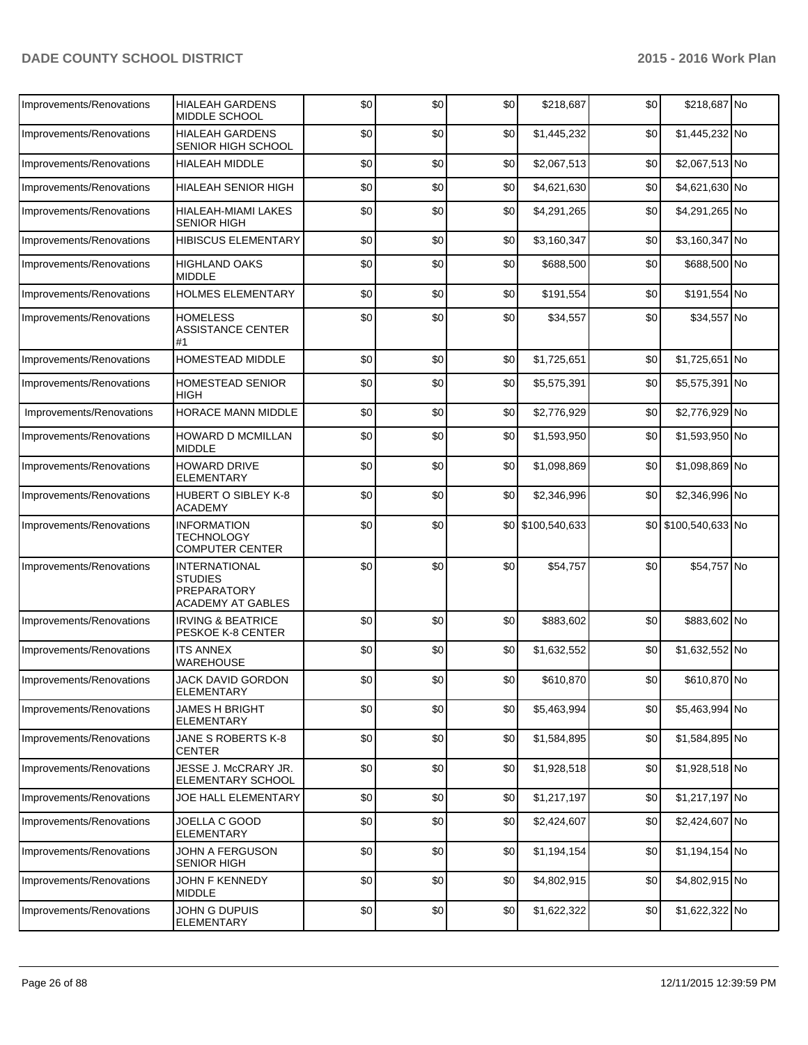| Improvements/Renovations | <b>HIALEAH GARDENS</b><br><b>MIDDLE SCHOOL</b>                                    | \$0 | \$0 | \$0 | \$218,687         | \$0 | \$218,687 No         |  |
|--------------------------|-----------------------------------------------------------------------------------|-----|-----|-----|-------------------|-----|----------------------|--|
| Improvements/Renovations | <b>HIALEAH GARDENS</b><br>SENIOR HIGH SCHOOL                                      | \$0 | \$0 | \$0 | \$1,445,232       | \$0 | \$1,445,232 No       |  |
| Improvements/Renovations | <b>HIALEAH MIDDLE</b>                                                             | \$0 | \$0 | \$0 | \$2,067,513       | \$0 | \$2,067,513 No       |  |
| Improvements/Renovations | HIALEAH SENIOR HIGH                                                               | \$0 | \$0 | \$0 | \$4,621,630       | \$0 | \$4,621,630 No       |  |
| Improvements/Renovations | HIALEAH-MIAMI LAKES<br><b>SENIOR HIGH</b>                                         | \$0 | \$0 | \$0 | \$4,291,265       | \$0 | \$4,291,265 No       |  |
| Improvements/Renovations | <b>HIBISCUS ELEMENTARY</b>                                                        | \$0 | \$0 | \$0 | \$3,160,347       | \$0 | \$3,160,347 No       |  |
| Improvements/Renovations | <b>HIGHLAND OAKS</b><br><b>MIDDLE</b>                                             | \$0 | \$0 | \$0 | \$688,500         | \$0 | \$688,500 No         |  |
| Improvements/Renovations | <b>HOLMES ELEMENTARY</b>                                                          | \$0 | \$0 | \$0 | \$191,554         | \$0 | \$191,554 No         |  |
| Improvements/Renovations | <b>HOMELESS</b><br><b>ASSISTANCE CENTER</b><br>#1                                 | \$0 | \$0 | \$0 | \$34,557          | \$0 | \$34,557 No          |  |
| Improvements/Renovations | <b>HOMESTEAD MIDDLE</b>                                                           | \$0 | \$0 | \$0 | \$1,725,651       | \$0 | \$1,725,651 No       |  |
| Improvements/Renovations | <b>HOMESTEAD SENIOR</b><br><b>HIGH</b>                                            | \$0 | \$0 | \$0 | \$5,575,391       | \$0 | \$5,575,391 No       |  |
| Improvements/Renovations | <b>HORACE MANN MIDDLE</b>                                                         | \$0 | \$0 | \$0 | \$2,776,929       | \$0 | \$2,776,929 No       |  |
| Improvements/Renovations | <b>HOWARD D MCMILLAN</b><br><b>MIDDLE</b>                                         | \$0 | \$0 | \$0 | \$1,593,950       | \$0 | \$1,593,950 No       |  |
| Improvements/Renovations | <b>HOWARD DRIVE</b><br><b>ELEMENTARY</b>                                          | \$0 | \$0 | \$0 | \$1,098,869       | \$0 | \$1,098,869 No       |  |
| Improvements/Renovations | HUBERT O SIBLEY K-8<br><b>ACADEMY</b>                                             | \$0 | \$0 | \$0 | \$2,346,996       | \$0 | \$2,346,996 No       |  |
| Improvements/Renovations | <b>INFORMATION</b><br><b>TECHNOLOGY</b><br><b>COMPUTER CENTER</b>                 | \$0 | \$0 |     | \$0 \$100,540,633 |     | \$0 \$100,540,633 No |  |
| Improvements/Renovations | <b>INTERNATIONAL</b><br><b>STUDIES</b><br>PREPARATORY<br><b>ACADEMY AT GABLES</b> | \$0 | \$0 | \$0 | \$54,757          | \$0 | \$54,757 No          |  |
| Improvements/Renovations | <b>IRVING &amp; BEATRICE</b><br>PESKOE K-8 CENTER                                 | \$0 | \$0 | \$0 | \$883,602         | \$0 | \$883,602 No         |  |
| Improvements/Renovations | <b>ITS ANNEX</b><br>WAREHOUSE                                                     | \$0 | \$0 | \$0 | \$1,632,552       | \$0 | \$1,632,552 No       |  |
| Improvements/Renovations | JACK DAVID GORDON<br><b>ELEMENTARY</b>                                            | \$0 | \$0 | \$0 | \$610,870         | \$0 | \$610,870 No         |  |
| Improvements/Renovations | <b>JAMES H BRIGHT</b><br><b>ELEMENTARY</b>                                        | \$0 | \$0 | \$0 | \$5,463,994       | \$0 | \$5,463,994 No       |  |
| Improvements/Renovations | JANE S ROBERTS K-8<br><b>CENTER</b>                                               | \$0 | \$0 | \$0 | \$1,584,895       | \$0 | \$1,584,895 No       |  |
| Improvements/Renovations | JESSE J. McCRARY JR.<br>ELEMENTARY SCHOOL                                         | \$0 | \$0 | \$0 | \$1,928,518       | \$0 | \$1,928,518 No       |  |
| Improvements/Renovations | JOE HALL ELEMENTARY                                                               | \$0 | \$0 | \$0 | \$1,217,197       | \$0 | \$1,217,197 No       |  |
| Improvements/Renovations | JOELLA C GOOD<br><b>ELEMENTARY</b>                                                | \$0 | \$0 | \$0 | \$2,424,607       | \$0 | \$2,424,607 No       |  |
| Improvements/Renovations | JOHN A FERGUSON<br>SENIOR HIGH                                                    | \$0 | \$0 | \$0 | \$1,194,154       | \$0 | \$1,194,154 No       |  |
| Improvements/Renovations | JOHN F KENNEDY<br><b>MIDDLE</b>                                                   | \$0 | \$0 | \$0 | \$4,802,915       | \$0 | \$4,802,915 No       |  |
| Improvements/Renovations | JOHN G DUPUIS<br>ELEMENTARY                                                       | \$0 | \$0 | \$0 | \$1,622,322       | \$0 | \$1,622,322 No       |  |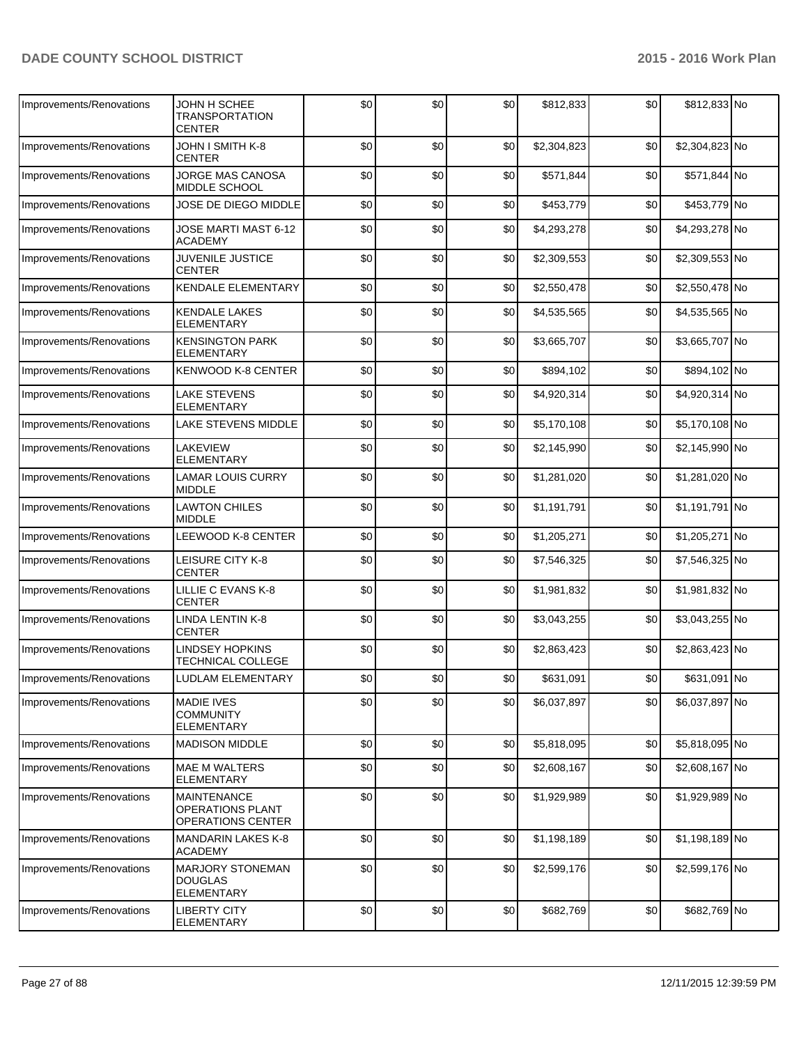| Improvements/Renovations | JOHN H SCHEE<br><b>TRANSPORTATION</b><br><b>CENTER</b>                    | \$0 | \$0 | \$0 | \$812,833   | \$0 | \$812,833 No   |  |
|--------------------------|---------------------------------------------------------------------------|-----|-----|-----|-------------|-----|----------------|--|
| Improvements/Renovations | JOHN I SMITH K-8<br><b>CENTER</b>                                         | \$0 | \$0 | \$0 | \$2,304,823 | \$0 | \$2,304,823 No |  |
| Improvements/Renovations | JORGE MAS CANOSA<br>MIDDLE SCHOOL                                         | \$0 | \$0 | \$0 | \$571,844   | \$0 | \$571,844 No   |  |
| Improvements/Renovations | JOSE DE DIEGO MIDDLE                                                      | \$0 | \$0 | \$0 | \$453,779   | \$0 | \$453,779 No   |  |
| Improvements/Renovations | JOSE MARTI MAST 6-12<br><b>ACADEMY</b>                                    | \$0 | \$0 | \$0 | \$4,293,278 | \$0 | \$4,293,278 No |  |
| Improvements/Renovations | <b>JUVENILE JUSTICE</b><br><b>CENTER</b>                                  | \$0 | \$0 | \$0 | \$2,309,553 | \$0 | \$2,309,553 No |  |
| Improvements/Renovations | <b>KENDALE ELEMENTARY</b>                                                 | \$0 | \$0 | \$0 | \$2,550,478 | \$0 | \$2,550,478 No |  |
| Improvements/Renovations | <b>KENDALE LAKES</b><br><b>ELEMENTARY</b>                                 | \$0 | \$0 | \$0 | \$4,535,565 | \$0 | \$4,535,565 No |  |
| Improvements/Renovations | <b>KENSINGTON PARK</b><br><b>ELEMENTARY</b>                               | \$0 | \$0 | \$0 | \$3,665,707 | \$0 | \$3,665,707 No |  |
| Improvements/Renovations | <b>KENWOOD K-8 CENTER</b>                                                 | \$0 | \$0 | \$0 | \$894,102   | \$0 | \$894,102 No   |  |
| Improvements/Renovations | <b>LAKE STEVENS</b><br><b>ELEMENTARY</b>                                  | \$0 | \$0 | \$0 | \$4,920,314 | \$0 | \$4,920,314 No |  |
| Improvements/Renovations | LAKE STEVENS MIDDLE                                                       | \$0 | \$0 | \$0 | \$5,170,108 | \$0 | \$5,170,108 No |  |
| Improvements/Renovations | <b>LAKEVIEW</b><br><b>ELEMENTARY</b>                                      | \$0 | \$0 | \$0 | \$2,145,990 | \$0 | \$2,145,990 No |  |
| Improvements/Renovations | <b>LAMAR LOUIS CURRY</b><br><b>MIDDLE</b>                                 | \$0 | \$0 | \$0 | \$1,281,020 | \$0 | \$1,281,020 No |  |
| Improvements/Renovations | <b>LAWTON CHILES</b><br><b>MIDDLE</b>                                     | \$0 | \$0 | \$0 | \$1,191,791 | \$0 | \$1,191,791 No |  |
| Improvements/Renovations | LEEWOOD K-8 CENTER                                                        | \$0 | \$0 | \$0 | \$1,205,271 | \$0 | \$1,205,271 No |  |
| Improvements/Renovations | LEISURE CITY K-8<br><b>CENTER</b>                                         | \$0 | \$0 | \$0 | \$7,546,325 | \$0 | \$7,546,325 No |  |
| Improvements/Renovations | LILLIE C EVANS K-8<br><b>CENTER</b>                                       | \$0 | \$0 | \$0 | \$1,981,832 | \$0 | \$1,981,832 No |  |
| Improvements/Renovations | LINDA LENTIN K-8<br><b>CENTER</b>                                         | \$0 | \$0 | \$0 | \$3,043,255 | \$0 | \$3,043,255 No |  |
| Improvements/Renovations | <b>LINDSEY HOPKINS</b><br><b>TECHNICAL COLLEGE</b>                        | \$0 | \$0 | \$0 | \$2,863,423 | \$0 | \$2,863,423 No |  |
| Improvements/Renovations | LUDLAM ELEMENTARY                                                         | \$0 | \$0 | \$0 | \$631,091   | \$0 | \$631,091 No   |  |
| Improvements/Renovations | <b>MADIE IVES</b><br><b>COMMUNITY</b><br><b>ELEMENTARY</b>                | \$0 | \$0 | \$0 | \$6,037,897 | \$0 | \$6,037,897 No |  |
| Improvements/Renovations | <b>MADISON MIDDLE</b>                                                     | \$0 | \$0 | \$0 | \$5,818,095 | \$0 | \$5,818,095 No |  |
| Improvements/Renovations | <b>MAE M WALTERS</b><br><b>ELEMENTARY</b>                                 | \$0 | \$0 | \$0 | \$2,608,167 | \$0 | \$2,608,167 No |  |
| Improvements/Renovations | <b>MAINTENANCE</b><br><b>OPERATIONS PLANT</b><br><b>OPERATIONS CENTER</b> | \$0 | \$0 | \$0 | \$1,929,989 | \$0 | \$1,929,989 No |  |
| Improvements/Renovations | <b>MANDARIN LAKES K-8</b><br><b>ACADEMY</b>                               | \$0 | \$0 | \$0 | \$1,198,189 | \$0 | \$1,198,189 No |  |
| Improvements/Renovations | <b>MARJORY STONEMAN</b><br><b>DOUGLAS</b><br><b>ELEMENTARY</b>            | \$0 | \$0 | \$0 | \$2,599,176 | \$0 | \$2,599,176 No |  |
| Improvements/Renovations | <b>LIBERTY CITY</b><br>ELEMENTARY                                         | \$0 | \$0 | \$0 | \$682,769   | \$0 | \$682,769 No   |  |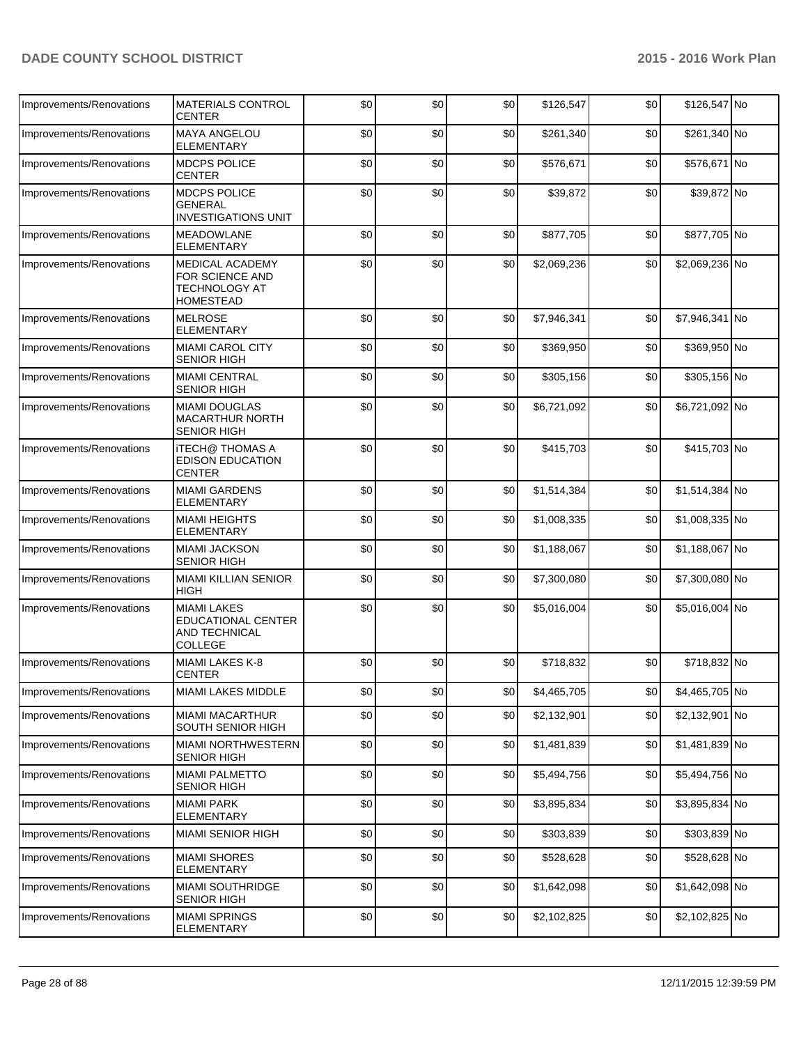| Improvements/Renovations | <b>MATERIALS CONTROL</b><br><b>CENTER</b>                                          | \$0 | \$0 | \$0 | \$126,547   | \$0 | \$126,547 No   |  |
|--------------------------|------------------------------------------------------------------------------------|-----|-----|-----|-------------|-----|----------------|--|
| Improvements/Renovations | <b>MAYA ANGELOU</b><br>ELEMENTARY                                                  | \$0 | \$0 | \$0 | \$261,340   | \$0 | \$261,340 No   |  |
| Improvements/Renovations | <b>MDCPS POLICE</b><br><b>CENTER</b>                                               | \$0 | \$0 | \$0 | \$576,671   | \$0 | \$576,671 No   |  |
| Improvements/Renovations | MDCPS POLICE<br>GENERAL<br>INVESTIGATIONS UNIT                                     | \$0 | \$0 | \$0 | \$39,872    | \$0 | \$39,872 No    |  |
| Improvements/Renovations | <b>MEADOWLANE</b><br><b>ELEMENTARY</b>                                             | \$0 | \$0 | \$0 | \$877,705   | \$0 | \$877,705 No   |  |
| Improvements/Renovations | MEDICAL ACADEMY<br>FOR SCIENCE AND<br>TECHNOLOGY AT<br><b>HOMESTEAD</b>            | \$0 | \$0 | \$0 | \$2,069,236 | \$0 | \$2,069,236 No |  |
| Improvements/Renovations | <b>MELROSE</b><br><b>ELEMENTARY</b>                                                | \$0 | \$0 | \$0 | \$7,946,341 | \$0 | \$7,946,341 No |  |
| Improvements/Renovations | <b>MIAMI CAROL CITY</b><br>SENIOR HIGH                                             | \$0 | \$0 | \$0 | \$369,950   | \$0 | \$369,950 No   |  |
| Improvements/Renovations | <b>MIAMI CENTRAL</b><br><b>SENIOR HIGH</b>                                         | \$0 | \$0 | \$0 | \$305,156   | \$0 | \$305,156 No   |  |
| Improvements/Renovations | <b>MIAMI DOUGLAS</b><br><b>MACARTHUR NORTH</b><br>SENIOR HIGH                      | \$0 | \$0 | \$0 | \$6,721,092 | \$0 | \$6,721,092 No |  |
| Improvements/Renovations | iTECH@ THOMAS A<br><b>EDISON EDUCATION</b><br><b>CENTER</b>                        | \$0 | \$0 | \$0 | \$415,703   | \$0 | \$415,703 No   |  |
| Improvements/Renovations | <b>MIAMI GARDENS</b><br>ELEMENTARY                                                 | \$0 | \$0 | \$0 | \$1,514,384 | \$0 | \$1,514,384 No |  |
| Improvements/Renovations | <b>MIAMI HEIGHTS</b><br><b>ELEMENTARY</b>                                          | \$0 | \$0 | \$0 | \$1,008,335 | \$0 | \$1,008,335 No |  |
| Improvements/Renovations | <b>MIAMI JACKSON</b><br>SENIOR HIGH                                                | \$0 | \$0 | \$0 | \$1,188,067 | \$0 | \$1,188,067 No |  |
| Improvements/Renovations | <b>MIAMI KILLIAN SENIOR</b><br>HIGH                                                | \$0 | \$0 | \$0 | \$7,300,080 | \$0 | \$7,300,080 No |  |
| Improvements/Renovations | <b>MIAMI LAKES</b><br><b>EDUCATIONAL CENTER</b><br>AND TECHNICAL<br><b>COLLEGE</b> | \$0 | \$0 | \$0 | \$5,016,004 | \$0 | \$5,016,004 No |  |
| Improvements/Renovations | MIAMI LAKES K-8<br>CENTER                                                          | \$0 | \$0 | \$0 | \$718,832   | \$0 | \$718,832 No   |  |
| Improvements/Renovations | <b>MIAMI LAKES MIDDLE</b>                                                          | \$0 | \$0 | \$0 | \$4,465,705 | \$0 | \$4,465,705 No |  |
| Improvements/Renovations | <b>MIAMI MACARTHUR</b><br>SOUTH SENIOR HIGH                                        | \$0 | \$0 | \$0 | \$2,132,901 | \$0 | \$2,132,901 No |  |
| Improvements/Renovations | MIAMI NORTHWESTERN<br><b>SENIOR HIGH</b>                                           | \$0 | \$0 | \$0 | \$1,481,839 | \$0 | \$1,481,839 No |  |
| Improvements/Renovations | <b>MIAMI PALMETTO</b><br><b>SENIOR HIGH</b>                                        | \$0 | \$0 | \$0 | \$5,494,756 | \$0 | \$5,494,756 No |  |
| Improvements/Renovations | <b>MIAMI PARK</b><br><b>ELEMENTARY</b>                                             | \$0 | \$0 | \$0 | \$3,895,834 | \$0 | \$3,895,834 No |  |
| Improvements/Renovations | <b>MIAMI SENIOR HIGH</b>                                                           | \$0 | \$0 | \$0 | \$303,839   | \$0 | \$303,839 No   |  |
| Improvements/Renovations | <b>MIAMI SHORES</b><br>ELEMENTARY                                                  | \$0 | \$0 | \$0 | \$528,628   | \$0 | \$528,628 No   |  |
| Improvements/Renovations | MIAMI SOUTHRIDGE<br><b>SENIOR HIGH</b>                                             | \$0 | \$0 | \$0 | \$1,642,098 | \$0 | \$1,642,098 No |  |
| Improvements/Renovations | <b>MIAMI SPRINGS</b><br>ELEMENTARY                                                 | \$0 | \$0 | \$0 | \$2,102,825 | \$0 | \$2,102,825 No |  |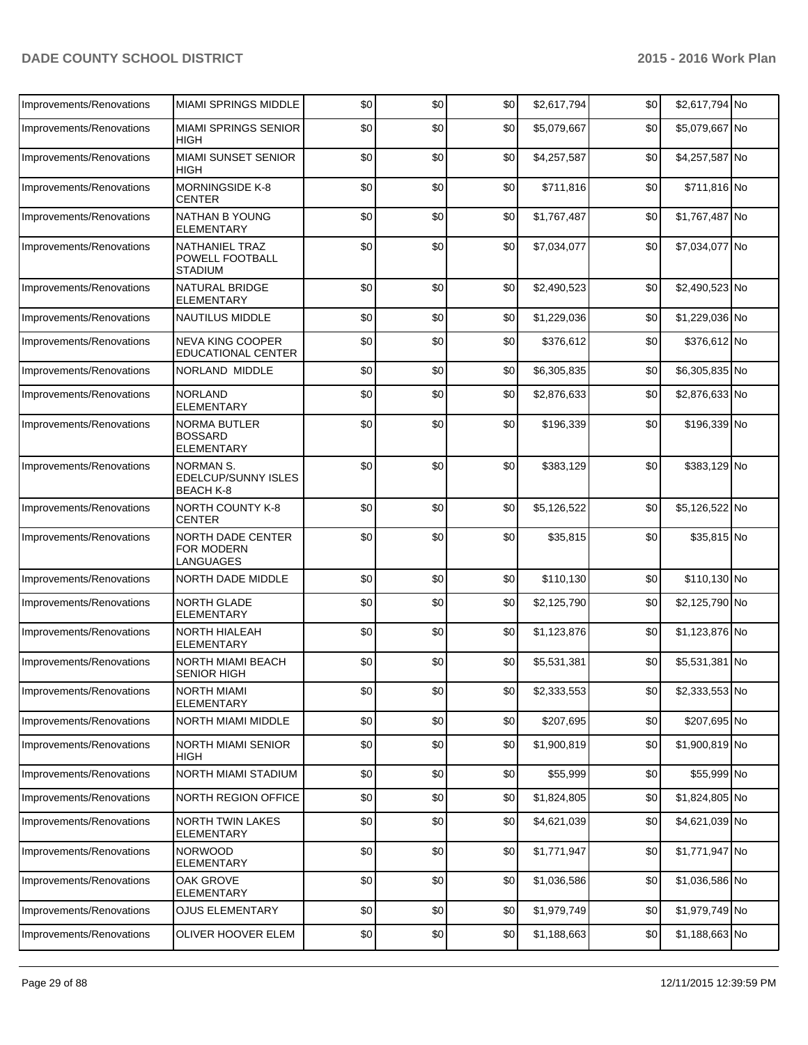| Improvements/Renovations | <b>MIAMI SPRINGS MIDDLE</b>                                | \$0 | \$0 | \$0 | \$2,617,794 | \$0 | \$2,617,794 No |  |
|--------------------------|------------------------------------------------------------|-----|-----|-----|-------------|-----|----------------|--|
| Improvements/Renovations | <b>MIAMI SPRINGS SENIOR</b><br>HIGH                        | \$0 | \$0 | \$0 | \$5,079,667 | \$0 | \$5,079,667 No |  |
| Improvements/Renovations | <b>MIAMI SUNSET SENIOR</b><br>HIGH                         | \$0 | \$0 | \$0 | \$4,257,587 | \$0 | \$4,257,587 No |  |
| Improvements/Renovations | <b>MORNINGSIDE K-8</b><br><b>CENTER</b>                    | \$0 | \$0 | \$0 | \$711,816   | \$0 | \$711,816 No   |  |
| Improvements/Renovations | NATHAN B YOUNG<br>ELEMENTARY                               | \$0 | \$0 | \$0 | \$1,767,487 | \$0 | \$1,767,487 No |  |
| Improvements/Renovations | NATHANIEL TRAZ<br>POWELL FOOTBALL<br><b>STADIUM</b>        | \$0 | \$0 | \$0 | \$7,034,077 | \$0 | \$7,034,077 No |  |
| Improvements/Renovations | <b>NATURAL BRIDGE</b><br><b>ELEMENTARY</b>                 | \$0 | \$0 | \$0 | \$2,490,523 | \$0 | \$2,490,523 No |  |
| Improvements/Renovations | <b>NAUTILUS MIDDLE</b>                                     | \$0 | \$0 | \$0 | \$1,229,036 | \$0 | \$1,229,036 No |  |
| Improvements/Renovations | <b>NEVA KING COOPER</b><br><b>EDUCATIONAL CENTER</b>       | \$0 | \$0 | \$0 | \$376,612   | \$0 | \$376,612 No   |  |
| Improvements/Renovations | NORLAND MIDDLE                                             | \$0 | \$0 | \$0 | \$6,305,835 | \$0 | \$6,305,835 No |  |
| Improvements/Renovations | NORLAND<br><b>ELEMENTARY</b>                               | \$0 | \$0 | \$0 | \$2,876,633 | \$0 | \$2,876,633 No |  |
| Improvements/Renovations | <b>NORMA BUTLER</b><br><b>BOSSARD</b><br><b>ELEMENTARY</b> | \$0 | \$0 | \$0 | \$196,339   | \$0 | \$196,339 No   |  |
| Improvements/Renovations | NORMAN S.<br>EDELCUP/SUNNY ISLES<br><b>BEACH K-8</b>       | \$0 | \$0 | \$0 | \$383,129   | \$0 | \$383,129 No   |  |
| Improvements/Renovations | <b>NORTH COUNTY K-8</b><br><b>CENTER</b>                   | \$0 | \$0 | \$0 | \$5,126,522 | \$0 | \$5,126,522 No |  |
| Improvements/Renovations | <b>NORTH DADE CENTER</b><br>FOR MODERN<br>LANGUAGES        | \$0 | \$0 | \$0 | \$35,815    | \$0 | \$35,815 No    |  |
| Improvements/Renovations | NORTH DADE MIDDLE                                          | \$0 | \$0 | \$0 | \$110,130   | \$0 | \$110,130 No   |  |
| Improvements/Renovations | NORTH GLADE<br><b>ELEMENTARY</b>                           | \$0 | \$0 | \$0 | \$2,125,790 | \$0 | \$2,125,790 No |  |
| Improvements/Renovations | NORTH HIALEAH<br><b>ELEMENTARY</b>                         | \$0 | \$0 | \$0 | \$1,123,876 | \$0 | \$1,123,876 No |  |
| Improvements/Renovations | <b>NORTH MIAMI BEACH</b><br>SENIOR HIGH                    | \$0 | \$0 | \$0 | \$5,531,381 | \$0 | \$5,531,381 No |  |
| Improvements/Renovations | <b>NORTH MIAMI</b><br><b>ELEMENTARY</b>                    | \$0 | \$0 | \$0 | \$2,333,553 | \$0 | \$2,333,553 No |  |
| Improvements/Renovations | NORTH MIAMI MIDDLE                                         | \$0 | \$0 | \$0 | \$207,695   | \$0 | \$207,695 No   |  |
| Improvements/Renovations | <b>NORTH MIAMI SENIOR</b><br>HIGH                          | \$0 | \$0 | \$0 | \$1,900,819 | \$0 | \$1,900,819 No |  |
| Improvements/Renovations | <b>NORTH MIAMI STADIUM</b>                                 | \$0 | \$0 | \$0 | \$55,999    | \$0 | \$55,999 No    |  |
| Improvements/Renovations | <b>NORTH REGION OFFICE</b>                                 | \$0 | \$0 | \$0 | \$1,824,805 | \$0 | \$1,824,805 No |  |
| Improvements/Renovations | <b>NORTH TWIN LAKES</b><br><b>ELEMENTARY</b>               | \$0 | \$0 | \$0 | \$4,621,039 | \$0 | \$4,621,039 No |  |
| Improvements/Renovations | <b>NORWOOD</b><br><b>ELEMENTARY</b>                        | \$0 | \$0 | \$0 | \$1,771,947 | \$0 | \$1,771,947 No |  |
| Improvements/Renovations | OAK GROVE<br>ELEMENTARY                                    | \$0 | \$0 | \$0 | \$1,036,586 | \$0 | \$1,036,586 No |  |
| Improvements/Renovations | <b>OJUS ELEMENTARY</b>                                     | \$0 | \$0 | \$0 | \$1,979,749 | \$0 | \$1,979,749 No |  |
| Improvements/Renovations | OLIVER HOOVER ELEM                                         | \$0 | \$0 | \$0 | \$1,188,663 | \$0 | \$1,188,663 No |  |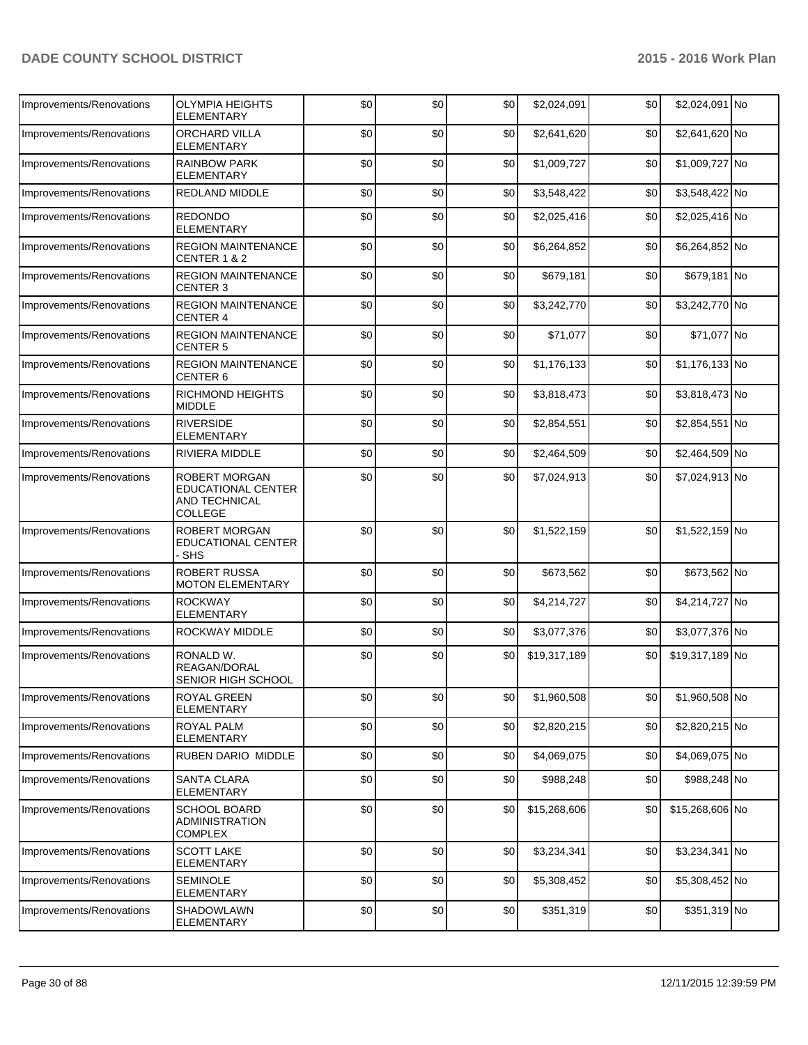| Improvements/Renovations | <b>OLYMPIA HEIGHTS</b><br><b>ELEMENTARY</b>                            | \$0 | \$0 | \$0 | \$2,024,091  | \$0 | \$2,024,091 No  |  |
|--------------------------|------------------------------------------------------------------------|-----|-----|-----|--------------|-----|-----------------|--|
| Improvements/Renovations | ORCHARD VILLA<br>ELEMENTARY                                            | \$0 | \$0 | \$0 | \$2,641,620  | \$0 | \$2,641,620 No  |  |
| Improvements/Renovations | <b>RAINBOW PARK</b><br><b>ELEMENTARY</b>                               | \$0 | \$0 | \$0 | \$1,009,727  | \$0 | \$1,009,727 No  |  |
| Improvements/Renovations | REDLAND MIDDLE                                                         | \$0 | \$0 | \$0 | \$3,548,422  | \$0 | \$3,548,422 No  |  |
| Improvements/Renovations | <b>REDONDO</b><br><b>ELEMENTARY</b>                                    | \$0 | \$0 | \$0 | \$2,025,416  | \$0 | \$2,025,416 No  |  |
| Improvements/Renovations | <b>REGION MAINTENANCE</b><br>CENTER 1 & 2                              | \$0 | \$0 | \$0 | \$6,264,852  | \$0 | \$6,264,852 No  |  |
| Improvements/Renovations | <b>REGION MAINTENANCE</b><br><b>CENTER 3</b>                           | \$0 | \$0 | \$0 | \$679,181    | \$0 | \$679,181 No    |  |
| Improvements/Renovations | <b>REGION MAINTENANCE</b><br><b>CENTER 4</b>                           | \$0 | \$0 | \$0 | \$3,242,770  | \$0 | \$3,242,770 No  |  |
| Improvements/Renovations | <b>REGION MAINTENANCE</b><br><b>CENTER 5</b>                           | \$0 | \$0 | \$0 | \$71,077     | \$0 | \$71,077 No     |  |
| Improvements/Renovations | <b>REGION MAINTENANCE</b><br><b>CENTER 6</b>                           | \$0 | \$0 | \$0 | \$1,176,133  | \$0 | \$1,176,133 No  |  |
| Improvements/Renovations | RICHMOND HEIGHTS<br><b>MIDDLE</b>                                      | \$0 | \$0 | \$0 | \$3,818,473  | \$0 | \$3,818,473 No  |  |
| Improvements/Renovations | <b>RIVERSIDE</b><br><b>ELEMENTARY</b>                                  | \$0 | \$0 | \$0 | \$2,854,551  | \$0 | \$2,854,551 No  |  |
| Improvements/Renovations | RIVIERA MIDDLE                                                         | \$0 | \$0 | \$0 | \$2,464,509  | \$0 | \$2,464,509 No  |  |
| Improvements/Renovations | ROBERT MORGAN<br><b>EDUCATIONAL CENTER</b><br>AND TECHNICAL<br>COLLEGE | \$0 | \$0 | \$0 | \$7,024,913  | \$0 | \$7,024,913 No  |  |
| Improvements/Renovations | ROBERT MORGAN<br>EDUCATIONAL CENTER<br>- SHS                           | \$0 | \$0 | \$0 | \$1,522,159  | \$0 | $$1,522,159$ No |  |
| Improvements/Renovations | <b>ROBERT RUSSA</b><br><b>MOTON ELEMENTARY</b>                         | \$0 | \$0 | \$0 | \$673,562    | \$0 | \$673,562 No    |  |
| Improvements/Renovations | <b>ROCKWAY</b><br><b>ELEMENTARY</b>                                    | \$0 | \$0 | \$0 | \$4,214,727  | \$0 | \$4,214,727 No  |  |
| Improvements/Renovations | ROCKWAY MIDDLE                                                         | \$0 | \$0 | \$0 | \$3,077,376  | \$0 | \$3,077,376 No  |  |
| Improvements/Renovations | RONALD W.<br>REAGAN/DORAL<br>SENIOR HIGH SCHOOL                        | \$0 | \$0 | \$0 | \$19,317,189 | \$0 | \$19,317,189 No |  |
| Improvements/Renovations | ROYAL GREEN<br><b>ELEMENTARY</b>                                       | \$0 | \$0 | \$0 | \$1,960,508  | \$0 | \$1,960,508 No  |  |
| Improvements/Renovations | <b>ROYAL PALM</b><br><b>ELEMENTARY</b>                                 | \$0 | \$0 | \$0 | \$2,820,215  | \$0 | \$2,820,215 No  |  |
| Improvements/Renovations | RUBEN DARIO MIDDLE                                                     | \$0 | \$0 | \$0 | \$4,069,075  | \$0 | \$4,069,075 No  |  |
| Improvements/Renovations | <b>SANTA CLARA</b><br><b>ELEMENTARY</b>                                | \$0 | \$0 | \$0 | \$988,248    | \$0 | \$988,248 No    |  |
| Improvements/Renovations | <b>SCHOOL BOARD</b><br><b>ADMINISTRATION</b><br>COMPLEX                | \$0 | \$0 | \$0 | \$15,268,606 | \$0 | \$15,268,606 No |  |
| Improvements/Renovations | <b>SCOTT LAKE</b><br>ELEMENTARY                                        | \$0 | \$0 | \$0 | \$3,234,341  | \$0 | \$3,234,341 No  |  |
| Improvements/Renovations | <b>SEMINOLE</b><br>ELEMENTARY                                          | \$0 | \$0 | \$0 | \$5,308,452  | \$0 | \$5,308,452 No  |  |
| Improvements/Renovations | SHADOWLAWN<br>ELEMENTARY                                               | \$0 | \$0 | \$0 | \$351,319    | \$0 | \$351,319 No    |  |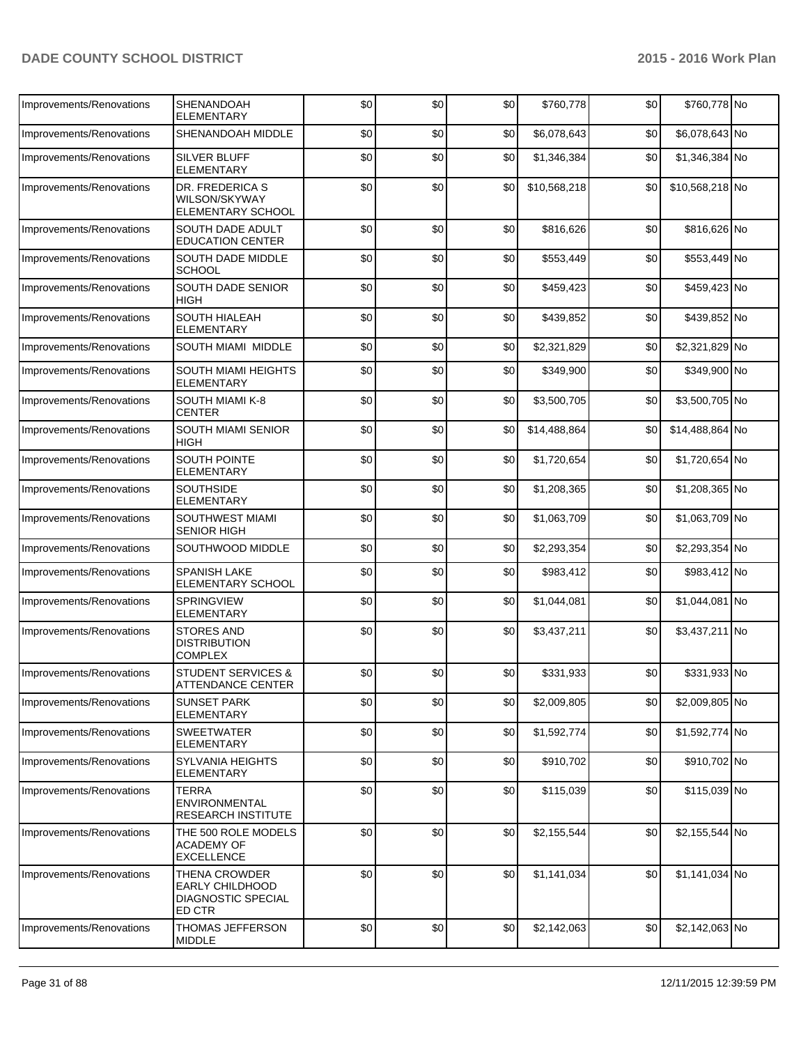| Improvements/Renovations | SHENANDOAH<br><b>ELEMENTARY</b>                                  | \$0 | \$0 | \$0 | \$760,778    | \$0 | \$760,778 No    |  |
|--------------------------|------------------------------------------------------------------|-----|-----|-----|--------------|-----|-----------------|--|
| Improvements/Renovations | SHENANDOAH MIDDLE                                                | \$0 | \$0 | \$0 | \$6,078,643  | \$0 | \$6,078,643 No  |  |
| Improvements/Renovations | SILVER BLUFF<br><b>ELEMENTARY</b>                                | \$0 | \$0 | \$0 | \$1,346,384  | \$0 | \$1,346,384 No  |  |
| Improvements/Renovations | DR. FREDERICA S<br>WILSON/SKYWAY<br>ELEMENTARY SCHOOL            | \$0 | \$0 | \$0 | \$10,568,218 | \$0 | \$10,568,218 No |  |
| Improvements/Renovations | SOUTH DADE ADULT<br><b>EDUCATION CENTER</b>                      | \$0 | \$0 | \$0 | \$816,626    | \$0 | \$816,626 No    |  |
| Improvements/Renovations | <b>SOUTH DADE MIDDLE</b><br><b>SCHOOL</b>                        | \$0 | \$0 | \$0 | \$553,449    | \$0 | \$553,449 No    |  |
| Improvements/Renovations | SOUTH DADE SENIOR<br><b>HIGH</b>                                 | \$0 | \$0 | \$0 | \$459,423    | \$0 | \$459,423 No    |  |
| Improvements/Renovations | SOUTH HIALEAH<br>ELEMENTARY                                      | \$0 | \$0 | \$0 | \$439,852    | \$0 | \$439,852 No    |  |
| Improvements/Renovations | SOUTH MIAMI MIDDLE                                               | \$0 | \$0 | \$0 | \$2,321,829  | \$0 | \$2,321,829 No  |  |
| Improvements/Renovations | SOUTH MIAMI HEIGHTS<br><b>ELEMENTARY</b>                         | \$0 | \$0 | \$0 | \$349,900    | \$0 | \$349,900 No    |  |
| Improvements/Renovations | SOUTH MIAMI K-8<br><b>CENTER</b>                                 | \$0 | \$0 | \$0 | \$3,500,705  | \$0 | \$3,500,705 No  |  |
| Improvements/Renovations | SOUTH MIAMI SENIOR<br><b>HIGH</b>                                | \$0 | \$0 | \$0 | \$14,488,864 | \$0 | \$14,488,864 No |  |
| Improvements/Renovations | <b>SOUTH POINTE</b><br><b>ELEMENTARY</b>                         | \$0 | \$0 | \$0 | \$1,720,654  | \$0 | \$1,720,654 No  |  |
| Improvements/Renovations | <b>SOUTHSIDE</b><br><b>ELEMENTARY</b>                            | \$0 | \$0 | \$0 | \$1,208,365  | \$0 | \$1,208,365 No  |  |
| Improvements/Renovations | SOUTHWEST MIAMI<br>SENIOR HIGH                                   | \$0 | \$0 | \$0 | \$1,063,709  | \$0 | \$1,063,709 No  |  |
| Improvements/Renovations | SOUTHWOOD MIDDLE                                                 | \$0 | \$0 | \$0 | \$2,293,354  | \$0 | \$2,293,354 No  |  |
| Improvements/Renovations | SPANISH LAKE<br>ELEMENTARY SCHOOL                                | \$0 | \$0 | \$0 | \$983,412    | \$0 | \$983,412 No    |  |
| Improvements/Renovations | SPRINGVIEW<br><b>ELEMENTARY</b>                                  | \$0 | \$0 | \$0 | \$1,044,081  | \$0 | \$1,044,081 No  |  |
| Improvements/Renovations | STORES AND<br><b>DISTRIBUTION</b><br><b>COMPLEX</b>              | \$0 | \$0 | \$0 | \$3,437,211  | \$0 | \$3,437,211 No  |  |
| Improvements/Renovations | <b>STUDENT SERVICES &amp;</b><br>ATTENDANCE CENTER               | \$0 | \$0 | \$0 | \$331,933    | \$0 | \$331,933 No    |  |
| Improvements/Renovations | <b>SUNSET PARK</b><br><b>ELEMENTARY</b>                          | \$0 | \$0 | \$0 | \$2,009,805  | \$0 | \$2,009,805 No  |  |
| Improvements/Renovations | <b>SWEETWATER</b><br>ELEMENTARY                                  | \$0 | \$0 | \$0 | \$1,592,774  | \$0 | \$1,592,774 No  |  |
| Improvements/Renovations | <b>SYLVANIA HEIGHTS</b><br>ELEMENTARY                            | \$0 | \$0 | \$0 | \$910,702    | \$0 | \$910,702 No    |  |
| Improvements/Renovations | <b>TERRA</b><br>ENVIRONMENTAL<br>RESEARCH INSTITUTE              | \$0 | \$0 | \$0 | \$115,039    | \$0 | \$115,039 No    |  |
| Improvements/Renovations | THE 500 ROLE MODELS<br><b>ACADEMY OF</b><br><b>EXCELLENCE</b>    | \$0 | \$0 | \$0 | \$2,155,544  | \$0 | \$2,155,544 No  |  |
| Improvements/Renovations | THENA CROWDER<br>EARLY CHILDHOOD<br>DIAGNOSTIC SPECIAL<br>ED CTR | \$0 | \$0 | \$0 | \$1,141,034  | \$0 | \$1,141,034 No  |  |
| Improvements/Renovations | THOMAS JEFFERSON<br><b>MIDDLE</b>                                | \$0 | \$0 | \$0 | \$2,142,063  | \$0 | \$2,142,063 No  |  |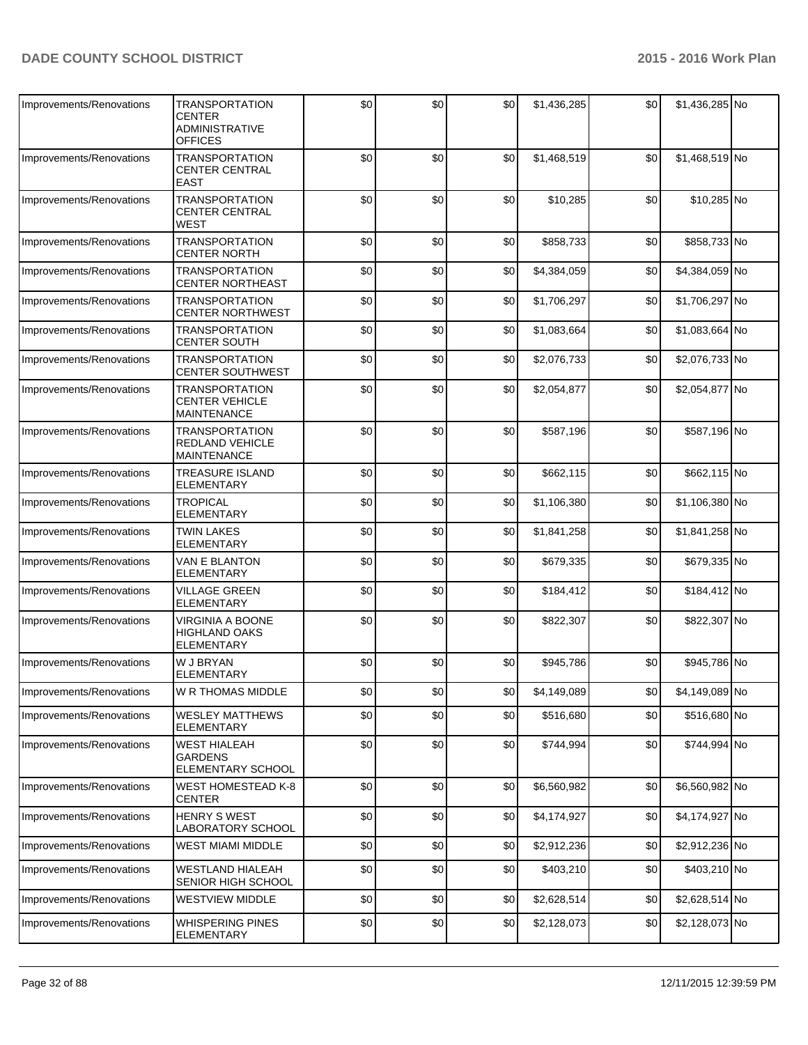| Improvements/Renovations | <b>TRANSPORTATION</b><br><b>CENTER</b><br><b>ADMINISTRATIVE</b><br><b>OFFICES</b> | \$0 | \$0 | \$0 | \$1,436,285 | \$0 | \$1,436,285 No |  |
|--------------------------|-----------------------------------------------------------------------------------|-----|-----|-----|-------------|-----|----------------|--|
| Improvements/Renovations | <b>TRANSPORTATION</b><br><b>CENTER CENTRAL</b><br><b>EAST</b>                     | \$0 | \$0 | \$0 | \$1,468,519 | \$0 | \$1,468,519 No |  |
| Improvements/Renovations | <b>TRANSPORTATION</b><br><b>CENTER CENTRAL</b><br>WEST                            | \$0 | \$0 | \$0 | \$10,285    | \$0 | \$10,285 No    |  |
| Improvements/Renovations | <b>TRANSPORTATION</b><br><b>CENTER NORTH</b>                                      | \$0 | \$0 | \$0 | \$858,733   | \$0 | \$858,733 No   |  |
| Improvements/Renovations | <b>TRANSPORTATION</b><br><b>CENTER NORTHEAST</b>                                  | \$0 | \$0 | \$0 | \$4,384,059 | \$0 | \$4,384,059 No |  |
| Improvements/Renovations | TRANSPORTATION<br><b>CENTER NORTHWEST</b>                                         | \$0 | \$0 | \$0 | \$1,706,297 | \$0 | \$1,706,297 No |  |
| Improvements/Renovations | <b>TRANSPORTATION</b><br><b>CENTER SOUTH</b>                                      | \$0 | \$0 | \$0 | \$1,083,664 | \$0 | \$1,083,664 No |  |
| Improvements/Renovations | <b>TRANSPORTATION</b><br><b>CENTER SOUTHWEST</b>                                  | \$0 | \$0 | \$0 | \$2,076,733 | \$0 | \$2,076,733 No |  |
| Improvements/Renovations | <b>TRANSPORTATION</b><br><b>CENTER VEHICLE</b><br><b>MAINTENANCE</b>              | \$0 | \$0 | \$0 | \$2,054,877 | \$0 | \$2,054,877 No |  |
| Improvements/Renovations | <b>TRANSPORTATION</b><br>REDLAND VEHICLE<br><b>MAINTENANCE</b>                    | \$0 | \$0 | \$0 | \$587,196   | \$0 | \$587,196 No   |  |
| Improvements/Renovations | <b>TREASURE ISLAND</b><br><b>ELEMENTARY</b>                                       | \$0 | \$0 | \$0 | \$662,115   | \$0 | \$662,115 No   |  |
| Improvements/Renovations | <b>TROPICAL</b><br><b>ELEMENTARY</b>                                              | \$0 | \$0 | \$0 | \$1,106,380 | \$0 | \$1,106,380 No |  |
| Improvements/Renovations | <b>TWIN LAKES</b><br><b>ELEMENTARY</b>                                            | \$0 | \$0 | \$0 | \$1,841,258 | \$0 | \$1,841,258 No |  |
| Improvements/Renovations | VAN E BLANTON<br><b>ELEMENTARY</b>                                                | \$0 | \$0 | \$0 | \$679,335   | \$0 | \$679,335 No   |  |
| Improvements/Renovations | <b>VILLAGE GREEN</b><br><b>ELEMENTARY</b>                                         | \$0 | \$0 | \$0 | \$184,412   | \$0 | \$184,412 No   |  |
| Improvements/Renovations | VIRGINIA A BOONE<br><b>HIGHLAND OAKS</b><br><b>ELEMENTARY</b>                     | \$0 | \$0 | \$0 | \$822,307   | \$0 | \$822,307 No   |  |
| Improvements/Renovations | W J BRYAN<br><b>ELEMENTARY</b>                                                    | \$0 | \$0 | \$0 | \$945,786   | \$0 | \$945,786 No   |  |
| Improvements/Renovations | W R THOMAS MIDDLE                                                                 | \$0 | \$0 | \$0 | \$4,149,089 | \$0 | \$4,149,089 No |  |
| Improvements/Renovations | <b>WESLEY MATTHEWS</b><br><b>ELEMENTARY</b>                                       | \$0 | \$0 | \$0 | \$516,680   | \$0 | \$516,680 No   |  |
| Improvements/Renovations | <b>WEST HIALEAH</b><br><b>GARDENS</b><br>ELEMENTARY SCHOOL                        | \$0 | \$0 | \$0 | \$744,994   | \$0 | \$744,994 No   |  |
| Improvements/Renovations | <b>WEST HOMESTEAD K-8</b><br><b>CENTER</b>                                        | \$0 | \$0 | \$0 | \$6,560,982 | \$0 | \$6,560,982 No |  |
| Improvements/Renovations | <b>HENRY S WEST</b><br>LABORATORY SCHOOL                                          | \$0 | \$0 | \$0 | \$4,174,927 | \$0 | \$4,174,927 No |  |
| Improvements/Renovations | <b>WEST MIAMI MIDDLE</b>                                                          | \$0 | \$0 | \$0 | \$2,912,236 | \$0 | \$2,912,236 No |  |
| Improvements/Renovations | <b>WESTLAND HIALEAH</b><br>SENIOR HIGH SCHOOL                                     | \$0 | \$0 | \$0 | \$403,210   | \$0 | \$403,210 No   |  |
| Improvements/Renovations | <b>WESTVIEW MIDDLE</b>                                                            | \$0 | \$0 | \$0 | \$2,628,514 | \$0 | \$2,628,514 No |  |
| Improvements/Renovations | <b>WHISPERING PINES</b><br>ELEMENTARY                                             | \$0 | \$0 | \$0 | \$2,128,073 | \$0 | \$2,128,073 No |  |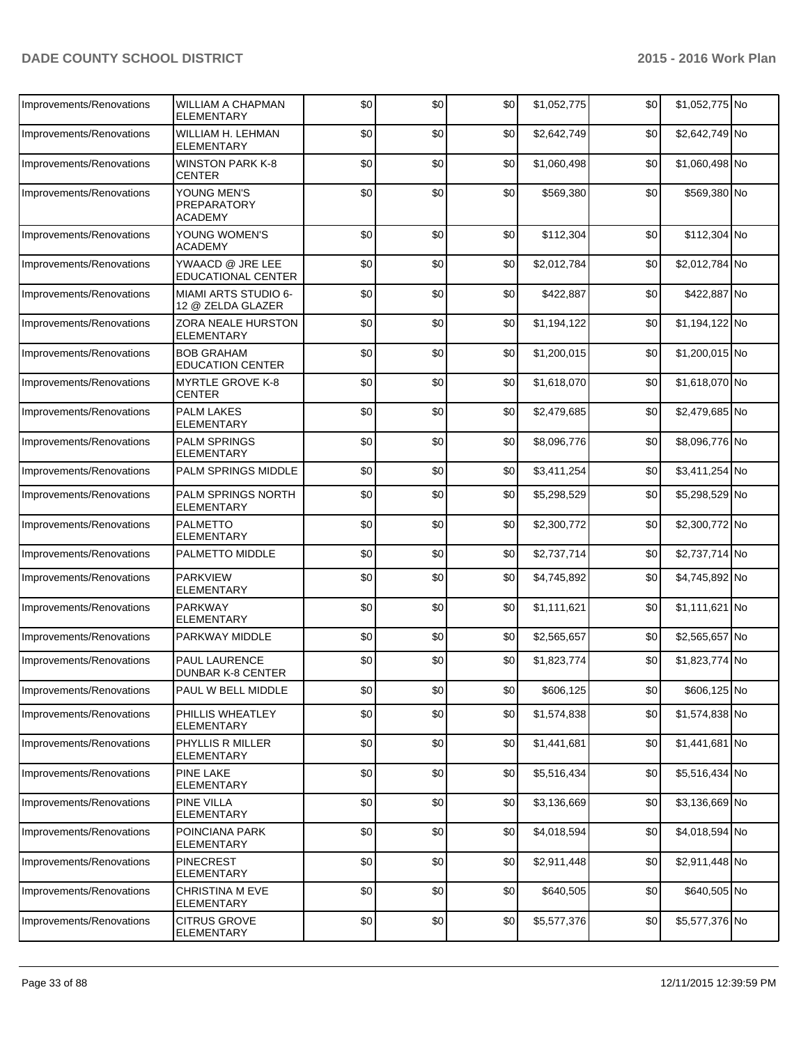| Improvements/Renovations | WILLIAM A CHAPMAN<br><b>ELEMENTARY</b>       | \$0 | \$0  | \$0  | \$1,052,775 | \$0  | \$1,052,775 No |  |
|--------------------------|----------------------------------------------|-----|------|------|-------------|------|----------------|--|
| Improvements/Renovations | WILLIAM H. LEHMAN<br>ELEMENTARY              | \$0 | \$0  | \$0  | \$2,642,749 | \$0  | \$2,642,749 No |  |
| Improvements/Renovations | <b>WINSTON PARK K-8</b><br><b>CENTER</b>     | \$0 | \$0  | \$0  | \$1,060,498 | \$0  | \$1,060,498 No |  |
| Improvements/Renovations | YOUNG MEN'S<br>PREPARATORY<br>ACADEMY        | \$0 | \$0  | \$0  | \$569,380   | \$0  | \$569,380 No   |  |
| Improvements/Renovations | YOUNG WOMEN'S<br><b>ACADEMY</b>              | \$0 | \$0  | \$0  | \$112,304   | \$0  | \$112,304 No   |  |
| Improvements/Renovations | YWAACD @ JRE LEE<br>EDUCATIONAL CENTER       | \$0 | \$0  | \$0  | \$2,012,784 | \$0  | \$2,012,784 No |  |
| Improvements/Renovations | MIAMI ARTS STUDIO 6-<br>12 @ ZELDA GLAZER    | \$0 | \$0  | \$0  | \$422,887   | \$0  | \$422,887 No   |  |
| Improvements/Renovations | ZORA NEALE HURSTON<br><b>ELEMENTARY</b>      | \$0 | \$0  | \$0  | \$1,194,122 | \$0  | \$1,194,122 No |  |
| Improvements/Renovations | <b>BOB GRAHAM</b><br><b>EDUCATION CENTER</b> | \$0 | \$0  | \$0  | \$1,200,015 | \$0  | \$1,200,015 No |  |
| Improvements/Renovations | <b>MYRTLE GROVE K-8</b><br><b>CENTER</b>     | \$0 | \$0  | \$0  | \$1,618,070 | \$0  | \$1,618,070 No |  |
| Improvements/Renovations | <b>PALM LAKES</b><br><b>ELEMENTARY</b>       | \$0 | \$0  | \$0  | \$2,479,685 | \$0  | \$2,479,685 No |  |
| Improvements/Renovations | <b>PALM SPRINGS</b><br><b>ELEMENTARY</b>     | \$0 | \$0  | \$0  | \$8,096,776 | \$0  | \$8,096,776 No |  |
| Improvements/Renovations | <b>PALM SPRINGS MIDDLE</b>                   | \$0 | \$0  | \$0  | \$3,411,254 | \$0  | \$3,411,254 No |  |
| Improvements/Renovations | PALM SPRINGS NORTH<br><b>ELEMENTARY</b>      | \$0 | \$0  | \$0  | \$5,298,529 | \$0  | \$5,298,529 No |  |
| Improvements/Renovations | <b>PALMETTO</b><br><b>ELEMENTARY</b>         | \$0 | \$0  | \$0  | \$2,300,772 | \$0  | \$2,300,772 No |  |
| Improvements/Renovations | PALMETTO MIDDLE                              | \$0 | \$0  | \$0  | \$2,737,714 | \$0  | \$2,737,714 No |  |
| Improvements/Renovations | <b>PARKVIEW</b><br>ELEMENTARY                | \$0 | \$0  | \$0  | \$4,745,892 | \$0  | \$4,745,892 No |  |
| Improvements/Renovations | <b>PARKWAY</b><br><b>ELEMENTARY</b>          | \$0 | \$0  | \$0  | \$1,111,621 | \$0  | \$1,111,621 No |  |
| Improvements/Renovations | PARKWAY MIDDLE                               | \$0 | \$0  | \$0  | \$2,565,657 | \$0  | \$2,565,657 No |  |
| Improvements/Renovations | <b>PAUL LAURENCE</b><br>DUNBAR K-8 CENTER    | \$0 | \$0  | \$0  | \$1,823,774 | \$0  | \$1,823,774 No |  |
| Improvements/Renovations | PAUL W BELL MIDDLE                           | \$0 | \$0] | \$0] | \$606,125   | \$0] | \$606,125 No   |  |
| Improvements/Renovations | PHILLIS WHEATLEY<br><b>ELEMENTARY</b>        | \$0 | \$0  | \$0  | \$1,574,838 | \$0  | \$1,574,838 No |  |
| Improvements/Renovations | PHYLLIS R MILLER<br>ELEMENTARY               | \$0 | \$0  | \$0  | \$1,441,681 | \$0  | \$1,441,681 No |  |
| Improvements/Renovations | PINE LAKE<br><b>ELEMENTARY</b>               | \$0 | \$0  | \$0  | \$5,516,434 | \$0  | \$5,516,434 No |  |
| Improvements/Renovations | PINE VILLA<br>ELEMENTARY                     | \$0 | \$0  | \$0  | \$3,136,669 | \$0  | \$3,136,669 No |  |
| Improvements/Renovations | POINCIANA PARK<br><b>ELEMENTARY</b>          | \$0 | \$0  | \$0  | \$4,018,594 | \$0  | \$4,018,594 No |  |
| Improvements/Renovations | <b>PINECREST</b><br><b>ELEMENTARY</b>        | \$0 | \$0  | \$0  | \$2,911,448 | \$0  | \$2,911,448 No |  |
| Improvements/Renovations | <b>CHRISTINA M EVE</b><br>ELEMENTARY         | \$0 | \$0  | \$0  | \$640,505   | \$0  | \$640,505 No   |  |
| Improvements/Renovations | CITRUS GROVE<br>ELEMENTARY                   | \$0 | \$0  | \$0  | \$5,577,376 | \$0  | \$5,577,376 No |  |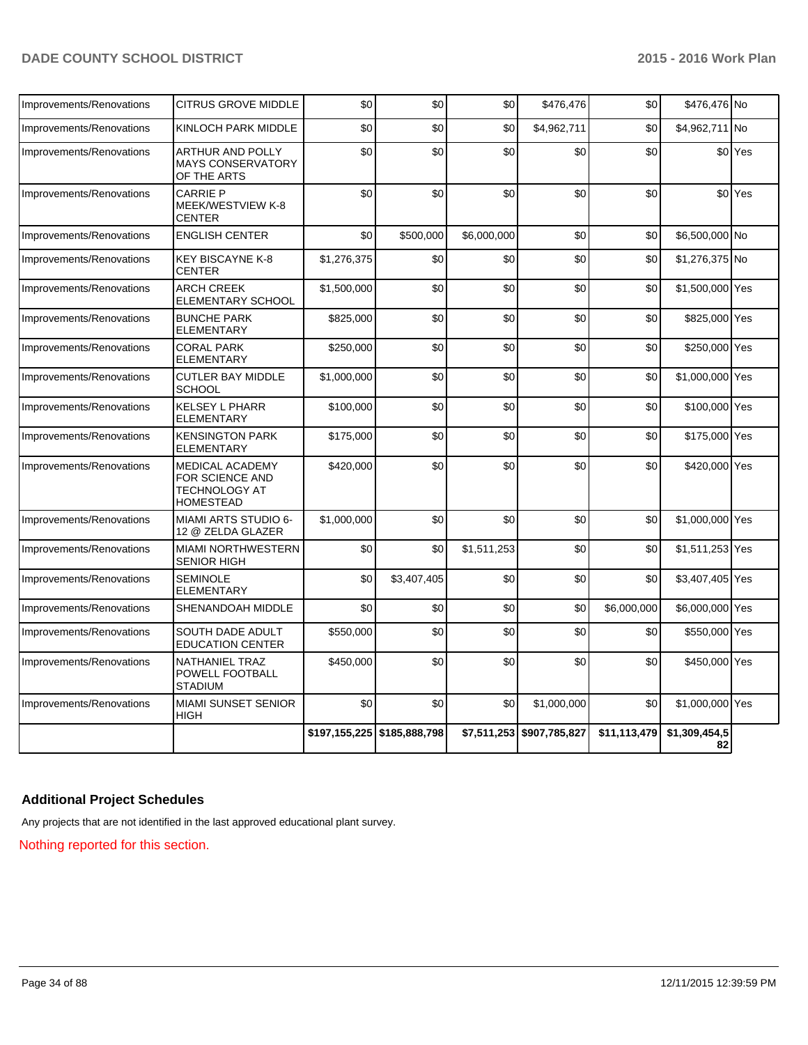| Improvements/Renovations | <b>CITRUS GROVE MIDDLE</b>                                              | \$0         | \$0                         | \$0         | \$476,476                 | \$0          | \$476,476 No        |         |
|--------------------------|-------------------------------------------------------------------------|-------------|-----------------------------|-------------|---------------------------|--------------|---------------------|---------|
| Improvements/Renovations | KINLOCH PARK MIDDLE                                                     | \$0         | \$0                         | \$0         | \$4,962,711               | \$0          | \$4,962,711 No      |         |
| Improvements/Renovations | ARTHUR AND POLLY<br><b>MAYS CONSERVATORY</b><br>OF THE ARTS             | \$0         | \$0                         | \$0         | \$0                       | \$0          |                     | \$0 Yes |
| Improvements/Renovations | <b>CARRIE P</b><br>MEEK/WESTVIEW K-8<br><b>CENTER</b>                   | \$0         | \$0                         | \$0         | \$0                       | \$0          |                     | \$0 Yes |
| Improvements/Renovations | <b>ENGLISH CENTER</b>                                                   | \$0         | \$500,000                   | \$6,000,000 | \$0                       | \$0          | \$6,500,000 No      |         |
| Improvements/Renovations | <b>KEY BISCAYNE K-8</b><br><b>CENTER</b>                                | \$1,276,375 | \$0                         | \$0         | \$0                       | \$0          | \$1,276,375 No      |         |
| Improvements/Renovations | <b>ARCH CREEK</b><br>ELEMENTARY SCHOOL                                  | \$1,500,000 | \$0                         | \$0         | \$0                       | \$0          | \$1,500,000 Yes     |         |
| Improvements/Renovations | <b>BUNCHE PARK</b><br><b>ELEMENTARY</b>                                 | \$825,000   | \$0                         | \$0         | \$0                       | \$0          | \$825,000 Yes       |         |
| Improvements/Renovations | <b>CORAL PARK</b><br><b>ELEMENTARY</b>                                  | \$250,000   | \$0                         | \$0         | \$0                       | \$0          | \$250,000 Yes       |         |
| Improvements/Renovations | <b>CUTLER BAY MIDDLE</b><br><b>SCHOOL</b>                               | \$1,000,000 | \$0                         | \$0         | \$0                       | \$0          | \$1,000,000 Yes     |         |
| Improvements/Renovations | <b>KELSEY L PHARR</b><br><b>ELEMENTARY</b>                              | \$100,000   | \$0                         | \$0         | \$0                       | \$0          | \$100,000 Yes       |         |
| Improvements/Renovations | <b>KENSINGTON PARK</b><br><b>ELEMENTARY</b>                             | \$175,000   | \$0                         | \$0         | \$0                       | \$0          | \$175,000 Yes       |         |
| Improvements/Renovations | MEDICAL ACADEMY<br>FOR SCIENCE AND<br>TECHNOLOGY AT<br><b>HOMESTEAD</b> | \$420,000   | \$0                         | \$0         | \$0                       | \$0          | \$420,000 Yes       |         |
| Improvements/Renovations | <b>MIAMI ARTS STUDIO 6-</b><br>12 @ ZELDA GLAZER                        | \$1,000,000 | \$0                         | \$0         | \$0                       | \$0          | \$1,000,000 Yes     |         |
| Improvements/Renovations | MIAMI NORTHWESTERN<br><b>SENIOR HIGH</b>                                | \$0         | \$0                         | \$1,511,253 | \$0                       | \$0          | \$1,511,253 Yes     |         |
| Improvements/Renovations | <b>SEMINOLE</b><br><b>ELEMENTARY</b>                                    | \$0         | \$3,407,405                 | \$0         | \$0                       | \$0          | \$3,407,405 Yes     |         |
| Improvements/Renovations | SHENANDOAH MIDDLE                                                       | \$0         | \$0                         | \$0         | \$0                       | \$6,000,000  | \$6,000,000 Yes     |         |
| Improvements/Renovations | SOUTH DADE ADULT<br><b>EDUCATION CENTER</b>                             | \$550,000   | \$0                         | \$0         | \$0                       | \$0          | \$550,000 Yes       |         |
| Improvements/Renovations | NATHANIEL TRAZ<br>POWELL FOOTBALL<br><b>STADIUM</b>                     | \$450.000   | \$0                         | \$0         | \$0                       | \$0          | \$450,000 Yes       |         |
| Improvements/Renovations | <b>MIAMI SUNSET SENIOR</b><br><b>HIGH</b>                               | \$0         | \$0                         | \$0         | \$1,000,000               | \$0          | \$1,000,000 Yes     |         |
|                          |                                                                         |             | \$197,155,225 \$185,888,798 |             | \$7,511,253 \$907,785,827 | \$11,113,479 | \$1,309,454,5<br>82 |         |

## **Additional Project Schedules**

Any projects that are not identified in the last approved educational plant survey.

Nothing reported for this section.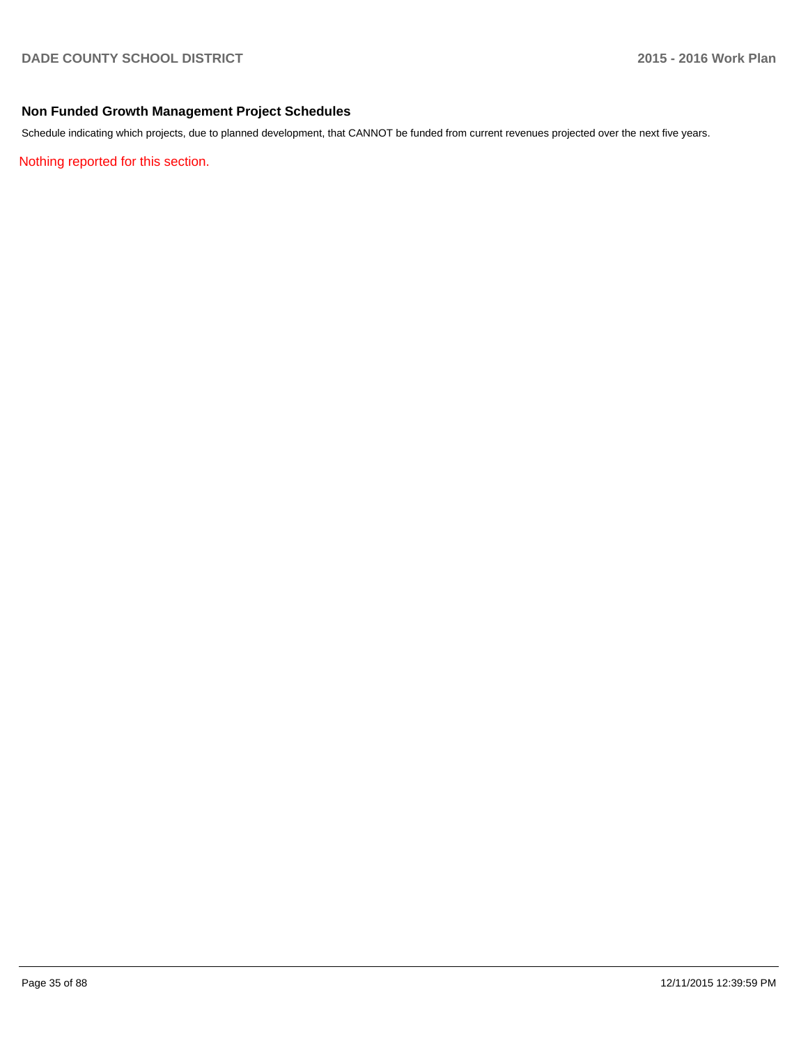## **Non Funded Growth Management Project Schedules**

Schedule indicating which projects, due to planned development, that CANNOT be funded from current revenues projected over the next five years.

Nothing reported for this section.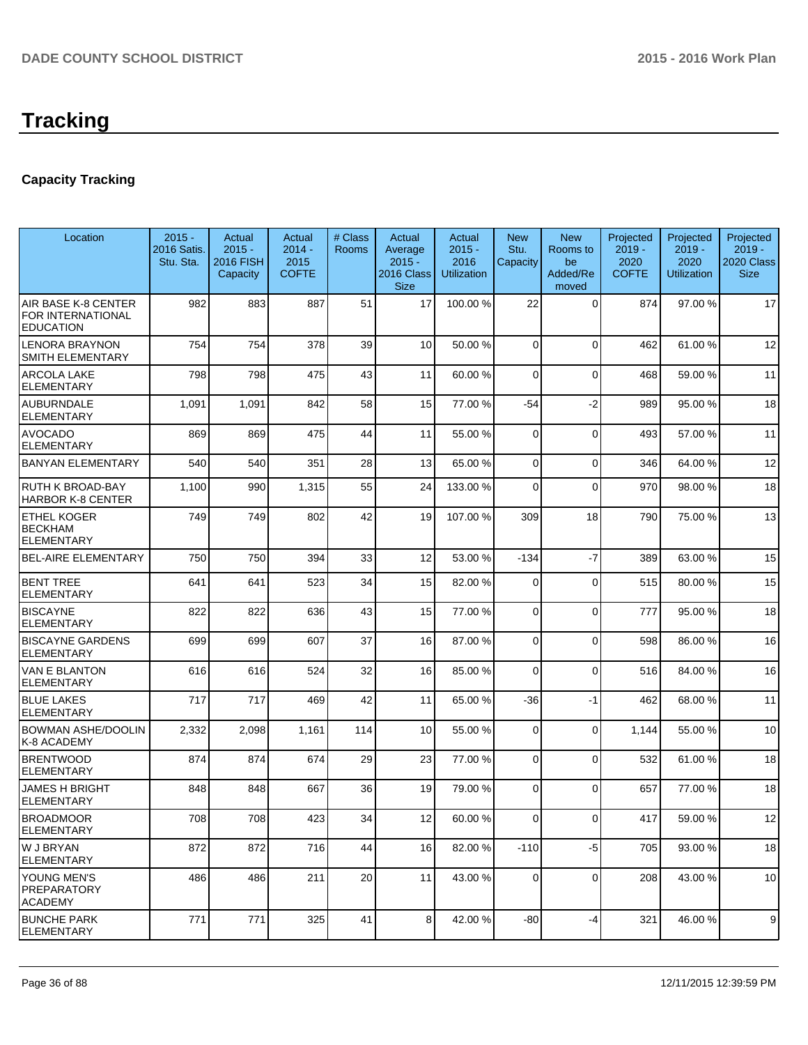# **Tracking**

## **Capacity Tracking**

| Location                                                     | $2015 -$<br>2016 Satis.<br>Stu. Sta. | <b>Actual</b><br>$2015 -$<br><b>2016 FISH</b><br>Capacity | Actual<br>$2014 -$<br>2015<br><b>COFTE</b> | # Class<br>Rooms | Actual<br>Average<br>$2015 -$<br>2016 Class<br><b>Size</b> | Actual<br>$2015 -$<br>2016<br><b>Utilization</b> | <b>New</b><br>Stu.<br>Capacity | <b>New</b><br>Rooms to<br>be<br>Added/Re<br>moved | Projected<br>$2019 -$<br>2020<br><b>COFTE</b> | Projected<br>$2019 -$<br>2020<br><b>Utilization</b> | Projected<br>$2019 -$<br>2020 Class<br><b>Size</b> |
|--------------------------------------------------------------|--------------------------------------|-----------------------------------------------------------|--------------------------------------------|------------------|------------------------------------------------------------|--------------------------------------------------|--------------------------------|---------------------------------------------------|-----------------------------------------------|-----------------------------------------------------|----------------------------------------------------|
| AIR BASE K-8 CENTER<br>FOR INTERNATIONAL<br><b>EDUCATION</b> | 982                                  | 883                                                       | 887                                        | 51               | 17                                                         | 100.00 %                                         | 22                             | $\Omega$                                          | 874                                           | 97.00 %                                             | 17                                                 |
| <b>LENORA BRAYNON</b><br><b>SMITH ELEMENTARY</b>             | 754                                  | 754                                                       | 378                                        | 39               | 10                                                         | 50.00 %                                          | $\Omega$                       | $\Omega$                                          | 462                                           | 61.00%                                              | 12                                                 |
| <b>ARCOLA LAKE</b><br><b>ELEMENTARY</b>                      | 798                                  | 798                                                       | 475                                        | 43               | 11                                                         | 60.00 %                                          | $\Omega$                       | $\Omega$                                          | 468                                           | 59.00 %                                             | 11                                                 |
| <b>AUBURNDALE</b><br><b>ELEMENTARY</b>                       | 1,091                                | 1,091                                                     | 842                                        | 58               | 15                                                         | 77.00 %                                          | $-54$                          | $-2$                                              | 989                                           | 95.00 %                                             | 18                                                 |
| <b>AVOCADO</b><br><b>ELEMENTARY</b>                          | 869                                  | 869                                                       | 475                                        | 44               | 11                                                         | 55.00 %                                          | $\Omega$                       | $\mathbf 0$                                       | 493                                           | 57.00 %                                             | 11                                                 |
| <b>BANYAN ELEMENTARY</b>                                     | 540                                  | 540                                                       | 351                                        | 28               | 13 <sup>1</sup>                                            | 65.00 %                                          | $\Omega$                       | $\mathbf 0$                                       | 346                                           | 64.00%                                              | 12                                                 |
| <b>RUTH K BROAD-BAY</b><br><b>HARBOR K-8 CENTER</b>          | 1,100                                | 990                                                       | 1,315                                      | 55               | 24                                                         | 133.00 %                                         | $\Omega$                       | $\Omega$                                          | 970                                           | 98.00 %                                             | 18                                                 |
| <b>ETHEL KOGER</b><br><b>BECKHAM</b><br><b>ELEMENTARY</b>    | 749                                  | 749                                                       | 802                                        | 42               | 19                                                         | 107.00 %                                         | 309                            | 18                                                | 790                                           | 75.00 %                                             | 13                                                 |
| <b>BEL-AIRE ELEMENTARY</b>                                   | 750                                  | 750                                                       | 394                                        | 33               | 12                                                         | 53.00 %                                          | $-134$                         | $-7$                                              | 389                                           | 63.00 %                                             | 15                                                 |
| <b>BENT TREE</b><br><b>ELEMENTARY</b>                        | 641                                  | 641                                                       | 523                                        | 34               | 15                                                         | 82.00 %                                          | $\Omega$                       | $\mathbf 0$                                       | 515                                           | 80.00%                                              | 15                                                 |
| <b>BISCAYNE</b><br><b>ELEMENTARY</b>                         | 822                                  | 822                                                       | 636                                        | 43               | 15                                                         | 77.00 %                                          | $\overline{0}$                 | $\mathbf 0$                                       | 777                                           | 95.00 %                                             | 18                                                 |
| <b>BISCAYNE GARDENS</b><br><b>ELEMENTARY</b>                 | 699                                  | 699                                                       | 607                                        | 37               | 16                                                         | 87.00 %                                          | $\overline{0}$                 | $\Omega$                                          | 598                                           | 86.00%                                              | 16                                                 |
| <b>VAN E BLANTON</b><br><b>ELEMENTARY</b>                    | 616                                  | 616                                                       | 524                                        | 32               | 16                                                         | 85.00 %                                          | $\Omega$                       | $\Omega$                                          | 516                                           | 84.00 %                                             | 16                                                 |
| <b>BLUE LAKES</b><br><b>ELEMENTARY</b>                       | 717                                  | 717                                                       | 469                                        | 42               | 11                                                         | 65.00 %                                          | $-36$                          | $-1$                                              | 462                                           | 68.00%                                              | 11                                                 |
| BOWMAN ASHE/DOOLIN<br>K-8 ACADEMY                            | 2,332                                | 2,098                                                     | 1,161                                      | 114              | 10 <sup>1</sup>                                            | 55.00 %                                          | $\overline{0}$                 | $\Omega$                                          | 1,144                                         | 55.00 %                                             | 10                                                 |
| <b>BRENTWOOD</b><br><b>ELEMENTARY</b>                        | 874                                  | 874                                                       | 674                                        | 29               | 23                                                         | 77.00 %                                          | 0                              | $\Omega$                                          | 532                                           | 61.00%                                              | 18                                                 |
| <b>JAMES H BRIGHT</b><br><b>ELEMENTARY</b>                   | 848                                  | 848                                                       | 667                                        | 36               | 19                                                         | 79.00 %                                          | $\Omega$                       | $\Omega$                                          | 657                                           | 77.00 %                                             | 18                                                 |
| <b>BROADMOOR</b><br><b>ELEMENTARY</b>                        | 708                                  | 708                                                       | 423                                        | 34               | 12                                                         | 60.00%                                           | ΩI                             | $\overline{0}$                                    | 417                                           | 59.00 %                                             | 12                                                 |
| W J BRYAN<br>ELEMENTARY                                      | 872                                  | 872                                                       | 716                                        | 44               | 16                                                         | 82.00 %                                          | $-110$                         | $-5$                                              | 705                                           | 93.00 %                                             | 18                                                 |
| YOUNG MEN'S<br><b>PREPARATORY</b><br><b>ACADEMY</b>          | 486                                  | 486                                                       | 211                                        | 20               | 11                                                         | 43.00 %                                          | 0                              | $\mathbf 0$                                       | 208                                           | 43.00 %                                             | 10                                                 |
| <b>BUNCHE PARK</b><br><b>ELEMENTARY</b>                      | 771                                  | 771                                                       | 325                                        | 41               | 8 <sup>1</sup>                                             | 42.00 %                                          | $-80$                          | -4                                                | 321                                           | 46.00%                                              | 9                                                  |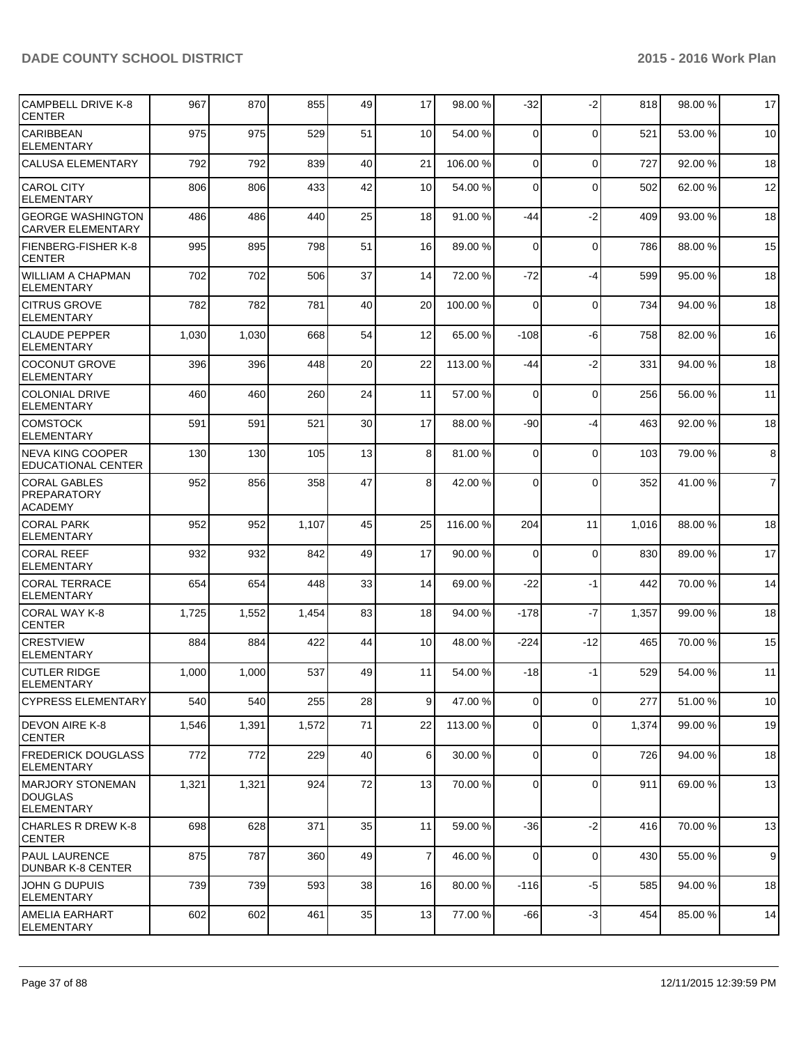| CAMPBELL DRIVE K-8<br><b>CENTER</b>                             | 967   | 870   | 855   | 49 | 17              | 98.00 %  | $-32$          | $-2$        | 818   | 98.00 % | 17             |
|-----------------------------------------------------------------|-------|-------|-------|----|-----------------|----------|----------------|-------------|-------|---------|----------------|
| <b>CARIBBEAN</b><br><b>ELEMENTARY</b>                           | 975   | 975   | 529   | 51 | 10 <sup>1</sup> | 54.00 %  | $\Omega$       | $\mathbf 0$ | 521   | 53.00 % | 10             |
| <b>CALUSA ELEMENTARY</b>                                        | 792   | 792   | 839   | 40 | 21              | 106.00%  | $\overline{0}$ | $\mathbf 0$ | 727   | 92.00%  | 18             |
| <b>CAROL CITY</b><br><b>ELEMENTARY</b>                          | 806   | 806   | 433   | 42 | 10              | 54.00 %  | 0              | $\mathbf 0$ | 502   | 62.00%  | 12             |
| <b>GEORGE WASHINGTON</b><br><b>CARVER ELEMENTARY</b>            | 486   | 486   | 440   | 25 | 18              | 91.00 %  | -44            | $-2$        | 409   | 93.00 % | 18             |
| FIENBERG-FISHER K-8<br><b>CENTER</b>                            | 995   | 895   | 798   | 51 | 16              | 89.00 %  | $\Omega$       | $\mathbf 0$ | 786   | 88.00 % | 15             |
| <b>WILLIAM A CHAPMAN</b><br>ELEMENTARY                          | 702   | 702   | 506   | 37 | 14              | 72.00 %  | $-72$          | $-4$        | 599   | 95.00 % | 18             |
| <b>CITRUS GROVE</b><br><b>ELEMENTARY</b>                        | 782   | 782   | 781   | 40 | 20              | 100.00 % | $\Omega$       | $\mathbf 0$ | 734   | 94.00%  | 18             |
| <b>CLAUDE PEPPER</b><br><b>ELEMENTARY</b>                       | 1,030 | 1,030 | 668   | 54 | 12              | 65.00 %  | $-108$         | -6          | 758   | 82.00 % | 16             |
| COCONUT GROVE<br><b>ELEMENTARY</b>                              | 396   | 396   | 448   | 20 | 22              | 113.00 % | -44            | $-2$        | 331   | 94.00%  | 18             |
| <b>COLONIAL DRIVE</b><br><b>ELEMENTARY</b>                      | 460   | 460   | 260   | 24 | 11              | 57.00 %  | $\Omega$       | $\mathbf 0$ | 256   | 56.00%  | 11             |
| <b>COMSTOCK</b><br><b>ELEMENTARY</b>                            | 591   | 591   | 521   | 30 | 17              | 88.00 %  | $-90$          | $-4$        | 463   | 92.00%  | 18             |
| <b>NEVA KING COOPER</b><br><b>EDUCATIONAL CENTER</b>            | 130   | 130   | 105   | 13 | 8 <sup>1</sup>  | 81.00 %  | $\Omega$       | $\mathbf 0$ | 103   | 79.00 % | 8              |
| <b>CORAL GABLES</b><br><b>PREPARATORY</b><br><b>ACADEMY</b>     | 952   | 856   | 358   | 47 | 8 <sup>1</sup>  | 42.00 %  | $\Omega$       | $\Omega$    | 352   | 41.00%  | $\overline{7}$ |
| <b>CORAL PARK</b><br><b>ELEMENTARY</b>                          | 952   | 952   | 1,107 | 45 | 25              | 116.00%  | 204            | 11          | 1,016 | 88.00 % | 18             |
| <b>CORAL REEF</b><br><b>ELEMENTARY</b>                          | 932   | 932   | 842   | 49 | 17              | 90.00 %  | $\Omega$       | $\mathbf 0$ | 830   | 89.00 % | 17             |
| <b>CORAL TERRACE</b><br><b>ELEMENTARY</b>                       | 654   | 654   | 448   | 33 | 14              | 69.00 %  | $-22$          | $-1$        | 442   | 70.00%  | 14             |
| CORAL WAY K-8<br><b>CENTER</b>                                  | 1,725 | 1,552 | 1,454 | 83 | 18              | 94.00 %  | $-178$         | $-7$        | 1,357 | 99.00 % | 18             |
| <b>CRESTVIEW</b><br><b>ELEMENTARY</b>                           | 884   | 884   | 422   | 44 | 10              | 48.00 %  | $-224$         | $-12$       | 465   | 70.00 % | 15             |
| <b>CUTLER RIDGE</b><br>ELEMENTARY                               | 1,000 | 1,000 | 537   | 49 | 11              | 54.00 %  | -18            | $-1$        | 529   | 54.00%  | 11             |
| <b>CYPRESS ELEMENTARY</b>                                       | 540   | 540   | 255   | 28 | 9 <sup>1</sup>  | 47.00 %  | $\overline{0}$ | $\mathbf 0$ | 277   | 51.00 % | 10             |
| DEVON AIRE K-8<br><b>CENTER</b>                                 | 1,546 | 1,391 | 1,572 | 71 | 22              | 113.00 % | $\overline{0}$ | $\mathbf 0$ | 1,374 | 99.00 % | 19             |
| <b>FREDERICK DOUGLASS</b><br><b>ELEMENTARY</b>                  | 772   | 772   | 229   | 40 | 6 <sup>1</sup>  | 30.00 %  | $\overline{0}$ | $\mathbf 0$ | 726   | 94.00 % | 18             |
| <b>IMARJORY STONEMAN</b><br><b>DOUGLAS</b><br><b>ELEMENTARY</b> | 1,321 | 1,321 | 924   | 72 | 13              | 70.00 %  | $\overline{0}$ | $\mathbf 0$ | 911   | 69.00 % | 13             |
| <b>CHARLES R DREW K-8</b><br><b>CENTER</b>                      | 698   | 628   | 371   | 35 | 11              | 59.00 %  | -36            | $-2$        | 416   | 70.00%  | 13             |
| <b>PAUL LAURENCE</b><br>DUNBAR K-8 CENTER                       | 875   | 787   | 360   | 49 | $\overline{7}$  | 46.00 %  | 0              | $\mathbf 0$ | 430   | 55.00 % | 9              |
| JOHN G DUPUIS<br><b>ELEMENTARY</b>                              | 739   | 739   | 593   | 38 | 16              | 80.00 %  | $-116$         | $-5$        | 585   | 94.00 % | 18             |
| AMELIA EARHART<br><b>ELEMENTARY</b>                             | 602   | 602   | 461   | 35 | 13              | 77.00 %  | $-66$          | $-3$        | 454   | 85.00 % | 14             |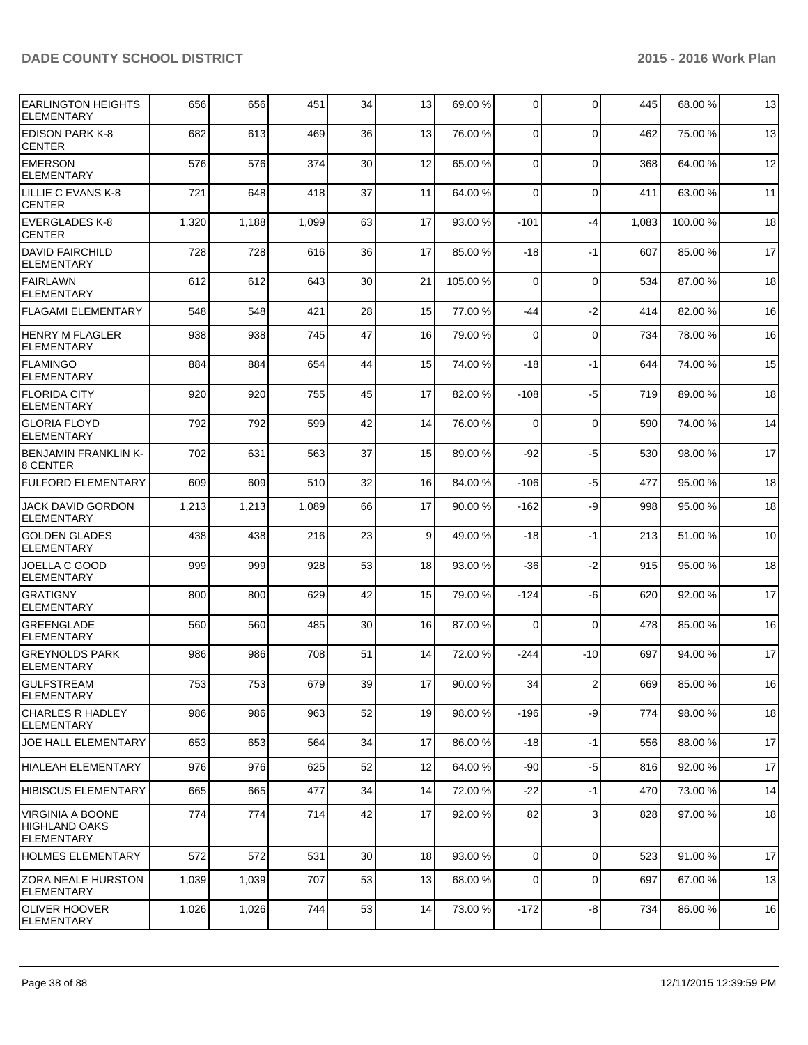| <b>EARLINGTON HEIGHTS</b><br><b>ELEMENTARY</b>                       | 656   | 656   | 451   | 34              | 13              | 69.00 %  | $\overline{0}$ | $\Omega$       | 445   | 68.00 %  | 13     |
|----------------------------------------------------------------------|-------|-------|-------|-----------------|-----------------|----------|----------------|----------------|-------|----------|--------|
| <b>EDISON PARK K-8</b><br><b>CENTER</b>                              | 682   | 613   | 469   | 36              | 13              | 76.00 %  | $\Omega$       | $\Omega$       | 462   | 75.00 %  | 13     |
| <b>EMERSON</b><br><b>ELEMENTARY</b>                                  | 576   | 576   | 374   | 30              | 12              | 65.00 %  | $\overline{0}$ | $\mathbf 0$    | 368   | 64.00 %  | 12     |
| LILLIE C EVANS K-8<br><b>CENTER</b>                                  | 721   | 648   | 418   | 37              | 11              | 64.00 %  | 0              | $\mathbf 0$    | 411   | 63.00 %  | 11     |
| <b>EVERGLADES K-8</b><br><b>CENTER</b>                               | 1,320 | 1,188 | 1,099 | 63              | 17              | 93.00 %  | $-101$         | $-4$           | 1,083 | 100.00 % | 18     |
| <b>DAVID FAIRCHILD</b><br><b>ELEMENTARY</b>                          | 728   | 728   | 616   | 36              | 17              | 85.00 %  | $-18$          | $-1$           | 607   | 85.00 %  | 17     |
| <b>FAIRLAWN</b><br><b>ELEMENTARY</b>                                 | 612   | 612   | 643   | 30              | 21              | 105.00 % | $\Omega$       | $\mathbf 0$    | 534   | 87.00 %  | 18     |
| FLAGAMI ELEMENTARY                                                   | 548   | 548   | 421   | 28              | 15              | 77.00 %  | -44            | $-2$           | 414   | 82.00%   | 16     |
| <b>HENRY M FLAGLER</b><br><b>ELEMENTARY</b>                          | 938   | 938   | 745   | 47              | 16              | 79.00 %  | $\Omega$       | $\mathbf 0$    | 734   | 78.00 %  | 16     |
| FLAMINGO<br><b>ELEMENTARY</b>                                        | 884   | 884   | 654   | 44              | 15              | 74.00 %  | $-18$          | $-1$           | 644   | 74.00%   | 15     |
| <b>FLORIDA CITY</b><br><b>ELEMENTARY</b>                             | 920   | 920   | 755   | 45              | 17              | 82.00 %  | $-108$         | $-5$           | 719   | 89.00 %  | 18     |
| İGLORIA FLOYD<br><b>ELEMENTARY</b>                                   | 792   | 792   | 599   | 42              | 14              | 76.00 %  | $\Omega$       | $\mathbf 0$    | 590   | 74.00 %  | 14     |
| <b>BENJAMIN FRANKLIN K-</b><br>8 CENTER                              | 702   | 631   | 563   | 37              | 15              | 89.00 %  | $-92$          | $-5$           | 530   | 98.00 %  | 17     |
| <b>FULFORD ELEMENTARY</b>                                            | 609   | 609   | 510   | 32              | 16              | 84.00 %  | $-106$         | $-5$           | 477   | 95.00 %  | 18     |
| <b>JACK DAVID GORDON</b><br>ELEMENTARY                               | 1,213 | 1,213 | 1,089 | 66              | 17              | 90.00 %  | $-162$         | -9             | 998   | 95.00 %  | 18     |
| <b>GOLDEN GLADES</b><br><b>ELEMENTARY</b>                            | 438   | 438   | 216   | 23              | $\vert 9 \vert$ | 49.00 %  | $-18$          | $-1$           | 213   | 51.00 %  | 10     |
| JOELLA C GOOD<br><b>ELEMENTARY</b>                                   | 999   | 999   | 928   | 53              | 18              | 93.00 %  | $-36$          | $-2$           | 915   | 95.00 %  | 18     |
| <b>GRATIGNY</b><br><b>ELEMENTARY</b>                                 | 800   | 800   | 629   | 42              | 15              | 79.00 %  | $-124$         | -6             | 620   | 92.00 %  | 17     |
| <b>GREENGLADE</b><br>ELEMENTARY                                      | 560   | 560   | 485   | 30              | 16              | 87.00 %  | $\Omega$       | $\Omega$       | 478   | 85.00 %  | 16     |
| <b>GREYNOLDS PARK</b><br><b>ELEMENTARY</b>                           | 986   | 986   | 708   | 51              | 14              | 72.00 %  | $-244$         | $-10$          | 697   | 94.00 %  | 17     |
| IGULFSTREAM<br><b>ELEMENTARY</b>                                     | 753   | 753   | 679   | 39              | 17              | 90.00 %  | 34             | $\overline{2}$ | 669   | 85.00 %  | $16\,$ |
| <b>CHARLES R HADLEY</b><br><b>ELEMENTARY</b>                         | 986   | 986   | 963   | 52              | 19              | 98.00 %  | $-196$         | -9             | 774   | 98.00 %  | 18     |
| <b>JOE HALL ELEMENTARY</b>                                           | 653   | 653   | 564   | 34              | 17              | 86.00 %  | $-18$          | $-1$           | 556   | 88.00 %  | 17     |
| <b>HIALEAH ELEMENTARY</b>                                            | 976   | 976   | 625   | 52              | 12              | 64.00 %  | $-90$          | $-5$           | 816   | 92.00 %  | 17     |
| <b>HIBISCUS ELEMENTARY</b>                                           | 665   | 665   | 477   | 34              | 14              | 72.00 %  | $-22$          | $-1$           | 470   | 73.00 %  | 14     |
| <b>VIRGINIA A BOONE</b><br><b>HIGHLAND OAKS</b><br><b>ELEMENTARY</b> | 774   | 774   | 714   | 42              | 17              | 92.00 %  | 82             | 3              | 828   | 97.00 %  | 18     |
| HOLMES ELEMENTARY                                                    | 572   | 572   | 531   | 30 <sub>l</sub> | 18              | 93.00 %  | $\overline{0}$ | $\mathbf 0$    | 523   | 91.00%   | 17     |
| <b>IZORA NEALE HURSTON</b><br><b>ELEMENTARY</b>                      | 1,039 | 1,039 | 707   | 53              | 13              | 68.00 %  | $\overline{0}$ | $\mathbf 0$    | 697   | 67.00 %  | 13     |
| OLIVER HOOVER<br><b>ELEMENTARY</b>                                   | 1,026 | 1,026 | 744   | 53              | 14              | 73.00 %  | $-172$         | -8             | 734   | 86.00 %  | 16     |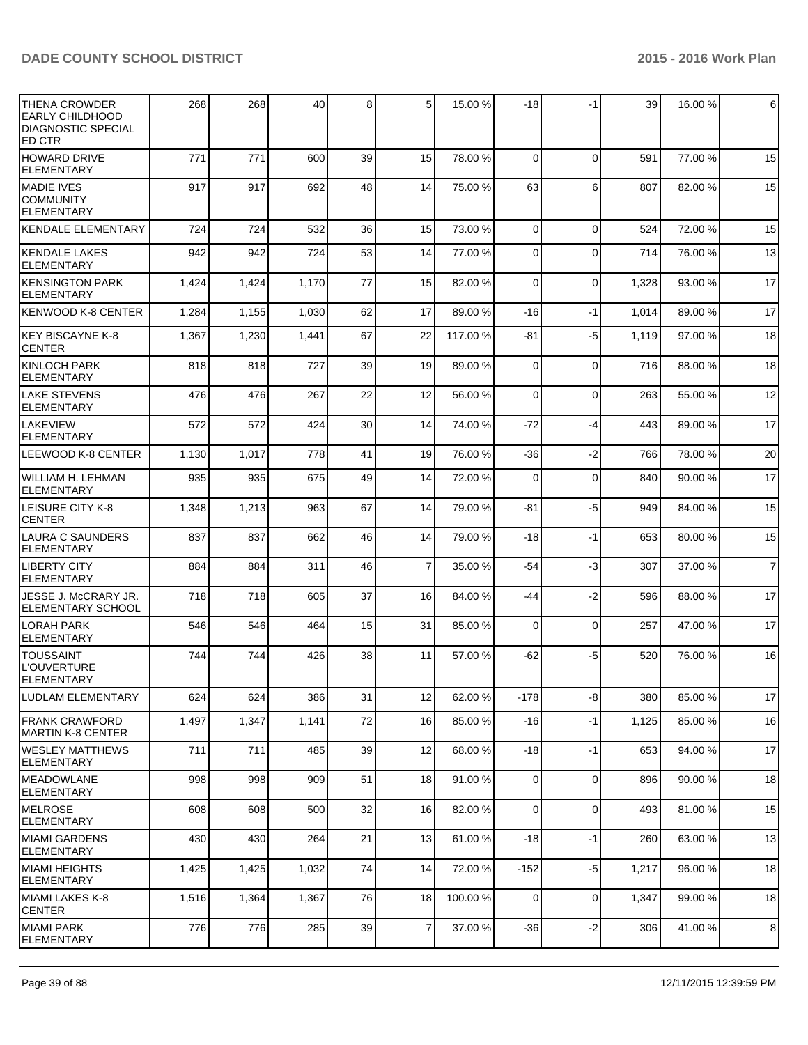| <b>THENA CROWDER</b><br><b>EARLY CHILDHOOD</b><br><b>DIAGNOSTIC SPECIAL</b><br>ED CTR | 268   | 268   | 40    | 8  | 5               | 15.00 %  | $-18$          | -1          | 39    | 16.00 % | 6              |
|---------------------------------------------------------------------------------------|-------|-------|-------|----|-----------------|----------|----------------|-------------|-------|---------|----------------|
| <b>HOWARD DRIVE</b><br><b>ELEMENTARY</b>                                              | 771   | 771   | 600   | 39 | 15              | 78.00 %  | $\Omega$       | $\Omega$    | 591   | 77.00 % | 15             |
| <b>MADIE IVES</b><br><b>COMMUNITY</b><br><b>ELEMENTARY</b>                            | 917   | 917   | 692   | 48 | 14              | 75.00 %  | 63             | 6           | 807   | 82.00%  | 15             |
| <b>KENDALE ELEMENTARY</b>                                                             | 724   | 724   | 532   | 36 | 15 <sup>1</sup> | 73.00 %  | $\Omega$       | $\Omega$    | 524   | 72.00 % | 15             |
| <b>KENDALE LAKES</b><br><b>ELEMENTARY</b>                                             | 942   | 942   | 724   | 53 | 14              | 77.00 %  | $\Omega$       | $\Omega$    | 714   | 76.00 % | 13             |
| <b>KENSINGTON PARK</b><br><b>ELEMENTARY</b>                                           | 1,424 | 1,424 | 1,170 | 77 | 15 <sup>1</sup> | 82.00 %  | $\Omega$       | $\Omega$    | 1,328 | 93.00 % | 17             |
| <b>KENWOOD K-8 CENTER</b>                                                             | 1,284 | 1,155 | 1,030 | 62 | 17              | 89.00 %  | $-16$          | $-1$        | 1,014 | 89.00 % | 17             |
| KEY BISCAYNE K-8<br><b>CENTER</b>                                                     | 1,367 | 1,230 | 1,441 | 67 | 22              | 117.00 % | -81            | $-5$        | 1,119 | 97.00 % | 18             |
| <b>KINLOCH PARK</b><br><b>ELEMENTARY</b>                                              | 818   | 818   | 727   | 39 | 19              | 89.00 %  | $\Omega$       | $\Omega$    | 716   | 88.00 % | 18             |
| <b>LAKE STEVENS</b><br><b>ELEMENTARY</b>                                              | 476   | 476   | 267   | 22 | 12              | 56.00 %  | $\Omega$       | $\Omega$    | 263   | 55.00 % | 12             |
| <b>LAKEVIEW</b><br><b>ELEMENTARY</b>                                                  | 572   | 572   | 424   | 30 | 14              | 74.00 %  | $-72$          | $-4$        | 443   | 89.00 % | 17             |
| LEEWOOD K-8 CENTER                                                                    | 1,130 | 1,017 | 778   | 41 | 19              | 76.00 %  | $-36$          | $-2$        | 766   | 78.00 % | 20             |
| WILLIAM H. LEHMAN<br><b>ELEMENTARY</b>                                                | 935   | 935   | 675   | 49 | 14              | 72.00 %  | $\Omega$       | $\Omega$    | 840   | 90.00 % | 17             |
| <b>LEISURE CITY K-8</b><br><b>CENTER</b>                                              | 1,348 | 1,213 | 963   | 67 | 14              | 79.00 %  | -81            | $-5$        | 949   | 84.00 % | 15             |
| <b>LAURA C SAUNDERS</b><br><b>ELEMENTARY</b>                                          | 837   | 837   | 662   | 46 | 14              | 79.00 %  | $-18$          | $-1$        | 653   | 80.00%  | 15             |
| <b>LIBERTY CITY</b><br><b>ELEMENTARY</b>                                              | 884   | 884   | 311   | 46 | $\overline{7}$  | 35.00 %  | $-54$          | $-3$        | 307   | 37.00 % | $\overline{7}$ |
| JESSE J. McCRARY JR.<br><b>ELEMENTARY SCHOOL</b>                                      | 718   | 718   | 605   | 37 | 16              | 84.00 %  | -44            | $-2$        | 596   | 88.00 % | 17             |
| <b>LORAH PARK</b><br><b>ELEMENTARY</b>                                                | 546   | 546   | 464   | 15 | 31              | 85.00 %  | $\Omega$       | $\mathbf 0$ | 257   | 47.00 % | 17             |
| <b>TOUSSAINT</b><br><b>L'OUVERTURE</b><br><b>ELEMENTARY</b>                           | 744   | 744   | 426   | 38 | 11              | 57.00 %  | $-62$          | $-5$        | 520   | 76.00 % | 16             |
| <b>LUDLAM ELEMENTARY</b>                                                              | 624   | 624   | 386   | 31 | 12              | 62.00 %  | $-178$         | $-8$        | 380   | 85.00%  | 17             |
| <b>FRANK CRAWFORD</b><br><b>MARTIN K-8 CENTER</b>                                     | 1,497 | 1,347 | 1,141 | 72 | 16              | 85.00 %  | $-16$          | $-1$        | 1,125 | 85.00 % | 16             |
| <b>WESLEY MATTHEWS</b><br><b>ELEMENTARY</b>                                           | 711   | 711   | 485   | 39 | 12              | 68.00 %  | $-18$          | $-1$        | 653   | 94.00%  | 17             |
| <b>MEADOWLANE</b><br><b>ELEMENTARY</b>                                                | 998   | 998   | 909   | 51 | 18              | 91.00 %  | $\overline{0}$ | $\mathbf 0$ | 896   | 90.00%  | 18             |
| <b>MELROSE</b><br><b>IELEMENTARY</b>                                                  | 608   | 608   | 500   | 32 | 16              | 82.00 %  | $\Omega$       | $\mathbf 0$ | 493   | 81.00%  | 15             |
| <b>MIAMI GARDENS</b><br><b>ELEMENTARY</b>                                             | 430   | 430   | 264   | 21 | 13              | 61.00 %  | $-18$          | $-1$        | 260   | 63.00 % | 13             |
| <b>MIAMI HEIGHTS</b><br><b>ELEMENTARY</b>                                             | 1,425 | 1,425 | 1,032 | 74 | 14              | 72.00 %  | $-152$         | $-5$        | 1,217 | 96.00 % | 18             |
| <b>MIAMI LAKES K-8</b><br><b>CENTER</b>                                               | 1,516 | 1,364 | 1,367 | 76 | 18              | 100.00 % | 0              | $\mathbf 0$ | 1,347 | 99.00 % | 18             |
| <b>MIAMI PARK</b><br><b>ELEMENTARY</b>                                                | 776   | 776   | 285   | 39 | $\overline{7}$  | 37.00 %  | $-36$          | $-2$        | 306   | 41.00%  | 8              |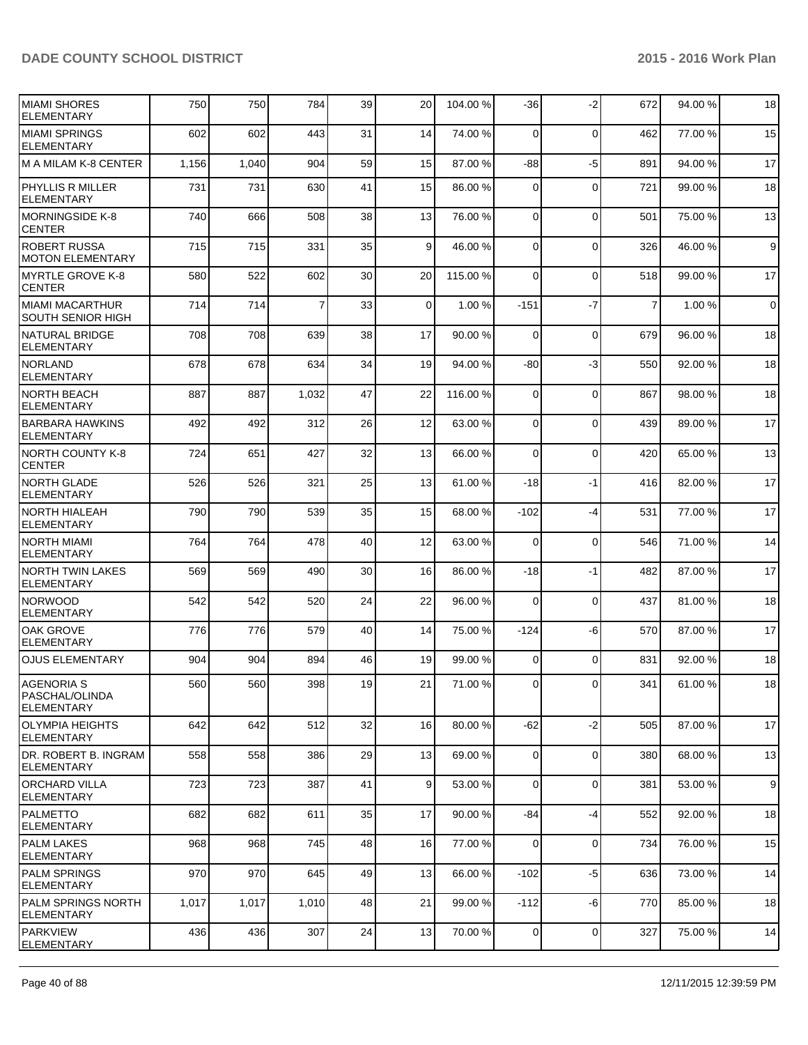| MIAMI SHORES<br><b>ELEMENTARY</b>                  | 750   | 750   | 784   | 39 | 20        | 104.00 % | -36            | $-2$        | 672            | 94.00 % | 18          |
|----------------------------------------------------|-------|-------|-------|----|-----------|----------|----------------|-------------|----------------|---------|-------------|
| MIAMI SPRINGS<br>ELEMENTARY                        | 602   | 602   | 443   | 31 | 14        | 74.00 %  | $\mathbf 0$    | $\mathbf 0$ | 462            | 77.00 % | 15          |
| M A MILAM K-8 CENTER                               | 1,156 | 1,040 | 904   | 59 | 15        | 87.00 %  | $-88$          | $-5$        | 891            | 94.00%  | 17          |
| <b>PHYLLIS R MILLER</b><br><b>ELEMENTARY</b>       | 731   | 731   | 630   | 41 | 15        | 86.00 %  | $\Omega$       | $\mathbf 0$ | 721            | 99.00 % | 18          |
| MORNINGSIDE K-8<br><b>CENTER</b>                   | 740   | 666   | 508   | 38 | 13        | 76.00 %  | $\mathbf 0$    | $\mathbf 0$ | 501            | 75.00 % | 13          |
| <b>ROBERT RUSSA</b><br><b>MOTON ELEMENTARY</b>     | 715   | 715   | 331   | 35 | $\vert$ 9 | 46.00 %  | $\Omega$       | $\mathbf 0$ | 326            | 46.00%  | 9           |
| MYRTLE GROVE K-8<br>ICENTER                        | 580   | 522   | 602   | 30 | 20        | 115.00 % | $\Omega$       | $\mathbf 0$ | 518            | 99.00 % | 17          |
| MIAMI MACARTHUR<br><b>SOUTH SENIOR HIGH</b>        | 714   | 714   | 7     | 33 | $\Omega$  | 1.00 %   | $-151$         | $-7$        | $\overline{7}$ | 1.00 %  | $\mathbf 0$ |
| <b>NATURAL BRIDGE</b><br><b>ELEMENTARY</b>         | 708   | 708   | 639   | 38 | 17        | 90.00 %  | $\Omega$       | $\mathbf 0$ | 679            | 96.00 % | 18          |
| NORLAND<br>ELEMENTARY                              | 678   | 678   | 634   | 34 | 19        | 94.00 %  | $-80$          | $-3$        | 550            | 92.00%  | 18          |
| NORTH BEACH<br><b>ELEMENTARY</b>                   | 887   | 887   | 1,032 | 47 | 22        | 116.00%  | $\Omega$       | $\mathbf 0$ | 867            | 98.00 % | 18          |
| <b>BARBARA HAWKINS</b><br><b>ELEMENTARY</b>        | 492   | 492   | 312   | 26 | 12        | 63.00 %  | $\Omega$       | $\Omega$    | 439            | 89.00 % | 17          |
| <b>NORTH COUNTY K-8</b><br><b>CENTER</b>           | 724   | 651   | 427   | 32 | 13        | 66.00 %  | 0              | $\mathbf 0$ | 420            | 65.00 % | 13          |
| <b>NORTH GLADE</b><br><b>ELEMENTARY</b>            | 526   | 526   | 321   | 25 | 13        | 61.00 %  | $-18$          | $-1$        | 416            | 82.00%  | 17          |
| <b>NORTH HIALEAH</b><br><b>ELEMENTARY</b>          | 790   | 790   | 539   | 35 | 15        | 68.00 %  | $-102$         | $-4$        | 531            | 77.00 % | 17          |
| NORTH MIAMI<br><b>ELEMENTARY</b>                   | 764   | 764   | 478   | 40 | 12        | 63.00 %  | 0              | $\mathbf 0$ | 546            | 71.00 % | 14          |
| <b>NORTH TWIN LAKES</b><br><b>ELEMENTARY</b>       | 569   | 569   | 490   | 30 | 16        | 86.00 %  | $-18$          | -1          | 482            | 87.00 % | 17          |
| NORWOOD<br><b>ELEMENTARY</b>                       | 542   | 542   | 520   | 24 | 22        | 96.00 %  | $\mathbf 0$    | $\mathbf 0$ | 437            | 81.00 % | 18          |
| OAK GROVE<br><b>ELEMENTARY</b>                     | 776   | 776   | 579   | 40 | 14        | 75.00 %  | $-124$         | -6          | 570            | 87.00 % | 17          |
| <b>OJUS ELEMENTARY</b>                             | 904   | 904   | 894   | 46 | 19        | 99.00 %  | $\Omega$       | $\Omega$    | 831            | 92.00%  | 18          |
| AGENORIA S<br> PASCHAL/OLINDA<br><b>ELEMENTARY</b> | 560   | 560   | 398   | 19 | 21        | 71.00 %  | $\Omega$       | $\Omega$    | 341            | 61.00%  | 18          |
| OLYMPIA HEIGHTS<br><b>ELEMENTARY</b>               | 642   | 642   | 512   | 32 | 16        | 80.00 %  | $-62$          | $-2$        | 505            | 87.00 % | 17          |
| DR. ROBERT B. INGRAM<br><b>ELEMENTARY</b>          | 558   | 558   | 386   | 29 | 13        | 69.00 %  | $\overline{0}$ | $\mathbf 0$ | 380            | 68.00 % | 13          |
| ORCHARD VILLA<br><b>ELEMENTARY</b>                 | 723   | 723   | 387   | 41 | $\vert$ 9 | 53.00 %  | $\Omega$       | $\mathbf 0$ | 381            | 53.00 % | 9           |
| PALMETTO<br> ELEMENTARY                            | 682   | 682   | 611   | 35 | 17        | 90.00 %  | $-84$          | $-4$        | 552            | 92.00 % | 18          |
| <b>PALM LAKES</b><br><b>ELEMENTARY</b>             | 968   | 968   | 745   | 48 | 16        | 77.00 %  | $\Omega$       | $\mathbf 0$ | 734            | 76.00%  | 15          |
| <b>PALM SPRINGS</b><br><b>ELEMENTARY</b>           | 970   | 970   | 645   | 49 | 13        | 66.00 %  | $-102$         | $-5$        | 636            | 73.00 % | 14          |
| <b>PALM SPRINGS NORTH</b><br><b>ELEMENTARY</b>     | 1,017 | 1,017 | 1,010 | 48 | 21        | 99.00 %  | $-112$         | $-6$        | 770            | 85.00 % | 18          |
| <b>IPARKVIEW</b><br><b>IELEMENTARY</b>             | 436   | 436   | 307   | 24 | 13        | 70.00 %  | $\overline{0}$ | 0           | 327            | 75.00 % | 14          |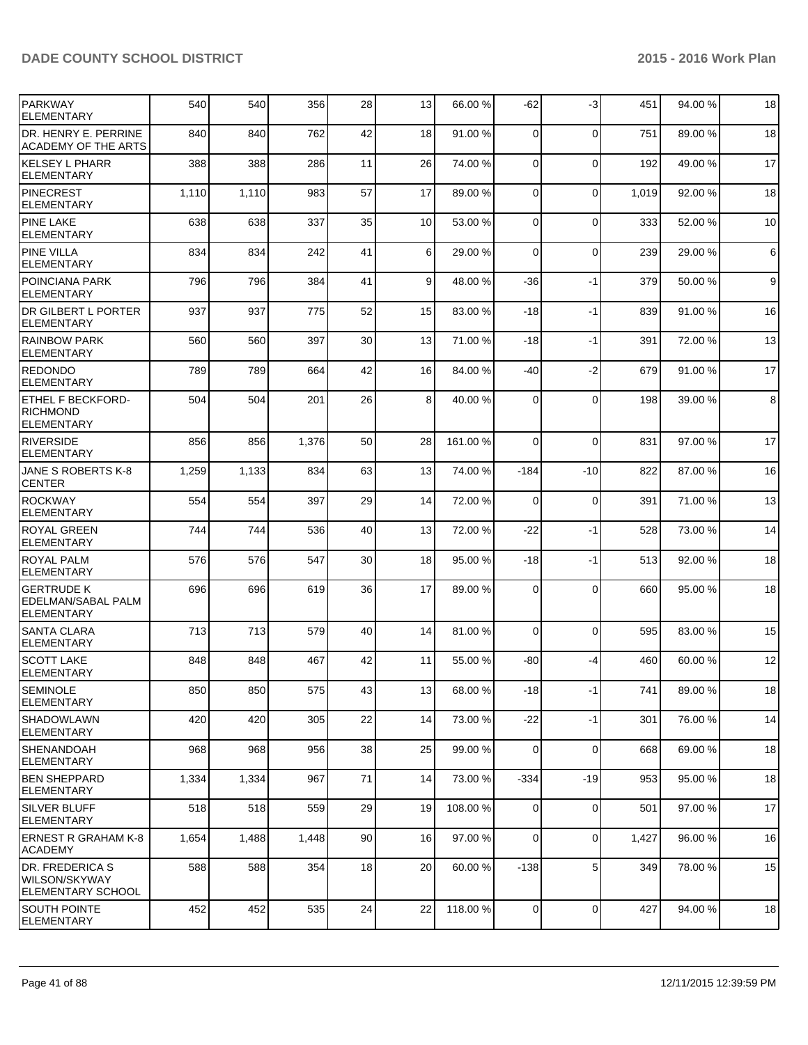| <b>PARKWAY</b><br><b>ELEMENTARY</b>                          | 540   | 540   | 356   | 28 | 13              | 66.00 %  | $-62$          | $-3$        | 451   | 94.00%  | 18 |
|--------------------------------------------------------------|-------|-------|-------|----|-----------------|----------|----------------|-------------|-------|---------|----|
| DR. HENRY E. PERRINE<br>ACADEMY OF THE ARTS                  | 840   | 840   | 762   | 42 | 18              | 91.00 %  | $\Omega$       | $\mathbf 0$ | 751   | 89.00 % | 18 |
| KELSEY L PHARR<br>ELEMENTARY                                 | 388   | 388   | 286   | 11 | 26              | 74.00 %  | $\overline{0}$ | 0           | 192   | 49.00%  | 17 |
| IPINECREST<br>ELEMENTARY                                     | 1,110 | 1,110 | 983   | 57 | 17              | 89.00 %  | $\Omega$       | 0           | 1,019 | 92.00%  | 18 |
| <b>PINE LAKE</b><br><b>ELEMENTARY</b>                        | 638   | 638   | 337   | 35 | 10 <sup>1</sup> | 53.00 %  | $\Omega$       | $\Omega$    | 333   | 52.00 % | 10 |
| <b>PINE VILLA</b><br><b>ELEMENTARY</b>                       | 834   | 834   | 242   | 41 | $6 \mid$        | 29.00 %  | $\Omega$       | $\mathbf 0$ | 239   | 29.00 % | 6  |
| I POINCIANA PARK<br>ELEMENTARY                               | 796   | 796   | 384   | 41 | 9 <sub>l</sub>  | 48.00 %  | -36            | $-1$        | 379   | 50.00 % | 9  |
| IDR GILBERT L PORTER<br><b>ELEMENTARY</b>                    | 937   | 937   | 775   | 52 | 15              | 83.00 %  | $-18$          | $-1$        | 839   | 91.00%  | 16 |
| <b>RAINBOW PARK</b><br><b>ELEMENTARY</b>                     | 560   | 560   | 397   | 30 | 13              | 71.00 %  | $-18$          | $-1$        | 391   | 72.00 % | 13 |
| <b>REDONDO</b><br>ELEMENTARY                                 | 789   | 789   | 664   | 42 | 16              | 84.00 %  | $-40$          | -2          | 679   | 91.00 % | 17 |
| <b>ETHEL F BECKFORD-</b><br><b>IRICHMOND</b><br>ELEMENTARY   | 504   | 504   | 201   | 26 | 8 <sup>1</sup>  | 40.00 %  | $\Omega$       | 0           | 198   | 39.00 % | 8  |
| RIVERSIDE<br><b>ELEMENTARY</b>                               | 856   | 856   | 1,376 | 50 | 28              | 161.00 % | $\Omega$       | $\mathbf 0$ | 831   | 97.00 % | 17 |
| JANE S ROBERTS K-8<br><b>CENTER</b>                          | 1,259 | 1,133 | 834   | 63 | 13              | 74.00 %  | -184           | $-10$       | 822   | 87.00 % | 16 |
| <b>ROCKWAY</b><br><b>ELEMENTARY</b>                          | 554   | 554   | 397   | 29 | 14              | 72.00 %  | $\mathbf 0$    | $\mathbf 0$ | 391   | 71.00%  | 13 |
| <b>ROYAL GREEN</b><br> ELEMENTARY                            | 744   | 744   | 536   | 40 | 13              | 72.00 %  | $-22$          | -1          | 528   | 73.00 % | 14 |
| <b>ROYAL PALM</b><br>ELEMENTARY                              | 576   | 576   | 547   | 30 | 18              | 95.00 %  | $-18$          | $-1$        | 513   | 92.00%  | 18 |
| lgertrude k<br>EDELMAN/SABAL PALM<br>ELEMENTARY              | 696   | 696   | 619   | 36 | 17              | 89.00 %  | $\Omega$       | 0           | 660   | 95.00 % | 18 |
| <b>SANTA CLARA</b><br>ELEMENTARY                             | 713   | 713   | 579   | 40 | 14              | 81.00 %  | $\Omega$       | $\mathbf 0$ | 595   | 83.00 % | 15 |
| <b>SCOTT LAKE</b><br>ELEMENTARY                              | 848   | 848   | 467   | 42 | 11              | 55.00 %  | -80            | -4          | 460   | 60.00%  | 12 |
| SEMINOLE<br>ELEMENTARY                                       | 850   | 850   | 575   | 43 | 13              | 68.00 %  | $-18$          | -1          | 741   | 89.00 % | 18 |
| <b>SHADOWLAWN</b><br><b>ELEMENTARY</b>                       | 420   | 420   | 305   | 22 | 14              | 73.00 %  | $-22$          | $-1$        | 301   | 76.00%  | 14 |
| <b>SHENANDOAH</b><br>ELEMENTARY                              | 968   | 968   | 956   | 38 | 25              | 99.00 %  | $\overline{0}$ | 0           | 668   | 69.00 % | 18 |
| <b>BEN SHEPPARD</b><br> ELEMENTARY                           | 1,334 | 1,334 | 967   | 71 | 14              | 73.00 %  | $-334$         | $-19$       | 953   | 95.00 % | 18 |
| <b>SILVER BLUFF</b><br><b>ELEMENTARY</b>                     | 518   | 518   | 559   | 29 | 19              | 108.00 % | 0              | 0           | 501   | 97.00 % | 17 |
| <b>ERNEST R GRAHAM K-8</b><br><b>ACADEMY</b>                 | 1,654 | 1,488 | 1,448 | 90 | 16              | 97.00 %  | $\Omega$       | $\mathbf 0$ | 1,427 | 96.00%  | 16 |
| DR. FREDERICA S<br>WILSON/SKYWAY<br><b>ELEMENTARY SCHOOL</b> | 588   | 588   | 354   | 18 | 20              | 60.00 %  | $-138$         | 5           | 349   | 78.00 % | 15 |
| <b>SOUTH POINTE</b><br><b>ELEMENTARY</b>                     | 452   | 452   | 535   | 24 | 22              | 118.00 % | $\overline{0}$ | 0           | 427   | 94.00%  | 18 |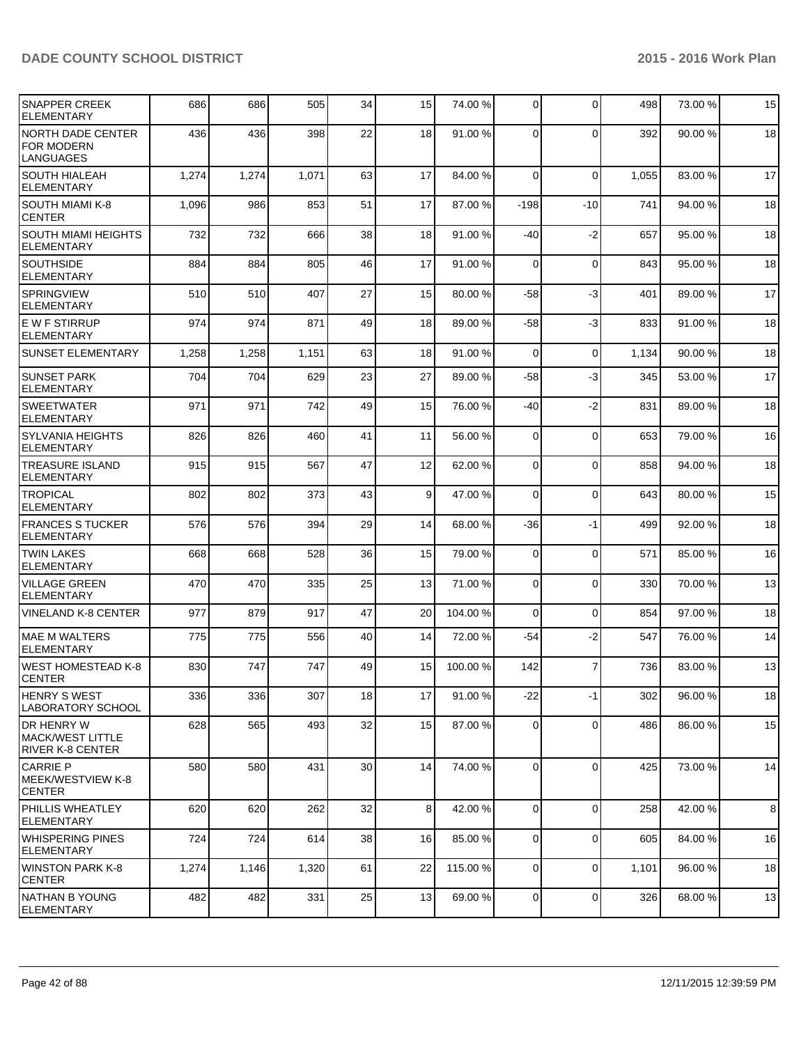| <b>SNAPPER CREEK</b><br><b>ELEMENTARY</b>                         | 686   | 686   | 505   | 34 | 15              | 74.00 %  | $\Omega$       | $\mathbf 0$ | 498   | 73.00 % | 15 |
|-------------------------------------------------------------------|-------|-------|-------|----|-----------------|----------|----------------|-------------|-------|---------|----|
| <b>NORTH DADE CENTER</b><br><b>FOR MODERN</b><br>LANGUAGES        | 436   | 436   | 398   | 22 | 18              | 91.00 %  | $\Omega$       | $\Omega$    | 392   | 90.00%  | 18 |
| <b>SOUTH HIALEAH</b><br>ELEMENTARY                                | 1,274 | 1,274 | 1,071 | 63 | 17              | 84.00 %  | $\Omega$       | $\mathbf 0$ | 1,055 | 83.00 % | 17 |
| <b>SOUTH MIAMI K-8</b><br><b>CENTER</b>                           | 1,096 | 986   | 853   | 51 | 17              | 87.00 %  | $-198$         | $-10$       | 741   | 94.00%  | 18 |
| <b>SOUTH MIAMI HEIGHTS</b><br><b>ELEMENTARY</b>                   | 732   | 732   | 666   | 38 | 18              | 91.00 %  | -40            | $-2$        | 657   | 95.00 % | 18 |
| <b>SOUTHSIDE</b><br><b>ELEMENTARY</b>                             | 884   | 884   | 805   | 46 | 17              | 91.00 %  | $\Omega$       | $\mathbf 0$ | 843   | 95.00 % | 18 |
| <b>SPRINGVIEW</b><br>ELEMENTARY                                   | 510   | 510   | 407   | 27 | 15              | 80.00 %  | -58            | $-3$        | 401   | 89.00 % | 17 |
| IE W F STIRRUP<br>ELEMENTARY                                      | 974   | 974   | 871   | 49 | 18              | 89.00 %  | -58            | $-3$        | 833   | 91.00 % | 18 |
| <b>SUNSET ELEMENTARY</b>                                          | 1,258 | 1,258 | 1,151 | 63 | 18              | 91.00 %  | $\Omega$       | $\Omega$    | 1,134 | 90.00%  | 18 |
| <b>SUNSET PARK</b><br><b>ELEMENTARY</b>                           | 704   | 704   | 629   | 23 | 27              | 89.00 %  | $-58$          | -3          | 345   | 53.00 % | 17 |
| <b>SWEETWATER</b><br>ELEMENTARY                                   | 971   | 971   | 742   | 49 | 15              | 76.00 %  | -40            | $-2$        | 831   | 89.00 % | 18 |
| <b>SYLVANIA HEIGHTS</b><br><b>ELEMENTARY</b>                      | 826   | 826   | 460   | 41 | 11              | 56.00 %  | $\Omega$       | $\mathbf 0$ | 653   | 79.00 % | 16 |
| <b>TREASURE ISLAND</b><br>ELEMENTARY                              | 915   | 915   | 567   | 47 | 12              | 62.00 %  | $\overline{0}$ | $\mathbf 0$ | 858   | 94.00 % | 18 |
| <b>TROPICAL</b><br><b>ELEMENTARY</b>                              | 802   | 802   | 373   | 43 | $\vert 9 \vert$ | 47.00 %  | 0              | $\mathbf 0$ | 643   | 80.00 % | 15 |
| <b>FRANCES S TUCKER</b><br><b>ELEMENTARY</b>                      | 576   | 576   | 394   | 29 | 14              | 68.00 %  | -36            | -1          | 499   | 92.00 % | 18 |
| <b>TWIN LAKES</b><br>ELEMENTARY                                   | 668   | 668   | 528   | 36 | 15              | 79.00 %  | $\overline{0}$ | $\mathbf 0$ | 571   | 85.00 % | 16 |
| VILLAGE GREEN<br>ELEMENTARY                                       | 470   | 470   | 335   | 25 | 13              | 71.00 %  | $\overline{0}$ | $\Omega$    | 330   | 70.00 % | 13 |
| <b>VINELAND K-8 CENTER</b>                                        | 977   | 879   | 917   | 47 | 20              | 104.00 % | 0              | $\mathbf 0$ | 854   | 97.00 % | 18 |
| IMAE M WALTERS<br><b>ELEMENTARY</b>                               | 775   | 775   | 556   | 40 | 14              | 72.00 %  | $-54$          | $-2$        | 547   | 76.00 % | 14 |
| WEST HOMESTEAD K-8<br>CENTER                                      | 830   | 747   | 747   | 49 | 15              | 100.00 % | 142            | 7           | 736   | 83.00 % | 13 |
| <b>HENRY S WEST</b><br>LABORATORY SCHOOL                          | 336   | 336   | 307   | 18 | 17              | 91.00 %  | $-22$          | $-1$        | 302   | 96.00 % | 18 |
| <b>IDR HENRY W</b><br><b>MACK/WEST LITTLE</b><br>RIVER K-8 CENTER | 628   | 565   | 493   | 32 | 15              | 87.00 %  | $\Omega$       | $\mathbf 0$ | 486   | 86.00 % | 15 |
| <b>CARRIE P</b><br>MEEK/WESTVIEW K-8<br><b>CENTER</b>             | 580   | 580   | 431   | 30 | 14              | 74.00 %  | $\Omega$       | $\mathbf 0$ | 425   | 73.00 % | 14 |
| <b>PHILLIS WHEATLEY</b><br><b>ELEMENTARY</b>                      | 620   | 620   | 262   | 32 | 8 <sup>1</sup>  | 42.00 %  | $\Omega$       | $\mathbf 0$ | 258   | 42.00 % | 8  |
| WHISPERING PINES<br>IELEMENTARY                                   | 724   | 724   | 614   | 38 | 16              | 85.00 %  | $\overline{0}$ | $\mathbf 0$ | 605   | 84.00%  | 16 |
| <b>WINSTON PARK K-8</b><br><b>CENTER</b>                          | 1,274 | 1,146 | 1,320 | 61 | 22              | 115.00 % | $\overline{0}$ | $\mathbf 0$ | 1,101 | 96.00 % | 18 |
| NATHAN B YOUNG<br>ELEMENTARY                                      | 482   | 482   | 331   | 25 | 13              | 69.00 %  | $\Omega$       | $\mathbf 0$ | 326   | 68.00 % | 13 |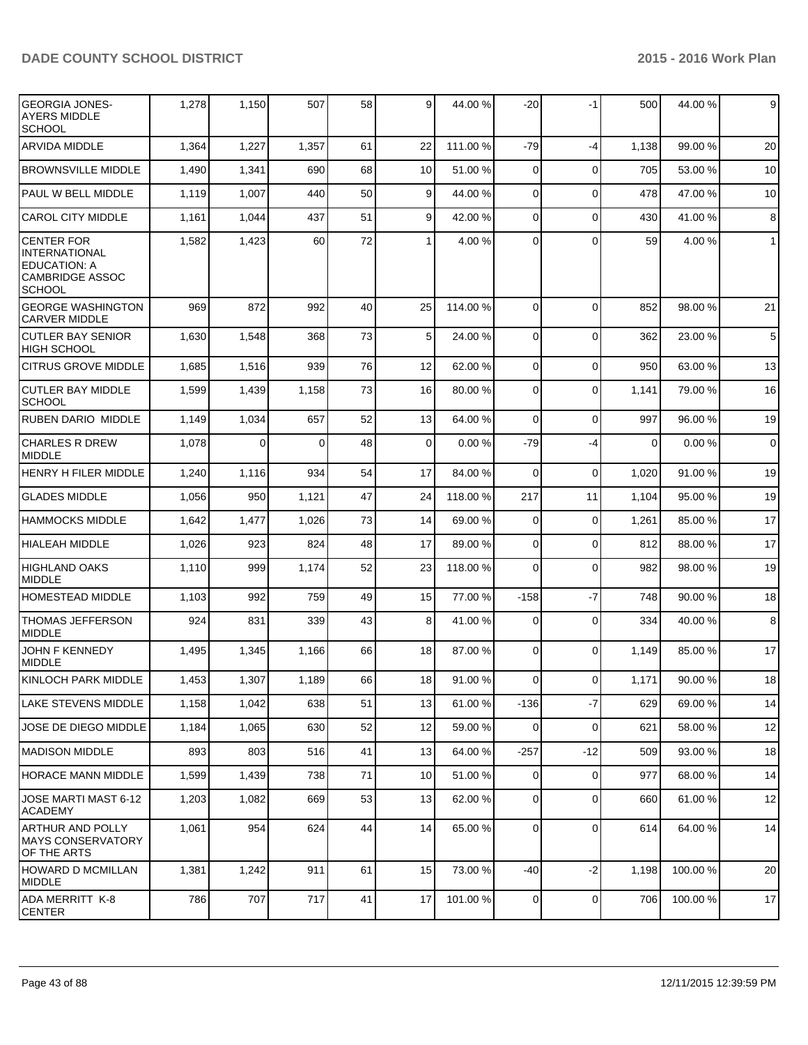| <b>GEORGIA JONES-</b><br><b>AYERS MIDDLE</b><br><b>SCHOOL</b>                                               | 1,278 | 1,150 | 507      | 58 | $\overline{9}$  | 44.00 %  | $-20$          | -1             | 500         | 44.00 % | $\overline{9}$ |
|-------------------------------------------------------------------------------------------------------------|-------|-------|----------|----|-----------------|----------|----------------|----------------|-------------|---------|----------------|
| <b>ARVIDA MIDDLE</b>                                                                                        | 1,364 | 1,227 | 1,357    | 61 | 22              | 111.00 % | $-79$          | $-4$           | 1,138       | 99.00 % | 20             |
| <b>BROWNSVILLE MIDDLE</b>                                                                                   | 1,490 | 1,341 | 690      | 68 | 10              | 51.00 %  | 0              | $\mathbf 0$    | 705         | 53.00 % | 10             |
| PAUL W BELL MIDDLE                                                                                          | 1,119 | 1,007 | 440      | 50 | 9               | 44.00 %  | 0              | $\Omega$       | 478         | 47.00%  | 10             |
| <b>CAROL CITY MIDDLE</b>                                                                                    | 1,161 | 1,044 | 437      | 51 | 9               | 42.00 %  | $\overline{0}$ | $\Omega$       | 430         | 41.00%  | $\bf 8$        |
| <b>CENTER FOR</b><br><b>INTERNATIONAL</b><br><b>EDUCATION: A</b><br><b>CAMBRIDGE ASSOC</b><br><b>SCHOOL</b> | 1,582 | 1,423 | 60       | 72 | 1               | 4.00%    | $\Omega$       | $\Omega$       | 59          | 4.00%   | $\mathbf{1}$   |
| <b>GEORGE WASHINGTON</b><br><b>CARVER MIDDLE</b>                                                            | 969   | 872   | 992      | 40 | 25              | 114.00 % | $\overline{0}$ | $\Omega$       | 852         | 98.00 % | 21             |
| <b>CUTLER BAY SENIOR</b><br><b>HIGH SCHOOL</b>                                                              | 1,630 | 1,548 | 368      | 73 | 5 <sup>1</sup>  | 24.00 %  | $\overline{0}$ | $\mathbf 0$    | 362         | 23.00 % | 5              |
| <b>CITRUS GROVE MIDDLE</b>                                                                                  | 1,685 | 1,516 | 939      | 76 | 12              | 62.00 %  | $\overline{0}$ | $\mathbf 0$    | 950         | 63.00 % | 13             |
| <b>CUTLER BAY MIDDLE</b><br><b>SCHOOL</b>                                                                   | 1,599 | 1,439 | 1,158    | 73 | 16              | 80.00 %  | $\Omega$       | $\Omega$       | 1,141       | 79.00 % | 16             |
| <b>RUBEN DARIO MIDDLE</b>                                                                                   | 1,149 | 1,034 | 657      | 52 | 13              | 64.00 %  | $\overline{0}$ | $\mathbf 0$    | 997         | 96.00 % | 19             |
| <b>CHARLES R DREW</b><br><b>MIDDLE</b>                                                                      | 1,078 | 0     | $\Omega$ | 48 | $\overline{0}$  | 0.00%    | -79            | $-4$           | $\mathbf 0$ | 0.00%   | $\overline{0}$ |
| <b>HENRY H FILER MIDDLE</b>                                                                                 | 1,240 | 1,116 | 934      | 54 | 17              | 84.00 %  | $\Omega$       | $\mathbf 0$    | 1,020       | 91.00%  | 19             |
| <b>GLADES MIDDLE</b>                                                                                        | 1,056 | 950   | 1,121    | 47 | 24              | 118.00 % | 217            | 11             | 1,104       | 95.00 % | 19             |
| <b>HAMMOCKS MIDDLE</b>                                                                                      | 1,642 | 1,477 | 1,026    | 73 | 14              | 69.00 %  | $\overline{0}$ | $\mathbf 0$    | 1,261       | 85.00 % | 17             |
| <b>HIALEAH MIDDLE</b>                                                                                       | 1,026 | 923   | 824      | 48 | 17              | 89.00 %  | $\overline{0}$ | $\Omega$       | 812         | 88.00 % | 17             |
| <b>HIGHLAND OAKS</b><br><b>MIDDLE</b>                                                                       | 1,110 | 999   | 1,174    | 52 | 23              | 118.00 % | $\Omega$       | $\Omega$       | 982         | 98.00 % | 19             |
| HOMESTEAD MIDDLE                                                                                            | 1,103 | 992   | 759      | 49 | 15              | 77.00 %  | $-158$         | $-7$           | 748         | 90.00%  | 18             |
| THOMAS JEFFERSON<br><b>MIDDLE</b>                                                                           | 924   | 831   | 339      | 43 | 8 <sup>1</sup>  | 41.00 %  | 0              | $\mathbf 0$    | 334         | 40.00 % | 8              |
| JOHN F KENNEDY<br><b>MIDDLE</b>                                                                             | 1,495 | 1,345 | 1,166    | 66 | 18              | 87.00 %  | $\Omega$       | $\Omega$       | 1,149       | 85.00 % | 17             |
| KINLOCH PARK MIDDLE                                                                                         | 1,453 | 1,307 | 1,189    | 66 | 18              | 91.00 %  | $\overline{0}$ | $\overline{0}$ | 1,171       | 90.00 % | 18             |
| LAKE STEVENS MIDDLE                                                                                         | 1,158 | 1,042 | 638      | 51 | 13              | 61.00%   | $-136$         | $-7$           | 629         | 69.00%  | 14             |
| JOSE DE DIEGO MIDDLE                                                                                        | 1,184 | 1,065 | 630      | 52 | 12              | 59.00 %  | $\overline{0}$ | $\mathbf 0$    | 621         | 58.00 % | 12             |
| MADISON MIDDLE                                                                                              | 893   | 803   | 516      | 41 | 13              | 64.00 %  | $-257$         | $-12$          | 509         | 93.00 % | 18             |
| <b>HORACE MANN MIDDLE</b>                                                                                   | 1,599 | 1,439 | 738      | 71 | 10 <sup>1</sup> | 51.00 %  | $\overline{0}$ | $\mathbf 0$    | 977         | 68.00 % | 14             |
| JOSE MARTI MAST 6-12<br>ACADEMY                                                                             | 1,203 | 1,082 | 669      | 53 | 13              | 62.00 %  | $\overline{0}$ | $\mathbf 0$    | 660         | 61.00%  | 12             |
| ARTHUR AND POLLY<br><b>MAYS CONSERVATORY</b><br>OF THE ARTS                                                 | 1,061 | 954   | 624      | 44 | 14              | 65.00 %  | $\Omega$       | $\mathbf 0$    | 614         | 64.00%  | 14             |
| HOWARD D MCMILLAN<br>MIDDLE                                                                                 | 1,381 | 1,242 | 911      | 61 | 15              | 73.00 %  | $-40$          | $-2$           | 1,198       | 100.00% | 20             |
| ADA MERRITT K-8<br><b>CENTER</b>                                                                            | 786   | 707   | 717      | 41 | 17              | 101.00 % | $\overline{0}$ | $\mathbf 0$    | 706         | 100.00% | 17             |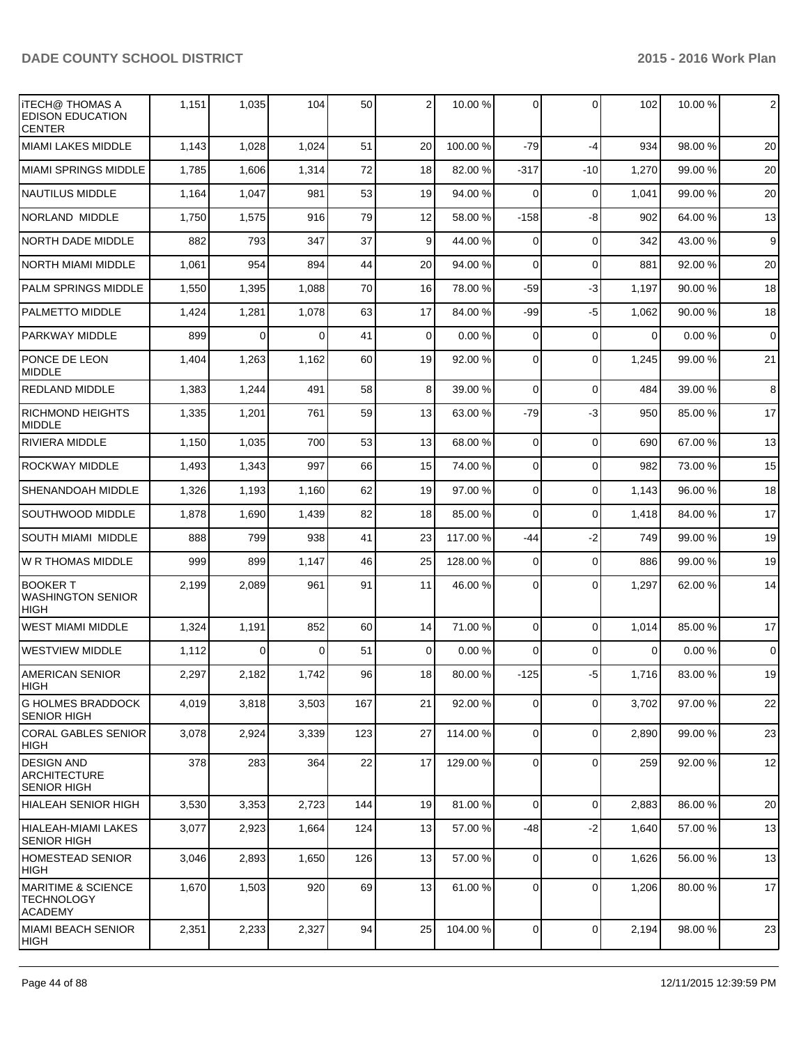| <b>ITECH@ THOMAS A</b><br><b>EDISON EDUCATION</b><br><b>CENTER</b>   | 1,151 | 1,035    | 104      | 50  | 2              | 10.00 %  | $\Omega$       | $\Omega$    | 102      | 10.00 % | 2           |
|----------------------------------------------------------------------|-------|----------|----------|-----|----------------|----------|----------------|-------------|----------|---------|-------------|
| <b>MIAMI LAKES MIDDLE</b>                                            | 1,143 | 1,028    | 1,024    | 51  | 20             | 100.00%  | $-79$          | $-4$        | 934      | 98.00 % | 20          |
| <b>MIAMI SPRINGS MIDDLE</b>                                          | 1,785 | 1,606    | 1,314    | 72  | 18             | 82.00 %  | $-317$         | $-10$       | 1,270    | 99.00 % | 20          |
| <b>NAUTILUS MIDDLE</b>                                               | 1,164 | 1,047    | 981      | 53  | 19             | 94.00 %  | $\Omega$       | 0           | 1,041    | 99.00 % | 20          |
| NORLAND MIDDLE                                                       | 1,750 | 1,575    | 916      | 79  | 12             | 58.00 %  | $-158$         | -8          | 902      | 64.00 % | 13          |
| <b>NORTH DADE MIDDLE</b>                                             | 882   | 793      | 347      | 37  | 9              | 44.00 %  | 0              | $\Omega$    | 342      | 43.00 % | 9           |
| <b>NORTH MIAMI MIDDLE</b>                                            | 1,061 | 954      | 894      | 44  | 20             | 94.00 %  | $\Omega$       | $\mathbf 0$ | 881      | 92.00 % | 20          |
| <b>PALM SPRINGS MIDDLE</b>                                           | 1,550 | 1,395    | 1,088    | 70  | 16             | 78.00 %  | $-59$          | $-3$        | 1,197    | 90.00 % | 18          |
| <b>PALMETTO MIDDLE</b>                                               | 1,424 | 1,281    | 1,078    | 63  | 17             | 84.00 %  | $-99$          | $-5$        | 1,062    | 90.00 % | 18          |
| <b>PARKWAY MIDDLE</b>                                                | 899   | 0        | 0        | 41  | 0              | 0.00%    | 0              | $\Omega$    | 0        | 0.00%   | $\mathbf 0$ |
| PONCE DE LEON<br><b>MIDDLE</b>                                       | 1,404 | 1,263    | 1,162    | 60  | 19             | 92.00 %  | $\Omega$       | $\mathbf 0$ | 1,245    | 99.00 % | 21          |
| <b>REDLAND MIDDLE</b>                                                | 1,383 | 1,244    | 491      | 58  | 8 <sup>1</sup> | 39.00 %  | $\Omega$       | $\Omega$    | 484      | 39.00 % | 8           |
| <b>RICHMOND HEIGHTS</b><br><b>MIDDLE</b>                             | 1,335 | 1,201    | 761      | 59  | 13             | 63.00 %  | $-79$          | $-3$        | 950      | 85.00 % | 17          |
| <b>RIVIERA MIDDLE</b>                                                | 1,150 | 1,035    | 700      | 53  | 13             | 68.00 %  | $\Omega$       | $\mathbf 0$ | 690      | 67.00 % | 13          |
| <b>ROCKWAY MIDDLE</b>                                                | 1,493 | 1,343    | 997      | 66  | 15             | 74.00 %  | $\overline{0}$ | $\mathbf 0$ | 982      | 73.00 % | 15          |
| SHENANDOAH MIDDLE                                                    | 1,326 | 1,193    | 1,160    | 62  | 19             | 97.00 %  | $\Omega$       | $\mathbf 0$ | 1,143    | 96.00 % | 18          |
| SOUTHWOOD MIDDLE                                                     | 1,878 | 1,690    | 1,439    | 82  | 18             | 85.00 %  | $\Omega$       | $\mathbf 0$ | 1,418    | 84.00 % | 17          |
| <b>SOUTH MIAMI MIDDLE</b>                                            | 888   | 799      | 938      | 41  | 23             | 117.00 % | -44            | $-2$        | 749      | 99.00 % | 19          |
| W R THOMAS MIDDLE                                                    | 999   | 899      | 1,147    | 46  | 25             | 128.00%  | $\overline{0}$ | $\mathbf 0$ | 886      | 99.00 % | 19          |
| <b>BOOKER T</b><br><b>WASHINGTON SENIOR</b><br><b>HIGH</b>           | 2,199 | 2,089    | 961      | 91  | 11             | 46.00 %  | 0              | $\mathbf 0$ | 1,297    | 62.00 % | 14          |
| <b>WEST MIAMI MIDDLE</b>                                             | 1,324 | 1,191    | 852      | 60  | 14             | 71.00 %  | $\Omega$       | $\Omega$    | 1,014    | 85.00 % | 17          |
| <b>WESTVIEW MIDDLE</b>                                               | 1,112 | $\Omega$ | $\Omega$ | 51  | $\Omega$       | 0.00%    | $\Omega$       | $\Omega$    | $\Omega$ | 0.00%   | $\mathbf 0$ |
| <b>AMERICAN SENIOR</b><br>HIGH                                       | 2,297 | 2,182    | 1,742    | 96  | 18             | 80.00 %  | $-125$         | -5          | 1,716    | 83.00 % | 19          |
| <b>G HOLMES BRADDOCK</b><br><b>SENIOR HIGH</b>                       | 4,019 | 3,818    | 3,503    | 167 | 21             | 92.00 %  | $\overline{0}$ | $\mathbf 0$ | 3,702    | 97.00 % | 22          |
| CORAL GABLES SENIOR<br>HIGH                                          | 3,078 | 2,924    | 3,339    | 123 | 27             | 114.00 % | $\overline{0}$ | $\mathbf 0$ | 2,890    | 99.00 % | 23          |
| <b>DESIGN AND</b><br><b>ARCHITECTURE</b><br><b>SENIOR HIGH</b>       | 378   | 283      | 364      | 22  | 17             | 129.00 % | $\overline{0}$ | $\mathbf 0$ | 259      | 92.00 % | 12          |
| IHIALEAH SENIOR HIGH                                                 | 3,530 | 3,353    | 2,723    | 144 | 19             | 81.00%   | $\Omega$       | $\mathbf 0$ | 2,883    | 86.00%  | 20          |
| HIALEAH-MIAMI LAKES<br><b>SENIOR HIGH</b>                            | 3,077 | 2,923    | 1,664    | 124 | 13             | 57.00 %  | $-48$          | $-2$        | 1,640    | 57.00 % | 13          |
| HOMESTEAD SENIOR<br>HIGH                                             | 3,046 | 2,893    | 1,650    | 126 | 13             | 57.00 %  | 0              | $\mathbf 0$ | 1,626    | 56.00 % | 13          |
| <b>MARITIME &amp; SCIENCE</b><br><b>TECHNOLOGY</b><br><b>ACADEMY</b> | 1,670 | 1,503    | 920      | 69  | 13             | 61.00%   | $\overline{0}$ | $\mathbf 0$ | 1,206    | 80.00%  | 17          |
| MIAMI BEACH SENIOR<br> HIGH                                          | 2,351 | 2,233    | 2,327    | 94  | 25             | 104.00 % | $\overline{0}$ | 0           | 2,194    | 98.00 % | 23          |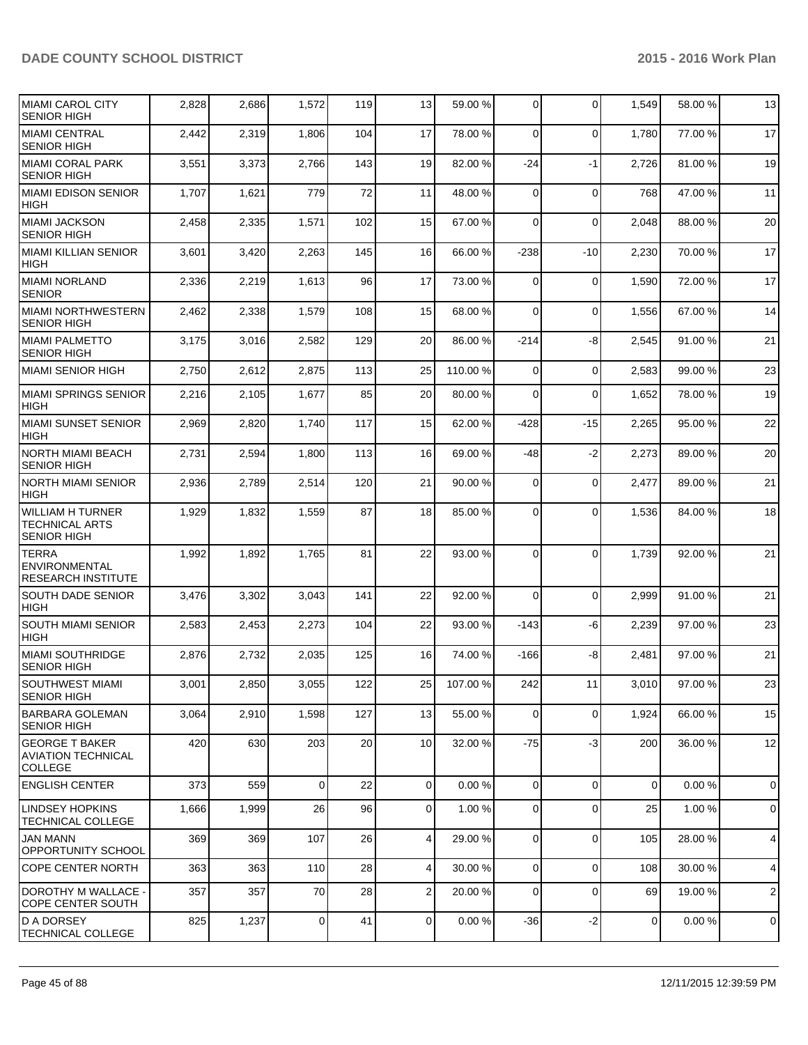| MIAMI CAROL CITY<br><b>SENIOR HIGH</b>                               | 2,828 | 2,686 | 1,572          | 119 | 13              | 59.00 %  | $\Omega$       | $\Omega$    | 1,549          | 58.00 % | 13                  |
|----------------------------------------------------------------------|-------|-------|----------------|-----|-----------------|----------|----------------|-------------|----------------|---------|---------------------|
| <b>MIAMI CENTRAL</b><br><b>SENIOR HIGH</b>                           | 2,442 | 2,319 | 1,806          | 104 | 17              | 78.00 %  | $\Omega$       | $\mathbf 0$ | 1,780          | 77.00 % | 17                  |
| <b>MIAMI CORAL PARK</b><br><b>SENIOR HIGH</b>                        | 3,551 | 3,373 | 2,766          | 143 | 19              | 82.00 %  | -24            | $-1$        | 2,726          | 81.00%  | 19                  |
| MIAMI EDISON SENIOR<br><b>HIGH</b>                                   | 1,707 | 1,621 | 779            | 72  | 11              | 48.00 %  | $\Omega$       | $\Omega$    | 768            | 47.00%  | 11                  |
| <b>MIAMI JACKSON</b><br><b>SENIOR HIGH</b>                           | 2,458 | 2,335 | 1,571          | 102 | 15              | 67.00 %  | $\Omega$       | $\Omega$    | 2,048          | 88.00 % | 20                  |
| <b>MIAMI KILLIAN SENIOR</b><br><b>HIGH</b>                           | 3,601 | 3,420 | 2,263          | 145 | 16              | 66.00 %  | $-238$         | $-10$       | 2,230          | 70.00%  | 17                  |
| MIAMI NORLAND<br><b>SENIOR</b>                                       | 2,336 | 2,219 | 1,613          | 96  | 17              | 73.00 %  | $\Omega$       | $\mathbf 0$ | 1,590          | 72.00 % | 17                  |
| <b>MIAMI NORTHWESTERN</b><br><b>SENIOR HIGH</b>                      | 2,462 | 2,338 | 1,579          | 108 | 15              | 68.00 %  | $\Omega$       | $\Omega$    | 1,556          | 67.00%  | 14                  |
| <b>MIAMI PALMETTO</b><br><b>SENIOR HIGH</b>                          | 3,175 | 3,016 | 2,582          | 129 | 20              | 86.00 %  | $-214$         | -8          | 2,545          | 91.00 % | 21                  |
| <b>MIAMI SENIOR HIGH</b>                                             | 2,750 | 2,612 | 2,875          | 113 | 25              | 110.00 % | $\Omega$       | $\mathbf 0$ | 2,583          | 99.00%  | 23                  |
| <b>MIAMI SPRINGS SENIOR</b><br><b>HIGH</b>                           | 2,216 | 2,105 | 1,677          | 85  | 20              | 80.00 %  | $\Omega$       | $\Omega$    | 1,652          | 78.00%  | 19                  |
| <b>MIAMI SUNSET SENIOR</b><br>HIGH                                   | 2,969 | 2,820 | 1,740          | 117 | 15              | 62.00 %  | $-428$         | $-15$       | 2,265          | 95.00 % | 22                  |
| <b>NORTH MIAMI BEACH</b><br><b>SENIOR HIGH</b>                       | 2,731 | 2,594 | 1,800          | 113 | 16              | 69.00 %  | -48            | $-2$        | 2,273          | 89.00 % | 20                  |
| <b>NORTH MIAMI SENIOR</b><br><b>HIGH</b>                             | 2,936 | 2,789 | 2,514          | 120 | 21              | 90.00 %  | $\Omega$       | $\mathbf 0$ | 2,477          | 89.00 % | 21                  |
| <b>WILLIAM H TURNER</b><br>TECHNICAL ARTS<br><b>SENIOR HIGH</b>      | 1,929 | 1,832 | 1,559          | 87  | 18              | 85.00 %  | $\Omega$       | $\Omega$    | 1,536          | 84.00%  | 18                  |
| <b>TERRA</b><br><b>ENVIRONMENTAL</b><br><b>RESEARCH INSTITUTE</b>    | 1,992 | 1,892 | 1,765          | 81  | 22              | 93.00 %  | $\Omega$       | $\Omega$    | 1,739          | 92.00 % | 21                  |
| <b>SOUTH DADE SENIOR</b><br><b>HIGH</b>                              | 3,476 | 3,302 | 3,043          | 141 | 22              | 92.00 %  | $\Omega$       | $\Omega$    | 2,999          | 91.00%  | 21                  |
| <b>SOUTH MIAMI SENIOR</b><br><b>HIGH</b>                             | 2,583 | 2,453 | 2,273          | 104 | 22              | 93.00 %  | $-143$         | -6          | 2,239          | 97.00 % | 23                  |
| <b>MIAMI SOUTHRIDGE</b><br><b>SENIOR HIGH</b>                        | 2,876 | 2,732 | 2,035          | 125 | 16              | 74.00 %  | $-166$         | -8          | 2,481          | 97.00%  | 21                  |
| SOUTHWEST MIAMI<br><b>SENIOR HIGH</b>                                | 3,001 | 2,850 | 3,055          | 122 | 25              | 107.00 % | 242            | 11          | 3,010          | 97.00 % | 23                  |
| <b>BARBARA GOLEMAN</b><br><b>SENIOR HIGH</b>                         | 3,064 | 2,910 | 1,598          | 127 | 13              | 55.00 %  | 0              | $\mathbf 0$ | 1,924          | 66.00%  | 15                  |
| <b>GEORGE T BAKER</b><br><b>AVIATION TECHNICAL</b><br><b>COLLEGE</b> | 420   | 630   | 203            | 20  | 10              | 32.00 %  | $-75$          | $-3$        | 200            | 36.00 % | 12                  |
| <b>ENGLISH CENTER</b>                                                | 373   | 559   | $\Omega$       | 22  | $\Omega$        | 0.00%    | $\Omega$       | $\Omega$    | 0              | 0.00%   | $\mathsf{O}\xspace$ |
| <b>LINDSEY HOPKINS</b><br>TECHNICAL COLLEGE                          | 1,666 | 1,999 | 26             | 96  | $\overline{0}$  | 1.00 %   | 0              | $\mathbf 0$ | 25             | 1.00%   | $\mathsf{O}\xspace$ |
| <b>JAN MANN</b><br><b>OPPORTUNITY SCHOOL</b>                         | 369   | 369   | 107            | 26  | $\vert 4 \vert$ | 29.00 %  | $\Omega$       | $\mathbf 0$ | 105            | 28.00%  | $\overline{4}$      |
| <b>COPE CENTER NORTH</b>                                             | 363   | 363   | 110            | 28  | $\vert 4 \vert$ | 30.00 %  | $\overline{0}$ | $\mathbf 0$ | 108            | 30.00 % | $\overline{4}$      |
| <b>DOROTHY M WALLACE -</b><br><b>COPE CENTER SOUTH</b>               | 357   | 357   | 70             | 28  | $\overline{2}$  | 20.00 %  | $\overline{0}$ | $\mathbf 0$ | 69             | 19.00 % | $\mathbf{2}$        |
| <b>D A DORSEY</b><br><b>TECHNICAL COLLEGE</b>                        | 825   | 1,237 | $\overline{0}$ | 41  | $\overline{0}$  | 0.00 %   | $-36$          | $-2$        | $\overline{0}$ | 0.00%   | $\mathbf 0$         |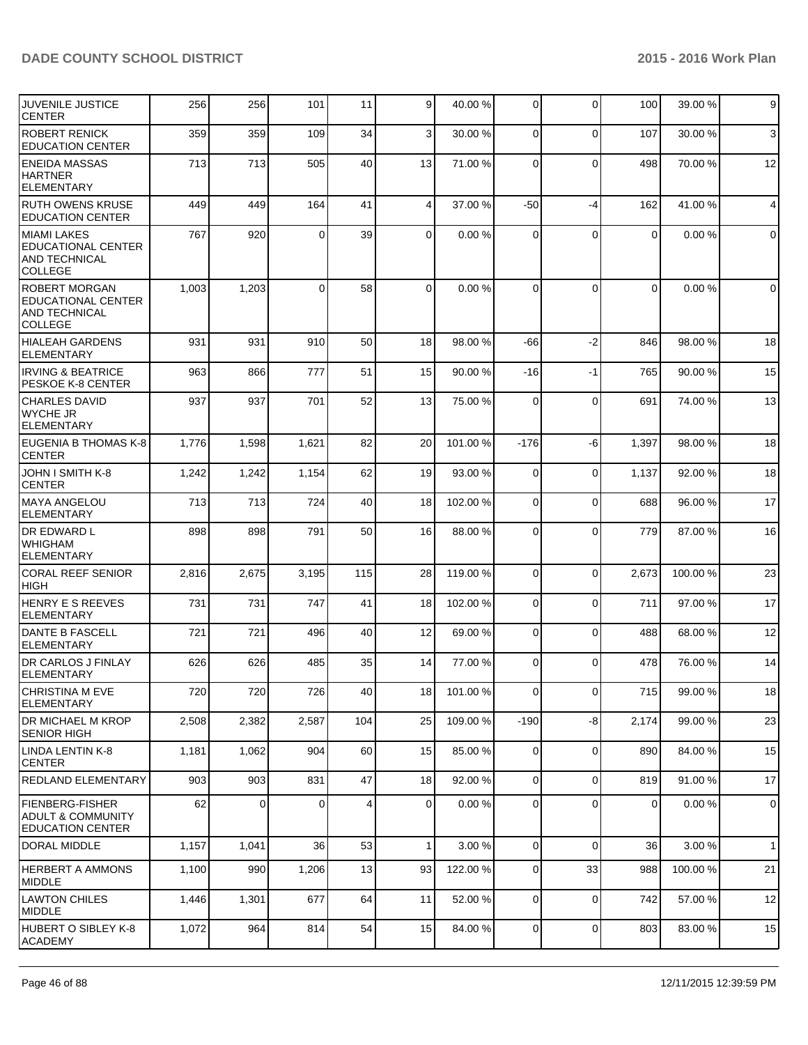| JUVENILE JUSTICE<br><b>CENTER</b>                                                    | 256   | 256   | 101      | 11  | 9 <sub>l</sub>  | 40.00 %  | $\overline{0}$ | $\Omega$     | 100            | 39.00 %  | 9            |
|--------------------------------------------------------------------------------------|-------|-------|----------|-----|-----------------|----------|----------------|--------------|----------------|----------|--------------|
| <b>ROBERT RENICK</b><br><b>EDUCATION CENTER</b>                                      | 359   | 359   | 109      | 34  | 3               | 30.00 %  | $\Omega$       | $\mathbf{0}$ | 107            | 30.00 %  | $\mathbf{3}$ |
| <b>ENEIDA MASSAS</b><br><b>HARTNER</b><br><b>ELEMENTARY</b>                          | 713   | 713   | 505      | 40  | 13              | 71.00 %  | $\Omega$       | $\mathbf{0}$ | 498            | 70.00 %  | 12           |
| <b>RUTH OWENS KRUSE</b><br><b>EDUCATION CENTER</b>                                   | 449   | 449   | 164      | 41  | $\vert 4 \vert$ | 37.00 %  | -50            | $-4$         | 162            | 41.00%   | 4            |
| <b>MIAMI LAKES</b><br><b>EDUCATIONAL CENTER</b><br>AND TECHNICAL<br>COLLEGE          | 767   | 920   | $\Omega$ | 39  | $\Omega$        | 0.00%    | $\Omega$       | $\mathbf{0}$ | $\mathbf 0$    | 0.00%    | $\mathbf 0$  |
| <b>ROBERT MORGAN</b><br><b>EDUCATIONAL CENTER</b><br>AND TECHNICAL<br><b>COLLEGE</b> | 1,003 | 1,203 | $\Omega$ | 58  | $\Omega$        | 0.00%    | $\Omega$       | $\Omega$     | 0              | 0.00%    | $\mathbf 0$  |
| HIALEAH GARDENS<br><b>ELEMENTARY</b>                                                 | 931   | 931   | 910      | 50  | 18              | 98.00 %  | -66            | $-2$         | 846            | 98.00%   | 18           |
| <b>IRVING &amp; BEATRICE</b><br>PESKOE K-8 CENTER                                    | 963   | 866   | 777      | 51  | 15              | 90.00 %  | $-16$          | $-1$         | 765            | 90.00%   | 15           |
| <b>CHARLES DAVID</b><br><b>WYCHE JR</b><br>ELEMENTARY                                | 937   | 937   | 701      | 52  | 13              | 75.00 %  | $\Omega$       | $\Omega$     | 691            | 74.00 %  | 13           |
| EUGENIA B THOMAS K-8<br><b>CENTER</b>                                                | 1,776 | 1,598 | 1,621    | 82  | 20 <sup>1</sup> | 101.00 % | $-176$         | -6           | 1,397          | 98.00 %  | 18           |
| JOHN I SMITH K-8<br>CENTER                                                           | 1,242 | 1,242 | 1,154    | 62  | 19              | 93.00 %  | $\Omega$       | $\mathbf{0}$ | 1,137          | 92.00 %  | 18           |
| <b>MAYA ANGELOU</b><br>ELEMENTARY                                                    | 713   | 713   | 724      | 40  | 18              | 102.00 % | $\overline{0}$ | $\mathbf{0}$ | 688            | 96.00 %  | 17           |
| DR EDWARD L<br><b>WHIGHAM</b><br><b>ELEMENTARY</b>                                   | 898   | 898   | 791      | 50  | 16              | 88.00 %  | $\Omega$       | $\Omega$     | 779            | 87.00 %  | 16           |
| <b>CORAL REEF SENIOR</b><br>HIGH                                                     | 2,816 | 2,675 | 3,195    | 115 | 28              | 119.00 % | $\Omega$       | $\Omega$     | 2,673          | 100.00%  | 23           |
| <b>HENRY E S REEVES</b><br>ELEMENTARY                                                | 731   | 731   | 747      | 41  | 18              | 102.00 % | $\Omega$       | 0            | 711            | 97.00 %  | 17           |
| DANTE B FASCELL<br><b>ELEMENTARY</b>                                                 | 721   | 721   | 496      | 40  | 12              | 69.00 %  | $\Omega$       | 0            | 488            | 68.00 %  | 12           |
| DR CARLOS J FINLAY<br><b>ELEMENTARY</b>                                              | 626   | 626   | 485      | 35  | 14              | 77.00 %  | $\Omega$       | $\Omega$     | 478            | 76.00 %  | 14           |
| <b>CHRISTINA M EVE</b><br><b>ELEMENTARY</b>                                          | 720   | 720   | 726      | 40  | 18 I            | 101.00 % | 01             | 0            | 715            | 99.00 %  | 18           |
| DR MICHAEL M KROP<br><b>SENIOR HIGH</b>                                              | 2,508 | 2,382 | 2,587    | 104 | 25              | 109.00 % | -190           | -8           | 2,174          | 99.00 %  | 23           |
| LINDA LENTIN K-8<br><b>CENTER</b>                                                    | 1,181 | 1,062 | 904      | 60  | 15              | 85.00 %  | $\overline{0}$ | $\mathbf 0$  | 890            | 84.00 %  | 15           |
| REDLAND ELEMENTARY                                                                   | 903   | 903   | 831      | 47  | 18 <sup>l</sup> | 92.00 %  | $\overline{0}$ | 0            | 819            | 91.00 %  | 17           |
| <b>FIENBERG-FISHER</b><br>ADULT & COMMUNITY<br><b>EDUCATION CENTER</b>               | 62    | 0     | $\Omega$ | 4   | $\overline{0}$  | 0.00%    | $\overline{0}$ | 0            | $\overline{0}$ | 0.00%    | 0            |
| DORAL MIDDLE                                                                         | 1,157 | 1,041 | 36       | 53  | 1 <sup>1</sup>  | 3.00 %   | $\overline{0}$ | $\mathbf 0$  | 36             | 3.00 %   | $\mathbf{1}$ |
| <b>HERBERT A AMMONS</b><br><b>MIDDLE</b>                                             | 1,100 | 990   | 1,206    | 13  | 93              | 122.00 % | $\overline{0}$ | 33           | 988            | 100.00 % | 21           |
| <b>LAWTON CHILES</b><br>MIDDLE                                                       | 1,446 | 1,301 | 677      | 64  | 11              | 52.00 %  | $\overline{0}$ | 0            | 742            | 57.00 %  | 12           |
| HUBERT O SIBLEY K-8<br><b>ACADEMY</b>                                                | 1,072 | 964   | 814      | 54  | 15              | 84.00 %  | $\overline{0}$ | 0            | 803            | 83.00 %  | 15           |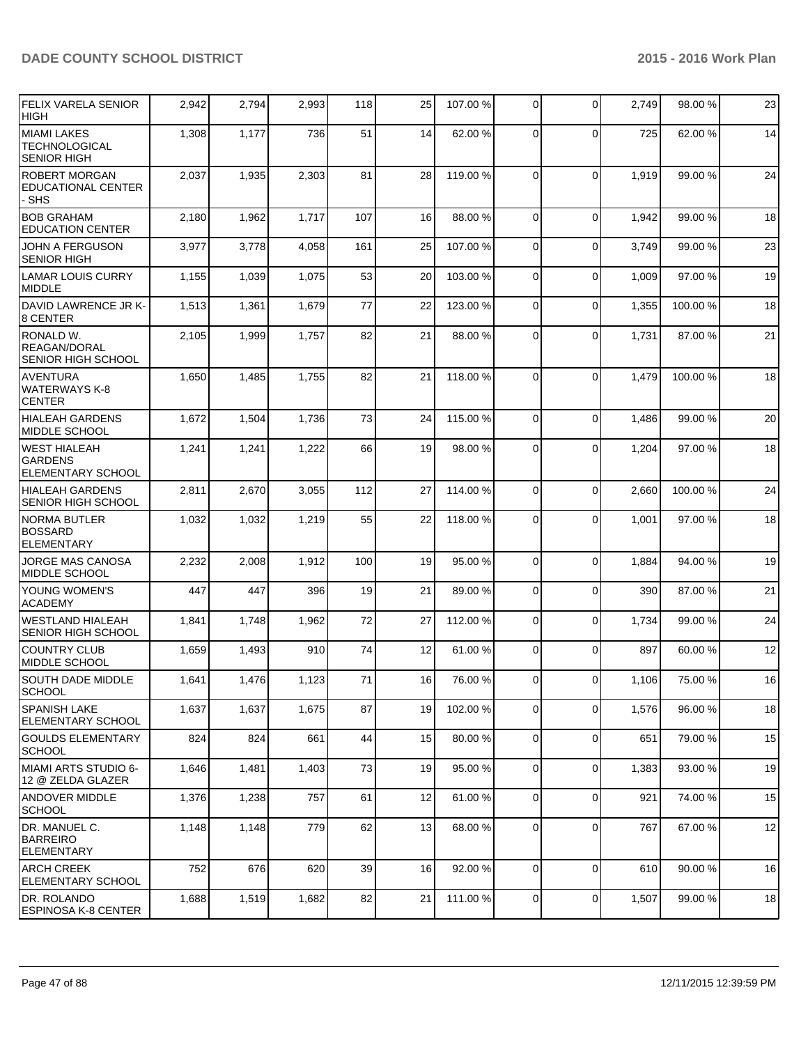| <b>FELIX VARELA SENIOR</b><br><b>HIGH</b>                         | 2,942 | 2,794 | 2,993 | 118 | 25 | 107.00 % | $\Omega$       | $\Omega$     | 2,749 | 98.00 % | 23 |
|-------------------------------------------------------------------|-------|-------|-------|-----|----|----------|----------------|--------------|-------|---------|----|
| <b>MIAMI LAKES</b><br>TECHNOLOGICAL<br><b>SENIOR HIGH</b>         | 1,308 | 1,177 | 736   | 51  | 14 | 62.00 %  | $\Omega$       | $\mathbf{0}$ | 725   | 62.00%  | 14 |
| <b>ROBERT MORGAN</b><br>EDUCATIONAL CENTER<br>- SHS               | 2,037 | 1,935 | 2,303 | 81  | 28 | 119.00 % | $\Omega$       | $\Omega$     | 1,919 | 99.00 % | 24 |
| <b>BOB GRAHAM</b><br><b>EDUCATION CENTER</b>                      | 2,180 | 1,962 | 1,717 | 107 | 16 | 88.00 %  | $\Omega$       | $\mathbf{0}$ | 1,942 | 99.00 % | 18 |
| JOHN A FERGUSON<br><b>SENIOR HIGH</b>                             | 3,977 | 3,778 | 4,058 | 161 | 25 | 107.00 % | $\Omega$       | $\mathbf 0$  | 3,749 | 99.00 % | 23 |
| <b>LAMAR LOUIS CURRY</b><br><b>MIDDLE</b>                         | 1,155 | 1,039 | 1,075 | 53  | 20 | 103.00 % | $\Omega$       | $\mathbf 0$  | 1,009 | 97.00%  | 19 |
| DAVID LAWRENCE JR K-<br>8 CENTER                                  | 1,513 | 1,361 | 1,679 | 77  | 22 | 123.00 % | $\overline{0}$ | 0            | 1,355 | 100.00% | 18 |
| RONALD W.<br>REAGAN/DORAL<br>SENIOR HIGH SCHOOL                   | 2,105 | 1,999 | 1,757 | 82  | 21 | 88.00 %  | 0              | $\mathbf 0$  | 1,731 | 87.00 % | 21 |
| AVENTURA<br>WATERWAYS K-8<br><b>CENTER</b>                        | 1,650 | 1,485 | 1,755 | 82  | 21 | 118.00 % | $\Omega$       | 0            | 1,479 | 100.00% | 18 |
| <b>HIALEAH GARDENS</b><br><b>MIDDLE SCHOOL</b>                    | 1,672 | 1,504 | 1,736 | 73  | 24 | 115.00 % | $\Omega$       | $\Omega$     | 1,486 | 99.00 % | 20 |
| <b>WEST HIALEAH</b><br><b>GARDENS</b><br><b>ELEMENTARY SCHOOL</b> | 1,241 | 1,241 | 1,222 | 66  | 19 | 98.00 %  | $\Omega$       | $\mathbf{0}$ | 1,204 | 97.00 % | 18 |
| <b>HIALEAH GARDENS</b><br>SENIOR HIGH SCHOOL                      | 2,811 | 2,670 | 3,055 | 112 | 27 | 114.00 % | $\Omega$       | $\Omega$     | 2,660 | 100.00% | 24 |
| <b>NORMA BUTLER</b><br><b>BOSSARD</b><br><b>ELEMENTARY</b>        | 1,032 | 1,032 | 1,219 | 55  | 22 | 118.00 % | $\overline{0}$ | $\mathbf 0$  | 1,001 | 97.00 % | 18 |
| JORGE MAS CANOSA<br><b>MIDDLE SCHOOL</b>                          | 2,232 | 2,008 | 1,912 | 100 | 19 | 95.00 %  | $\Omega$       | $\Omega$     | 1,884 | 94.00%  | 19 |
| YOUNG WOMEN'S<br><b>ACADEMY</b>                                   | 447   | 447   | 396   | 19  | 21 | 89.00 %  | $\overline{0}$ | 0            | 390   | 87.00 % | 21 |
| WESTLAND HIALEAH<br>SENIOR HIGH SCHOOL                            | 1,841 | 1,748 | 1,962 | 72  | 27 | 112.00 % | $\overline{0}$ | $\mathbf 0$  | 1,734 | 99.00 % | 24 |
| <b>COUNTRY CLUB</b><br>MIDDLE SCHOOL                              | 1,659 | 1,493 | 910   | 74  | 12 | 61.00 %  | $\Omega$       | $\Omega$     | 897   | 60.00 % | 12 |
| <b>SOUTH DADE MIDDLE</b><br>ISCHOOL                               | 1,641 | 1,476 | 1,123 | 71  | 16 | 76.00 %  | $\overline{0}$ | $\mathbf 0$  | 1,106 | 75.00 % | 16 |
| <b>SPANISH LAKE</b><br><b>ELEMENTARY SCHOOL</b>                   | 1,637 | 1,637 | 1,675 | 87  | 19 | 102.00%  | $\overline{0}$ | 0            | 1,576 | 96.00 % | 18 |
| <b>GOULDS ELEMENTARY</b><br> SCHOOL                               | 824   | 824   | 661   | 44  | 15 | 80.00 %  | 0              | $\mathbf 0$  | 651   | 79.00 % | 15 |
| MIAMI ARTS STUDIO 6-<br>12 @ ZELDA GLAZER                         | 1,646 | 1,481 | 1,403 | 73  | 19 | 95.00 %  | $\Omega$       | 0            | 1,383 | 93.00 % | 19 |
| <b>ANDOVER MIDDLE</b><br>SCHOOL                                   | 1,376 | 1,238 | 757   | 61  | 12 | 61.00%   | $\Omega$       | 0            | 921   | 74.00%  | 15 |
| IDR. MANUEL C.<br><b>BARREIRO</b><br>ELEMENTARY                   | 1,148 | 1,148 | 779   | 62  | 13 | 68.00 %  | $\overline{0}$ | 0            | 767   | 67.00%  | 12 |
| IARCH CREEK<br><b>ELEMENTARY SCHOOL</b>                           | 752   | 676   | 620   | 39  | 16 | 92.00 %  | $\Omega$       | 0            | 610   | 90.00 % | 16 |
| IDR. ROLANDO<br>ESPINOSA K-8 CENTER                               | 1,688 | 1,519 | 1,682 | 82  | 21 | 111.00 % | $\overline{0}$ | 0            | 1,507 | 99.00 % | 18 |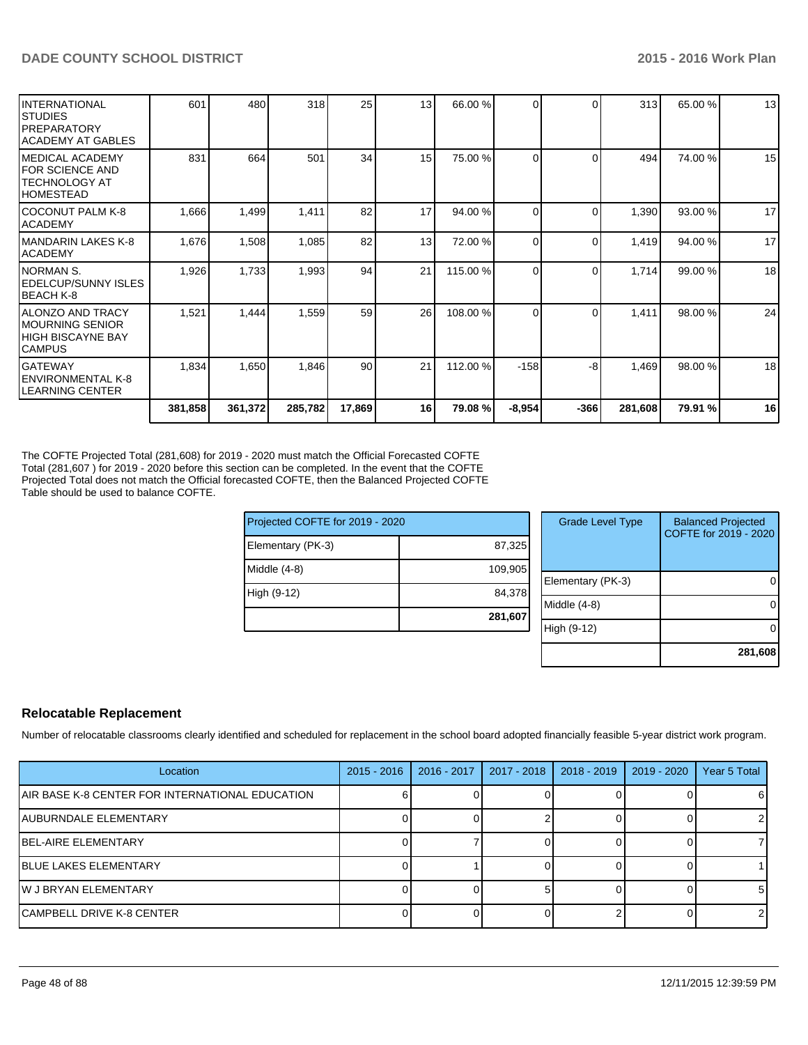| IINTERNATIONAL<br>ISTUDIES<br>IPREPARATORY<br>IACADEMY AT GABLES             | 601     | 480     | 318     | 25     | 13 <sup>l</sup> | 66.00 %  | $\Omega$ | $\Omega$ | 313     | 65.00 % | 13 |
|------------------------------------------------------------------------------|---------|---------|---------|--------|-----------------|----------|----------|----------|---------|---------|----|
| IMEDICAL ACADEMY<br><b>IFOR SCIENCE AND</b><br>ITECHNOLOGY AT<br>IHOMESTEAD  | 831     | 664     | 501     | 34     | 15              | 75.00 %  | $\Omega$ | 0        | 494     | 74.00 % | 15 |
| ICOCONUT PALM K-8<br>IACADEMY                                                | 1,666   | 1,499   | 1,411   | 82     | 17              | 94.00 %  | $\Omega$ | 0        | 1,390   | 93.00 % | 17 |
| IMANDARIN LAKES K-8<br>IACADEMY                                              | 1,676   | 1,508   | 1,085   | 82     | 13              | 72.00 %  | $\Omega$ | 0        | 1,419   | 94.00 % | 17 |
| INORMAN S.<br>IEDELCUP/SUNNY ISLES<br>BEACH K-8                              | 1,926   | 1,733   | 1,993   | 94     | 21              | 115.00 % | $\Omega$ | $\Omega$ | 1,714   | 99.00 % | 18 |
| IALONZO AND TRACY<br>IMOURNING SENIOR<br>IHIGH BISCAYNE BAY<br><b>CAMPUS</b> | 1,521   | 1,444   | 1,559   | 59     | 26              | 108.00 % | $\Omega$ | ∩        | 1,411   | 98.00 % | 24 |
| lGATEWAY<br>lENVIRONMENTAL K-8<br>LEARNING CENTER                            | 1,834   | 1,650   | 1,846   | 90     | 21              | 112.00 % | $-158$   | -8       | 1,469   | 98.00 % | 18 |
|                                                                              | 381,858 | 361,372 | 285,782 | 17,869 | 16              | 79.08 %  | $-8,954$ | $-366$   | 281,608 | 79.91 % | 16 |

The COFTE Projected Total (281,608) for 2019 - 2020 must match the Official Forecasted COFTE Total (281,607 ) for 2019 - 2020 before this section can be completed. In the event that the COFTE Projected Total does not match the Official forecasted COFTE, then the Balanced Projected COFTE Table should be used to balance COFTE.

| Projected COFTE for 2019 - 2020 |         |
|---------------------------------|---------|
| Elementary (PK-3)               | 87,325  |
| Middle $(4-8)$                  | 109,905 |
| High (9-12)                     | 84,378  |
|                                 | 281,607 |

| <b>Grade Level Type</b> | <b>Balanced Projected</b><br>COFTE for 2019 - 2020 |
|-------------------------|----------------------------------------------------|
| Elementary (PK-3)       |                                                    |
| Middle $(4-8)$          |                                                    |
| High (9-12)             |                                                    |
|                         | 281,608                                            |

#### **Relocatable Replacement**

Number of relocatable classrooms clearly identified and scheduled for replacement in the school board adopted financially feasible 5-year district work program.

| Location                                        | $2015 - 2016$ | $2016 - 2017$ | 2017 - 2018 | 2018 - 2019 | 2019 - 2020 | Year 5 Total |
|-------------------------------------------------|---------------|---------------|-------------|-------------|-------------|--------------|
| AIR BASE K-8 CENTER FOR INTERNATIONAL EDUCATION |               |               |             |             |             | 61           |
| <b>JAUBURNDALE ELEMENTARY</b>                   |               |               |             |             |             |              |
| <b>IBEL-AIRE ELEMENTARY</b>                     |               |               |             |             |             |              |
| <b>IBLUE LAKES ELEMENTARY</b>                   |               |               |             |             |             |              |
| <b>IW J BRYAN ELEMENTARY</b>                    |               |               |             |             |             | 51           |
| <b>ICAMPBELL DRIVE K-8 CENTER</b>               |               |               |             |             |             |              |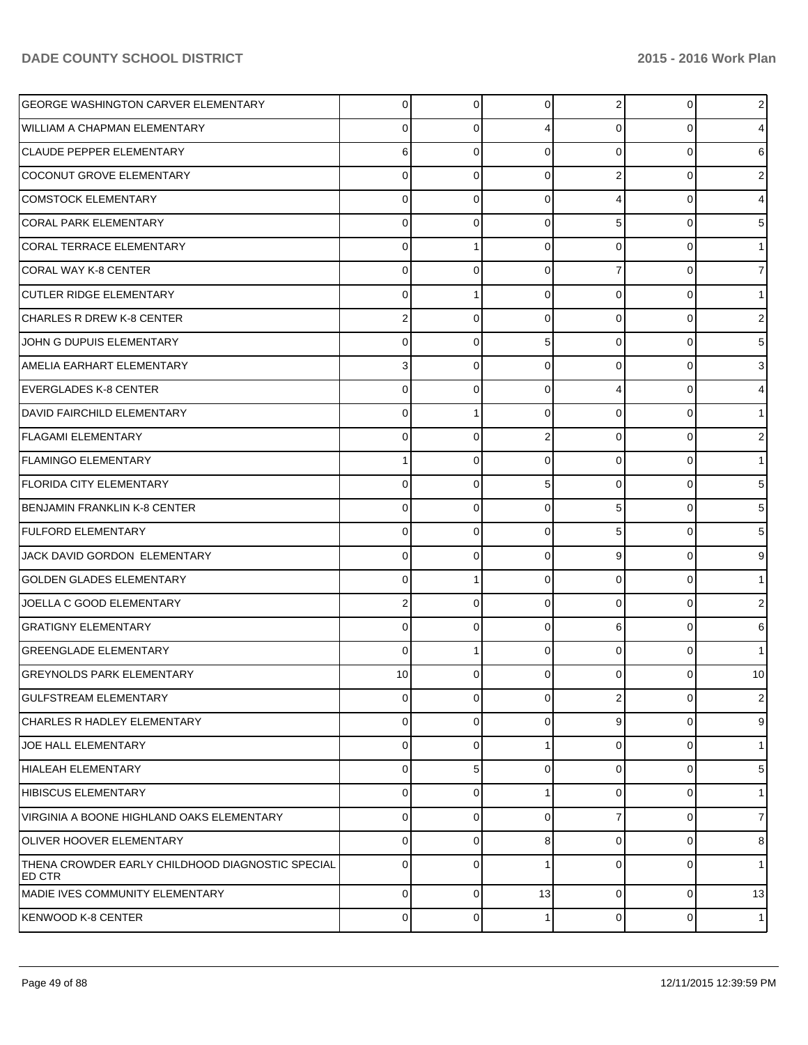| <b>GEORGE WASHINGTON CARVER ELEMENTARY</b>                 | $\overline{0}$ | 0        | $\overline{0}$ | $\overline{2}$ | $\overline{0}$ | $2 \mid$                |
|------------------------------------------------------------|----------------|----------|----------------|----------------|----------------|-------------------------|
| <b>WILLIAM A CHAPMAN ELEMENTARY</b>                        | 0              | 0        | 4              | 0              | $\Omega$       | 4                       |
| CLAUDE PEPPER ELEMENTARY                                   | 6              | 0        | $\Omega$       | $\Omega$       | $\Omega$       | 6                       |
| COCONUT GROVE ELEMENTARY                                   | $\mathbf 0$    | 0        | $\Omega$       | $\overline{2}$ | 0              | $\overline{\mathbf{c}}$ |
| <b>COMSTOCK ELEMENTARY</b>                                 | $\mathbf 0$    | 0        | $\Omega$       | 4              | $\Omega$       | 4                       |
| <b>CORAL PARK ELEMENTARY</b>                               | $\mathbf 0$    | 0        | $\Omega$       | 5              | $\Omega$       | 5                       |
| CORAL TERRACE ELEMENTARY                                   | 0              |          | $\Omega$       | $\Omega$       | 0              | 1                       |
| CORAL WAY K-8 CENTER                                       | 0              | 0        | $\Omega$       | 7              | 0              | 7                       |
| <b>CUTLER RIDGE ELEMENTARY</b>                             | 0              |          | $\Omega$       | $\Omega$       | 0              | 1                       |
| CHARLES R DREW K-8 CENTER                                  | 2              | 0        | $\Omega$       | $\mathbf 0$    | $\Omega$       | 2                       |
| JOHN G DUPUIS ELEMENTARY                                   | $\mathbf 0$    | $\Omega$ | 5              | $\Omega$       | $\Omega$       | 5                       |
| AMELIA EARHART ELEMENTARY                                  | 3              | 0        | $\Omega$       | 0              | $\Omega$       | 3                       |
| EVERGLADES K-8 CENTER                                      | 0              | 0        | $\Omega$       | 4              | 0              | 4                       |
| <b>DAVID FAIRCHILD ELEMENTARY</b>                          | 0              |          | $\Omega$       | 0              | 0              | 1.                      |
| <b>FLAGAMI ELEMENTARY</b>                                  | 0              | 0        | 2              | 0              | 0              | 2                       |
| <b>FLAMINGO ELEMENTARY</b>                                 | 1              | 0        | $\Omega$       | $\mathbf 0$    | $\Omega$       | 1                       |
| <b>FLORIDA CITY ELEMENTARY</b>                             | $\mathbf 0$    | 0        | 5              | $\Omega$       | $\Omega$       | 5                       |
| <b>BENJAMIN FRANKLIN K-8 CENTER</b>                        | $\mathbf 0$    | 0        | $\Omega$       | 5              | $\Omega$       | 5                       |
| <b>FULFORD ELEMENTARY</b>                                  | 0              | 0        | $\Omega$       | 5              | 0              | 5                       |
| JACK DAVID GORDON ELEMENTARY                               | 0              | 0        | $\Omega$       | 9              | 0              | 9                       |
| <b>GOLDEN GLADES ELEMENTARY</b>                            | 0              |          | 0              | $\Omega$       | 0              | 1                       |
| JOELLA C GOOD ELEMENTARY                                   | 2              | $\Omega$ | $\Omega$       | $\Omega$       | $\Omega$       | 2                       |
| <b>GRATIGNY ELEMENTARY</b>                                 | $\mathbf 0$    | $\Omega$ | $\Omega$       | 6              | $\Omega$       | 6                       |
| <b>GREENGLADE ELEMENTARY</b>                               | $\mathbf 0$    |          | $\Omega$       | $\Omega$       | $\Omega$       | 1                       |
| <b>GREYNOLDS PARK ELEMENTARY</b>                           | 10             | 0        | 0              | 0              | 0              | 10                      |
| <b>GULFSTREAM ELEMENTARY</b>                               | 0              | $\Omega$ | $\Omega$       | $\overline{2}$ | $\Omega$       | 2 <sub>1</sub>          |
| <b>CHARLES R HADLEY ELEMENTARY</b>                         | 0              | 0        | $\Omega$       | 9              | 0              | 9                       |
| <b>JOE HALL ELEMENTARY</b>                                 | 0              | 0        |                | 0              | $\Omega$       | 1                       |
| <b>HIALEAH ELEMENTARY</b>                                  | 0              | 5        | $\Omega$       | 0              | $\Omega$       | 5 <sub>5</sub>          |
| <b>HIBISCUS ELEMENTARY</b>                                 | 0              | 0        |                | 0              | 0              | 1                       |
| VIRGINIA A BOONE HIGHLAND OAKS ELEMENTARY                  | 0              | 0        | $\Omega$       | 7              | 0              | $\overline{7}$          |
| <b>OLIVER HOOVER ELEMENTARY</b>                            | 0              | 0        | 8              | 0              | 0              | 8                       |
| THENA CROWDER EARLY CHILDHOOD DIAGNOSTIC SPECIAL<br>ED CTR | $\mathbf 0$    | 0        |                | 0              | 0              | 1                       |
| <b>MADIE IVES COMMUNITY ELEMENTARY</b>                     | $\mathbf 0$    | 0        | 13             | $\overline{0}$ | $\Omega$       | 13                      |
| KENWOOD K-8 CENTER                                         | $\mathbf 0$    | 0        |                | 0              | $\Omega$       | 1 <sup>1</sup>          |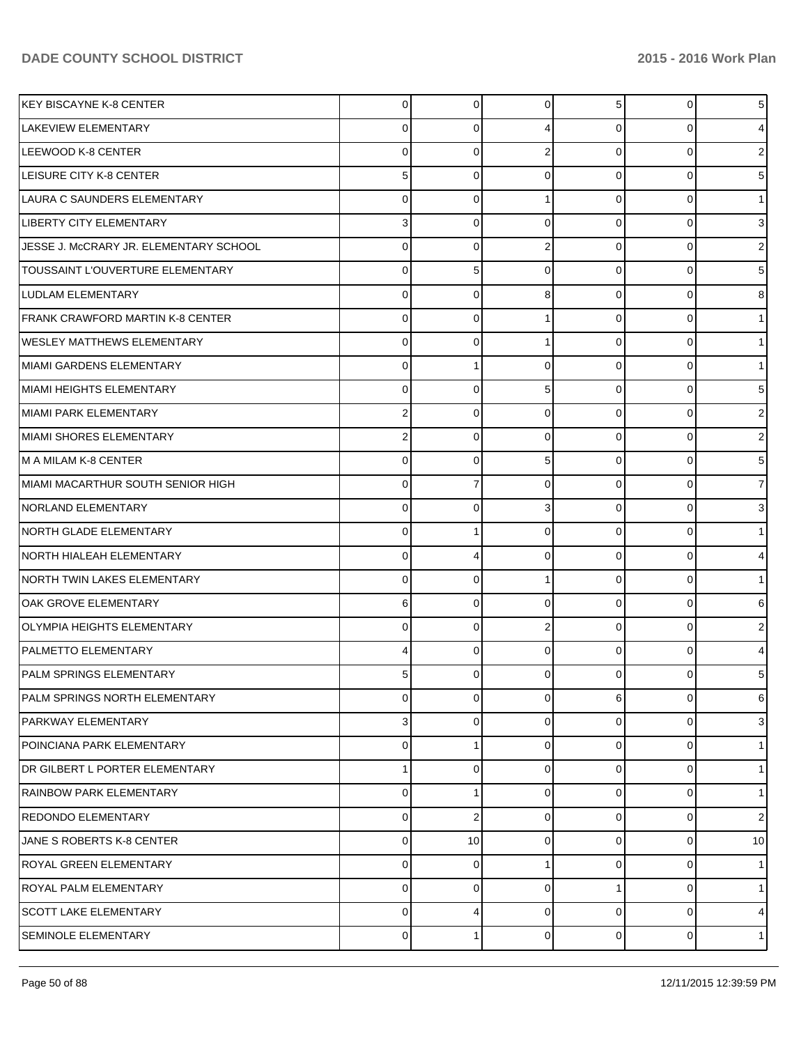| <b>IKEY BISCAYNE K-8 CENTER</b>        | $\overline{0}$ | 0        | $\overline{0}$ | 5 <sup>5</sup> | $\overline{0}$ | 5              |
|----------------------------------------|----------------|----------|----------------|----------------|----------------|----------------|
| <b>LAKEVIEW ELEMENTARY</b>             | 0              | 0        | 4              | $\Omega$       | 0              | 4              |
| LEEWOOD K-8 CENTER                     | 0              | 0        | 2              | $\Omega$       | $\Omega$       | 2              |
| LEISURE CITY K-8 CENTER                | 5              | 0        | $\Omega$       | $\Omega$       | 0              | 5              |
| LAURA C SAUNDERS ELEMENTARY            | 0              | 0        |                | $\Omega$       | 0              |                |
| <b>LIBERTY CITY ELEMENTARY</b>         | 3              | 0        | $\Omega$       | $\Omega$       | 0              | 3              |
| JESSE J. McCRARY JR. ELEMENTARY SCHOOL | 0              | 0        | 2              | $\Omega$       | 0              | 2              |
| TOUSSAINT L'OUVERTURE ELEMENTARY       | 0              | 5        | $\Omega$       | $\Omega$       | 0              | 5              |
| LUDLAM ELEMENTARY                      | 0              | 0        | 8              | $\Omega$       | 0              | 8              |
| FRANK CRAWFORD MARTIN K-8 CENTER       | 0              | 0        |                | $\Omega$       | 0              |                |
| <b>WESLEY MATTHEWS ELEMENTARY</b>      | 0              | 0        |                | $\Omega$       | 0              |                |
| MIAMI GARDENS ELEMENTARY               | 0              |          | $\Omega$       | $\Omega$       | 0              |                |
| MIAMI HEIGHTS ELEMENTARY               | 0              | 0        | 5              | $\Omega$       | 0              | 5              |
| MIAMI PARK ELEMENTARY                  | 2              | 0        | $\Omega$       | $\Omega$       | 0              | 2              |
| MIAMI SHORES ELEMENTARY                | 2              | 0        | $\Omega$       | $\Omega$       | 0              | 2              |
| M A MILAM K-8 CENTER                   | 0              | 0        | 5              | $\Omega$       | 0              | 5              |
| MIAMI MACARTHUR SOUTH SENIOR HIGH      | 0              |          | $\Omega$       | $\Omega$       | 0              | 7              |
| <b>NORLAND ELEMENTARY</b>              | 0              | 0        | 3              | $\Omega$       | 0              | 3              |
| NORTH GLADE ELEMENTARY                 | 0              |          | $\Omega$       | $\Omega$       | 0              |                |
| <b>NORTH HIALEAH ELEMENTARY</b>        | 0              | 4        | $\Omega$       | $\Omega$       | 0              | 4              |
| <b>NORTH TWIN LAKES ELEMENTARY</b>     | 0              | 0        |                | $\Omega$       | 0              |                |
| OAK GROVE ELEMENTARY                   | 6              | $\Omega$ | $\Omega$       | $\Omega$       | 0              | 6              |
| <b>OLYMPIA HEIGHTS ELEMENTARY</b>      | 0              | 0        | 2              | $\Omega$       | 0              | 2              |
| <b>PALMETTO ELEMENTARY</b>             | 4              | 0        | $\Omega$       | $\Omega$       | 0              | 4              |
| PALM SPRINGS ELEMENTARY                | 5              | 0        |                | 0              |                | 5              |
| PALM SPRINGS NORTH ELEMENTARY          | 0              | 0        | 0              | 6              | 0              | 6              |
| <b>PARKWAY ELEMENTARY</b>              | 3              | 0        | $\Omega$       | $\overline{0}$ | 0              | 3              |
| POINCIANA PARK ELEMENTARY              | 0              |          | $\Omega$       | $\Omega$       | 0              | 1              |
| DR GILBERT L PORTER ELEMENTARY         | 1              | 0        | 0              | $\overline{0}$ | 0              | 1              |
| RAINBOW PARK ELEMENTARY                | 0              |          | $\Omega$       | $\Omega$       | 0              | 1              |
| <b>REDONDO ELEMENTARY</b>              | 0              | 2        | $\Omega$       | $\overline{0}$ | 0              | $\mathsf{2}$   |
| JANE S ROBERTS K-8 CENTER              | 0              | 10       | $\Omega$       | $\Omega$       | 0              | 10             |
| <b>ROYAL GREEN ELEMENTARY</b>          | 0              | 0        |                | $\overline{0}$ | 0              | 1              |
| <b>ROYAL PALM ELEMENTARY</b>           | 0              | 0        | $\Omega$       |                | 0              | 1 <sup>1</sup> |
| <b>SCOTT LAKE ELEMENTARY</b>           | $\mathbf 0$    | 4        | $\Omega$       | $\Omega$       | $\Omega$       | $\overline{4}$ |
| SEMINOLE ELEMENTARY                    | $\pmb{0}$      | 1        | 0              | $\overline{0}$ | $\Omega$       | 1              |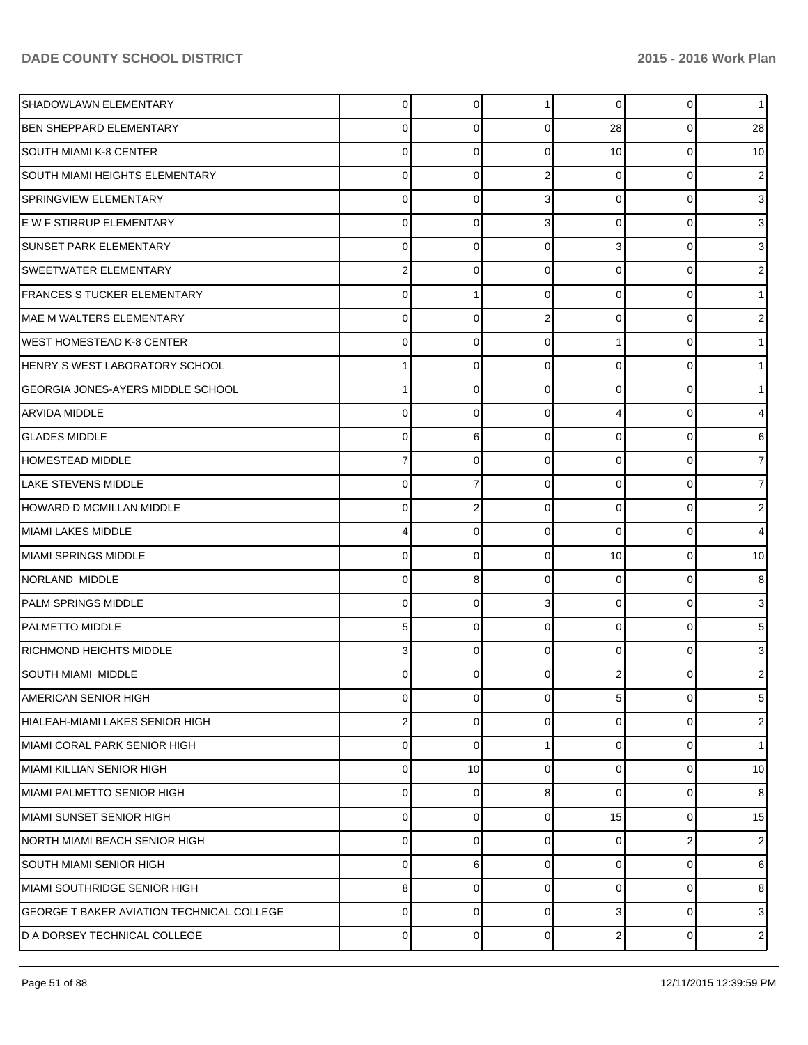| SHADOWLAWN ELEMENTARY                            | $\overline{0}$ | 0        | 1 <sup>1</sup> | $\overline{0}$ | $\overline{0}$ | 11              |
|--------------------------------------------------|----------------|----------|----------------|----------------|----------------|-----------------|
| <b>BEN SHEPPARD ELEMENTARY</b>                   | 0              | 0        | $\Omega$       | 28             | 0              | 28              |
| <b>SOUTH MIAMI K-8 CENTER</b>                    | 0              | 0        | $\Omega$       | 10             | 0              | 10              |
| <b>SOUTH MIAMI HEIGHTS ELEMENTARY</b>            | 0              | $\Omega$ | 2              | $\Omega$       | 0              | 2               |
| SPRINGVIEW ELEMENTARY                            | 0              | 0        | 3              | $\Omega$       | 0              | 3               |
| E W F STIRRUP ELEMENTARY                         | 0              | 0        | 3              | $\Omega$       | 0              | 3               |
| <b>SUNSET PARK ELEMENTARY</b>                    | 0              | 0        | $\Omega$       | 3              | 0              | 3               |
| <b>SWEETWATER ELEMENTARY</b>                     | 2              | 0        | $\Omega$       | $\Omega$       | 0              | 2               |
| <b>FRANCES S TUCKER ELEMENTARY</b>               | 0              |          | $\Omega$       | $\Omega$       | 0              |                 |
| <b>MAE M WALTERS ELEMENTARY</b>                  | 0              | $\Omega$ | 2              | $\Omega$       | 0              | 2               |
| <b>WEST HOMESTEAD K-8 CENTER</b>                 | 0              | 0        | $\Omega$       |                | 0              |                 |
| HENRY S WEST LABORATORY SCHOOL                   |                | $\Omega$ | $\Omega$       | $\Omega$       | 0              |                 |
| <b>GEORGIA JONES-AYERS MIDDLE SCHOOL</b>         |                | 0        | $\Omega$       | $\Omega$       | 0              |                 |
| <b>ARVIDA MIDDLE</b>                             | 0              | 0        | $\Omega$       | 4              | 0              | 4               |
| <b>GLADES MIDDLE</b>                             | 0              | 6        | $\Omega$       | $\Omega$       | 0              | 6               |
| <b>HOMESTEAD MIDDLE</b>                          | 7              | 0        | $\Omega$       | $\Omega$       | 0              | 7               |
| LAKE STEVENS MIDDLE                              | 0              |          | $\Omega$       | $\Omega$       | 0              | 7               |
| <b>HOWARD D MCMILLAN MIDDLE</b>                  | 0              | 2        | $\Omega$       | $\Omega$       | 0              | 2               |
| <b>MIAMI LAKES MIDDLE</b>                        | 4              | 0        | $\Omega$       | $\Omega$       | $\Omega$       | 4               |
| MIAMI SPRINGS MIDDLE                             | 0              | 0        | $\Omega$       | 10             | 0              | 10              |
| NORLAND MIDDLE                                   | 0              | 8        | $\Omega$       | $\Omega$       | 0              | 8               |
| PALM SPRINGS MIDDLE                              | 0              | 0        | 3              | $\Omega$       | 0              | 3               |
| <b>PALMETTO MIDDLE</b>                           | 5              | $\Omega$ | $\Omega$       | $\Omega$       | 0              | 5               |
| <b>RICHMOND HEIGHTS MIDDLE</b>                   | 3              | 0        | $\Omega$       | $\Omega$       | 0              | 3               |
| SOUTH MIAMI MIDDLE                               | 0              | 0        | 0              |                |                | 2               |
| AMERICAN SENIOR HIGH                             | 0              | 0        | $\Omega$       | 5 <sup>5</sup> | 0              | 5 <sub>5</sub>  |
| HIALEAH-MIAMI LAKES SENIOR HIGH                  | 2              | 0        | $\Omega$       | $\Omega$       | 0              | $\overline{2}$  |
| MIAMI CORAL PARK SENIOR HIGH                     | 0              | 0        |                | $\Omega$       | 0              | 1               |
| MIAMI KILLIAN SENIOR HIGH                        | 0              | 10       | $\Omega$       | $\Omega$       | 0              | 10 <sup>1</sup> |
| MIAMI PALMETTO SENIOR HIGH                       | 0              | 0        | 8              | $\Omega$       | 0              | 8               |
| MIAMI SUNSET SENIOR HIGH                         | 0              | 0        | $\Omega$       | 15             | 0              | 15              |
| INORTH MIAMI BEACH SENIOR HIGH                   | 0              | 0        | $\Omega$       | 0              | 2              | $\mathbf{2}$    |
| <b>SOUTH MIAMI SENIOR HIGH</b>                   | 0              | 6        | $\Omega$       | $\Omega$       | 0              | 6               |
| MIAMI SOUTHRIDGE SENIOR HIGH                     | 8              | 0        | $\Omega$       | $\Omega$       | 0              | 8               |
| <b>GEORGE T BAKER AVIATION TECHNICAL COLLEGE</b> | $\mathbf 0$    | 0        | $\Omega$       | 3              | $\Omega$       | 3 <sup>1</sup>  |
| D A DORSEY TECHNICAL COLLEGE                     | $\pmb{0}$      | 0        | 0              | 2              | 0              | $2\vert$        |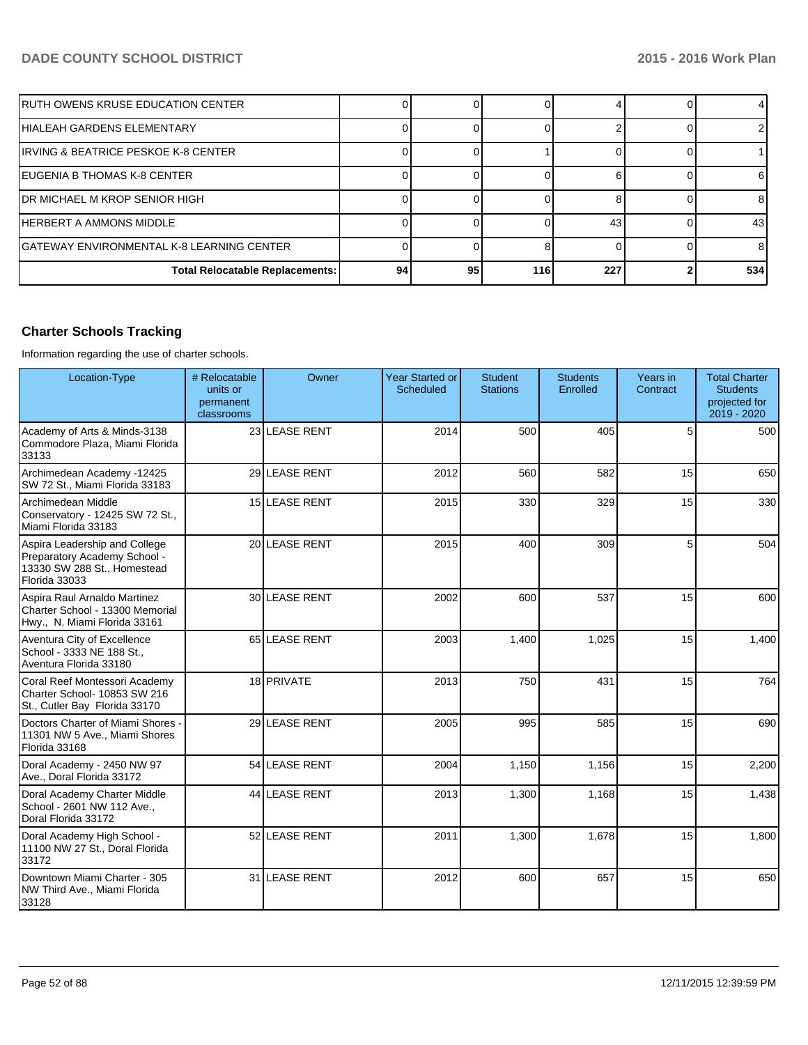| IRUTH OWENS KRUSE EDUCATION CENTER         |    |    |     |     |                 |
|--------------------------------------------|----|----|-----|-----|-----------------|
| IHIALEAH GARDENS ELEMENTARY                |    |    |     |     |                 |
| IIRVING & BEATRICE PESKOE K-8 CENTER       |    |    |     |     |                 |
| IEUGENIA B THOMAS K-8 CENTER               |    |    |     |     | 61              |
| IDR MICHAEL M KROP SENIOR HIGH             |    |    |     |     | 81              |
| <b>IHERBERT A AMMONS MIDDLE</b>            |    |    |     | 43  | 43 <sub>l</sub> |
| IGATEWAY ENVIRONMENTAL K-8 LEARNING CENTER |    |    |     |     | 81              |
| <b>Total Relocatable Replacements:</b>     | 94 | 95 | 116 | 227 | 534             |

# **Charter Schools Tracking**

Information regarding the use of charter schools.

| Location-Type                                                                                                 | # Relocatable<br>units or<br>permanent<br>classrooms | Owner         | <b>Year Started or</b><br>Scheduled | <b>Student</b><br><b>Stations</b> | <b>Students</b><br>Enrolled | Years in<br>Contract | <b>Total Charter</b><br><b>Students</b><br>projected for<br>2019 - 2020 |
|---------------------------------------------------------------------------------------------------------------|------------------------------------------------------|---------------|-------------------------------------|-----------------------------------|-----------------------------|----------------------|-------------------------------------------------------------------------|
| Academy of Arts & Minds-3138<br>Commodore Plaza, Miami Florida<br>33133                                       |                                                      | 23 LEASE RENT | 2014                                | 500                               | 405                         | 5                    | 500                                                                     |
| Archimedean Academy -12425<br>SW 72 St., Miami Florida 33183                                                  |                                                      | 29 LEASE RENT | 2012                                | 560                               | 582                         | 15                   | 650                                                                     |
| Archimedean Middle<br>Conservatory - 12425 SW 72 St.,<br>Miami Florida 33183                                  |                                                      | 15 LEASE RENT | 2015                                | 330                               | 329                         | 15                   | 330                                                                     |
| Aspira Leadership and College<br>Preparatory Academy School -<br>13330 SW 288 St., Homestead<br>Florida 33033 |                                                      | 20 LEASE RENT | 2015                                | 400                               | 309                         | 5                    | 504                                                                     |
| Aspira Raul Arnaldo Martinez<br>Charter School - 13300 Memorial<br>Hwy., N. Miami Florida 33161               |                                                      | 30 LEASE RENT | 2002                                | 600                               | 537                         | 15                   | 600                                                                     |
| Aventura City of Excellence<br>School - 3333 NE 188 St.,<br>Aventura Florida 33180                            |                                                      | 65 LEASE RENT | 2003                                | 1,400                             | 1,025                       | 15                   | 1,400                                                                   |
| Coral Reef Montessori Academy<br>Charter School- 10853 SW 216<br>St., Cutler Bay Florida 33170                |                                                      | 18 PRIVATE    | 2013                                | 750                               | 431                         | 15                   | 764                                                                     |
| Doctors Charter of Miami Shores<br>11301 NW 5 Ave., Miami Shores<br>Florida 33168                             |                                                      | 29 LEASE RENT | 2005                                | 995                               | 585                         | 15                   | 690                                                                     |
| Doral Academy - 2450 NW 97<br>Ave., Doral Florida 33172                                                       |                                                      | 54 LEASE RENT | 2004                                | 1,150                             | 1,156                       | 15                   | 2,200                                                                   |
| Doral Academy Charter Middle<br>School - 2601 NW 112 Ave.,<br>Doral Florida 33172                             |                                                      | 44 LEASE RENT | 2013                                | 1,300                             | 1,168                       | 15                   | 1,438                                                                   |
| Doral Academy High School -<br>11100 NW 27 St., Doral Florida<br>33172                                        |                                                      | 52 LEASE RENT | 2011                                | 1,300                             | 1,678                       | 15                   | 1,800                                                                   |
| Downtown Miami Charter - 305<br>NW Third Ave., Miami Florida<br>33128                                         |                                                      | 31 LEASE RENT | 2012                                | 600                               | 657                         | 15                   | 650                                                                     |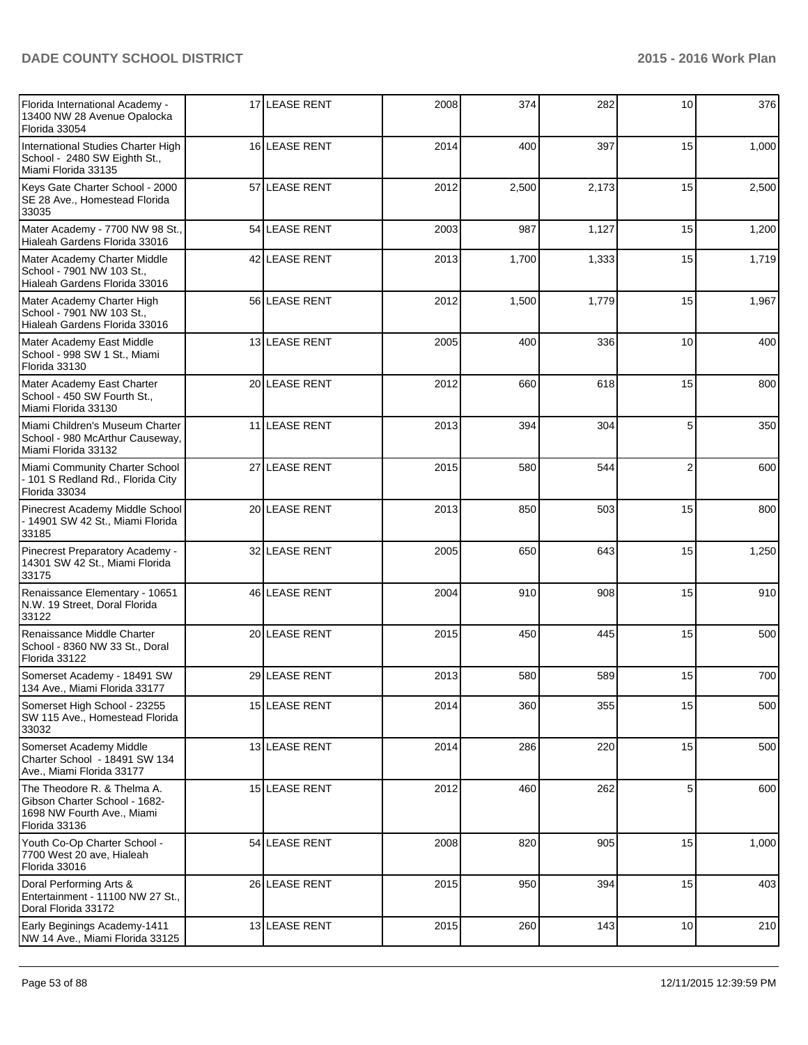| Florida International Academy -<br>13400 NW 28 Avenue Opalocka<br>Florida 33054                             | 17 LEASE RENT | 2008 | 374   | 282   | 10              | 376   |
|-------------------------------------------------------------------------------------------------------------|---------------|------|-------|-------|-----------------|-------|
| International Studies Charter High<br>School - 2480 SW Eighth St.,<br>Miami Florida 33135                   | 16 LEASE RENT | 2014 | 400   | 397   | 15              | 1,000 |
| Keys Gate Charter School - 2000<br>SE 28 Ave., Homestead Florida<br>33035                                   | 57 LEASE RENT | 2012 | 2,500 | 2,173 | 15              | 2,500 |
| Mater Academy - 7700 NW 98 St.,<br>Hialeah Gardens Florida 33016                                            | 54 LEASE RENT | 2003 | 987   | 1,127 | 15              | 1,200 |
| Mater Academy Charter Middle<br>School - 7901 NW 103 St.,<br>Hialeah Gardens Florida 33016                  | 42 LEASE RENT | 2013 | 1,700 | 1,333 | 15              | 1,719 |
| Mater Academy Charter High<br>School - 7901 NW 103 St.,<br>Hialeah Gardens Florida 33016                    | 56 LEASE RENT | 2012 | 1,500 | 1,779 | 15              | 1,967 |
| Mater Academy East Middle<br>School - 998 SW 1 St., Miami<br>Florida 33130                                  | 13 LEASE RENT | 2005 | 400   | 336   | 10              | 400   |
| Mater Academy East Charter<br>School - 450 SW Fourth St.,<br>Miami Florida 33130                            | 20 LEASE RENT | 2012 | 660   | 618   | 15              | 800   |
| Miami Children's Museum Charter<br>School - 980 McArthur Causeway,<br>Miami Florida 33132                   | 11 LEASE RENT | 2013 | 394   | 304   | 5               | 350   |
| Miami Community Charter School<br>- 101 S Redland Rd., Florida City<br>Florida 33034                        | 27 LEASE RENT | 2015 | 580   | 544   | $\overline{2}$  | 600   |
| Pinecrest Academy Middle School<br>- 14901 SW 42 St., Miami Florida<br>33185                                | 20 LEASE RENT | 2013 | 850   | 503   | 15              | 800   |
| Pinecrest Preparatory Academy -<br>14301 SW 42 St., Miami Florida<br>33175                                  | 32 LEASE RENT | 2005 | 650   | 643   | 15              | 1,250 |
| Renaissance Elementary - 10651<br>N.W. 19 Street, Doral Florida<br>33122                                    | 46 LEASE RENT | 2004 | 910   | 908   | 15              | 910   |
| Renaissance Middle Charter<br>School - 8360 NW 33 St., Doral<br>Florida 33122                               | 20 LEASE RENT | 2015 | 450   | 445   | 15              | 500   |
| Somerset Academy - 18491 SW<br>134 Ave., Miami Florida 33177                                                | 29 LEASE RENT | 2013 | 580   | 589   | 15              | 700   |
| Somerset High School - 23255<br>SW 115 Ave., Homestead Florida<br>33032                                     | 15 LEASE RENT | 2014 | 360   | 355   | 15              | 500   |
| Somerset Academy Middle<br>Charter School - 18491 SW 134<br>Ave., Miami Florida 33177                       | 13 LEASE RENT | 2014 | 286   | 220   | 15              | 500   |
| The Theodore R. & Thelma A.<br>Gibson Charter School - 1682-<br>1698 NW Fourth Ave., Miami<br>Florida 33136 | 15 LEASE RENT | 2012 | 460   | 262   | 5               | 600   |
| Youth Co-Op Charter School -<br>7700 West 20 ave, Hialeah<br>Florida 33016                                  | 54 LEASE RENT | 2008 | 820   | 905   | 15              | 1,000 |
| Doral Performing Arts &<br>Entertainment - 11100 NW 27 St.,<br>Doral Florida 33172                          | 26 LEASE RENT | 2015 | 950   | 394   | 15              | 403   |
| Early Beginings Academy-1411<br>NW 14 Ave., Miami Florida 33125                                             | 13 LEASE RENT | 2015 | 260   | 143   | 10 <sup>1</sup> | 210   |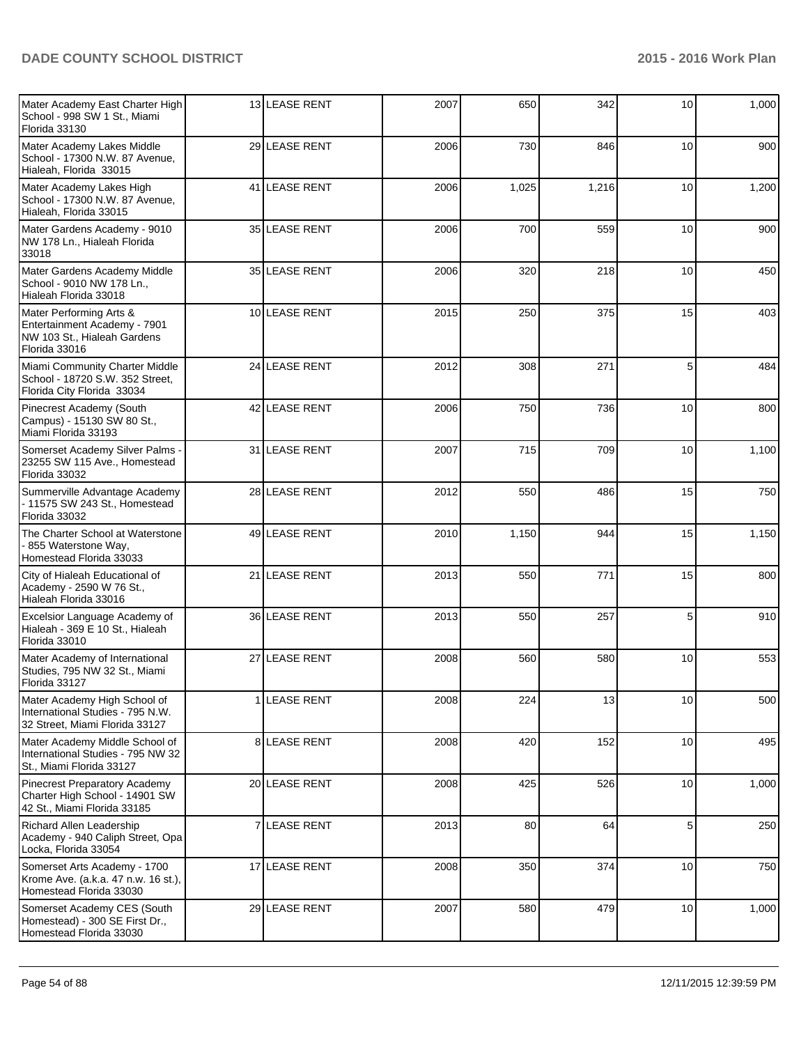| Mater Academy East Charter High<br>School - 998 SW 1 St., Miami<br>Florida 33130                        | 13 LEASE RENT | 2007 | 650   | 342   | 10              | 1,000 |
|---------------------------------------------------------------------------------------------------------|---------------|------|-------|-------|-----------------|-------|
| Mater Academy Lakes Middle<br>School - 17300 N.W. 87 Avenue,<br>Hialeah, Florida 33015                  | 29 LEASE RENT | 2006 | 730   | 846   | 10              | 900   |
| Mater Academy Lakes High<br>School - 17300 N.W. 87 Avenue,<br>Hialeah, Florida 33015                    | 41 LEASE RENT | 2006 | 1,025 | 1,216 | 10 <sub>1</sub> | 1,200 |
| Mater Gardens Academy - 9010<br>NW 178 Ln., Hialeah Florida<br>33018                                    | 35 LEASE RENT | 2006 | 700   | 559   | 10 <sup>1</sup> | 900   |
| Mater Gardens Academy Middle<br>School - 9010 NW 178 Ln.,<br>Hialeah Florida 33018                      | 35 LEASE RENT | 2006 | 320   | 218   | 10              | 450   |
| Mater Performing Arts &<br>Entertainment Academy - 7901<br>NW 103 St., Hialeah Gardens<br>Florida 33016 | 10 LEASE RENT | 2015 | 250   | 375   | 15              | 403   |
| Miami Community Charter Middle<br>School - 18720 S.W. 352 Street,<br>Florida City Florida 33034         | 24 LEASE RENT | 2012 | 308   | 271   | 5               | 484   |
| Pinecrest Academy (South<br>Campus) - 15130 SW 80 St.,<br>Miami Florida 33193                           | 42 LEASE RENT | 2006 | 750   | 736   | 10              | 800   |
| Somerset Academy Silver Palms -<br>23255 SW 115 Ave., Homestead<br>Florida 33032                        | 31 LEASE RENT | 2007 | 715   | 709   | 10 <sup>1</sup> | 1,100 |
| Summerville Advantage Academy<br>- 11575 SW 243 St., Homestead<br>Florida 33032                         | 28 LEASE RENT | 2012 | 550   | 486   | 15              | 750   |
| The Charter School at Waterstone<br>855 Waterstone Way,<br>Homestead Florida 33033                      | 49 LEASE RENT | 2010 | 1,150 | 944   | 15              | 1,150 |
| City of Hialeah Educational of<br>Academy - 2590 W 76 St.,<br>Hialeah Florida 33016                     | 21 LEASE RENT | 2013 | 550   | 771   | 15              | 800   |
| Excelsior Language Academy of<br>Hialeah - 369 E 10 St., Hialeah<br>Florida 33010                       | 36 LEASE RENT | 2013 | 550   | 257   | 5               | 910   |
| Mater Academy of International<br>Studies, 795 NW 32 St., Miami<br>Florida 33127                        | 27 LEASE RENT | 2008 | 560   | 580   | 10              | 553   |
| Mater Academy High School of<br>International Studies - 795 N.W.<br>32 Street. Miami Florida 33127      | 1 LEASE RENT  | 2008 | 224   | 13    | 10              | 500   |
| Mater Academy Middle School of<br>International Studies - 795 NW 32<br>St., Miami Florida 33127         | 8 LEASE RENT  | 2008 | 420   | 152   | 10 <sup>1</sup> | 495   |
| Pinecrest Preparatory Academy<br>Charter High School - 14901 SW<br>42 St., Miami Florida 33185          | 20 LEASE RENT | 2008 | 425   | 526   | 10 <sup>1</sup> | 1,000 |
| Richard Allen Leadership<br>Academy - 940 Caliph Street, Opa<br>Locka, Florida 33054                    | 7 LEASE RENT  | 2013 | 80    | 64    | 5               | 250   |
| Somerset Arts Academy - 1700<br>Krome Ave. (a.k.a. 47 n.w. 16 st.),<br>Homestead Florida 33030          | 17 LEASE RENT | 2008 | 350   | 374   | 10              | 750   |
| Somerset Academy CES (South<br>Homestead) - 300 SE First Dr.,<br>Homestead Florida 33030                | 29 LEASE RENT | 2007 | 580   | 479   | 10              | 1,000 |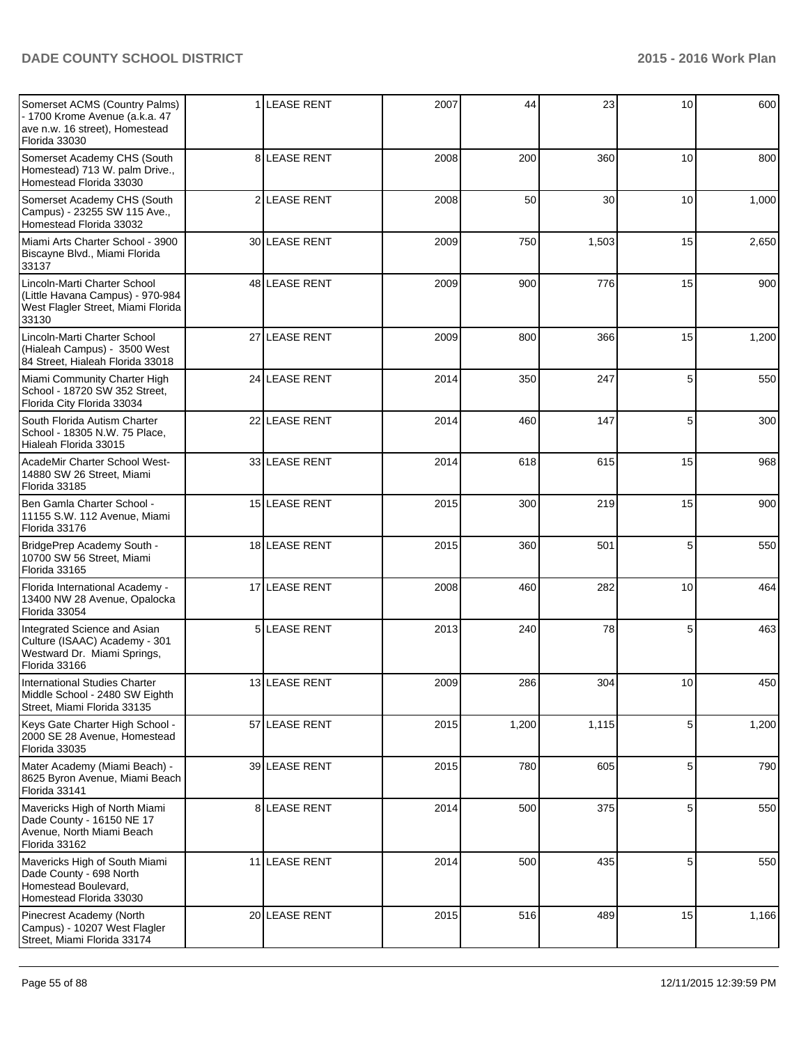| Somerset ACMS (Country Palms)<br>- 1700 Krome Avenue (a.k.a. 47<br>ave n.w. 16 street), Homestead<br>Florida 33030 |                | 1 LEASE RENT      | 2007 | 44    | 23    | 10              | 600   |
|--------------------------------------------------------------------------------------------------------------------|----------------|-------------------|------|-------|-------|-----------------|-------|
| Somerset Academy CHS (South<br>Homestead) 713 W. palm Drive.,<br>Homestead Florida 33030                           |                | 8 LEASE RENT      | 2008 | 200   | 360   | 10              | 800   |
| Somerset Academy CHS (South<br>Campus) - 23255 SW 115 Ave.,<br>Homestead Florida 33032                             |                | 2 LEASE RENT      | 2008 | 50    | 30    | 10 <sup>1</sup> | 1,000 |
| Miami Arts Charter School - 3900<br>Biscayne Blvd., Miami Florida<br>33137                                         |                | 30 LEASE RENT     | 2009 | 750   | 1,503 | 15              | 2,650 |
| Lincoln-Marti Charter School<br>(Little Havana Campus) - 970-984<br>West Flagler Street, Miami Florida<br>33130    |                | 48 LEASE RENT     | 2009 | 900   | 776   | 15              | 900   |
| Lincoln-Marti Charter School<br>(Hialeah Campus) - 3500 West<br>84 Street, Hialeah Florida 33018                   |                | 27 LEASE RENT     | 2009 | 800   | 366   | 15              | 1,200 |
| Miami Community Charter High<br>School - 18720 SW 352 Street,<br>Florida City Florida 33034                        |                | 24 LEASE RENT     | 2014 | 350   | 247   | 5               | 550   |
| South Florida Autism Charter<br>School - 18305 N.W. 75 Place,<br>Hialeah Florida 33015                             |                | 22 LEASE RENT     | 2014 | 460   | 147   | 5               | 300   |
| AcadeMir Charter School West-<br>14880 SW 26 Street, Miami<br>Florida 33185                                        |                | 33 LEASE RENT     | 2014 | 618   | 615   | 15              | 968   |
| Ben Gamla Charter School -<br>11155 S.W. 112 Avenue, Miami<br>Florida 33176                                        |                | 15 LEASE RENT     | 2015 | 300   | 219   | 15              | 900   |
| BridgePrep Academy South -<br>10700 SW 56 Street, Miami<br>Florida 33165                                           |                | 18 LEASE RENT     | 2015 | 360   | 501   | 5               | 550   |
| Florida International Academy -<br>13400 NW 28 Avenue, Opalocka<br>Florida 33054                                   |                | 17 LEASE RENT     | 2008 | 460   | 282   | 10 <sup>1</sup> | 464   |
| Integrated Science and Asian<br>Culture (ISAAC) Academy - 301<br>Westward Dr. Miami Springs,<br>Florida 33166      | 5 <sub>1</sub> | <b>LEASE RENT</b> | 2013 | 240   | 78    | 5               | 463   |
| <b>International Studies Charter</b><br>Middle School - 2480 SW Eighth<br>Street, Miami Florida 33135              |                | 13 LEASE RENT     | 2009 | 286   | 304   | 10              | 450   |
| Keys Gate Charter High School -<br>2000 SE 28 Avenue, Homestead<br>Florida 33035                                   |                | 57 LEASE RENT     | 2015 | 1,200 | 1,115 | 5               | 1,200 |
| Mater Academy (Miami Beach) -<br>8625 Byron Avenue, Miami Beach<br>Florida 33141                                   |                | 39 LEASE RENT     | 2015 | 780   | 605   | 5               | 790   |
| Mavericks High of North Miami<br>Dade County - 16150 NE 17<br>Avenue, North Miami Beach<br>Florida 33162           |                | 8 LEASE RENT      | 2014 | 500   | 375   | 5               | 550   |
| Mavericks High of South Miami<br>Dade County - 698 North<br>Homestead Boulevard,<br>Homestead Florida 33030        |                | 11 LEASE RENT     | 2014 | 500   | 435   | 5               | 550   |
| Pinecrest Academy (North<br>Campus) - 10207 West Flagler<br>Street, Miami Florida 33174                            |                | 20 LEASE RENT     | 2015 | 516   | 489   | 15              | 1,166 |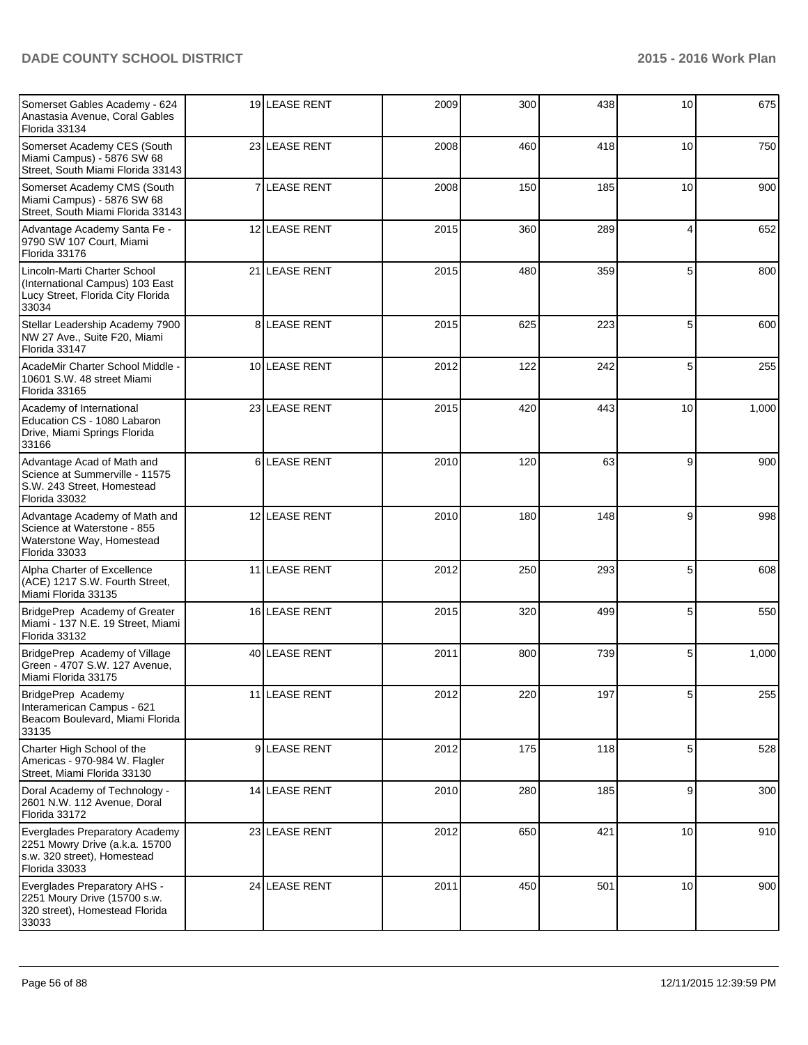| Somerset Gables Academy - 624<br>Anastasia Avenue, Coral Gables<br>Florida 33134                                 |                | 19 LEASE RENT       | 2009 | 300 | 438 | 10              | 675   |
|------------------------------------------------------------------------------------------------------------------|----------------|---------------------|------|-----|-----|-----------------|-------|
| Somerset Academy CES (South<br>Miami Campus) - 5876 SW 68<br>Street, South Miami Florida 33143                   |                | 23 LEASE RENT       | 2008 | 460 | 418 | 10 <sup>1</sup> | 750   |
| Somerset Academy CMS (South<br>Miami Campus) - 5876 SW 68<br>Street, South Miami Florida 33143                   |                | 7 LEASE RENT        | 2008 | 150 | 185 | 10              | 900   |
| Advantage Academy Santa Fe -<br>9790 SW 107 Court, Miami<br>Florida 33176                                        |                | 12 LEASE RENT       | 2015 | 360 | 289 | $\overline{4}$  | 652   |
| Lincoln-Marti Charter School<br>(International Campus) 103 East<br>Lucy Street, Florida City Florida<br>33034    |                | 21 LEASE RENT       | 2015 | 480 | 359 | 5               | 800   |
| Stellar Leadership Academy 7900<br>NW 27 Ave., Suite F20, Miami<br>Florida 33147                                 |                | <b>8ILEASE RENT</b> | 2015 | 625 | 223 | 5               | 600   |
| AcadeMir Charter School Middle -<br>10601 S.W. 48 street Miami<br>Florida 33165                                  |                | 10 LEASE RENT       | 2012 | 122 | 242 | 5               | 255   |
| Academy of International<br>Education CS - 1080 Labaron<br>Drive, Miami Springs Florida<br>33166                 |                | 23 LEASE RENT       | 2015 | 420 | 443 | 10              | 1,000 |
| Advantage Acad of Math and<br>Science at Summerville - 11575<br>S.W. 243 Street, Homestead<br>Florida 33032      | 6 <sup>1</sup> | <b>LEASE RENT</b>   | 2010 | 120 | 63  | 9               | 900   |
| Advantage Academy of Math and<br>Science at Waterstone - 855<br>Waterstone Way, Homestead<br>Florida 33033       |                | 12 LEASE RENT       | 2010 | 180 | 148 | 9               | 998   |
| Alpha Charter of Excellence<br>(ACE) 1217 S.W. Fourth Street,<br>Miami Florida 33135                             |                | 11 LEASE RENT       | 2012 | 250 | 293 | 5               | 608   |
| BridgePrep Academy of Greater<br>Miami - 137 N.E. 19 Street, Miami<br>Florida 33132                              |                | 16 LEASE RENT       | 2015 | 320 | 499 | 5               | 550   |
| BridgePrep Academy of Village<br>Green - 4707 S.W. 127 Avenue,<br>Miami Florida 33175                            |                | 40 LEASE RENT       | 2011 | 800 | 739 | 5               | 1,000 |
| BridgePrep Academy<br>Interamerican Campus - 621<br>Beacom Boulevard, Miami Florida<br>33135                     |                | 11 LEASE RENT       | 2012 | 220 | 197 | 5               | 255   |
| Charter High School of the<br>Americas - 970-984 W. Flagler<br>Street, Miami Florida 33130                       |                | 9 LEASE RENT        | 2012 | 175 | 118 | 5               | 528   |
| Doral Academy of Technology -<br>2601 N.W. 112 Avenue, Doral<br>Florida 33172                                    |                | 14 LEASE RENT       | 2010 | 280 | 185 | 9               | 300   |
| Everglades Preparatory Academy<br>2251 Mowry Drive (a.k.a. 15700<br>s.w. 320 street), Homestead<br>Florida 33033 |                | 23 LEASE RENT       | 2012 | 650 | 421 | 10              | 910   |
| Everglades Preparatory AHS -<br>2251 Moury Drive (15700 s.w.<br>320 street), Homestead Florida<br>33033          |                | 24 LEASE RENT       | 2011 | 450 | 501 | 10              | 900   |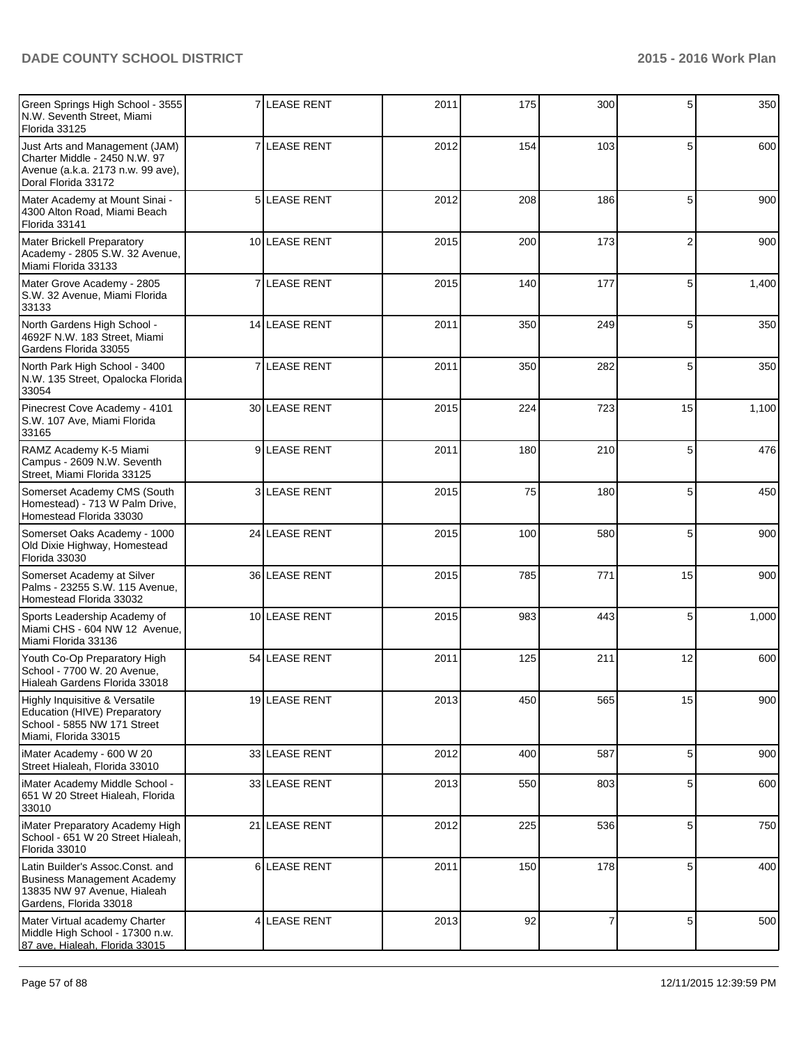| Green Springs High School - 3555<br>N.W. Seventh Street, Miami<br>Florida 33125                                             |                | <b>7 LEASE RENT</b>  | 2011 | 175 | 300            | 5              | 350   |
|-----------------------------------------------------------------------------------------------------------------------------|----------------|----------------------|------|-----|----------------|----------------|-------|
| Just Arts and Management (JAM)<br>Charter Middle - 2450 N.W. 97<br>Avenue (a.k.a. 2173 n.w. 99 ave),<br>Doral Florida 33172 |                | <b>7 ILEASE RENT</b> | 2012 | 154 | 103            | 5              | 600   |
| Mater Academy at Mount Sinai -<br>4300 Alton Road, Miami Beach<br>Florida 33141                                             |                | 5 LEASE RENT         | 2012 | 208 | 186            | 5              | 900   |
| Mater Brickell Preparatory<br>Academy - 2805 S.W. 32 Avenue,<br>Miami Florida 33133                                         |                | 10 LEASE RENT        | 2015 | 200 | 173            | $\overline{2}$ | 900   |
| Mater Grove Academy - 2805<br>S.W. 32 Avenue, Miami Florida<br>33133                                                        |                | 7 LEASE RENT         | 2015 | 140 | 177            | 5              | 1,400 |
| North Gardens High School -<br>4692F N.W. 183 Street, Miami<br>Gardens Florida 33055                                        |                | 14 LEASE RENT        | 2011 | 350 | 249            | 5              | 350   |
| North Park High School - 3400<br>N.W. 135 Street, Opalocka Florida<br>33054                                                 | $\overline{7}$ | <b>LEASE RENT</b>    | 2011 | 350 | 282            | 5              | 350   |
| Pinecrest Cove Academy - 4101<br>S.W. 107 Ave, Miami Florida<br>33165                                                       |                | 30 LEASE RENT        | 2015 | 224 | 723            | 15             | 1,100 |
| RAMZ Academy K-5 Miami<br>Campus - 2609 N.W. Seventh<br>Street, Miami Florida 33125                                         |                | 9LEASE RENT          | 2011 | 180 | 210            | 5              | 476   |
| Somerset Academy CMS (South<br>Homestead) - 713 W Palm Drive,<br>Homestead Florida 33030                                    |                | 3 LEASE RENT         | 2015 | 75  | 180            | 5              | 450   |
| Somerset Oaks Academy - 1000<br>Old Dixie Highway, Homestead<br>Florida 33030                                               |                | 24 LEASE RENT        | 2015 | 100 | 580            | 5              | 900   |
| Somerset Academy at Silver<br>Palms - 23255 S.W. 115 Avenue,<br>Homestead Florida 33032                                     |                | 36 LEASE RENT        | 2015 | 785 | 771            | 15             | 900   |
| Sports Leadership Academy of<br>Miami CHS - 604 NW 12 Avenue,<br>Miami Florida 33136                                        |                | 10 LEASE RENT        | 2015 | 983 | 443            | 5              | 1,000 |
| Youth Co-Op Preparatory High<br>School - 7700 W. 20 Avenue,<br>Hialeah Gardens Florida 33018                                |                | 54 LEASE RENT        | 2011 | 125 | 211            | 12             | 600   |
| Highly Inquisitive & Versatile<br>Education (HIVE) Preparatory<br>School - 5855 NW 171 Street<br>Miami, Florida 33015       |                | 19 LEASE RENT        | 2013 | 450 | 565            | 15             | 900   |
| iMater Academy - 600 W 20<br>Street Hialeah, Florida 33010                                                                  |                | 33 LEASE RENT        | 2012 | 400 | 587            | 5              | 900   |
| iMater Academy Middle School -<br>651 W 20 Street Hialeah, Florida<br>33010                                                 |                | 33 LEASE RENT        | 2013 | 550 | 803            | 5              | 600   |
| iMater Preparatory Academy High<br>School - 651 W 20 Street Hialeah,<br>Florida 33010                                       |                | 21 LEASE RENT        | 2012 | 225 | 536            | 5              | 750   |
| Latin Builder's Assoc.Const. and<br>Business Management Academy<br>13835 NW 97 Avenue, Hialeah<br>Gardens, Florida 33018    |                | 6LEASE RENT          | 2011 | 150 | 178            | 5              | 400   |
| Mater Virtual academy Charter<br>Middle High School - 17300 n.w.<br>87 ave, Hialeah, Florida 33015                          |                | 4 LEASE RENT         | 2013 | 92  | $\overline{7}$ | 5              | 500   |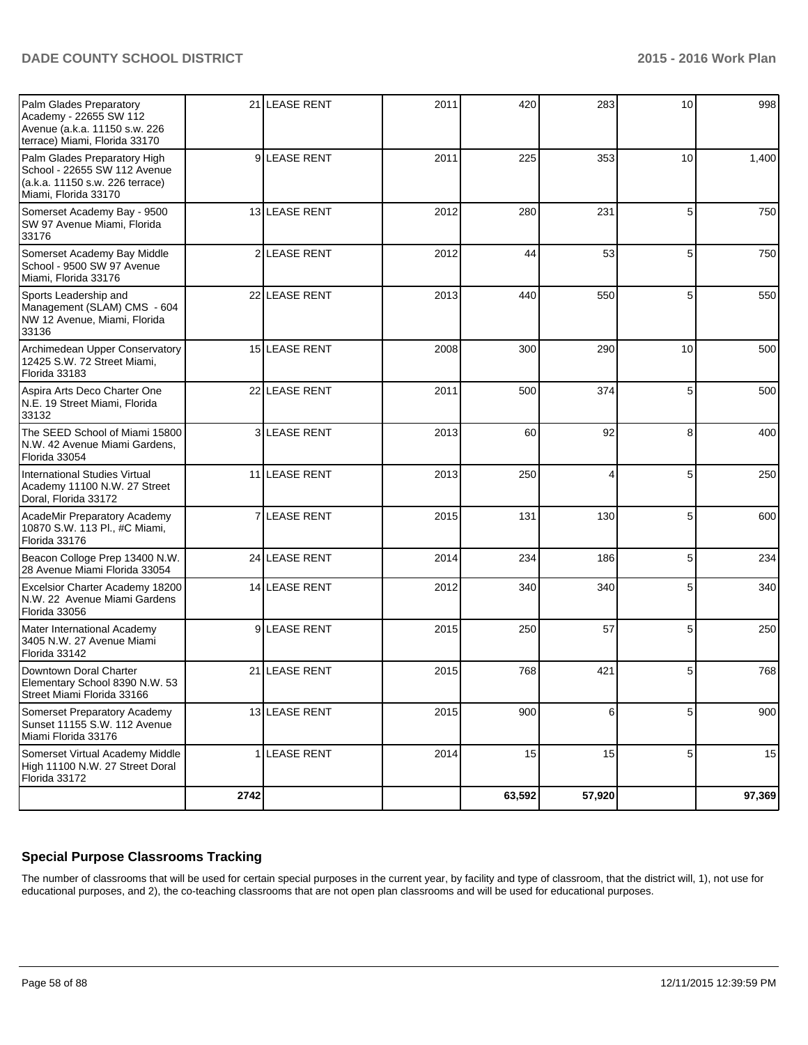| Palm Glades Preparatory<br>Academy - 22655 SW 112<br>Avenue (a.k.a. 11150 s.w. 226<br>terrace) Miami, Florida 33170     |      | 21 LEASE RENT       | 2011 | 420    | 283    | 10 <sup>1</sup> | 998    |
|-------------------------------------------------------------------------------------------------------------------------|------|---------------------|------|--------|--------|-----------------|--------|
| Palm Glades Preparatory High<br>School - 22655 SW 112 Avenue<br>(a.k.a. 11150 s.w. 226 terrace)<br>Miami, Florida 33170 |      | 9 LEASE RENT        | 2011 | 225    | 353    | 10              | 1,400  |
| Somerset Academy Bay - 9500<br>SW 97 Avenue Miami, Florida<br>33176                                                     |      | 13 LEASE RENT       | 2012 | 280    | 231    | 5               | 750    |
| Somerset Academy Bay Middle<br>School - 9500 SW 97 Avenue<br>Miami, Florida 33176                                       |      | 2 LEASE RENT        | 2012 | 44     | 53     | 5               | 750    |
| Sports Leadership and<br>Management (SLAM) CMS - 604<br>NW 12 Avenue, Miami, Florida<br>33136                           |      | 22 LEASE RENT       | 2013 | 440    | 550    | 5               | 550    |
| Archimedean Upper Conservatory<br>12425 S.W. 72 Street Miami,<br>Florida 33183                                          |      | 15 LEASE RENT       | 2008 | 300    | 290    | 10              | 500    |
| Aspira Arts Deco Charter One<br>N.E. 19 Street Miami, Florida<br>33132                                                  |      | 22 LEASE RENT       | 2011 | 500    | 374    | 5               | 500    |
| The SEED School of Miami 15800<br>N.W. 42 Avenue Miami Gardens,<br>Florida 33054                                        |      | <b>3ILEASE RENT</b> | 2013 | 60     | 92     | 8               | 400    |
| International Studies Virtual<br>Academy 11100 N.W. 27 Street<br>Doral, Florida 33172                                   |      | 11 LEASE RENT       | 2013 | 250    | 4      | 5               | 250    |
| AcadeMir Preparatory Academy<br>10870 S.W. 113 Pl., #C Miami,<br>Florida 33176                                          |      | 7 LEASE RENT        | 2015 | 131    | 130    | 5               | 600    |
| Beacon Colloge Prep 13400 N.W.<br>28 Avenue Miami Florida 33054                                                         |      | 24 LEASE RENT       | 2014 | 234    | 186    | 5               | 234    |
| Excelsior Charter Academy 18200<br>N.W. 22 Avenue Miami Gardens<br>Florida 33056                                        |      | 14 LEASE RENT       | 2012 | 340    | 340    | 5               | 340    |
| Mater International Academy<br>3405 N.W. 27 Avenue Miami<br>Florida 33142                                               |      | 9 LEASE RENT        | 2015 | 250    | 57     | 5               | 250    |
| Downtown Doral Charter<br>Elementary School 8390 N.W. 53<br>Street Miami Florida 33166                                  |      | 21 LEASE RENT       | 2015 | 768    | 421    | 5               | 768    |
| Somerset Preparatory Academy<br>Sunset 11155 S.W. 112 Avenue<br>Miami Florida 33176                                     |      | 13 LEASE RENT       | 2015 | 900    | 6      | 5               | 900    |
| Somerset Virtual Academy Middle<br>High 11100 N.W. 27 Street Doral<br>Florida 33172                                     |      | 1 LEASE RENT        | 2014 | 15     | 15     | 5               | 15     |
|                                                                                                                         | 2742 |                     |      | 63,592 | 57,920 |                 | 97,369 |

## **Special Purpose Classrooms Tracking**

The number of classrooms that will be used for certain special purposes in the current year, by facility and type of classroom, that the district will, 1), not use for educational purposes, and 2), the co-teaching classrooms that are not open plan classrooms and will be used for educational purposes.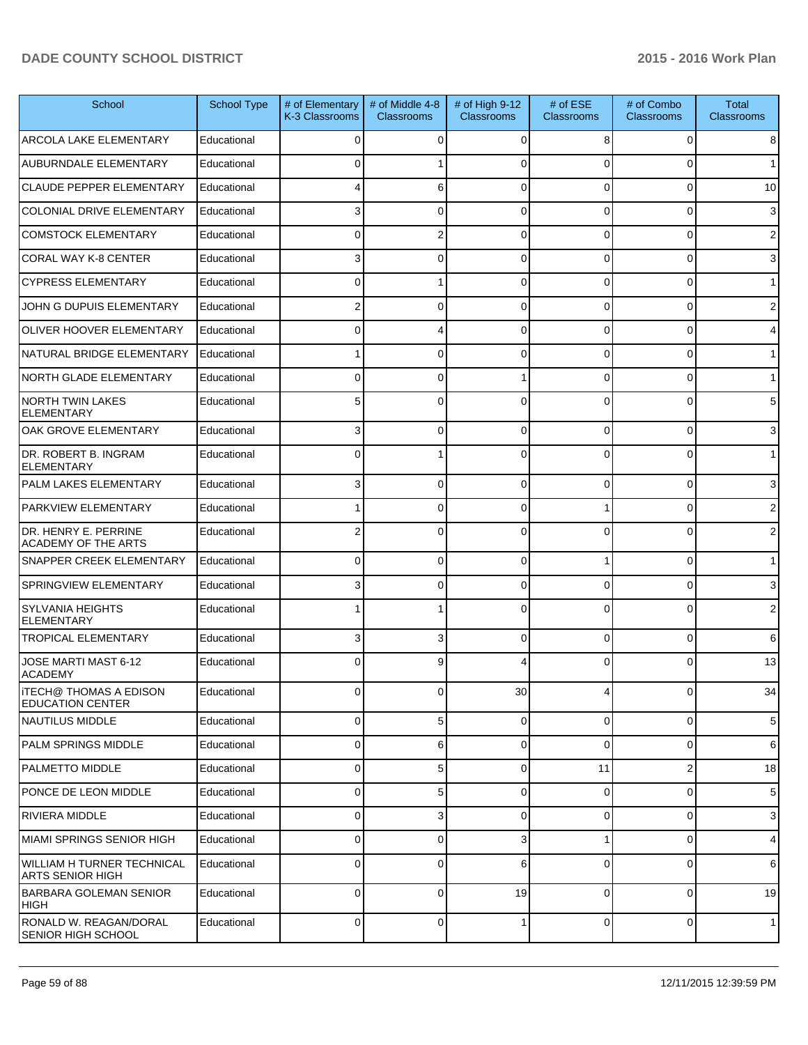| School                                              | School Type | # of Elementary<br>K-3 Classrooms | # of Middle 4-8<br><b>Classrooms</b> | # of High 9-12<br><b>Classrooms</b> | # of $ESE$<br><b>Classrooms</b> | # of Combo<br><b>Classrooms</b> | <b>Total</b><br><b>Classrooms</b> |
|-----------------------------------------------------|-------------|-----------------------------------|--------------------------------------|-------------------------------------|---------------------------------|---------------------------------|-----------------------------------|
| ARCOLA LAKE ELEMENTARY                              | Educational | 0                                 | $\Omega$                             | 0                                   | 8                               | $\Omega$                        | 8                                 |
| AUBURNDALE ELEMENTARY                               | Educational | U                                 |                                      | $\Omega$                            | $\Omega$                        | $\Omega$                        | 1                                 |
| <b>CLAUDE PEPPER ELEMENTARY</b>                     | Educational |                                   | 6                                    | $\Omega$                            | $\Omega$                        | $\overline{0}$                  | 10                                |
| COLONIAL DRIVE ELEMENTARY                           | Educational | 3                                 | $\Omega$                             | $\Omega$                            | $\Omega$                        | $\mathbf 0$                     | 3                                 |
| <b>COMSTOCK ELEMENTARY</b>                          | Educational | 0                                 | 2                                    | $\Omega$                            | $\Omega$                        | $\mathbf 0$                     | 2                                 |
| <b>CORAL WAY K-8 CENTER</b>                         | Educational | 3                                 | $\Omega$                             | $\Omega$                            | $\Omega$                        | $\mathbf 0$                     | 3                                 |
| <b>CYPRESS ELEMENTARY</b>                           | Educational | 0                                 |                                      | $\Omega$                            | $\Omega$                        | $\mathbf 0$                     | 1                                 |
| JOHN G DUPUIS ELEMENTARY                            | Educational | 2                                 | $\Omega$                             | $\Omega$                            | $\Omega$                        | $\mathbf 0$                     | 2                                 |
| OLIVER HOOVER ELEMENTARY                            | Educational | 0                                 | 4                                    | $\Omega$                            | $\Omega$                        | $\overline{0}$                  | 4                                 |
| NATURAL BRIDGE ELEMENTARY                           | Educational |                                   | $\Omega$                             | $\Omega$                            | $\Omega$                        | $\mathbf 0$                     | 1                                 |
| NORTH GLADE ELEMENTARY                              | Educational | 0                                 | $\Omega$                             |                                     | $\Omega$                        | $\mathbf 0$                     | 1 <sup>1</sup>                    |
| NORTH TWIN LAKES<br><b>ELEMENTARY</b>               | Educational | 5                                 | $\Omega$                             | $\Omega$                            | $\Omega$                        | $\Omega$                        | 5                                 |
| OAK GROVE ELEMENTARY                                | Educational | 31                                | 0                                    | $\Omega$                            | $\Omega$                        | $\overline{0}$                  | 3                                 |
| DR. ROBERT B. INGRAM<br><b>ELEMENTARY</b>           | Educational | 0                                 |                                      | $\Omega$                            | $\Omega$                        | 0                               | 1                                 |
| <b>PALM LAKES ELEMENTARY</b>                        | Educational | 3                                 | 0                                    | $\Omega$                            | $\Omega$                        | $\mathbf 0$                     | 3                                 |
| <b>PARKVIEW ELEMENTARY</b>                          | Educational |                                   | $\Omega$                             | $\Omega$                            |                                 | 0                               | $\overline{2}$                    |
| DR. HENRY E. PERRINE<br>ACADEMY OF THE ARTS         | Educational | 2                                 | $\Omega$                             | $\Omega$                            | $\Omega$                        | $\Omega$                        | $\overline{2}$                    |
| <b>SNAPPER CREEK ELEMENTARY</b>                     | Educational | 0                                 | 0                                    | $\Omega$                            |                                 | 0                               | 1                                 |
| <b>SPRINGVIEW ELEMENTARY</b>                        | Educational | 3                                 | 0                                    | 0                                   | $\Omega$                        | 0                               | 3                                 |
| SYLVANIA HEIGHTS<br><b>ELEMENTARY</b>               | Educational |                                   |                                      | $\Omega$                            | 0                               | 0                               | $\mathbf{2}$                      |
| <b>TROPICAL ELEMENTARY</b>                          | Educational | 31                                | 3                                    | $\Omega$                            | $\Omega$                        | $\overline{0}$                  | 6                                 |
| JOSE MARTI MAST 6-12<br>ACADEMY                     | Educational | $\Omega$                          | 9                                    |                                     | $\Omega$                        | 0                               | 13                                |
| ITECH@ THOMAS A EDISON<br><b>EDUCATION CENTER</b>   | Educational | $\overline{0}$                    | 0                                    | 30 <sup>°</sup>                     | 4                               | $\overline{0}$                  | 34                                |
| NAUTILUS MIDDLE                                     | Educational | $\Omega$                          | 5                                    | 0                                   | $\overline{0}$                  | 0                               | 5                                 |
| <b>PALM SPRINGS MIDDLE</b>                          | Educational | 0                                 | 6                                    | 0                                   | 0                               | 0                               | 6                                 |
| <b>PALMETTO MIDDLE</b>                              | Educational | $\Omega$                          | 5                                    | 0                                   | 11                              | $\overline{\mathbf{c}}$         | 18                                |
| PONCE DE LEON MIDDLE                                | Educational | $\Omega$                          | 5                                    | 0                                   | 0                               | 0                               | 5                                 |
| <b>RIVIERA MIDDLE</b>                               | Educational | $\Omega$                          | 3                                    | 0                                   | $\overline{0}$                  | 0                               | 3                                 |
| MIAMI SPRINGS SENIOR HIGH                           | Educational | 0                                 | 0                                    | 3                                   |                                 | 0                               | $\overline{4}$                    |
| WILLIAM H TURNER TECHNICAL<br>ARTS SENIOR HIGH      | Educational | 0                                 | 0                                    | 6                                   | 0                               | 0                               | 6                                 |
| BARBARA GOLEMAN SENIOR<br> HIGH                     | Educational | 0                                 | 0                                    | 19                                  | 0                               | 0                               | 19                                |
| RONALD W. REAGAN/DORAL<br><b>SENIOR HIGH SCHOOL</b> | Educational | $\overline{0}$                    | $\mathbf 0$                          |                                     | $\overline{0}$                  | 0                               | $\mathbf{1}$                      |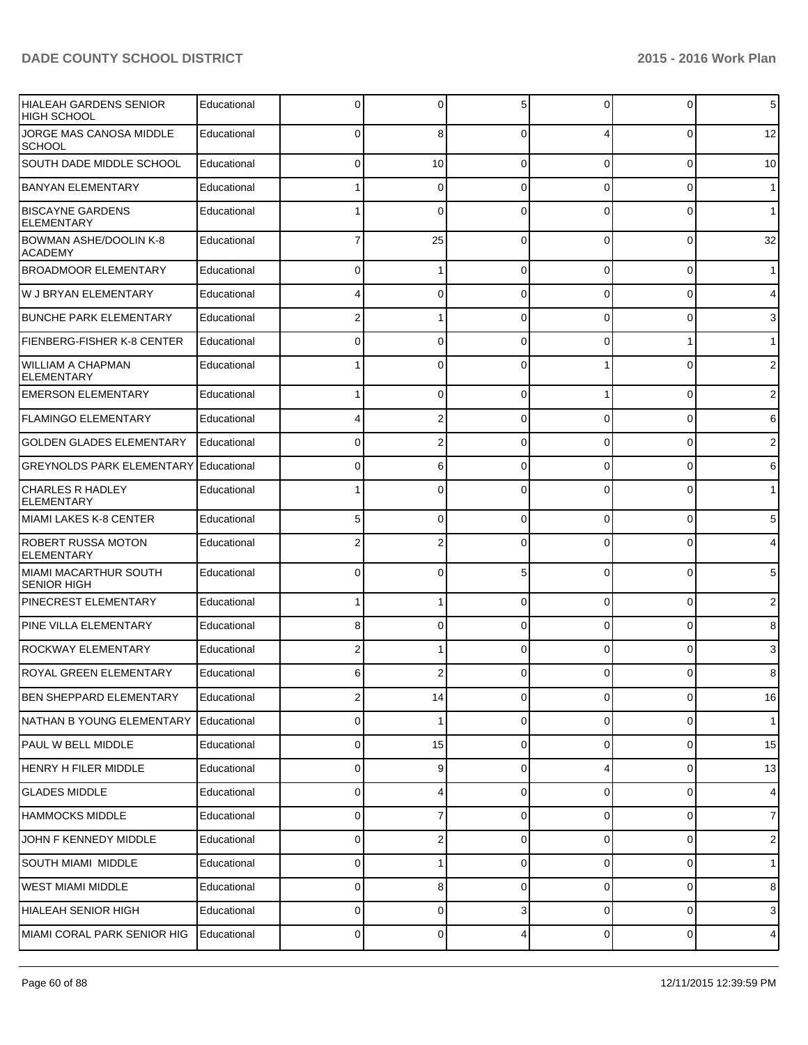| <b>HIALEAH GARDENS SENIOR</b><br><b>HIGH SCHOOL</b> | Educational | 0 | $\Omega$ | 5              | 0              | 0              | 5                       |
|-----------------------------------------------------|-------------|---|----------|----------------|----------------|----------------|-------------------------|
| JORGE MAS CANOSA MIDDLE<br><b>SCHOOL</b>            | Educational | 0 | 8        | $\Omega$       |                | $\overline{0}$ | 12                      |
| SOUTH DADE MIDDLE SCHOOL                            | Educational | 0 | 10       | $\Omega$       | $\overline{0}$ | 0              | 10                      |
| <b>BANYAN ELEMENTARY</b>                            | Educational |   | 0        | $\Omega$       | 0              | 0              | $\mathbf{1}$            |
| <b>BISCAYNE GARDENS</b><br><b>ELEMENTARY</b>        | Educational |   | $\Omega$ | $\Omega$       | 0              | 0              | 1                       |
| <b>BOWMAN ASHE/DOOLIN K-8</b><br><b>ACADEMY</b>     | Educational |   | 25       | $\Omega$       | 0              | 0              | 32                      |
| <b>BROADMOOR ELEMENTARY</b>                         | Educational | 0 |          | $\Omega$       | 0              | 0              | 1 <sup>1</sup>          |
| W J BRYAN ELEMENTARY                                | Educational |   | 0        | $\Omega$       | 0              | 0              | $\overline{4}$          |
| <b>BUNCHE PARK ELEMENTARY</b>                       | Educational | 2 |          | $\Omega$       | 0              | 0              | 3                       |
| <b>FIENBERG-FISHER K-8 CENTER</b>                   | Educational | 0 | 0        | $\Omega$       | 0              | 1              | 1                       |
| <b>WILLIAM A CHAPMAN</b><br><b>ELEMENTARY</b>       | Educational |   | 0        | $\Omega$       |                | 0              | $\overline{2}$          |
| <b>EMERSON ELEMENTARY</b>                           | Educational |   | 0        | 0              |                | $\overline{0}$ | $\overline{\mathbf{c}}$ |
| <b>FLAMINGO ELEMENTARY</b>                          | Educational |   | 2        | $\Omega$       | 0              | 0              | 6                       |
| <b>GOLDEN GLADES ELEMENTARY</b>                     | Educational | 0 | 2        | $\Omega$       | 0              | 0              | 2                       |
| <b>GREYNOLDS PARK ELEMENTARY</b>                    | Educational | 0 | 6        | $\Omega$       | $\overline{0}$ | $\overline{0}$ | 6                       |
| <b>CHARLES R HADLEY</b><br><b>ELEMENTARY</b>        | Educational |   | 0        | $\Omega$       | 0              | 0              | $\mathbf 1$             |
| MIAMI LAKES K-8 CENTER                              | Educational | 5 | $\Omega$ | $\Omega$       | 0              | 0              | 5                       |
| <b>ROBERT RUSSA MOTON</b><br><b>ELEMENTARY</b>      | Educational | 2 |          | $\Omega$       | 0              | 0              | 4                       |
| MIAMI MACARTHUR SOUTH<br><b>SENIOR HIGH</b>         | Educational | 0 | $\Omega$ | 5              | 0              | 0              | 5 <sub>5</sub>          |
| <b>PINECREST ELEMENTARY</b>                         | Educational |   |          | $\Omega$       | 0              | $\overline{0}$ | 2                       |
| <b>PINE VILLA ELEMENTARY</b>                        | Educational | 8 | 0        | $\Omega$       | 0              | $\overline{0}$ | 8                       |
| <b>ROCKWAY ELEMENTARY</b>                           | Educational | 2 |          | $\Omega$       | 0              | 0              | 3                       |
| <b>ROYAL GREEN ELEMENTARY</b>                       | Educational | 6 |          | $\Omega$       |                | 0              | 8                       |
| <b>BEN SHEPPARD ELEMENTARY</b>                      | Educational | 2 | 14       | $\overline{0}$ | $\overline{0}$ | $\overline{0}$ | 16                      |
| NATHAN B YOUNG ELEMENTARY                           | Educational | 0 |          | $\Omega$       | $\Omega$       | $\overline{0}$ | 1                       |
| PAUL W BELL MIDDLE                                  | Educational | 0 | 15       | $\Omega$       | $\overline{0}$ | $\mathbf 0$    | 15                      |
| <b>HENRY H FILER MIDDLE</b>                         | Educational | 0 | 9        | $\Omega$       | 4              | $\overline{0}$ | 13                      |
| <b>GLADES MIDDLE</b>                                | Educational | 0 |          | $\Omega$       | $\overline{0}$ | $\mathbf 0$    | $\overline{4}$          |
| <b>HAMMOCKS MIDDLE</b>                              | Educational | 0 | 7        | $\Omega$       | $\overline{0}$ | $\overline{0}$ | $\overline{7}$          |
| JOHN F KENNEDY MIDDLE                               | Educational | 0 | 2        | $\Omega$       | $\overline{0}$ | $\mathbf 0$    | $\overline{2}$          |
| SOUTH MIAMI MIDDLE                                  | Educational | 0 |          | $\Omega$       | $\overline{0}$ | $\overline{0}$ | 1                       |
| <b>WEST MIAMI MIDDLE</b>                            | Educational | 0 | 8        | $\Omega$       | $\overline{0}$ | $\mathbf 0$    | 8                       |
| HIALEAH SENIOR HIGH                                 | Educational | 0 | 0        | 3              | $\Omega$       | $\overline{0}$ | 3                       |
| MIAMI CORAL PARK SENIOR HIG                         | Educational | 0 | 0        | 4              | $\overline{0}$ | $\overline{0}$ | $\overline{4}$          |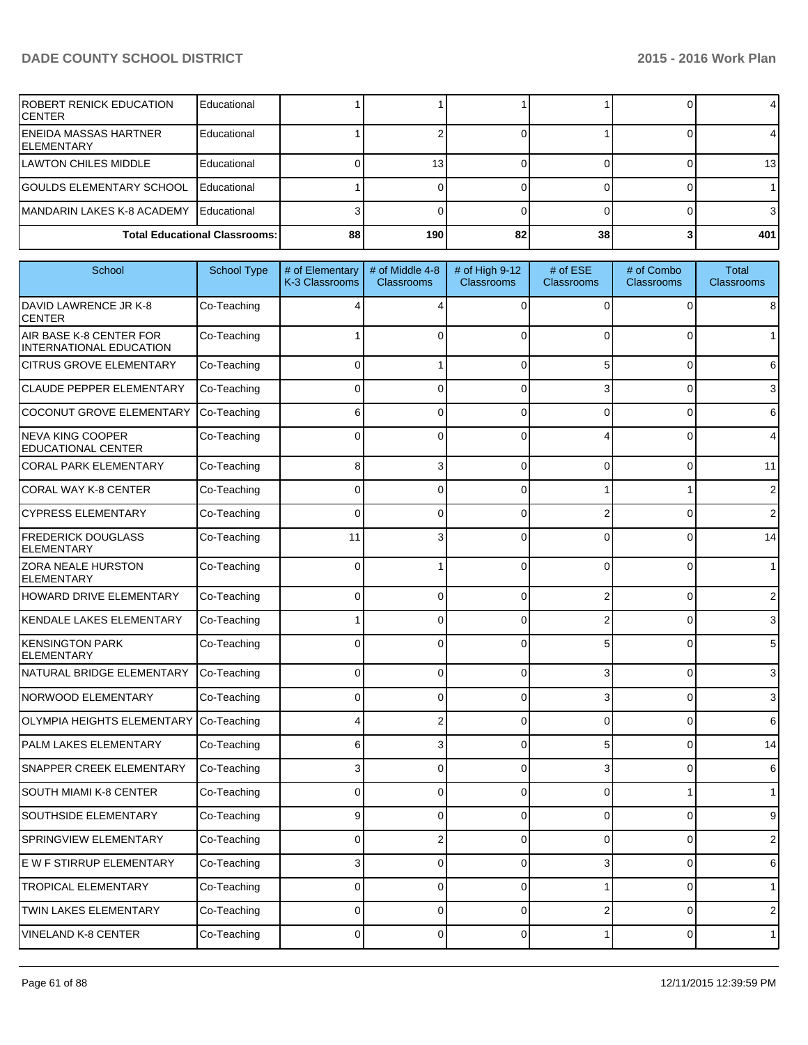| IROBERT RENICK EDUCATION<br>ICENTER          | Educational                          |    |                  |    |    |       |
|----------------------------------------------|--------------------------------------|----|------------------|----|----|-------|
| <b>IENEIDA MASSAS HARTNER</b><br>IELEMENTARY | Educational                          |    |                  |    |    |       |
| ILAWTON CHILES MIDDLE                        | Educational                          |    | 13               |    |    | 13 I  |
| <b>GOULDS ELEMENTARY SCHOOL</b>              | Educational                          |    |                  |    |    |       |
| MANDARIN LAKES K-8 ACADEMY                   | <b>Educational</b>                   |    |                  |    |    |       |
|                                              | <b>Total Educational Classrooms:</b> | 88 | 190 <sup>1</sup> | 82 | 38 | 401 l |

| School                                               | <b>School Type</b> | # of Elementary<br>K-3 Classrooms | # of Middle 4-8<br><b>Classrooms</b> | # of High 9-12<br>Classrooms | # of ESE<br><b>Classrooms</b> | # of Combo<br><b>Classrooms</b> | <b>Total</b><br><b>Classrooms</b> |
|------------------------------------------------------|--------------------|-----------------------------------|--------------------------------------|------------------------------|-------------------------------|---------------------------------|-----------------------------------|
| DAVID LAWRENCE JR K-8<br><b>CENTER</b>               | Co-Teaching        |                                   |                                      | $\Omega$                     | $\Omega$                      | $\Omega$                        | 8                                 |
| AIR BASE K-8 CENTER FOR<br>INTERNATIONAL EDUCATION   | Co-Teaching        |                                   | 0                                    | $\Omega$                     | $\Omega$                      | 0                               | $\mathbf{1}$                      |
| <b>CITRUS GROVE ELEMENTARY</b>                       | Co-Teaching        | $\Omega$                          |                                      | $\Omega$                     | 5                             | 0                               | 6                                 |
| <b>CLAUDE PEPPER ELEMENTARY</b>                      | Co-Teaching        | $\Omega$                          | $\Omega$                             | $\Omega$                     | 3                             | 0                               | 3                                 |
| COCONUT GROVE ELEMENTARY                             | Co-Teaching        | 6                                 | 0                                    | $\Omega$                     | $\Omega$                      | 0                               | 6                                 |
| <b>NEVA KING COOPER</b><br><b>EDUCATIONAL CENTER</b> | Co-Teaching        | $\Omega$                          | 0                                    | $\Omega$                     |                               | 0                               | 4                                 |
| <b>CORAL PARK ELEMENTARY</b>                         | Co-Teaching        | 8                                 | 3                                    | $\Omega$                     | 0                             | 0                               | 11                                |
| <b>CORAL WAY K-8 CENTER</b>                          | Co-Teaching        | 0                                 | 0                                    | 0                            |                               | 1                               | 2                                 |
| <b>CYPRESS ELEMENTARY</b>                            | Co-Teaching        | 0                                 | 0                                    | $\Omega$                     | 2                             | 0                               | $\overline{2}$                    |
| <b>FREDERICK DOUGLASS</b><br><b>ELEMENTARY</b>       | Co-Teaching        | 11                                | 3                                    | $\Omega$                     | 0                             | 0                               | 14                                |
| ZORA NEALE HURSTON<br><b>ELEMENTARY</b>              | Co-Teaching        | $\Omega$                          |                                      | $\Omega$                     | $\Omega$                      | $\Omega$                        | 1                                 |
| HOWARD DRIVE ELEMENTARY                              | Co-Teaching        | 0                                 | $\Omega$                             | $\Omega$                     | 2                             | $\overline{0}$                  | $\overline{2}$                    |
| KENDALE LAKES ELEMENTARY                             | Co-Teaching        |                                   | 0                                    | $\Omega$                     | 2                             | 0                               | 3                                 |
| <b>KENSINGTON PARK</b><br><b>ELEMENTARY</b>          | Co-Teaching        | 0                                 | $\Omega$                             | $\Omega$                     | 5                             | 0                               | 5                                 |
| NATURAL BRIDGE ELEMENTARY                            | Co-Teaching        | $\Omega$                          | $\Omega$                             | $\Omega$                     | 3                             | 0                               | 3                                 |
| NORWOOD ELEMENTARY                                   | Co-Teaching        | $\Omega$                          | $\Omega$                             | $\Omega$                     | 3                             | 0                               | 3                                 |
| <b>OLYMPIA HEIGHTS ELEMENTARY</b>                    | Co-Teaching        | 4                                 | 2                                    | $\Omega$                     | 0                             | 0                               | 6                                 |
| PALM LAKES ELEMENTARY                                | Co-Teaching        | 6                                 | 3                                    | $\Omega$                     | 5                             | 0                               | 14                                |
| SNAPPER CREEK ELEMENTARY                             | Co-Teaching        | 3                                 | $\Omega$                             | $\Omega$                     | 3                             | 0                               | 6                                 |
| SOUTH MIAMI K-8 CENTER                               | Co-Teaching        | $\Omega$                          | $\Omega$                             | $\Omega$                     | $\Omega$                      | 1                               | 1                                 |
| SOUTHSIDE ELEMENTARY                                 | Co-Teaching        | 9                                 | $\Omega$                             | $\Omega$                     | $\Omega$                      | 0                               | 9                                 |
| SPRINGVIEW ELEMENTARY                                | Co-Teaching        | 0                                 |                                      | $\Omega$                     | 0                             | 0                               | $\overline{2}$                    |
| E W F STIRRUP ELEMENTARY                             | Co-Teaching        | 3                                 | $\overline{0}$                       | $\overline{0}$               | 3                             | 0                               | 6                                 |
| TROPICAL ELEMENTARY                                  | Co-Teaching        | 0                                 | $\overline{0}$                       | $\mathbf 0$                  | 1                             | $\overline{0}$                  | $\mathbf{1}$                      |
| TWIN LAKES ELEMENTARY                                | Co-Teaching        | 0                                 | 0                                    | $\mathbf 0$                  | 2                             | 0                               | $\mathbf 2$                       |
| VINELAND K-8 CENTER                                  | Co-Teaching        | 0                                 | 0                                    | $\mathbf 0$                  | 1                             | $\overline{0}$                  | $\mathbf{1}$                      |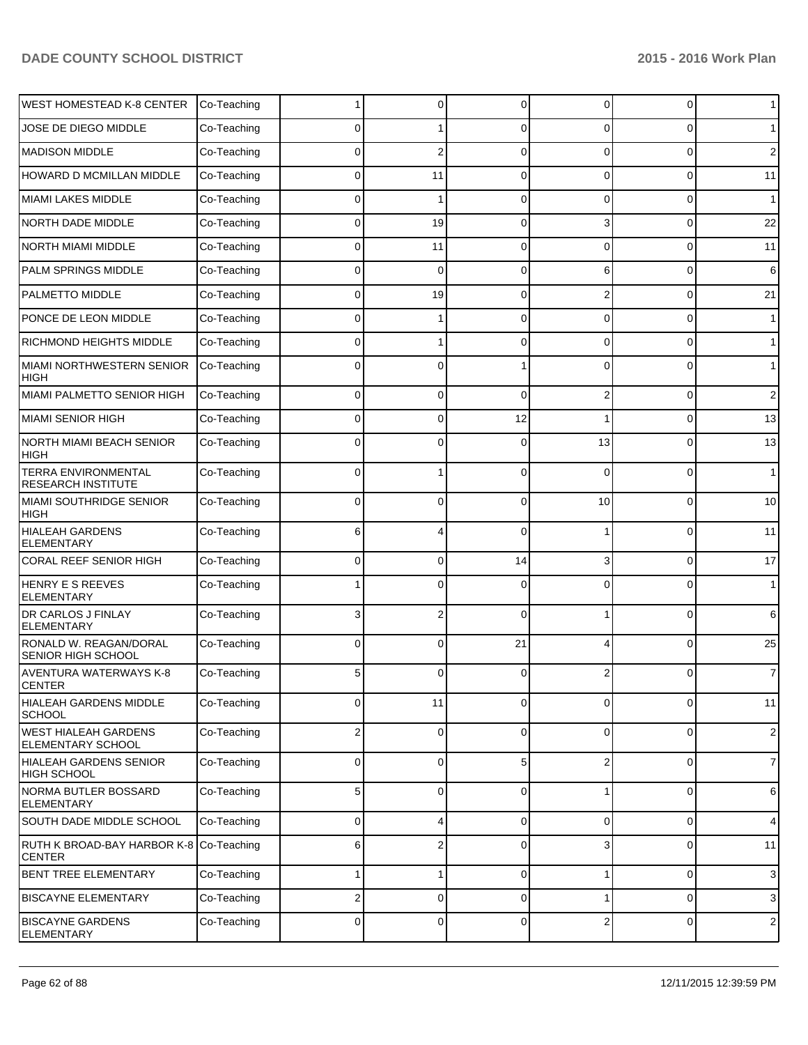| <b>WEST HOMESTEAD K-8 CENTER</b>                        | Co-Teaching |              | 0            | $\Omega$    | $\Omega$       | $\overline{0}$ | 1              |
|---------------------------------------------------------|-------------|--------------|--------------|-------------|----------------|----------------|----------------|
| JOSE DE DIEGO MIDDLE                                    | Co-Teaching | <sup>0</sup> |              | $\Omega$    | U              | 0              | $\mathbf 1$    |
| <b>MADISON MIDDLE</b>                                   | Co-Teaching | 0            | 2            | $\Omega$    | 0              | 0              | $\overline{2}$ |
| <b>HOWARD D MCMILLAN MIDDLE</b>                         | Co-Teaching | $\Omega$     | 11           | $\Omega$    | 0              | 0              | 11             |
| <b>MIAMI LAKES MIDDLE</b>                               | Co-Teaching | <sup>0</sup> |              | $\Omega$    | 0              | 0              | $\mathbf{1}$   |
| NORTH DADE MIDDLE                                       | Co-Teaching | $\Omega$     | 19           | $\Omega$    | 3              | 0              | 22             |
| <b>NORTH MIAMI MIDDLE</b>                               | Co-Teaching | $\Omega$     | 11           | $\Omega$    | 0              | 0              | 11             |
| PALM SPRINGS MIDDLE                                     | Co-Teaching | $\Omega$     | $\mathbf{0}$ | $\Omega$    | 6              | 0              | 6              |
| PALMETTO MIDDLE                                         | Co-Teaching | <sup>0</sup> | 19           | $\Omega$    |                | 0              | 21             |
| PONCE DE LEON MIDDLE                                    | Co-Teaching | $\Omega$     |              | $\Omega$    | 0              | 0              | $\mathbf 1$    |
| <b>RICHMOND HEIGHTS MIDDLE</b>                          | Co-Teaching | 0            |              | $\Omega$    | 0              | 0              | 1              |
| <b>MIAMI NORTHWESTERN SENIOR</b><br><b>HIGH</b>         | Co-Teaching |              | 0            |             |                | 0              | $\mathbf 1$    |
| MIAMI PALMETTO SENIOR HIGH                              | Co-Teaching | 0            | 0            | $\mathbf 0$ | 2              | 0              | $\overline{2}$ |
| <b>MIAMI SENIOR HIGH</b>                                | Co-Teaching | 0            | 0            | 12          |                | 0              | 13             |
| <b>NORTH MIAMI BEACH SENIOR</b><br>HIGH                 | Co-Teaching | 0            | 0            | $\Omega$    | 13             | 0              | 13             |
| <b>TERRA ENVIRONMENTAL</b><br><b>RESEARCH INSTITUTE</b> | Co-Teaching | $\Omega$     | 1            | $\Omega$    | $\Omega$       | 0              | $\mathbf{1}$   |
| <b>MIAMI SOUTHRIDGE SENIOR</b><br><b>HIGH</b>           | Co-Teaching | 0            | 0            | $\Omega$    | 10             | 0              | 10             |
| <b>HIALEAH GARDENS</b><br><b>ELEMENTARY</b>             | Co-Teaching | 6            | 4            | $\Omega$    |                | $\Omega$       | 11             |
| <b>CORAL REEF SENIOR HIGH</b>                           | Co-Teaching | 0            | 0            | 14          | 3              | $\overline{0}$ | 17             |
| HENRY E S REEVES<br><b>ELEMENTARY</b>                   | Co-Teaching |              | 0            | $\Omega$    | 0              | 0              | $\mathbf{1}$   |
| <b>DR CARLOS J FINLAY</b><br><b>ELEMENTARY</b>          | Co-Teaching | 3            | 2            | $\Omega$    |                | 0              | 6              |
| RONALD W. REAGAN/DORAL<br>SENIOR HIGH SCHOOL            | Co-Teaching | 0            | 0            | 21          |                | 0              | 25             |
| <b>AVENTURA WATERWAYS K-8</b><br><b>CENTER</b>          | Co-Teaching | 5            | 0            | $\Omega$    |                | 0              | $\overline{7}$ |
| <b>HIALEAH GARDENS MIDDLE</b><br><b>SCHOOL</b>          | Co-Teaching | 0            | 11           | $\Omega$    | 0              | 0              | 11             |
| <b>WEST HIALEAH GARDENS</b><br>ELEMENTARY SCHOOL        | Co-Teaching | 2            | 0            | $\Omega$    | 0              | 0              | $\sqrt{2}$     |
| <b>HIALEAH GARDENS SENIOR</b><br><b>HIGH SCHOOL</b>     | Co-Teaching | 0            | 0            | 5           | 2              | 0              | $\overline{7}$ |
| <b>NORMA BUTLER BOSSARD</b><br><b>ELEMENTARY</b>        | Co-Teaching | 5            | 0            | $\mathbf 0$ |                | 0              | $6\phantom{1}$ |
| SOUTH DADE MIDDLE SCHOOL                                | Co-Teaching | 0            | 4            | $\mathbf 0$ | $\overline{0}$ | $\overline{0}$ | $\overline{4}$ |
| RUTH K BROAD-BAY HARBOR K-8<br><b>CENTER</b>            | Co-Teaching | 6            | 2            | $\Omega$    | 3              | 0              | 11             |
| <b>BENT TREE ELEMENTARY</b>                             | Co-Teaching |              | 1            | $\mathbf 0$ |                | 0              | $\mathbf{3}$   |
| <b>BISCAYNE ELEMENTARY</b>                              | Co-Teaching | 2            | 0            | $\mathbf 0$ |                | 0              | $\mathbf{3}$   |
| <b>BISCAYNE GARDENS</b><br>ELEMENTARY                   | Co-Teaching | 0            | 0            | $\mathbf 0$ | 2              | 0              | $\sqrt{2}$     |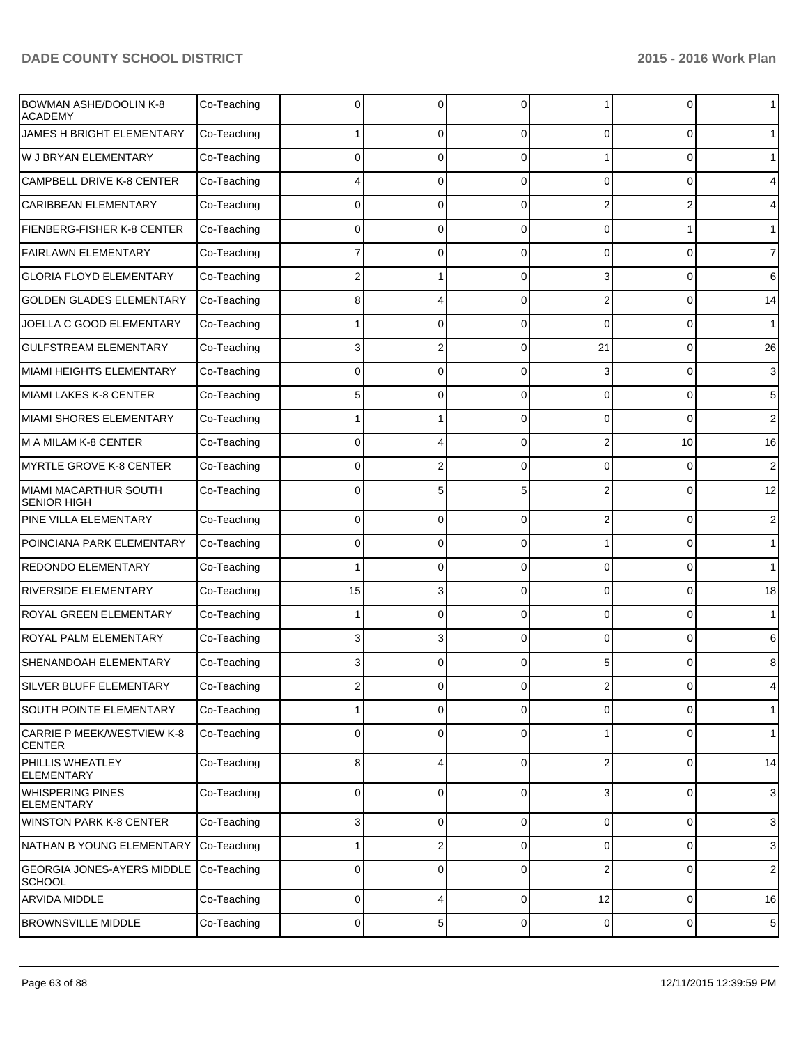| <b>BOWMAN ASHE/DOOLIN K-8</b><br><b>ACADEMY</b>    | Co-Teaching |          | 0           | $\Omega$    |          | 0              | $\mathbf{1}$   |
|----------------------------------------------------|-------------|----------|-------------|-------------|----------|----------------|----------------|
| JAMES H BRIGHT ELEMENTARY                          | Co-Teaching |          | $\mathbf 0$ | $\Omega$    | 0        | 0              | $\mathbf{1}$   |
| W J BRYAN ELEMENTARY                               | Co-Teaching | 0        | 0           | $\Omega$    |          | $\Omega$       | $\mathbf{1}$   |
| <b>CAMPBELL DRIVE K-8 CENTER</b>                   | Co-Teaching |          | 0           | $\Omega$    | $\Omega$ | $\Omega$       | 4              |
| <b>CARIBBEAN ELEMENTARY</b>                        | Co-Teaching | 0        | 0           | $\Omega$    | 2        | $\overline{2}$ | 4              |
| FIENBERG-FISHER K-8 CENTER                         | Co-Teaching | 0        | 0           | $\Omega$    | $\Omega$ |                | $\mathbf{1}$   |
| <b>FAIRLAWN ELEMENTARY</b>                         | Co-Teaching |          | 0           | $\Omega$    | 0        | $\Omega$       | $\overline{7}$ |
| <b>GLORIA FLOYD ELEMENTARY</b>                     | Co-Teaching | 2        |             | $\Omega$    | 3        | 0              | 6              |
| <b>GOLDEN GLADES ELEMENTARY</b>                    | Co-Teaching | 8        | 4           | $\Omega$    | 2        | 0              | 14             |
| JOELLA C GOOD ELEMENTARY                           | Co-Teaching |          | 0           | $\Omega$    | $\Omega$ | 0              | $\mathbf{1}$   |
| <b>GULFSTREAM ELEMENTARY</b>                       | Co-Teaching | 3        | 2           | $\Omega$    | 21       | 0              | 26             |
| MIAMI HEIGHTS ELEMENTARY                           | Co-Teaching | 0        | 0           | $\Omega$    | 3        | 0              | 3              |
| MIAMI LAKES K-8 CENTER                             | Co-Teaching | 5        | 0           | $\Omega$    | 0        | 0              | 5              |
| MIAMI SHORES ELEMENTARY                            | Co-Teaching |          |             | $\Omega$    | 0        | $\Omega$       | $\overline{2}$ |
| M A MILAM K-8 CENTER                               | Co-Teaching | 0        | 4           | $\Omega$    | 2        | 10             | 16             |
| <b>MYRTLE GROVE K-8 CENTER</b>                     | Co-Teaching | 0        | 2           | $\Omega$    | $\Omega$ | 0              | $\overline{2}$ |
| MIAMI MACARTHUR SOUTH<br><b>SENIOR HIGH</b>        | Co-Teaching | 0        | 5           | 5           |          | $\Omega$       | 12             |
| PINE VILLA ELEMENTARY                              | Co-Teaching | 0        | 0           | $\Omega$    |          | $\Omega$       | $\overline{2}$ |
| POINCIANA PARK ELEMENTARY                          | Co-Teaching | $\Omega$ | 0           | $\Omega$    |          | $\Omega$       | $\mathbf{1}$   |
| REDONDO ELEMENTARY                                 | Co-Teaching |          | 0           | $\Omega$    | $\Omega$ | $\Omega$       | $\mathbf{1}$   |
| RIVERSIDE ELEMENTARY                               | Co-Teaching | 15       | 3           | $\Omega$    | $\Omega$ | $\Omega$       | 18             |
| ROYAL GREEN ELEMENTARY                             | Co-Teaching |          | 0           | $\Omega$    | $\Omega$ | $\Omega$       | $\mathbf{1}$   |
| ROYAL PALM ELEMENTARY                              | Co-Teaching | 3        | 3           | $\Omega$    | $\Omega$ | $\Omega$       | 6              |
| SHENANDOAH ELEMENTARY                              | Co-Teaching |          | 0           | $\Omega$    |          | $\Omega$       | 8              |
| SILVER BLUFF ELEMENTARY                            | Co-Teaching |          |             |             |          |                |                |
| <b>SOUTH POINTE ELEMENTARY</b>                     | Co-Teaching |          | 0           | $\Omega$    | 0        | 0              | $\mathbf{1}$   |
| CARRIE P MEEK/WESTVIEW K-8<br><b>CENTER</b>        | Co-Teaching | $\Omega$ | 0           | $\Omega$    |          | 0              | $\mathbf{1}$   |
| PHILLIS WHEATLEY<br><b>ELEMENTARY</b>              | Co-Teaching | 8        | 4           | $\Omega$    | 2        | 0              | 14             |
| <b>WHISPERING PINES</b><br><b>ELEMENTARY</b>       | Co-Teaching | 0        | $\mathbf 0$ | $\Omega$    | 3        | 0              | $\mathbf{3}$   |
| <b>WINSTON PARK K-8 CENTER</b>                     | Co-Teaching | 3        | $\mathbf 0$ | $\mathbf 0$ | 0        | 0              | $\mathbf{3}$   |
| NATHAN B YOUNG ELEMENTARY                          | Co-Teaching |          | 2           | $\mathbf 0$ | 0        | 0              | 3              |
| <b>GEORGIA JONES-AYERS MIDDLE</b><br><b>SCHOOL</b> | Co-Teaching | 0        | 0           | $\Omega$    | 2        | 0              | $\overline{c}$ |
| ARVIDA MIDDLE                                      | Co-Teaching | 0        | 4           | $\mathbf 0$ | 12       | 0              | 16             |
| <b>BROWNSVILLE MIDDLE</b>                          | Co-Teaching | 0        | 5           | 0           | 0        | 0              | $\sqrt{5}$     |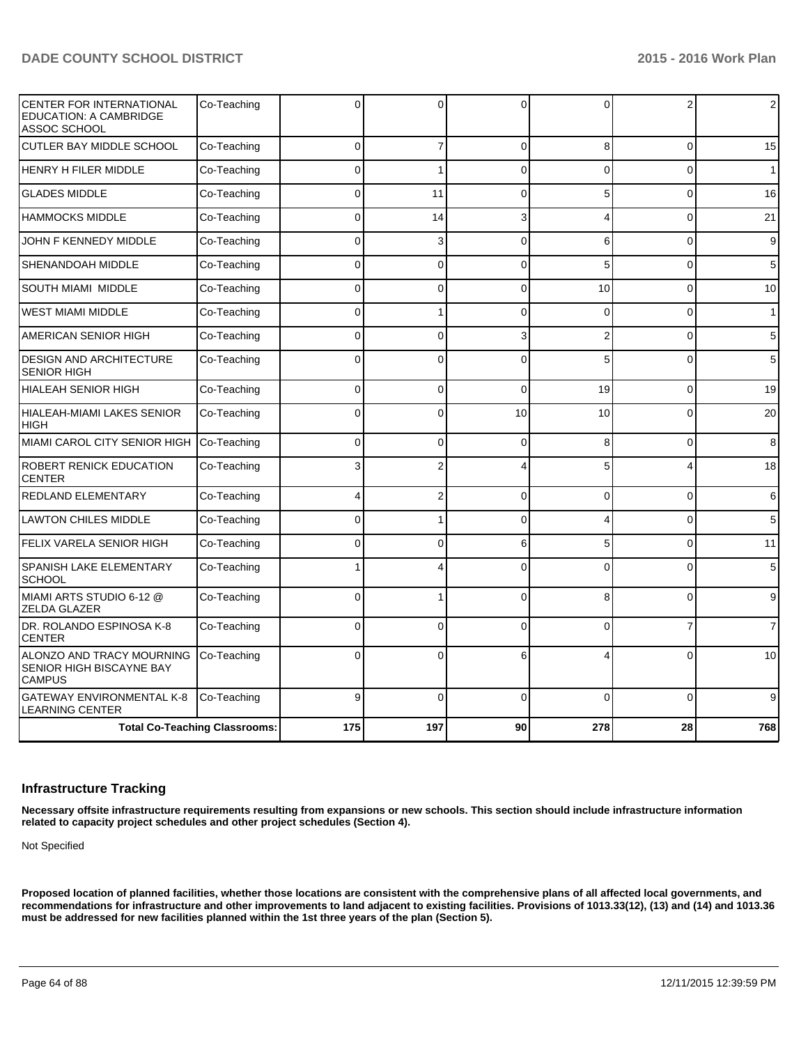| CENTER FOR INTERNATIONAL<br><b>EDUCATION: A CAMBRIDGE</b><br>ASSOC SCHOOL | Co-Teaching                          | U        | 0              | $\Omega$     | $\Omega$       | 2              | 2              |
|---------------------------------------------------------------------------|--------------------------------------|----------|----------------|--------------|----------------|----------------|----------------|
| <b>CUTLER BAY MIDDLE SCHOOL</b>                                           | Co-Teaching                          | $\Omega$ | $\overline{7}$ | $\mathbf{0}$ | 8 <sup>1</sup> | $\Omega$       | 15             |
| <b>HENRY H FILER MIDDLE</b>                                               | Co-Teaching                          | $\Omega$ | 1              | $\Omega$     | $\Omega$       | $\Omega$       | 1              |
| <b>GLADES MIDDLE</b>                                                      | Co-Teaching                          | 0        | 11             | $\Omega$     | 5              | $\mathbf 0$    | 16             |
| <b>HAMMOCKS MIDDLE</b>                                                    | Co-Teaching                          | $\Omega$ | 14             | 3            | Δ              | 0              | 21             |
| <b>JOHN F KENNEDY MIDDLE</b>                                              | Co-Teaching                          | $\Omega$ | 3              | $\Omega$     | 6              | $\Omega$       | 9              |
| SHENANDOAH MIDDLE                                                         | Co-Teaching                          | $\Omega$ | $\overline{0}$ | $\Omega$     | 5              | $\Omega$       | 5              |
| SOUTH MIAMI MIDDLE                                                        | Co-Teaching                          | 0        | 0              | $\Omega$     | 10             | $\Omega$       | 10             |
| <b>WEST MIAMI MIDDLE</b>                                                  | Co-Teaching                          | $\Omega$ | 1              | $\Omega$     | $\Omega$       | $\overline{0}$ | $\mathbf{1}$   |
| AMERICAN SENIOR HIGH                                                      | Co-Teaching                          | $\Omega$ | 0              | 3            | $\overline{2}$ | $\Omega$       | 5              |
| DESIGN AND ARCHITECTURE<br><b>SENIOR HIGH</b>                             | Co-Teaching                          | $\Omega$ | $\overline{0}$ | $\Omega$     | 5              | $\Omega$       | 5              |
| <b>HIALEAH SENIOR HIGH</b>                                                | Co-Teaching                          | $\Omega$ | $\Omega$       | $\mathbf{0}$ | 19             | $\Omega$       | 19             |
| HIALEAH-MIAMI LAKES SENIOR<br><b>HIGH</b>                                 | Co-Teaching                          | $\Omega$ | 0              | 10           | 10             | $\Omega$       | 20             |
| <b>MIAMI CAROL CITY SENIOR HIGH</b>                                       | Co-Teaching                          | $\Omega$ | 0              | $\mathbf 0$  | 8              | 0              | 8              |
| <b>ROBERT RENICK EDUCATION</b><br><b>CENTER</b>                           | Co-Teaching                          | 3        | $\overline{2}$ |              | 5              | 4              | 18             |
| REDLAND ELEMENTARY                                                        | Co-Teaching                          | 4        | $\overline{2}$ | $\mathbf{0}$ | $\Omega$       | $\Omega$       | 6              |
| <b>LAWTON CHILES MIDDLE</b>                                               | Co-Teaching                          | 0        | 1              | $\Omega$     | 4              | $\Omega$       | 5              |
| FELIX VARELA SENIOR HIGH                                                  | Co-Teaching                          | $\Omega$ | 0              | 6            | 5              | $\Omega$       | 11             |
| SPANISH LAKE ELEMENTARY<br><b>SCHOOL</b>                                  | Co-Teaching                          |          | 4              | $\Omega$     | $\Omega$       | 0              | 5              |
| MIAMI ARTS STUDIO 6-12 @<br>ZELDA GLAZER                                  | Co-Teaching                          | $\Omega$ | 1              | $\mathbf{0}$ | 8              | $\Omega$       | 9              |
| DR. ROLANDO ESPINOSA K-8<br><b>CENTER</b>                                 | Co-Teaching                          | $\Omega$ | $\mathbf 0$    | $\mathbf{0}$ | $\Omega$       | $\overline{7}$ | $\overline{7}$ |
| ALONZO AND TRACY MOURNING<br>SENIOR HIGH BISCAYNE BAY<br><b>CAMPUS</b>    | Co-Teaching                          | $\Omega$ | $\Omega$       | 6            |                | $\Omega$       | 10             |
| <b>GATEWAY ENVIRONMENTAL K-8</b><br><b>LEARNING CENTER</b>                | Co-Teaching                          | 9        | $\mathbf{0}$   | $\Omega$     | $\Omega$       | $\Omega$       | 9              |
|                                                                           | <b>Total Co-Teaching Classrooms:</b> | 175      | 197            | 90           | 278            | 28             | 768            |

#### **Infrastructure Tracking**

**Necessary offsite infrastructure requirements resulting from expansions or new schools. This section should include infrastructure information related to capacity project schedules and other project schedules (Section 4).**

Not Specified

**Proposed location of planned facilities, whether those locations are consistent with the comprehensive plans of all affected local governments, and recommendations for infrastructure and other improvements to land adjacent to existing facilities. Provisions of 1013.33(12), (13) and (14) and 1013.36 must be addressed for new facilities planned within the 1st three years of the plan (Section 5).**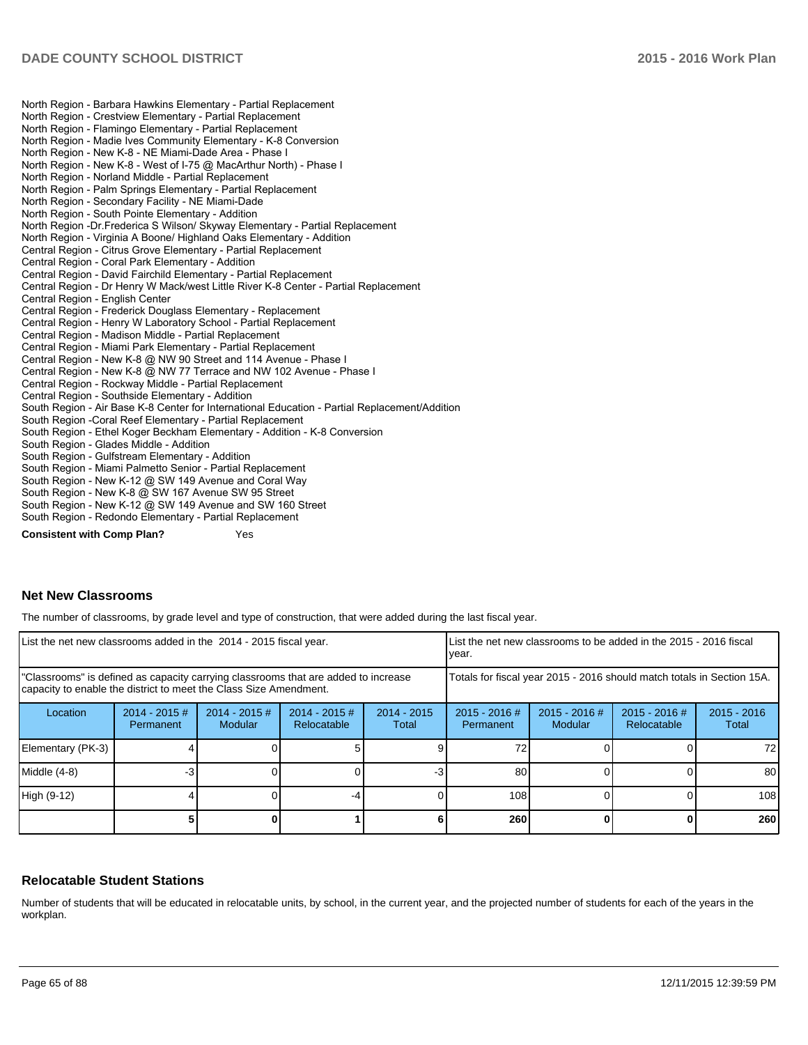North Region - Barbara Hawkins Elementary - Partial Replacement North Region - Crestview Elementary - Partial Replacement North Region - Flamingo Elementary - Partial Replacement North Region - Madie Ives Community Elementary - K-8 Conversion North Region - New K-8 - NE Miami-Dade Area - Phase I North Region - New K-8 - West of I-75 @ MacArthur North) - Phase I North Region - Norland Middle - Partial Replacement North Region - Palm Springs Elementary - Partial Replacement North Region - Secondary Facility - NE Miami-Dade North Region - South Pointe Elementary - Addition North Region -Dr. Frederica S Wilson/ Skyway Elementary - Partial Replacement North Region - Virginia A Boone/ Highland Oaks Elementary - Addition Central Region - Citrus Grove Elementary - Partial Replacement Central Region - Coral Park Elementary - Addition Central Region - David Fairchild Elementary - Partial Replacement Central Region - Dr Henry W Mack/west Little River K-8 Center - Partial Replacement Central Region - English Center Central Region - Frederick Douglass Elementary - Replacement Central Region - Henry W Laboratory School - Partial Replacement Central Region - Madison Middle - Partial Replacement Central Region - Miami Park Elementary - Partial Replacement Central Region - New K-8 @ NW 90 Street and 114 Avenue - Phase I Central Region - New K-8 @ NW 77 Terrace and NW 102 Avenue - Phase I Central Region - Rockway Middle - Partial Replacement Central Region - Southside Elementary - Addition South Region - Air Base K-8 Center for International Education - Partial Replacement/Addition South Region - Coral Reef Elementary - Partial Replacement South Region - Ethel Koger Beckham Elementary - Addition - K-8 Conversion South Region - Glades Middle - Addition South Region - Gulfstream Elementary - Addition South Region - Miami Palmetto Senior - Partial Replacement South Region - New K-12 @ SW 149 Avenue and Coral Way South Region - New K-8 @ SW 167 Avenue SW 95 Street South Region - New K-12 @ SW 149 Avenue and SW 160 Street South Region - Redondo Elementary - Partial Replacement **Consistent with Comp Plan?** Yes

#### **Net New Classrooms**

The number of classrooms, by grade level and type of construction, that were added during the last fiscal year.

| List the net new classrooms added in the 2014 - 2015 fiscal year.                                                                                       |                              |                            |                                |                        | List the net new classrooms to be added in the 2015 - 2016 fiscal<br>year. |                            |                                |                        |
|---------------------------------------------------------------------------------------------------------------------------------------------------------|------------------------------|----------------------------|--------------------------------|------------------------|----------------------------------------------------------------------------|----------------------------|--------------------------------|------------------------|
| "Classrooms" is defined as capacity carrying classrooms that are added to increase<br>capacity to enable the district to meet the Class Size Amendment. |                              |                            |                                |                        | Totals for fiscal year 2015 - 2016 should match totals in Section 15A.     |                            |                                |                        |
| Location                                                                                                                                                | $2014 - 2015$ #<br>Permanent | $2014 - 2015$ #<br>Modular | $2014 - 2015$ #<br>Relocatable | $2014 - 2015$<br>Total | $2015 - 2016$ #<br>Permanent                                               | $2015 - 2016$ #<br>Modular | $2015 - 2016$ #<br>Relocatable | $2015 - 2016$<br>Total |
| Elementary (PK-3)                                                                                                                                       |                              |                            |                                |                        |                                                                            |                            |                                | 72 I                   |
| Middle (4-8)                                                                                                                                            | -3                           |                            |                                |                        | 80                                                                         |                            |                                | 80 I                   |
| High (9-12)                                                                                                                                             |                              |                            |                                |                        | 108                                                                        |                            | 108                            |                        |
|                                                                                                                                                         |                              |                            |                                |                        | 260                                                                        |                            |                                | 260                    |

#### **Relocatable Student Stations**

Number of students that will be educated in relocatable units, by school, in the current year, and the projected number of students for each of the years in the workplan.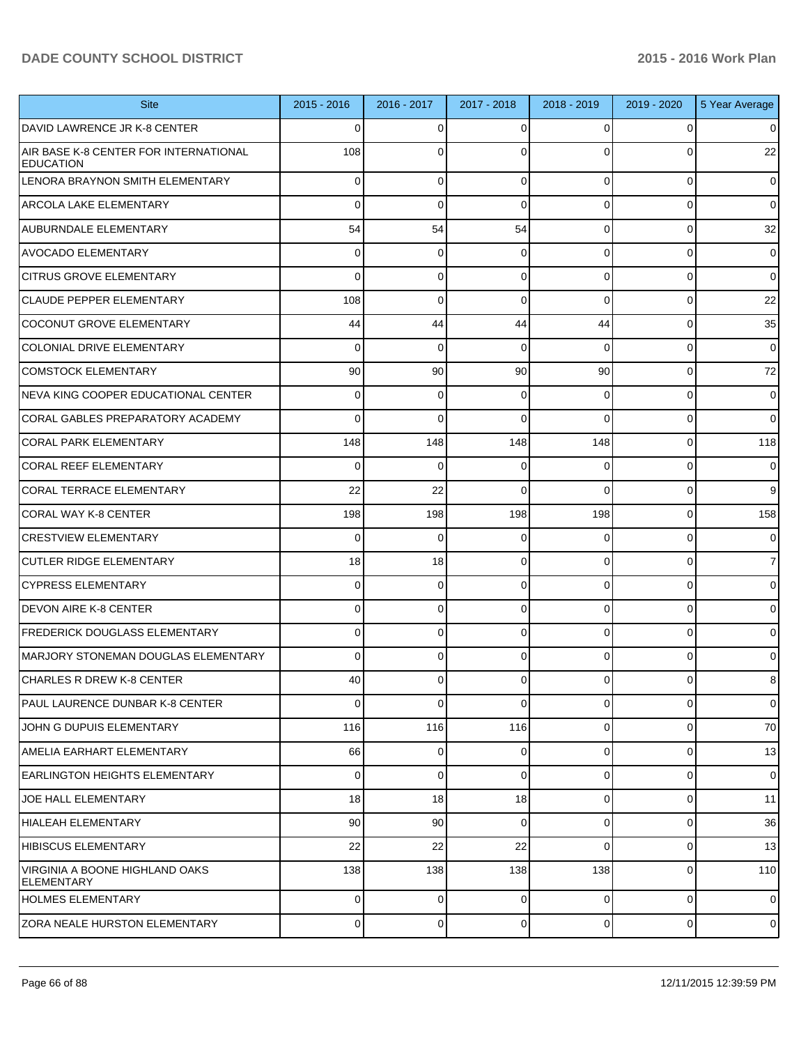| <b>Site</b>                                               | 2015 - 2016     | 2016 - 2017 | 2017 - 2018  | 2018 - 2019    | 2019 - 2020    | 5 Year Average |
|-----------------------------------------------------------|-----------------|-------------|--------------|----------------|----------------|----------------|
| DAVID LAWRENCE JR K-8 CENTER                              | $\Omega$        | 0           | 0            | $\Omega$       |                | 0              |
| AIR BASE K-8 CENTER FOR INTERNATIONAL<br><b>EDUCATION</b> | 108             | 0           | ŋ            | $\Omega$       |                | 22             |
| LENORA BRAYNON SMITH ELEMENTARY                           | $\overline{0}$  | $\mathbf 0$ | 0            | $\overline{0}$ | $\Omega$       | $\overline{0}$ |
| <b>ARCOLA LAKE ELEMENTARY</b>                             | $\Omega$        | $\Omega$    | $\Omega$     | $\Omega$       | 0              | $\overline{0}$ |
| AUBURNDALE ELEMENTARY                                     | 54              | 54          | 54           | $\Omega$       | $\Omega$       | 32             |
| IAVOCADO ELEMENTARY                                       | $\Omega$        | 0           | $\Omega$     | $\Omega$       | $\Omega$       | $\overline{0}$ |
| <b>CITRUS GROVE ELEMENTARY</b>                            | $\Omega$        | $\mathbf 0$ | 0            | $\Omega$       | $\Omega$       | $\overline{0}$ |
| <b>CLAUDE PEPPER ELEMENTARY</b>                           | 108             | $\mathbf 0$ | $\Omega$     | $\Omega$       | $\Omega$       | 22             |
| COCONUT GROVE ELEMENTARY                                  | 44              | 44          | 44           | 44             | $\Omega$       | 35             |
| COLONIAL DRIVE ELEMENTARY                                 | $\Omega$        | 0           | $\Omega$     | $\Omega$       | $\Omega$       | $\overline{0}$ |
| COMSTOCK ELEMENTARY                                       | 90 <sup>°</sup> | 90          | 90           | 90             | $\Omega$       | 72             |
| INEVA KING COOPER EDUCATIONAL CENTER                      | $\Omega$        | 0           | 0            | $\Omega$       | $\Omega$       | $\overline{0}$ |
| CORAL GABLES PREPARATORY ACADEMY                          | $\Omega$        | $\Omega$    | $\Omega$     | $\Omega$       | $\Omega$       | $\overline{0}$ |
| ICORAL PARK ELEMENTARY                                    | 148             | 148         | 148          | 148            | $\Omega$       | 118            |
| CORAL REEF ELEMENTARY                                     | $\Omega$        | $\Omega$    | $\Omega$     | $\Omega$       | $\Omega$       | $\overline{0}$ |
| CORAL TERRACE ELEMENTARY                                  | 22              | 22          | $\Omega$     | $\Omega$       | $\Omega$       | 9              |
| CORAL WAY K-8 CENTER                                      | 198             | 198         | 198          | 198            | $\Omega$       | 158            |
| <b>CRESTVIEW ELEMENTARY</b>                               | $\Omega$        | $\mathbf 0$ | $\Omega$     | $\Omega$       | $\Omega$       | $\overline{0}$ |
| <b>CUTLER RIDGE ELEMENTARY</b>                            | 18              | 18          | $\Omega$     | $\Omega$       | $\Omega$       | $\overline{7}$ |
| CYPRESS ELEMENTARY                                        | $\overline{0}$  | $\mathbf 0$ | 0            | $\Omega$       | 0              | $\overline{0}$ |
| <b>DEVON AIRE K-8 CENTER</b>                              | 0               | $\Omega$    | $\Omega$     | $\Omega$       | 0              | $\overline{0}$ |
| FREDERICK DOUGLASS ELEMENTARY                             | 0               | $\mathbf 0$ | $\Omega$     | $\Omega$       | 0              | $\overline{0}$ |
| IMARJORY STONEMAN DOUGLAS ELEMENTARY                      | Οl              | $\Omega$    | 0            | $\Omega$       | 0              | $\Omega$       |
| CHARLES R DREW K-8 CENTER                                 | 40              | 0           | $\Omega$     | $\overline{0}$ | 0              | 8              |
| IPAUL LAURENCE DUNBAR K-8 CENTER                          | $\Omega$        | $\mathbf 0$ | $\mathbf{0}$ | $\overline{0}$ | 0              | $\overline{0}$ |
| JOHN G DUPUIS ELEMENTARY                                  | 116             | 116         | 116          | $\overline{0}$ | $\Omega$       | 70             |
| AMELIA EARHART ELEMENTARY                                 | 66              | $\mathbf 0$ | $\Omega$     | $\overline{0}$ | $\overline{0}$ | 13             |
| EARLINGTON HEIGHTS ELEMENTARY                             | $\overline{0}$  | $\Omega$    | $\Omega$     | $\overline{0}$ | $\Omega$       | $\overline{0}$ |
| JOE HALL ELEMENTARY                                       | 18              | 18          | 18           | $\overline{0}$ | $\Omega$       | 11             |
| HIALEAH ELEMENTARY                                        | 90 <sub>0</sub> | 90          | $\Omega$     | $\overline{0}$ | $\Omega$       | 36             |
| HIBISCUS ELEMENTARY                                       | 22              | 22          | 22           | $\Omega$       | $\overline{0}$ | 13             |
| VIRGINIA A BOONE HIGHLAND OAKS<br><b>ELEMENTARY</b>       | 138             | 138         | 138          | 138            | $\Omega$       | 110            |
| HOLMES ELEMENTARY                                         | $\overline{0}$  | $\mathbf 0$ | $\Omega$     | $\Omega$       | $\Omega$       | $\overline{0}$ |
| <b>ZORA NEALE HURSTON ELEMENTARY</b>                      | $\overline{0}$  | $\mathbf 0$ | 0            | $\overline{0}$ | $\overline{0}$ | $\overline{0}$ |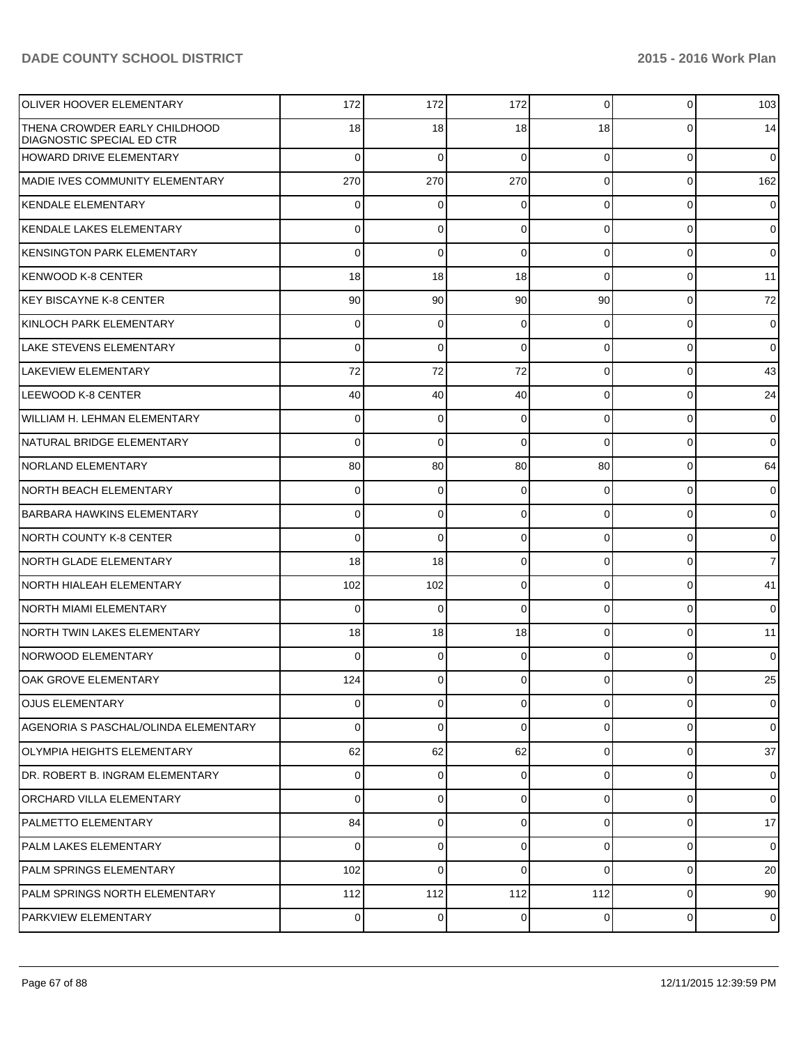| <b>OLIVER HOOVER ELEMENTARY</b>                                   | 172            | 172         | 172      | $\overline{0}$ | 0              | 103            |
|-------------------------------------------------------------------|----------------|-------------|----------|----------------|----------------|----------------|
| THENA CROWDER EARLY CHILDHOOD<br><b>DIAGNOSTIC SPECIAL ED CTR</b> | 18             | 18          | 18       | 18             | 0              | 14             |
| HOWARD DRIVE ELEMENTARY                                           | $\Omega$       | 0           | $\Omega$ | $\overline{0}$ | 0              | $\overline{0}$ |
| MADIE IVES COMMUNITY ELEMENTARY                                   | 270            | 270         | 270      | $\overline{0}$ | $\Omega$       | 162            |
| KENDALE ELEMENTARY                                                | $\Omega$       | $\mathbf 0$ | 0        | $\overline{0}$ | $\mathbf{0}$   | $\overline{0}$ |
| <b>IKENDALE LAKES ELEMENTARY</b>                                  | $\Omega$       | $\mathbf 0$ | $\Omega$ | $\overline{0}$ | $\mathbf 0$    | $\overline{0}$ |
| KENSINGTON PARK ELEMENTARY                                        | $\Omega$       | $\mathbf 0$ | $\Omega$ | $\overline{0}$ | 0              | $\overline{0}$ |
| lKENWOOD K-8 CENTER                                               | 18             | 18          | 18       | $\Omega$       | $\mathbf 0$    | 11             |
| KEY BISCAYNE K-8 CENTER                                           | 90             | 90          | 90       | 90             | $\mathbf{0}$   | 72             |
| KINLOCH PARK ELEMENTARY                                           | $\Omega$       | $\mathbf 0$ | $\Omega$ | $\overline{0}$ | $\mathbf 0$    | $\overline{0}$ |
| <b>LAKE STEVENS ELEMENTARY</b>                                    | $\Omega$       | $\mathbf 0$ | 0        | $\overline{0}$ | $\mathbf 0$    | $\overline{0}$ |
| LAKEVIEW ELEMENTARY                                               | 72             | 72          | 72       | $\overline{0}$ | $\mathbf 0$    | 43             |
| LEEWOOD K-8 CENTER                                                | 40             | 40          | 40       | $\overline{0}$ | $\overline{0}$ | 24             |
| WILLIAM H. LEHMAN ELEMENTARY                                      | $\Omega$       | $\mathbf 0$ | 0        | $\overline{0}$ | $\mathbf 0$    | $\overline{0}$ |
| NATURAL BRIDGE ELEMENTARY                                         | $\Omega$       | $\mathbf 0$ | $\Omega$ | $\Omega$       | $\mathbf{0}$   | $\overline{0}$ |
| <b>NORLAND ELEMENTARY</b>                                         | 80             | 80          | 80       | 80             | $\overline{0}$ | 64             |
| <b>NORTH BEACH ELEMENTARY</b>                                     | $\Omega$       | 0           | 0        | $\overline{0}$ | $\overline{0}$ | $\overline{0}$ |
| BARBARA HAWKINS ELEMENTARY                                        | $\Omega$       | 0           | $\Omega$ | $\overline{0}$ | $\mathbf 0$    | $\overline{0}$ |
| <b>NORTH COUNTY K-8 CENTER</b>                                    | $\Omega$       | $\mathbf 0$ | 0        | $\overline{0}$ | $\overline{0}$ | $\overline{0}$ |
| <b>NORTH GLADE ELEMENTARY</b>                                     | 18             | 18          | 0        | $\overline{0}$ | $\mathbf 0$    | $\overline{7}$ |
| <b>NORTH HIALEAH ELEMENTARY</b>                                   | 102            | 102         | 0        | $\overline{0}$ | $\overline{0}$ | 41             |
| NORTH MIAMI ELEMENTARY                                            | $\Omega$       | 0           | $\Omega$ | $\overline{0}$ | $\overline{0}$ | $\overline{0}$ |
| <b>NORTH TWIN LAKES ELEMENTARY</b>                                | 18             | 18          | 18       | $\overline{0}$ | $\overline{0}$ | 11             |
| NORWOOD ELEMENTARY                                                | 0              | 0           | 0        | $\overline{0}$ | $\Omega$       | $\overline{0}$ |
| IOAK GROVE ELEMENTARY                                             | 124            | 0           | 0        | 01             | $\overline{0}$ | 25             |
| <b>OJUS ELEMENTARY</b>                                            | $\Omega$       | 0           | $\Omega$ | $\overline{0}$ | $\Omega$       | $\overline{0}$ |
| AGENORIA S PASCHAL/OLINDA ELEMENTARY                              | $\Omega$       | 0           | $\Omega$ | $\overline{0}$ | $\Omega$       | $\overline{0}$ |
| <b>OLYMPIA HEIGHTS ELEMENTARY</b>                                 | 62             | 62          | 62       | $\overline{0}$ | $\overline{0}$ | 37             |
| DR. ROBERT B. INGRAM ELEMENTARY                                   | $\Omega$       | 0           | 0        | $\overline{0}$ | $\overline{0}$ | $\overline{0}$ |
| <b>ORCHARD VILLA ELEMENTARY</b>                                   | $\Omega$       | 0           | $\Omega$ | $\overline{0}$ | $\Omega$       | $\overline{0}$ |
| <b>PALMETTO ELEMENTARY</b>                                        | 84             | 0           | $\Omega$ | $\overline{0}$ | $\overline{0}$ | 17             |
| PALM LAKES ELEMENTARY                                             | $\Omega$       | 0           | $\Omega$ | $\overline{0}$ | $\overline{0}$ | $\overline{0}$ |
| PALM SPRINGS ELEMENTARY                                           | 102            | 0           | $\Omega$ | $\Omega$       | $\overline{0}$ | 20             |
| PALM SPRINGS NORTH ELEMENTARY                                     | 112            | 112         | 112      | 112            | $\overline{0}$ | 90             |
| <b>PARKVIEW ELEMENTARY</b>                                        | $\overline{0}$ | 0           | 0        | $\overline{0}$ | $\mathbf{0}$   | $\overline{0}$ |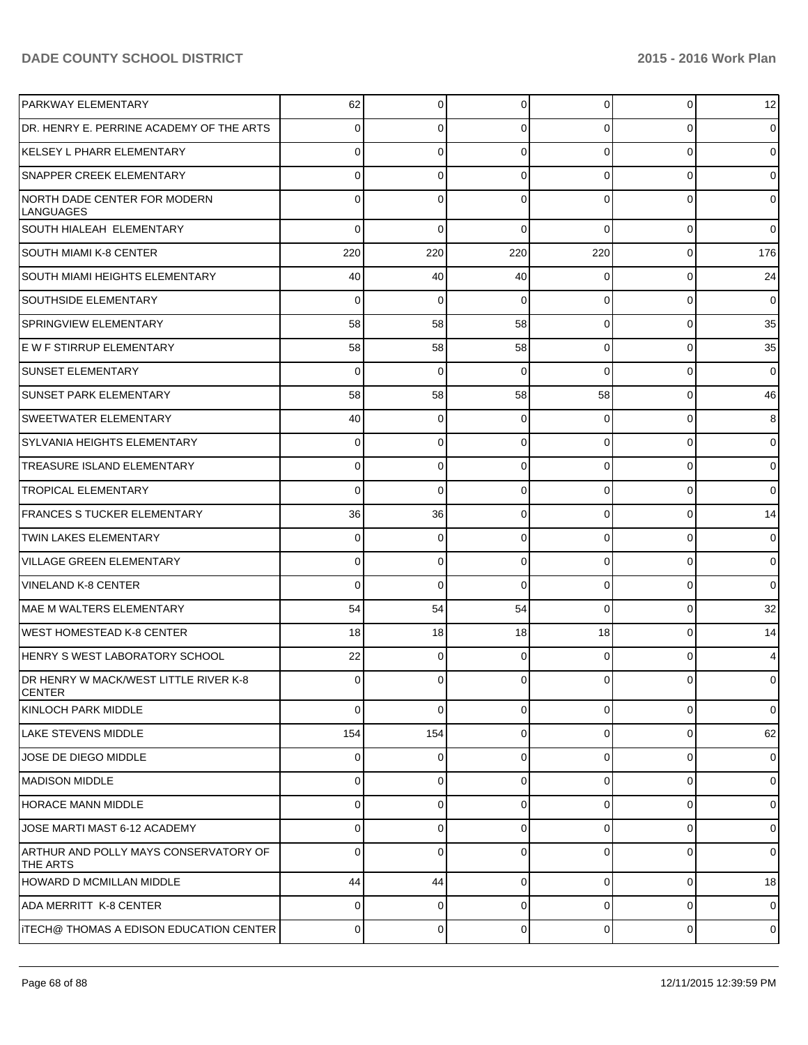| <b>PARKWAY ELEMENTARY</b>                              | 62             | $\Omega$ | $\Omega$    | $\Omega$       | $\overline{0}$ | 12             |
|--------------------------------------------------------|----------------|----------|-------------|----------------|----------------|----------------|
| DR. HENRY E. PERRINE ACADEMY OF THE ARTS               | $\Omega$       | 0        | $\Omega$    | 0              | 0              | $\overline{0}$ |
| KELSEY L PHARR ELEMENTARY                              | 0              | 0        | $\Omega$    | $\Omega$       | 0              | $\overline{0}$ |
| <b>SNAPPER CREEK ELEMENTARY</b>                        | 0              | 0        | $\Omega$    | 0              | $\overline{0}$ | $\overline{0}$ |
| NORTH DADE CENTER FOR MODERN<br>LANGUAGES              | ŋ              | 0        |             | U              | 0              | $\overline{0}$ |
| SOUTH HIALEAH ELEMENTARY                               | 0              | 0        | $\Omega$    | $\Omega$       | $\overline{0}$ | $\overline{0}$ |
| <b>SOUTH MIAMI K-8 CENTER</b>                          | 220            | 220      | 220         | 220            | $\overline{0}$ | 176            |
| <b>SOUTH MIAMI HEIGHTS ELEMENTARY</b>                  | 40             | 40       | 40          | $\overline{0}$ | $\overline{0}$ | 24             |
| <b>SOUTHSIDE ELEMENTARY</b>                            | 0              | 0        | 0           | $\overline{0}$ | $\overline{0}$ | $\mathbf 0$    |
| <b>SPRINGVIEW ELEMENTARY</b>                           | 58             | 58       | 58          | $\overline{0}$ | 0              | 35             |
| E W F STIRRUP ELEMENTARY                               | 58             | 58       | 58          | $\overline{0}$ | $\overline{0}$ | 35             |
| <b>SUNSET ELEMENTARY</b>                               | 0              | 0        | $\Omega$    | $\Omega$       | 0              | $\overline{0}$ |
| <b>SUNSET PARK ELEMENTARY</b>                          | 58             | 58       | 58          | 58             | $\overline{0}$ | 46             |
| <b>SWEETWATER ELEMENTARY</b>                           | 40             | 0        | $\Omega$    | $\overline{0}$ | 0              | 8              |
| <b>SYLVANIA HEIGHTS ELEMENTARY</b>                     | 0              | 0        | $\Omega$    | $\overline{0}$ | 0              | $\mathbf 0$    |
| <b>TREASURE ISLAND ELEMENTARY</b>                      | 0              | 0        | $\Omega$    | $\overline{0}$ | 0              | $\mathbf 0$    |
| <b>TROPICAL ELEMENTARY</b>                             | $\Omega$       | 0        | $\Omega$    | $\overline{0}$ | 0              | $\overline{0}$ |
| <b>FRANCES S TUCKER ELEMENTARY</b>                     | 36             | 36       | $\Omega$    | $\overline{0}$ | 0              | 14             |
| <b>TWIN LAKES ELEMENTARY</b>                           | 0              | 0        | $\Omega$    | 0              | 0              | $\mathbf 0$    |
| <b>VILLAGE GREEN ELEMENTARY</b>                        | 0              | 0        | $\Omega$    | $\overline{0}$ | 0              | $\mathbf 0$    |
| <b>VINELAND K-8 CENTER</b>                             | $\Omega$       | 0        | $\Omega$    | $\Omega$       | 0              | $\overline{0}$ |
| MAE M WALTERS ELEMENTARY                               | 54             | 54       | 54          | $\Omega$       | 0              | 32             |
| WEST HOMESTEAD K-8 CENTER                              | 18             | 18       | 18          | 18             | $\overline{0}$ | 14             |
| HENRY S WEST LABORATORY SCHOOL                         | 22             | 0        | $\Omega$    | $\Omega$       | 0              | 4              |
| DR HENRY W MACK/WEST LITTLE RIVER K-8<br><b>CENTER</b> | $\overline{0}$ | 0        | $\Omega$    | $\overline{0}$ | $\overline{0}$ | $\overline{0}$ |
| KINLOCH PARK MIDDLE                                    | $\mathbf 0$    | 0        | 0           | $\overline{0}$ | $\overline{0}$ | $\overline{0}$ |
| LAKE STEVENS MIDDLE                                    | 154            | 154      | $\Omega$    | $\Omega$       | $\overline{0}$ | 62             |
| JOSE DE DIEGO MIDDLE                                   | $\mathbf 0$    | 0        | $\mathbf 0$ | $\overline{0}$ | $\overline{0}$ | $\overline{0}$ |
| MADISON MIDDLE                                         | $\mathbf 0$    | 0        | $\Omega$    | $\Omega$       | $\overline{0}$ | $\overline{0}$ |
| <b>HORACE MANN MIDDLE</b>                              | $\overline{0}$ | 0        | $\Omega$    | $\overline{0}$ | $\overline{0}$ | $\overline{0}$ |
| JOSE MARTI MAST 6-12 ACADEMY                           | $\mathbf 0$    | 0        | $\Omega$    | $\Omega$       | $\overline{0}$ | $\overline{0}$ |
| ARTHUR AND POLLY MAYS CONSERVATORY OF<br>THE ARTS      | $\Omega$       | 0        | $\Omega$    | 0              | $\overline{0}$ | $\overline{0}$ |
| HOWARD D MCMILLAN MIDDLE                               | 44             | 44       | $\mathbf 0$ | $\overline{0}$ | 0              | 18             |
| ADA MERRITT K-8 CENTER                                 | 0              | 0        | 0           | 0              | 0              | $\mathbf 0$    |
| ITECH@ THOMAS A EDISON EDUCATION CENTER                | $\overline{0}$ | 0        | 0           | $\overline{0}$ | $\overline{0}$ | $\overline{0}$ |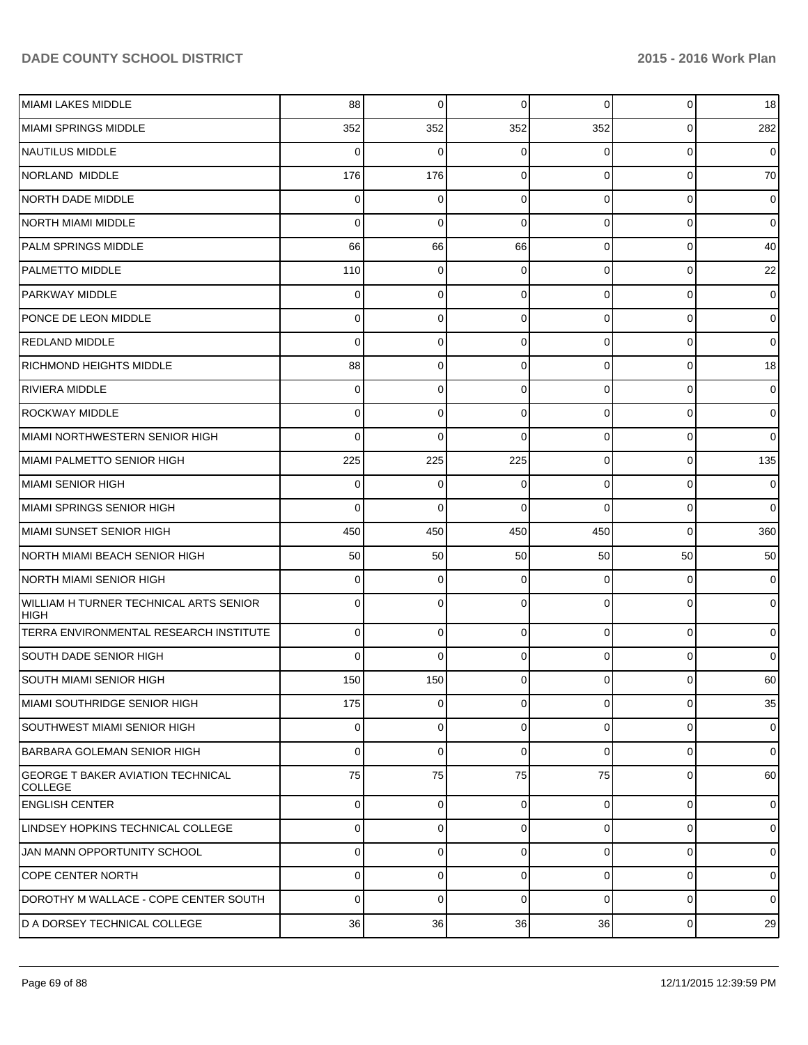| MIAMI LAKES MIDDLE                                         | 88  | 0        | 0           | $\overline{0}$ | $\overline{0}$ | 18             |
|------------------------------------------------------------|-----|----------|-------------|----------------|----------------|----------------|
| MIAMI SPRINGS MIDDLE                                       | 352 | 352      | 352         | 352            | $\overline{0}$ | 282            |
| NAUTILUS MIDDLE                                            | 0   | 0        | 0           | 0              | $\overline{0}$ | $\overline{0}$ |
| NORLAND MIDDLE                                             | 176 | 176      | $\Omega$    | $\overline{0}$ | $\overline{0}$ | 70             |
| NORTH DADE MIDDLE                                          | 0   | 0        | $\Omega$    | $\overline{0}$ | $\overline{0}$ | $\mathbf 0$    |
| <b>NORTH MIAMI MIDDLE</b>                                  | 0   | 0        | $\Omega$    | 0              | $\overline{0}$ | $\mathbf 0$    |
| <b>PALM SPRINGS MIDDLE</b>                                 | 66  | 66       | 66          | $\overline{0}$ | $\overline{0}$ | 40             |
| <b>PALMETTO MIDDLE</b>                                     | 110 | 0        | $\Omega$    | $\overline{0}$ | $\overline{0}$ | 22             |
| PARKWAY MIDDLE                                             | 0   | 0        | $\Omega$    | $\overline{0}$ | $\overline{0}$ | $\mathbf 0$    |
| PONCE DE LEON MIDDLE                                       | 0   | 0        | $\Omega$    | $\overline{0}$ | $\overline{0}$ | $\mathbf 0$    |
| <b>REDLAND MIDDLE</b>                                      | 0   | 0        | $\Omega$    | $\overline{0}$ | $\overline{0}$ | $\overline{0}$ |
| <b>RICHMOND HEIGHTS MIDDLE</b>                             | 88  | 0        | $\Omega$    | $\overline{0}$ | $\overline{0}$ | 18             |
| RIVIERA MIDDLE                                             | 0   | 0        | $\Omega$    | $\overline{0}$ | $\overline{0}$ | $\mathbf 0$    |
| <b>ROCKWAY MIDDLE</b>                                      | 0   | 0        | $\Omega$    | $\overline{0}$ | $\overline{0}$ | $\mathbf 0$    |
| MIAMI NORTHWESTERN SENIOR HIGH                             | 0   | $\Omega$ | $\Omega$    | $\overline{0}$ | $\overline{0}$ | $\overline{0}$ |
| MIAMI PALMETTO SENIOR HIGH                                 | 225 | 225      | 225         | $\overline{0}$ | $\overline{0}$ | 135            |
| MIAMI SENIOR HIGH                                          | 0   | 0        | $\mathbf 0$ | $\overline{0}$ | $\overline{0}$ | $\mathbf 0$    |
| MIAMI SPRINGS SENIOR HIGH                                  | 0   | 0        | $\Omega$    | $\Omega$       | $\overline{0}$ | $\overline{0}$ |
| MIAMI SUNSET SENIOR HIGH                                   | 450 | 450      | 450         | 450            | 0              | 360            |
| NORTH MIAMI BEACH SENIOR HIGH                              | 50  | 50       | 50          | 50             | 50             | 50             |
| <b>NORTH MIAMI SENIOR HIGH</b>                             | 0   | 0        | $\Omega$    | $\overline{0}$ | $\overline{0}$ | $\mathbf 0$    |
| WILLIAM H TURNER TECHNICAL ARTS SENIOR<br><b>HIGH</b>      | 0   | 0        | $\Omega$    | 0              | 0              | $\overline{0}$ |
| TERRA ENVIRONMENTAL RESEARCH INSTITUTE                     | 0   | 0        | $\Omega$    | $\Omega$       | $\overline{0}$ | $\mathbf 0$    |
| <b>SOUTH DADE SENIOR HIGH</b>                              | 0   | $\Omega$ | $\Omega$    | 0              | $\overline{0}$ | $\overline{0}$ |
| <b>SOUTH MIAMI SENIOR HIGH</b>                             | 150 | 150      | 0           | 0              | $\overline{0}$ | 60             |
| IMIAMI SOUTHRIDGE SENIOR HIGH.                             | 175 | $\Omega$ | $\mathbf 0$ | $\overline{0}$ | $\overline{0}$ | 35             |
| <b>SOUTHWEST MIAMI SENIOR HIGH</b>                         | 0   | 0        | $\mathbf 0$ | $\overline{0}$ | $\overline{0}$ | $\overline{0}$ |
| BARBARA GOLEMAN SENIOR HIGH                                | 0   | 0        | $\Omega$    | $\Omega$       | $\overline{0}$ | $\overline{0}$ |
| <b>GEORGE T BAKER AVIATION TECHNICAL</b><br><b>COLLEGE</b> | 75  | 75       | 75          | 75             | $\overline{0}$ | 60             |
| <b>ENGLISH CENTER</b>                                      | 0   | 0        | $\mathbf 0$ | $\overline{0}$ | 0              | $\overline{0}$ |
| LINDSEY HOPKINS TECHNICAL COLLEGE                          | 0   | 0        | $\Omega$    | 0              | 0              | $\mathbf 0$    |
| JAN MANN OPPORTUNITY SCHOOL                                | 0   | 0        | $\mathbf 0$ | $\overline{0}$ | 0              | $\overline{0}$ |
| <b>COPE CENTER NORTH</b>                                   | 0   | 0        | $\Omega$    | 0              | 0              | $\mathbf 0$    |
| DOROTHY M WALLACE - COPE CENTER SOUTH                      | 0   | 0        | $\mathbf 0$ | $\overline{0}$ | 0              | $\overline{0}$ |
| D A DORSEY TECHNICAL COLLEGE                               | 36  | 36       | 36          | 36             | $\overline{0}$ | 29             |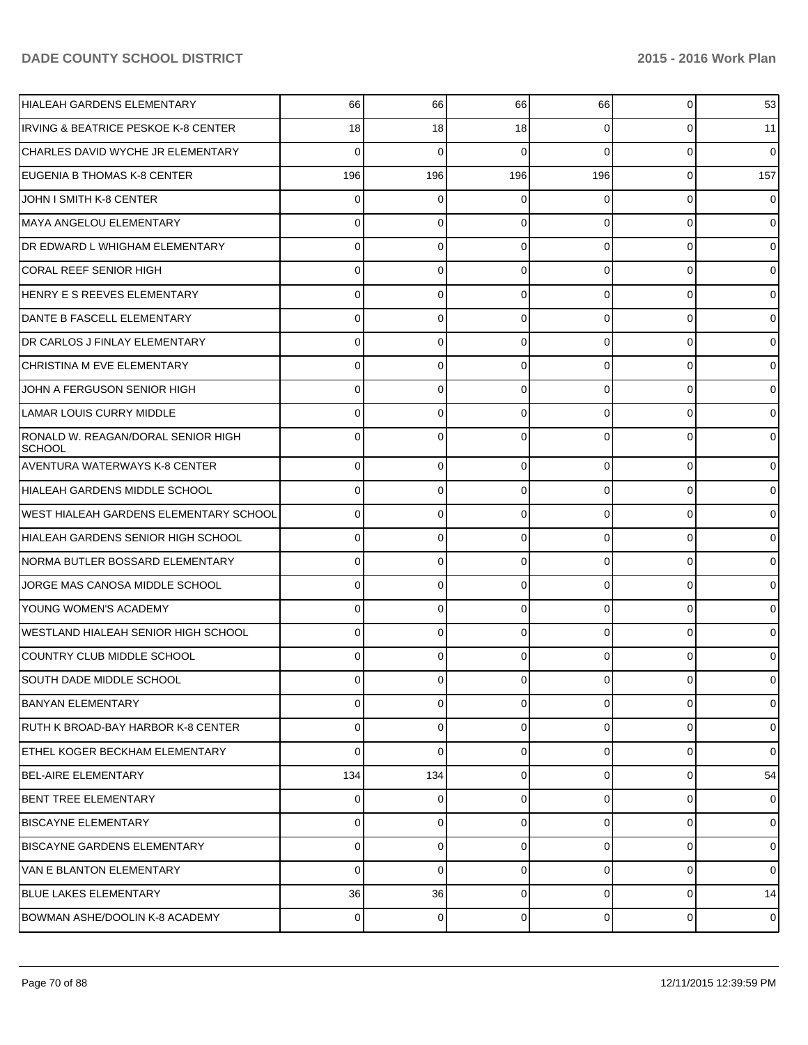| <b>HIALEAH GARDENS ELEMENTARY</b>                   | 66             | 66       | 66       | 66             | 0           | 53             |
|-----------------------------------------------------|----------------|----------|----------|----------------|-------------|----------------|
| <b>IRVING &amp; BEATRICE PESKOE K-8 CENTER</b>      | 18             | 18       | 18       | $\Omega$       | 0           | 11             |
| CHARLES DAVID WYCHE JR ELEMENTARY                   | 0              | 0        | 0        | $\Omega$       | 0           | 0              |
| EUGENIA B THOMAS K-8 CENTER                         | 196            | 196      | 196      | 196            | 0           | 157            |
| JOHN I SMITH K-8 CENTER                             | 0              | 0        | 0        | 0              | 0           | 0              |
| MAYA ANGELOU ELEMENTARY                             | 0              | 0        | 0        | $\Omega$       | $\Omega$    | 0              |
| <b>DR EDWARD L WHIGHAM ELEMENTARY</b>               | 0              | 0        | 0        | $\Omega$       | $\Omega$    | 0              |
| <b>CORAL REEF SENIOR HIGH</b>                       | 0              | 0        | 0        | $\Omega$       | $\Omega$    | 0              |
| HENRY E S REEVES ELEMENTARY                         | 0              | 0        | 0        | $\Omega$       | $\Omega$    | 0              |
| DANTE B FASCELL ELEMENTARY                          | 0              | 0        | 0        | $\Omega$       | $\Omega$    | 0              |
| <b>IDR CARLOS J FINLAY ELEMENTARY</b>               | 0              | 0        | 0        | $\Omega$       | $\Omega$    | 0              |
| CHRISTINA M EVE ELEMENTARY                          | 0              | 0        | 0        | $\Omega$       | 0           | 0              |
| JOHN A FERGUSON SENIOR HIGH                         | 0              | 0        | 0        | $\Omega$       | $\Omega$    | 0              |
| <b>LAMAR LOUIS CURRY MIDDLE</b>                     | 0              | 0        | 0        | $\Omega$       | $\Omega$    | 0              |
| RONALD W. REAGAN/DORAL SENIOR HIGH<br><b>SCHOOL</b> | ŋ              | 0        | 0        | n              | 0           | 0              |
| <b>AVENTURA WATERWAYS K-8 CENTER</b>                | $\Omega$       | 0        | 0        | $\Omega$       | $\mathbf 0$ | $\overline{0}$ |
| HIALEAH GARDENS MIDDLE SCHOOL                       | $\Omega$       | 0        | $\Omega$ | $\Omega$       | $\mathbf 0$ | $\overline{0}$ |
| <b>WEST HIALEAH GARDENS ELEMENTARY SCHOOL</b>       | 0              | 0        | 0        | $\Omega$       | $\Omega$    | $\overline{0}$ |
| HIALEAH GARDENS SENIOR HIGH SCHOOL                  | $\Omega$       | 0        | $\Omega$ | $\Omega$       | $\mathbf 0$ | $\overline{0}$ |
| NORMA BUTLER BOSSARD ELEMENTARY                     | $\Omega$       | 0        | $\Omega$ | $\Omega$       | $\Omega$    | $\overline{0}$ |
| JORGE MAS CANOSA MIDDLE SCHOOL                      | $\Omega$       | 0        | $\Omega$ | $\Omega$       | $\mathbf 0$ | $\overline{0}$ |
| YOUNG WOMEN'S ACADEMY                               | 0              | 0        | 0        | $\Omega$       | $\Omega$    | $\overline{0}$ |
| WESTLAND HIALEAH SENIOR HIGH SCHOOL                 | $\Omega$       | 0        | $\Omega$ | $\Omega$       | $\Omega$    | $\overline{0}$ |
| COUNTRY CLUB MIDDLE SCHOOL                          | 0              | $\Omega$ | 0        | $\Omega$       | $\Omega$    | $\Omega$       |
| SOUTH DADE MIDDLE SCHOOL                            | $\Omega$       | 0        | 0        | $\Omega$       | 0           | $\overline{0}$ |
| <b>BANYAN ELEMENTARY</b>                            | $\Omega$       | 0        | $\Omega$ | $\overline{0}$ | 0           | $\overline{0}$ |
| RUTH K BROAD-BAY HARBOR K-8 CENTER                  | $\Omega$       | 0        | 0        | $\overline{0}$ | $\mathbf 0$ | $\overline{0}$ |
| ETHEL KOGER BECKHAM ELEMENTARY                      | $\Omega$       | 0        | 0        | $\Omega$       | 0           | $\overline{0}$ |
| <b>BEL-AIRE ELEMENTARY</b>                          | 134            | 134      | 0        | $\overline{0}$ | 0           | 54             |
| <b>BENT TREE ELEMENTARY</b>                         | $\Omega$       | 0        | $\Omega$ | $\overline{0}$ | 0           | $\overline{0}$ |
| <b>BISCAYNE ELEMENTARY</b>                          | $\Omega$       | 0        | $\Omega$ | $\overline{0}$ | $\mathbf 0$ | $\overline{0}$ |
| IBISCAYNE GARDENS ELEMENTARY                        | $\Omega$       | 0        | 0        | $\Omega$       | 0           | $\overline{0}$ |
| VAN E BLANTON ELEMENTARY                            | $\Omega$       | 0        | 0        | $\Omega$       | 0           | $\overline{0}$ |
| <b>BLUE LAKES ELEMENTARY</b>                        | 36             | 36       | 0        | $\overline{0}$ | $\mathbf 0$ | 14             |
| BOWMAN ASHE/DOOLIN K-8 ACADEMY                      | $\overline{0}$ | 0        | 0        | $\overline{0}$ | 0           | $\overline{0}$ |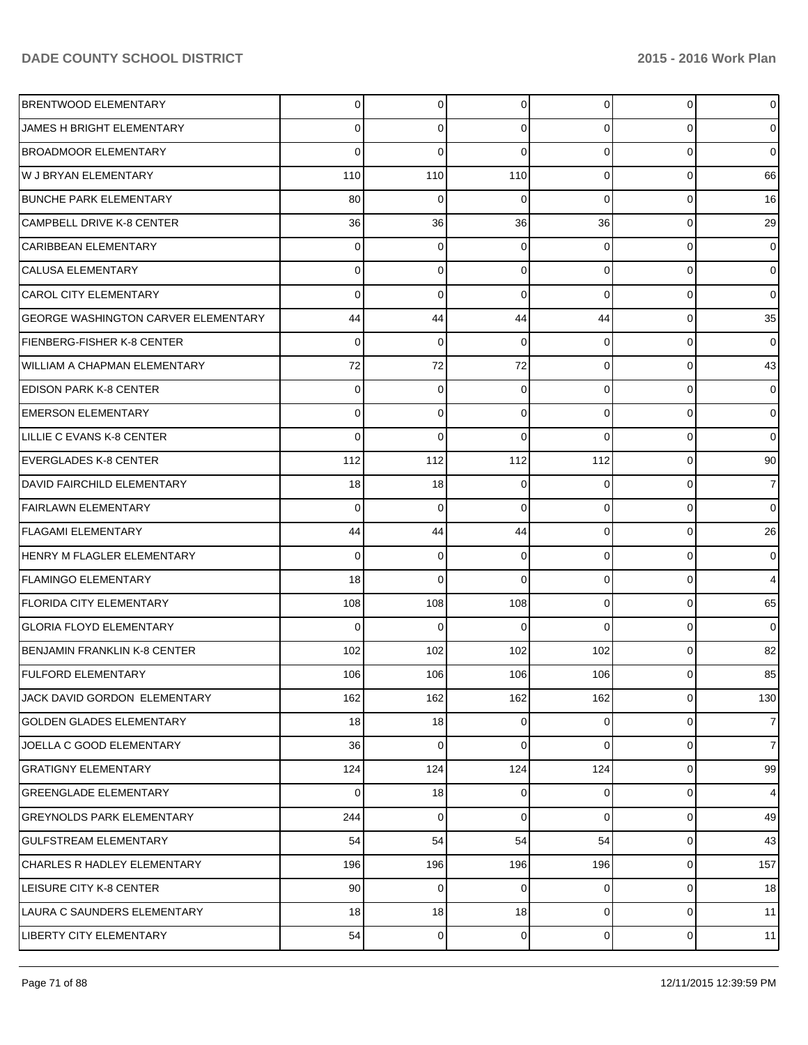| <b>BRENTWOOD ELEMENTARY</b>                | $\overline{0}$ | 0   | 0           | $\overline{0}$ | 0              | $\overline{0}$  |
|--------------------------------------------|----------------|-----|-------------|----------------|----------------|-----------------|
| JAMES H BRIGHT ELEMENTARY                  | 0              | 0   | 0           | $\overline{0}$ | 0              | $\overline{0}$  |
| <b>BROADMOOR ELEMENTARY</b>                | 0              | 0   | 0           | $\overline{0}$ | 0              | $\overline{0}$  |
| W J BRYAN ELEMENTARY                       | 110            | 110 | 110         | $\overline{0}$ | 0              | 66              |
| <b>BUNCHE PARK ELEMENTARY</b>              | 80             | 0   | 0           | $\Omega$       | 0              | 16              |
| <b>CAMPBELL DRIVE K-8 CENTER</b>           | 36             | 36  | 36          | 36             | 0              | 29              |
| <b>CARIBBEAN ELEMENTARY</b>                | 0              | 0   | 0           | $\Omega$       | 0              | $\overline{0}$  |
| <b>CALUSA ELEMENTARY</b>                   | 0              | 0   | 0           | $\overline{0}$ | 0              | $\overline{0}$  |
| <b>CAROL CITY ELEMENTARY</b>               | 0              | 0   | 0           | $\Omega$       | 0              | $\overline{0}$  |
| <b>GEORGE WASHINGTON CARVER ELEMENTARY</b> | 44             | 44  | 44          | 44             | 0              | 35              |
| FIENBERG-FISHER K-8 CENTER                 | 0              | 0   | 0           | $\overline{0}$ | 0              | $\overline{0}$  |
| <b>WILLIAM A CHAPMAN ELEMENTARY</b>        | 72             | 72  | 72          | $\overline{0}$ | 0              | 43              |
| <b>EDISON PARK K-8 CENTER</b>              | 0              | 0   | 0           | $\overline{0}$ | 0              | $\overline{0}$  |
| <b>EMERSON ELEMENTARY</b>                  | 0              | 0   | 0           | $\overline{0}$ | 0              | $\overline{0}$  |
| LILLIE C EVANS K-8 CENTER                  | 0              | 0   | 0           | $\Omega$       | 0              | $\overline{0}$  |
| <b>EVERGLADES K-8 CENTER</b>               | 112            | 112 | 112         | 112            | 0              | 90 <sub>l</sub> |
| DAVID FAIRCHILD ELEMENTARY                 | 18             | 18  | 0           | 0              | 0              | $\overline{7}$  |
| <b>FAIRLAWN ELEMENTARY</b>                 | 0              | 0   | 0           | $\overline{0}$ | 0              | $\overline{0}$  |
| <b>FLAGAMI ELEMENTARY</b>                  | 44             | 44  | 44          | $\overline{0}$ | 0              | 26              |
| HENRY M FLAGLER ELEMENTARY                 | 0              | 0   | 0           | $\overline{0}$ | 0              | $\overline{0}$  |
| <b>FLAMINGO ELEMENTARY</b>                 | 18             | 0   | 0           | $\overline{0}$ | 0              | $\overline{4}$  |
| <b>FLORIDA CITY ELEMENTARY</b>             | 108            | 108 | 108         | $\overline{0}$ | 0              | 65              |
| <b>GLORIA FLOYD ELEMENTARY</b>             | 0              | 0   | O           | $\Omega$       | 0              | $\overline{0}$  |
| <b>BENJAMIN FRANKLIN K-8 CENTER</b>        | 102            | 102 | 102         | 102            | 0              | 82              |
| <b>FULFORD ELEMENTARY</b>                  | 106            | 106 | 106         | 106            | 0              | 85              |
| JACK DAVID GORDON ELEMENTARY               | 162            | 162 | 162         | 162            | $\overline{0}$ | 130             |
| <b>GOLDEN GLADES ELEMENTARY</b>            | 18             | 18  | 0           | $\overline{0}$ | $\overline{0}$ | $\overline{7}$  |
| JOELLA C GOOD ELEMENTARY                   | 36             | 0   | $\mathbf 0$ | $\overline{0}$ | 0              | 7 <sup>1</sup>  |
| <b>GRATIGNY ELEMENTARY</b>                 | 124            | 124 | 124         | 124            | $\overline{0}$ | 99              |
| <b>GREENGLADE ELEMENTARY</b>               | 0              | 18  | 0           | $\overline{0}$ | 0              | $\overline{4}$  |
| <b>GREYNOLDS PARK ELEMENTARY</b>           | 244            | 0   | $\mathbf 0$ | $\overline{0}$ | $\overline{0}$ | 49              |
| <b>GULFSTREAM ELEMENTARY</b>               | 54             | 54  | 54          | 54             | 0              | 43              |
| <b>CHARLES R HADLEY ELEMENTARY</b>         | 196            | 196 | 196         | 196            | $\overline{0}$ | 157             |
| LEISURE CITY K-8 CENTER                    | 90             | 0   | 0           | $\overline{0}$ | 0              | 18              |
| LAURA C SAUNDERS ELEMENTARY                | 18             | 18  | 18          | $\overline{0}$ | $\overline{0}$ | 11              |
| LIBERTY CITY ELEMENTARY                    | 54             | 0   | 0           | $\overline{0}$ | 0              | 11              |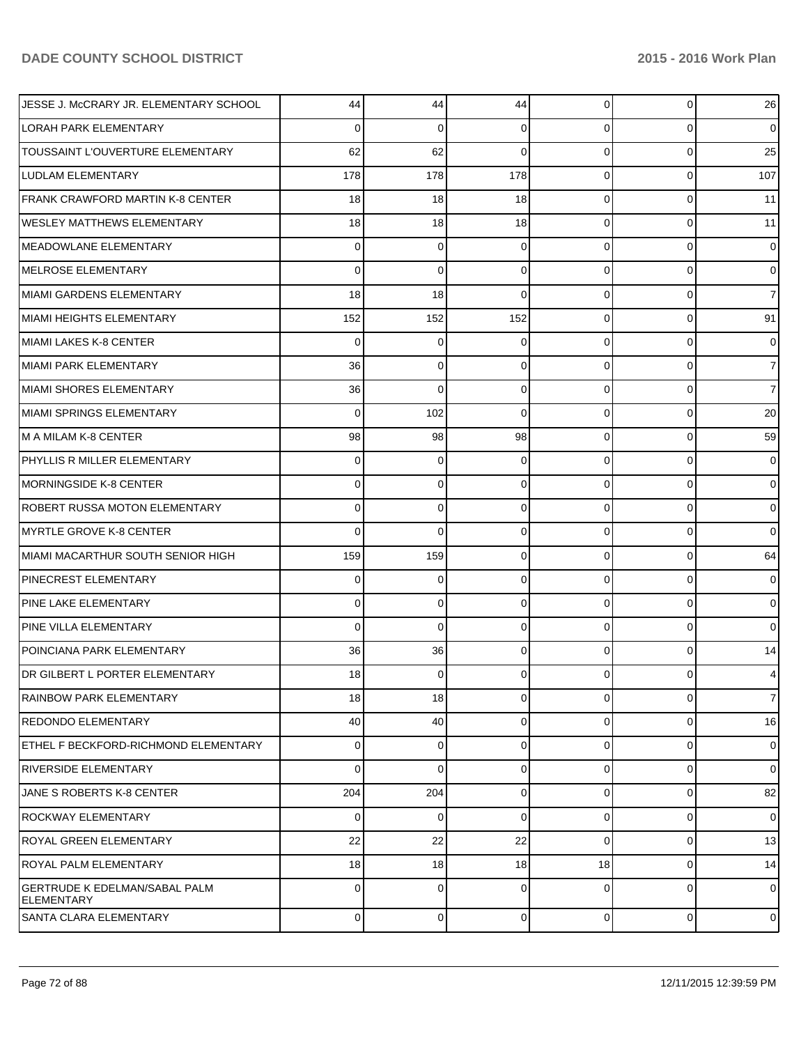| JESSE J. McCRARY JR. ELEMENTARY SCHOOL                    | 44             | 44          | 44             | $\overline{0}$ | 0         | 26             |
|-----------------------------------------------------------|----------------|-------------|----------------|----------------|-----------|----------------|
| LORAH PARK ELEMENTARY                                     | 0              | 0           | 0              | $\Omega$       | 0         | $\overline{0}$ |
| TOUSSAINT L'OUVERTURE ELEMENTARY                          | 62             | 62          | 0              | $\Omega$       | 0         | 25             |
| <b>LUDLAM ELEMENTARY</b>                                  | 178            | 178         | 178            | $\Omega$       | 0         | 107            |
| FRANK CRAWFORD MARTIN K-8 CENTER                          | 18             | 18          | 18             | $\Omega$       | 0         | 11             |
| <b>WESLEY MATTHEWS ELEMENTARY</b>                         | 18             | 18          | 18             | $\Omega$       | 0         | 11             |
| MEADOWLANE ELEMENTARY                                     | 0              | 0           | 0              | $\Omega$       | 0         | 0              |
| MELROSE ELEMENTARY                                        | 0              | $\mathbf 0$ | 0              | $\Omega$       | 0         | $\overline{0}$ |
| MIAMI GARDENS ELEMENTARY                                  | 18             | 18          | 0              | $\Omega$       | 0         | $\overline{7}$ |
| MIAMI HEIGHTS ELEMENTARY                                  | 152            | 152         | 152            | $\Omega$       | 0         | 91             |
| MIAMI LAKES K-8 CENTER                                    | 0              | 0           | 0              | $\Omega$       | 0         | 0              |
| MIAMI PARK ELEMENTARY                                     | 36             | 0           | 0              | $\Omega$       | 0         | $\overline{7}$ |
| MIAMI SHORES ELEMENTARY                                   | 36             | $\mathbf 0$ | 0              | $\Omega$       | 0         | $\overline{7}$ |
| MIAMI SPRINGS ELEMENTARY                                  | 0              | 102         | 0              | $\Omega$       | 0         | 20             |
| M A MILAM K-8 CENTER                                      | 98             | 98          | 98             | $\Omega$       | 0         | 59             |
| PHYLLIS R MILLER ELEMENTARY                               | 0              | 0           | 0              | $\Omega$       | 0         | $\overline{0}$ |
| MORNINGSIDE K-8 CENTER                                    | 0              | 0           | 0              | $\Omega$       | 0         | $\overline{0}$ |
| ROBERT RUSSA MOTON ELEMENTARY                             | 0              | 0           | 0              | $\Omega$       | 0         | 0              |
| MYRTLE GROVE K-8 CENTER                                   | 0              | $\mathbf 0$ | 0              | $\Omega$       | 0         | 0              |
| MIAMI MACARTHUR SOUTH SENIOR HIGH                         | 159            | 159         | 0              | $\Omega$       | 0         | 64             |
| <b>PINECREST ELEMENTARY</b>                               | 0              | 0           | 0              | $\Omega$       | 0         | 0              |
| PINE LAKE ELEMENTARY                                      | 0              | 0           | 0              | $\Omega$       | 0         | 0              |
| <b>PINE VILLA ELEMENTARY</b>                              | 0              | $\mathbf 0$ | 0              | $\Omega$       | 0         | 0              |
| POINCIANA PARK ELEMENTARY                                 | 36             | 36          | 0              | $\Omega$       | 0         | 14             |
| DR GILBERT L PORTER ELEMENTARY                            | 18             | 0           | 0              | 0              | 0         | $\overline{4}$ |
| RAINBOW PARK ELEMENTARY                                   | 18             | 18          | 0              | $\Omega$       | 0         | $\overline{7}$ |
| <b>REDONDO ELEMENTARY</b>                                 | 40             | 40          | 0              | $\Omega$       | 0         | 16             |
| ETHEL F BECKFORD-RICHMOND ELEMENTARY                      | 0              | 0           | 0              | $\Omega$       | 0         | $\overline{0}$ |
| <b>RIVERSIDE ELEMENTARY</b>                               | 0              | 0           | 0              | $\Omega$       | 0         | $\overline{0}$ |
| JANE S ROBERTS K-8 CENTER                                 | 204            | 204         | 0              | $\Omega$       | 0         | 82             |
| ROCKWAY ELEMENTARY                                        | 0              | 0           | 0              | $\Omega$       | 0         | $\overline{0}$ |
| <b>ROYAL GREEN ELEMENTARY</b>                             | 22             | 22          | 22             | $\Omega$       | 0         | 13             |
| <b>ROYAL PALM ELEMENTARY</b>                              | 18             | 18          | 18             | 18             | 0         | 14             |
| <b>GERTRUDE K EDELMAN/SABAL PALM</b><br><b>ELEMENTARY</b> | 0              | $\Omega$    | 0              | $\Omega$       | $\Omega$  | $\overline{0}$ |
| SANTA CLARA ELEMENTARY                                    | $\overline{0}$ | $\mathbf 0$ | $\overline{0}$ | $\overline{0}$ | $\pmb{0}$ | $\overline{0}$ |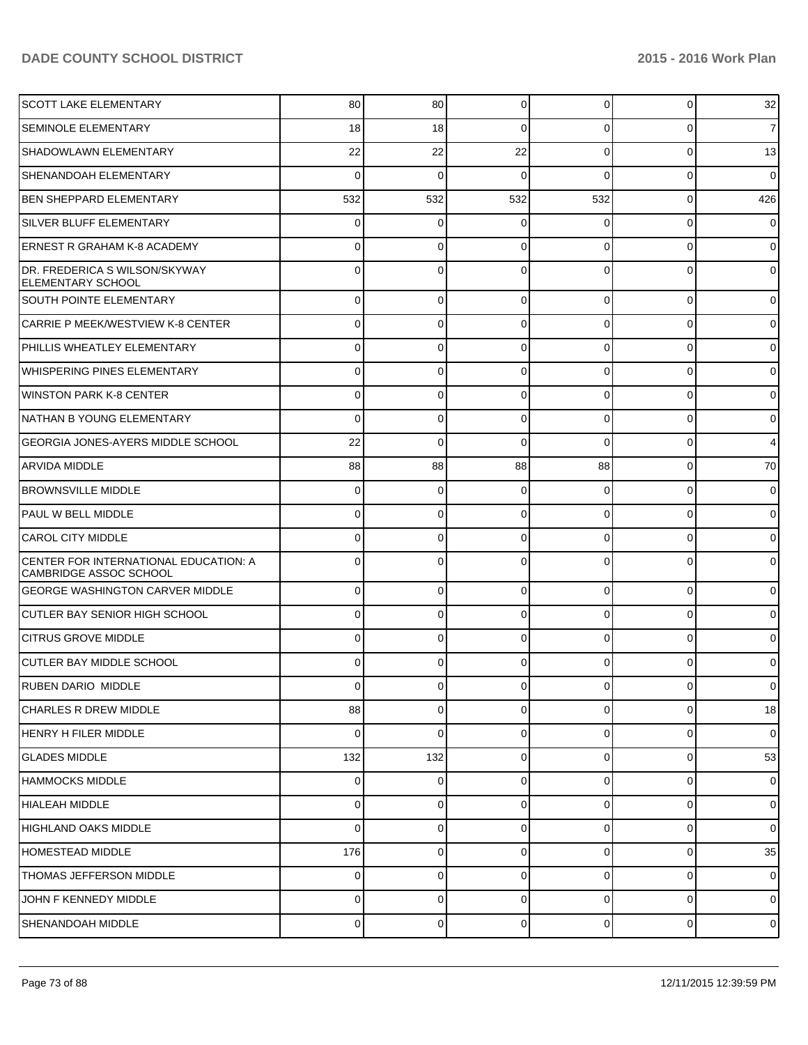| ISCOTT LAKE ELEMENTARY                                          | 80             | 80          | 0           | $\Omega$       | $\overline{0}$ | 32             |
|-----------------------------------------------------------------|----------------|-------------|-------------|----------------|----------------|----------------|
| <b>SEMINOLE ELEMENTARY</b>                                      | 18             | 18          | $\Omega$    | $\Omega$       | 0              | $\overline{7}$ |
| SHADOWLAWN ELEMENTARY                                           | 22             | 22          | 22          | $\Omega$       | $\overline{0}$ | 13             |
| SHENANDOAH ELEMENTARY                                           | $\Omega$       | $\mathbf 0$ | $\Omega$    | $\Omega$       | $\overline{0}$ | $\mathbf 0$    |
| <b>BEN SHEPPARD ELEMENTARY</b>                                  | 532            | 532         | 532         | 532            | $\overline{0}$ | 426            |
| SILVER BLUFF ELEMENTARY                                         | 0              | 0           | 0           | $\Omega$       | $\overline{0}$ | $\mathbf 0$    |
| ERNEST R GRAHAM K-8 ACADEMY                                     | 0              | $\Omega$    | $\Omega$    | $\Omega$       | $\mathbf 0$    | $\overline{0}$ |
| DR. FREDERICA S WILSON/SKYWAY<br><b>ELEMENTARY SCHOOL</b>       | 0              | $\Omega$    | $\Omega$    | 0              | $\Omega$       | $\overline{0}$ |
| <b>SOUTH POINTE ELEMENTARY</b>                                  | $\Omega$       | $\mathbf 0$ | 0           | $\Omega$       | $\overline{0}$ | $\mathbf 0$    |
| CARRIE P MEEK/WESTVIEW K-8 CENTER                               | $\Omega$       | 0           | 0           | $\Omega$       | 0              | $\mathbf 0$    |
| PHILLIS WHEATLEY ELEMENTARY                                     | $\Omega$       | $\mathbf 0$ | 0           | $\Omega$       | $\overline{0}$ | $\mathbf 0$    |
| WHISPERING PINES ELEMENTARY                                     | $\Omega$       | $\mathbf 0$ | 0           | $\Omega$       | $\mathbf 0$    | $\mathbf 0$    |
| WINSTON PARK K-8 CENTER                                         | 0              | $\mathbf 0$ | 0           | $\Omega$       | $\overline{0}$ | $\mathbf 0$    |
| NATHAN B YOUNG ELEMENTARY                                       | $\Omega$       | $\mathbf 0$ | 0           | $\Omega$       | $\mathbf 0$    | $\mathbf 0$    |
| <b>GEORGIA JONES-AYERS MIDDLE SCHOOL</b>                        | 22             | $\mathbf 0$ | $\mathbf 0$ | $\Omega$       | $\overline{0}$ | 4              |
| ARVIDA MIDDLE                                                   | 88             | 88          | 88          | 88             | $\overline{0}$ | 70             |
| <b>BROWNSVILLE MIDDLE</b>                                       | $\mathbf 0$    | $\mathbf 0$ | 0           | $\Omega$       | $\overline{0}$ | $\mathbf 0$    |
| <b>PAUL W BELL MIDDLE</b>                                       | $\Omega$       | $\mathbf 0$ | 0           | $\Omega$       | $\mathbf 0$    | $\mathbf 0$    |
| <b>CAROL CITY MIDDLE</b>                                        | $\Omega$       | $\mathbf 0$ | 0           | $\Omega$       | $\overline{0}$ | $\mathbf 0$    |
| CENTER FOR INTERNATIONAL EDUCATION: A<br>CAMBRIDGE ASSOC SCHOOL | 0              | $\Omega$    | $\Omega$    | $\Omega$       | 0              | $\mathbf 0$    |
| <b>GEORGE WASHINGTON CARVER MIDDLE</b>                          | $\Omega$       | $\mathbf 0$ | $\Omega$    | $\Omega$       | $\overline{0}$ | $\overline{0}$ |
| CUTLER BAY SENIOR HIGH SCHOOL                                   | $\Omega$       | $\mathbf 0$ | $\Omega$    | $\Omega$       | $\mathbf 0$    | $\overline{0}$ |
| <b>ICITRUS GROVE MIDDLE</b>                                     | 0              | $\Omega$    | $\Omega$    | $\Omega$       | $\mathbf 0$    | $\mathbf 0$    |
| CUTLER BAY MIDDLE SCHOOL                                        | $\Omega$       | $\Omega$    | $\Omega$    | $\Omega$       | $\Omega$       | $\overline{0}$ |
| RUBEN DARIO MIDDLE                                              |                |             |             |                |                | $\Omega$       |
| <b>CHARLES R DREW MIDDLE</b>                                    | 88             | $\mathbf 0$ | $\Omega$    | $\Omega$       | $\overline{0}$ | 18             |
| <b>HENRY H FILER MIDDLE</b>                                     | $\Omega$       | $\Omega$    | $\Omega$    | $\Omega$       | $\overline{0}$ | $\mathbf 0$    |
| <b>GLADES MIDDLE</b>                                            | 132            | 132         | 0           | $\Omega$       | $\overline{0}$ | 53             |
| <b>HAMMOCKS MIDDLE</b>                                          | 0              | $\mathbf 0$ | $\Omega$    | $\Omega$       | $\overline{0}$ | $\mathbf 0$    |
| HIALEAH MIDDLE                                                  | $\Omega$       | $\mathbf 0$ | 0           | $\Omega$       | $\overline{0}$ | $\mathbf 0$    |
| HIGHLAND OAKS MIDDLE                                            | $\Omega$       | $\mathbf 0$ | $\Omega$    | $\Omega$       | $\overline{0}$ | $\mathbf 0$    |
| HOMESTEAD MIDDLE                                                | 176            | $\mathbf 0$ | 0           | $\Omega$       | $\overline{0}$ | 35             |
| THOMAS JEFFERSON MIDDLE                                         | 0              | $\mathbf 0$ | $\Omega$    | $\Omega$       | $\overline{0}$ | $\pmb{0}$      |
| JOHN F KENNEDY MIDDLE                                           | $\Omega$       | $\mathbf 0$ | 0           | $\Omega$       | $\overline{0}$ | $\overline{0}$ |
| SHENANDOAH MIDDLE                                               | $\overline{0}$ | $\mathbf 0$ | 0           | $\overline{0}$ | $\overline{0}$ | $\mathbf 0$    |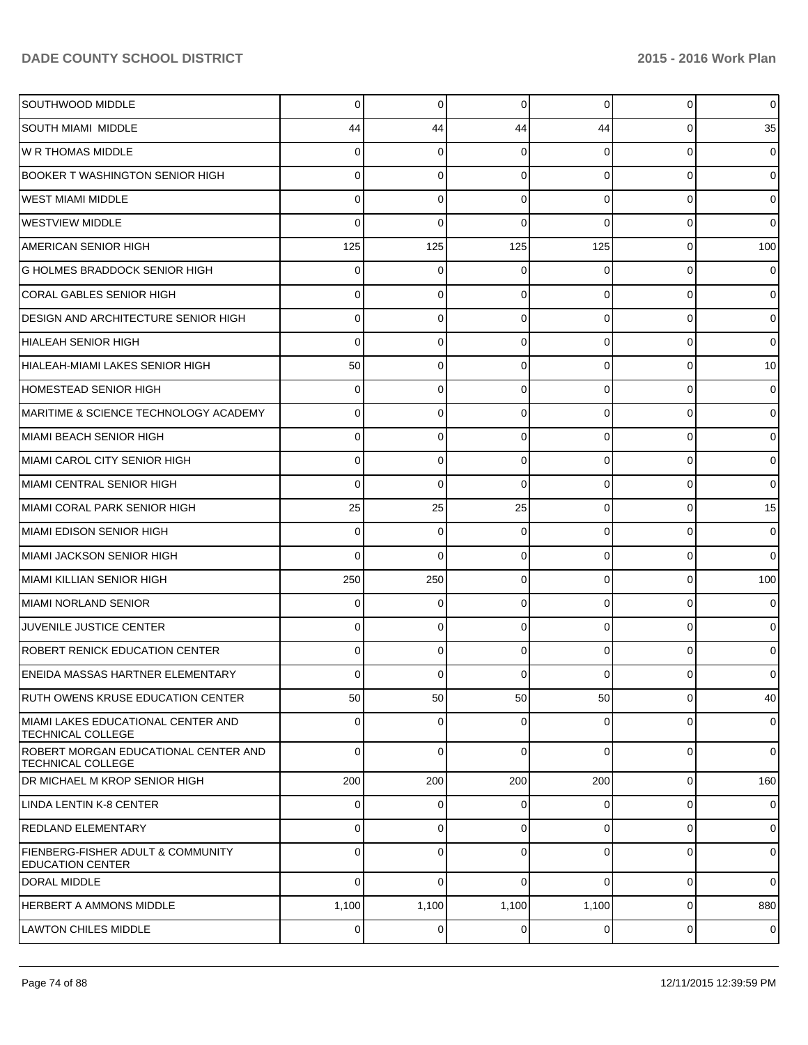| SOUTHWOOD MIDDLE                                                 | 0              | 0           | 0               | $\overline{0}$ | $\Omega$       | $\overline{0}$  |
|------------------------------------------------------------------|----------------|-------------|-----------------|----------------|----------------|-----------------|
| SOUTH MIAMI MIDDLE                                               | 44             | 44          | 44              | 44             | 0              | 35              |
| <b>W R THOMAS MIDDLE</b>                                         | 0              | 0           | 0               | 0              | 0              | $\overline{0}$  |
| <b>BOOKER T WASHINGTON SENIOR HIGH</b>                           | 0              | 0           | 0               | 0              | 0              | $\overline{0}$  |
| <b>WEST MIAMI MIDDLE</b>                                         | 0              | 0           | 0               | $\Omega$       | 0              | $\overline{0}$  |
| <b>WESTVIEW MIDDLE</b>                                           | 0              | $\Omega$    | 0               | 0              | 0              | $\overline{0}$  |
| <b>AMERICAN SENIOR HIGH</b>                                      | 125            | 125         | 125             | 125            | 0              | 100             |
| <b>G HOLMES BRADDOCK SENIOR HIGH</b>                             | 0              | 0           | 0               | 0              | 0              | $\overline{0}$  |
| <b>CORAL GABLES SENIOR HIGH</b>                                  | 0              | 0           | 0               | $\Omega$       | 0              | $\overline{0}$  |
| <b>DESIGN AND ARCHITECTURE SENIOR HIGH</b>                       | 0              | 0           | 0               | 0              | 0              | $\overline{0}$  |
| HIALEAH SENIOR HIGH                                              | 0              | 0           | 0               | $\Omega$       | 0              | $\overline{0}$  |
| HIALEAH-MIAMI LAKES SENIOR HIGH                                  | 50             | 0           | 0               | $\Omega$       | 0              | 10 <sup>1</sup> |
| HOMESTEAD SENIOR HIGH                                            | 0              | 0           | 0               | $\Omega$       | 0              | $\overline{0}$  |
| MARITIME & SCIENCE TECHNOLOGY ACADEMY                            | 0              | 0           | 0               | 0              | 0              | $\overline{0}$  |
| MIAMI BEACH SENIOR HIGH                                          | o              | 0           | 0               | $\Omega$       | 0              | $\overline{0}$  |
| MIAMI CAROL CITY SENIOR HIGH                                     | 0              | 0           | 0               | $\Omega$       | 0              | $\overline{0}$  |
| MIAMI CENTRAL SENIOR HIGH                                        | 0              | 0           | 0               | $\Omega$       | 0              | $\overline{0}$  |
| MIAMI CORAL PARK SENIOR HIGH                                     | 25             | 25          | 25              | $\Omega$       | 0              | 15              |
| MIAMI EDISON SENIOR HIGH                                         | 0              | 0           | 0               | $\Omega$       | 0              | $\overline{0}$  |
| MIAMI JACKSON SENIOR HIGH                                        | 0              | 0           | 0               | $\Omega$       | 0              | $\overline{0}$  |
| MIAMI KILLIAN SENIOR HIGH                                        | 250            | 250         | 0               | $\Omega$       | 0              | 100             |
| MIAMI NORLAND SENIOR                                             | 0              | 0           | 0               | 0              | 0              | $\overline{0}$  |
| JUVENILE JUSTICE CENTER                                          | 0              | 0           | 0               | 0              | 0              | $\overline{0}$  |
| ROBERT RENICK EDUCATION CENTER                                   | 0              | 0           | 0               | 0              | 0              | $\overline{0}$  |
| <b>ENEIDA MASSAS HARTNER ELEMENTARY</b>                          | o              | 0           |                 | ი              |                | $\overline{0}$  |
| <b>RUTH OWENS KRUSE EDUCATION CENTER</b>                         | 50             | 50          | 50 <sub>0</sub> | 50             | 0              | 40              |
| MIAMI LAKES EDUCATIONAL CENTER AND<br><b>TECHNICAL COLLEGE</b>   | 0              | 0           | 0               | 0              | 0              | $\overline{0}$  |
| ROBERT MORGAN EDUCATIONAL CENTER AND<br><b>TECHNICAL COLLEGE</b> | $\Omega$       | 0           | $\Omega$        | $\Omega$       | $\Omega$       | $\overline{0}$  |
| <b>DR MICHAEL M KROP SENIOR HIGH</b>                             | 200            | 200         | 200             | 200            | $\overline{0}$ | 160             |
| LINDA LENTIN K-8 CENTER                                          | $\overline{0}$ | $\mathbf 0$ | 0               | $\overline{0}$ | $\overline{0}$ | $\overline{0}$  |
| <b>REDLAND ELEMENTARY</b>                                        | 0              | $\mathbf 0$ | 0               | $\overline{0}$ | 0              | $\overline{0}$  |
| FIENBERG-FISHER ADULT & COMMUNITY<br><b>EDUCATION CENTER</b>     | 0              | 0           | $\mathbf 0$     | $\overline{0}$ | 0              | $\overline{0}$  |
| DORAL MIDDLE                                                     | 0              | $\Omega$    | $\Omega$        | $\Omega$       | $\overline{0}$ | $\overline{0}$  |
| <b>HERBERT A AMMONS MIDDLE</b>                                   | 1,100          | 1,100       | 1,100           | 1,100          | 0              | 880             |
| LAWTON CHILES MIDDLE                                             | $\overline{0}$ | 0           | $\overline{0}$  | $\overline{0}$ | $\overline{0}$ | $\overline{0}$  |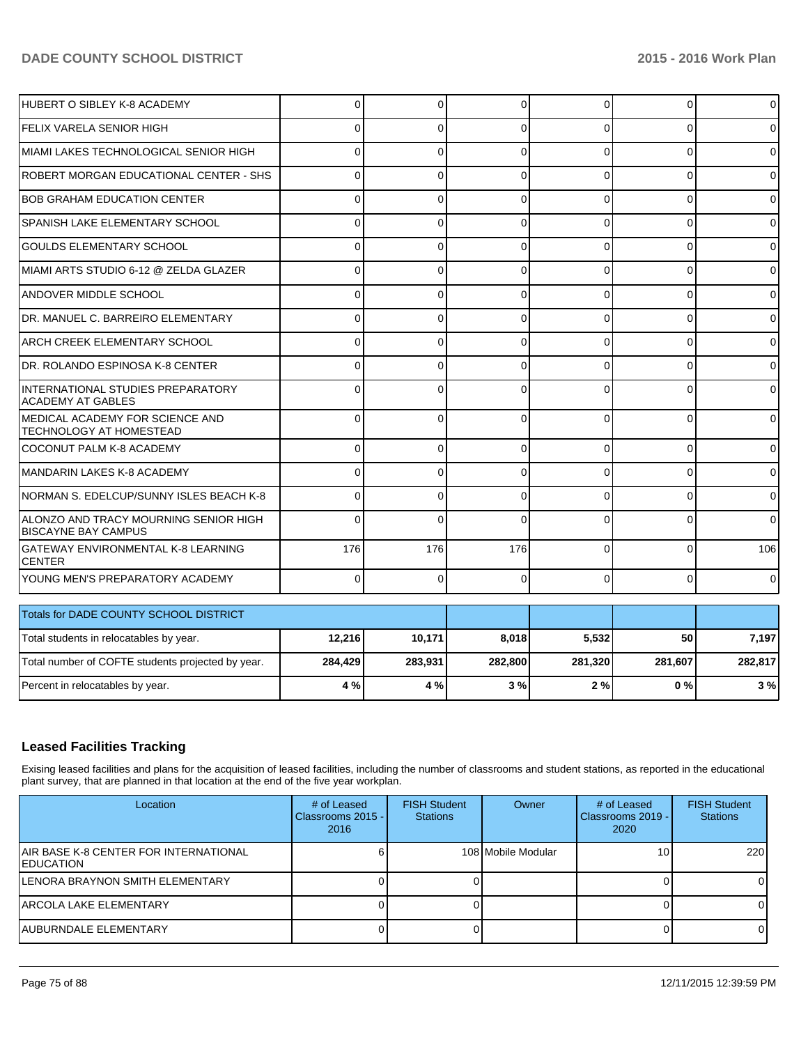| Total number of COFTE students projected by year.                   | 284,429  | 283,931  | 282,800 | 281,320  | 281,607  | 282,817        |
|---------------------------------------------------------------------|----------|----------|---------|----------|----------|----------------|
| Total students in relocatables by year.                             | 12,216   | 10,171   | 8,018   | 5,532    | 50       | 7,197          |
| Totals for DADE COUNTY SCHOOL DISTRICT                              |          |          |         |          |          |                |
| YOUNG MEN'S PREPARATORY ACADEMY                                     | 0        | $\Omega$ | C       | $\Omega$ | 0        | $\Omega$       |
| <b>GATEWAY ENVIRONMENTAL K-8 LEARNING</b><br><b>CENTER</b>          | 176      | 176      | 176     | 0        |          | 106            |
| ALONZO AND TRACY MOURNING SENIOR HIGH<br><b>BISCAYNE BAY CAMPUS</b> | $\Omega$ | $\Omega$ |         | $\Omega$ |          | $\Omega$       |
| INORMAN S. EDELCUP/SUNNY ISLES BEACH K-8                            | n        | 0        | U       | 0        | $\Omega$ | $\Omega$       |
| MANDARIN LAKES K-8 ACADEMY                                          |          | $\Omega$ | C       | $\Omega$ | $\Omega$ | $\overline{0}$ |
| COCONUT PALM K-8 ACADEMY                                            | 0        | 0        | C       | 0        | $\Omega$ | $\Omega$       |
| MEDICAL ACADEMY FOR SCIENCE AND<br>TECHNOLOGY AT HOMESTEAD          | 0        | 0        | 0       | 0        | $\Omega$ | $\overline{0}$ |
| INTERNATIONAL STUDIES PREPARATORY<br><b>ACADEMY AT GABLES</b>       | $\Omega$ | $\Omega$ | C       | 0        | O        | $\Omega$       |
| DR. ROLANDO ESPINOSA K-8 CENTER                                     |          | U        |         | U        | $\Omega$ | $\Omega$       |
| <b>ARCH CREEK ELEMENTARY SCHOOL</b>                                 | U        | $\Omega$ |         | $\Omega$ | O        | $\Omega$       |
| DR. MANUEL C. BARREIRO ELEMENTARY                                   | ∩        | 0        |         | $\Omega$ | 0        | $\overline{0}$ |
| <b>ANDOVER MIDDLE SCHOOL</b>                                        | $\Omega$ | $\Omega$ | O       | $\Omega$ | $\Omega$ | $\Omega$       |
| MIAMI ARTS STUDIO 6-12 @ ZELDA GLAZER                               | 0        | $\Omega$ | 0       | $\Omega$ | $\Omega$ | $\Omega$       |
| <b>GOULDS ELEMENTARY SCHOOL</b>                                     | 0        | 0        | 0       | $\Omega$ | 0        | $\overline{0}$ |
| <b>SPANISH LAKE ELEMENTARY SCHOOL</b>                               | 0        | $\Omega$ | 0       | $\Omega$ | 0        | $\Omega$       |
| <b>BOB GRAHAM EDUCATION CENTER</b>                                  | $\Omega$ | $\Omega$ | 0       | 0        | $\Omega$ | $\Omega$       |
| ROBERT MORGAN EDUCATIONAL CENTER - SHS                              | $\Omega$ | $\Omega$ | C       | $\Omega$ | $\Omega$ | $\Omega$       |
| İMIAMI LAKES TECHNOLOGICAL SENIOR HIGH                              | n        | 0        |         | U        | O        | $\Omega$       |
| <b>FELIX VARELA SENIOR HIGH</b>                                     | 0        | $\Omega$ |         | U        |          | $\overline{0}$ |
| HUBERT O SIBLEY K-8 ACADEMY                                         | 0        | $\Omega$ | C       | $\Omega$ | $\Omega$ | $\Omega$       |

## **Leased Facilities Tracking**

Exising leased facilities and plans for the acquisition of leased facilities, including the number of classrooms and student stations, as reported in the educational plant survey, that are planned in that location at the end of the five year workplan.

Percent in relocatables by year. **4 % 4 % 3 % 2 % 0 % 3 %**

| Location                                                  | # of Leased<br>Classrooms 2015 -<br>2016 | <b>FISH Student</b><br><b>Stations</b> | Owner              | # of Leased<br>Classrooms 2019 - I<br>2020 | <b>FISH Student</b><br><b>Stations</b> |
|-----------------------------------------------------------|------------------------------------------|----------------------------------------|--------------------|--------------------------------------------|----------------------------------------|
| AIR BASE K-8 CENTER FOR INTERNATIONAL<br><b>EDUCATION</b> |                                          |                                        | 108 Mobile Modular | 10 <sub>1</sub>                            | 220                                    |
| LENORA BRAYNON SMITH ELEMENTARY                           |                                          |                                        |                    |                                            |                                        |
| IARCOLA LAKE ELEMENTARY                                   |                                          |                                        |                    |                                            |                                        |
| <b>AUBURNDALE ELEMENTARY</b>                              |                                          |                                        |                    |                                            |                                        |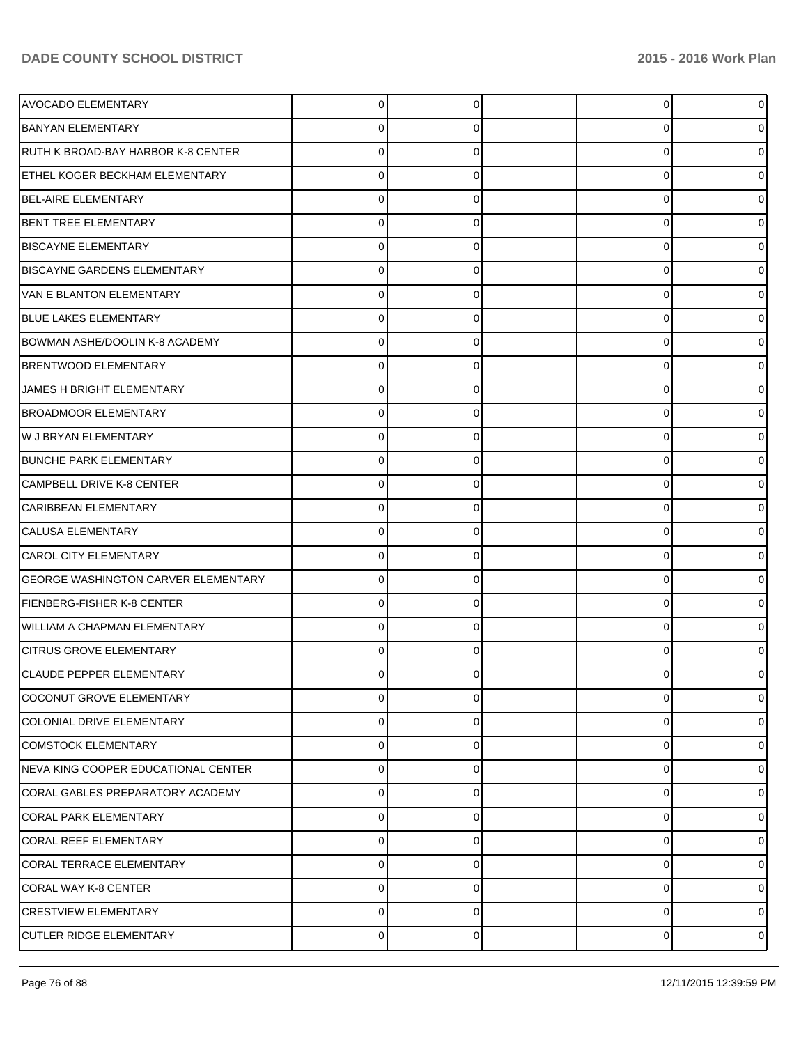| <b>AVOCADO ELEMENTARY</b>                  | $\Omega$    | 0 | 0 | $\overline{0}$ |
|--------------------------------------------|-------------|---|---|----------------|
| <b>BANYAN ELEMENTARY</b>                   |             | 0 | 0 | 0              |
| RUTH K BROAD-BAY HARBOR K-8 CENTER         | 0           | 0 | 0 | 0              |
| <b>ETHEL KOGER BECKHAM ELEMENTARY</b>      | 0           | 0 | 0 | 0              |
| <b>BEL-AIRE ELEMENTARY</b>                 |             | 0 | 0 | 0              |
| <b>BENT TREE ELEMENTARY</b>                |             | 0 | 0 | 0              |
| <b>BISCAYNE ELEMENTARY</b>                 |             |   | 0 | 0              |
| <b>BISCAYNE GARDENS ELEMENTARY</b>         |             | 0 | 0 | 0              |
| VAN E BLANTON ELEMENTARY                   |             |   | 0 | 0              |
| <b>BLUE LAKES ELEMENTARY</b>               | 0           | 0 | 0 | 0              |
| BOWMAN ASHE/DOOLIN K-8 ACADEMY             |             | 0 | 0 | 0              |
| <b>BRENTWOOD ELEMENTARY</b>                |             | 0 | 0 | 0              |
| JAMES H BRIGHT ELEMENTARY                  |             |   | 0 | 0              |
| <b>BROADMOOR ELEMENTARY</b>                |             |   | 0 | 0              |
| W J BRYAN ELEMENTARY                       |             |   | U | 0              |
| <b>BUNCHE PARK ELEMENTARY</b>              | 0           | 0 | 0 | 0              |
| CAMPBELL DRIVE K-8 CENTER                  | 0           | 0 | 0 | 0              |
| CARIBBEAN ELEMENTARY                       | 0           | 0 | 0 | 0              |
| CALUSA ELEMENTARY                          |             |   | 0 | 0              |
| <b>CAROL CITY ELEMENTARY</b>               |             |   | 0 | 0              |
| <b>GEORGE WASHINGTON CARVER ELEMENTARY</b> |             |   | U | 0              |
| FIENBERG-FISHER K-8 CENTER                 |             | 0 | 0 | 0              |
| WILLIAM A CHAPMAN ELEMENTARY               |             | 0 | 0 | 0              |
| <b>CITRUS GROVE ELEMENTARY</b>             |             | 0 | 0 | 0              |
| CLAUDE PEPPER ELEMENTARY                   |             |   |   | 0              |
| COCONUT GROVE ELEMENTARY                   | 0           | 0 | 0 | $\overline{0}$ |
| COLONIAL DRIVE ELEMENTARY                  | 0           | 0 | 0 | 01             |
| COMSTOCK ELEMENTARY                        | 0           | 0 | 0 | 01             |
| NEVA KING COOPER EDUCATIONAL CENTER        | $\mathbf 0$ | 0 | 0 | 0              |
| CORAL GABLES PREPARATORY ACADEMY           | $\mathbf 0$ | 0 | 0 | 0              |
| CORAL PARK ELEMENTARY                      | $\mathbf 0$ | 0 | 0 | 0              |
| CORAL REEF ELEMENTARY                      | 0           | 0 | 0 | 01             |
| CORAL TERRACE ELEMENTARY                   | 0           | 0 | 0 | 01             |
| CORAL WAY K-8 CENTER                       | 0           | 0 | 0 | 0              |
| <b>CRESTVIEW ELEMENTARY</b>                | $\mathbf 0$ | 0 | 0 | 0              |
| CUTLER RIDGE ELEMENTARY                    | $\pmb{0}$   | 0 | 0 | $\circ$        |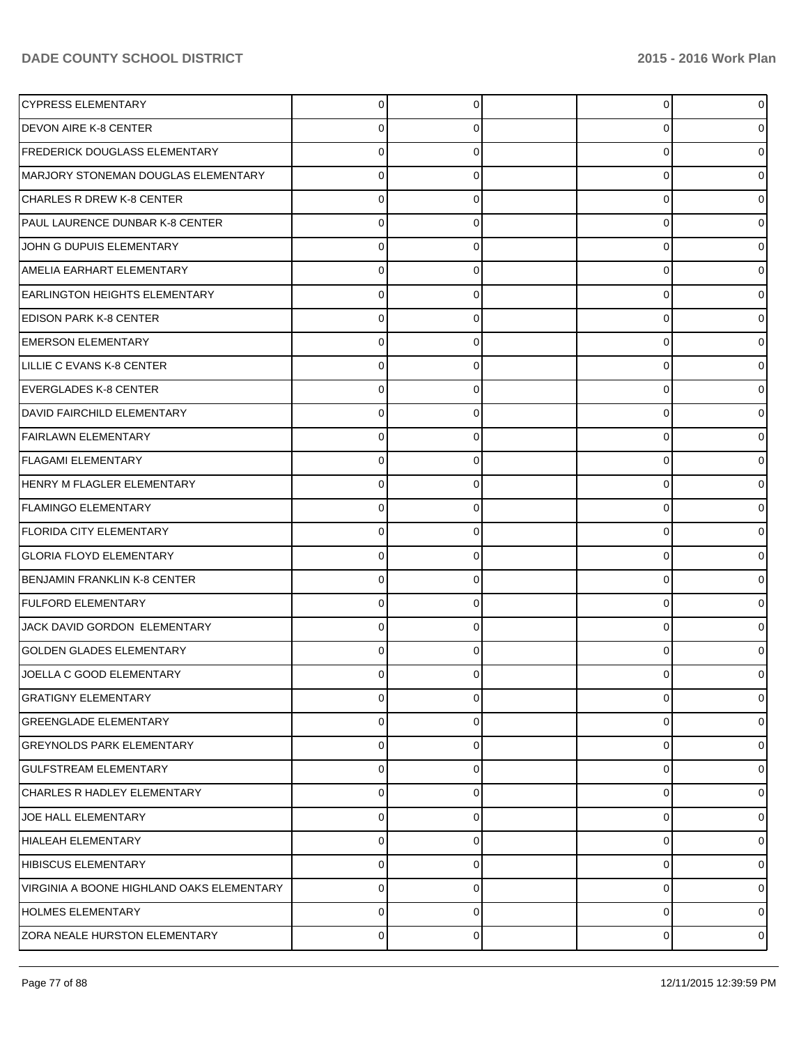| CYPRESS ELEMENTARY                        | 0           |   | 0 | $\overline{0}$ |
|-------------------------------------------|-------------|---|---|----------------|
| <b>DEVON AIRE K-8 CENTER</b>              | 0           | 0 | 0 | 01             |
| <b>FREDERICK DOUGLASS ELEMENTARY</b>      |             |   | 0 | 01             |
| MARJORY STONEMAN DOUGLAS ELEMENTARY       | 0           | n | 0 | 01             |
| CHARLES R DREW K-8 CENTER                 |             |   | 0 | 01             |
| PAUL LAURENCE DUNBAR K-8 CENTER           |             | n | 0 | 01             |
| JOHN G DUPUIS ELEMENTARY                  |             |   | 0 | 01             |
| AMELIA EARHART ELEMENTARY                 | 0           | 0 | 0 | 01             |
| <b>EARLINGTON HEIGHTS ELEMENTARY</b>      | U           |   | 0 | 01             |
| <b>EDISON PARK K-8 CENTER</b>             | 0           | 0 | 0 | 01             |
| <b>EMERSON ELEMENTARY</b>                 |             |   | 0 | 01             |
| LILLIE C EVANS K-8 CENTER                 | 0           | 0 | 0 | 01             |
| EVERGLADES K-8 CENTER                     |             |   | 0 | 01             |
| <b>DAVID FAIRCHILD ELEMENTARY</b>         | 0           | 0 | 0 | 0              |
| <b>FAIRLAWN ELEMENTARY</b>                | 0           |   | 0 | 0              |
| <b>FLAGAMI ELEMENTARY</b>                 | 0           | 0 | 0 | 0              |
| HENRY M FLAGLER ELEMENTARY                |             |   | 0 | 01             |
| <b>FLAMINGO ELEMENTARY</b>                | 0           | n | 0 | 01             |
| <b>FLORIDA CITY ELEMENTARY</b>            |             |   | 0 | 01             |
| <b>GLORIA FLOYD ELEMENTARY</b>            | 0           | 0 | 0 | 0              |
| <b>BENJAMIN FRANKLIN K-8 CENTER</b>       | 0           |   | 0 | 0              |
| <b>FULFORD ELEMENTARY</b>                 | 0           | 0 | 0 | 0              |
| JACK DAVID GORDON ELEMENTARY              | U           |   | 0 | 01             |
| <b>GOLDEN GLADES ELEMENTARY</b>           | o           |   | 0 | 0              |
| JOELLA C GOOD ELEMENTARY                  |             |   | U | 01             |
| <b>GRATIGNY ELEMENTARY</b>                | $\mathbf 0$ | 0 | 0 | $\overline{0}$ |
| <b>GREENGLADE ELEMENTARY</b>              | $\mathbf 0$ | 0 | 0 | 0              |
| <b>GREYNOLDS PARK ELEMENTARY</b>          | $\mathbf 0$ | 0 | 0 | $\overline{0}$ |
| <b>GULFSTREAM ELEMENTARY</b>              | $\mathbf 0$ | 0 | 0 | 0              |
| CHARLES R HADLEY ELEMENTARY               | $\mathbf 0$ | 0 | 0 | $\overline{0}$ |
| JOE HALL ELEMENTARY                       | $\mathbf 0$ | 0 | 0 | 0              |
| HIALEAH ELEMENTARY                        | 0           | 0 | 0 | $\overline{0}$ |
| <b>HIBISCUS ELEMENTARY</b>                | $\mathbf 0$ | 0 | 0 | 0              |
| VIRGINIA A BOONE HIGHLAND OAKS ELEMENTARY | $\mathbf 0$ | 0 | 0 | $\overline{0}$ |
| <b>HOLMES ELEMENTARY</b>                  | $\mathbf 0$ | 0 | 0 | $\overline{0}$ |
| ZORA NEALE HURSTON ELEMENTARY             | $\pmb{0}$   | 0 | 0 | $\circ$        |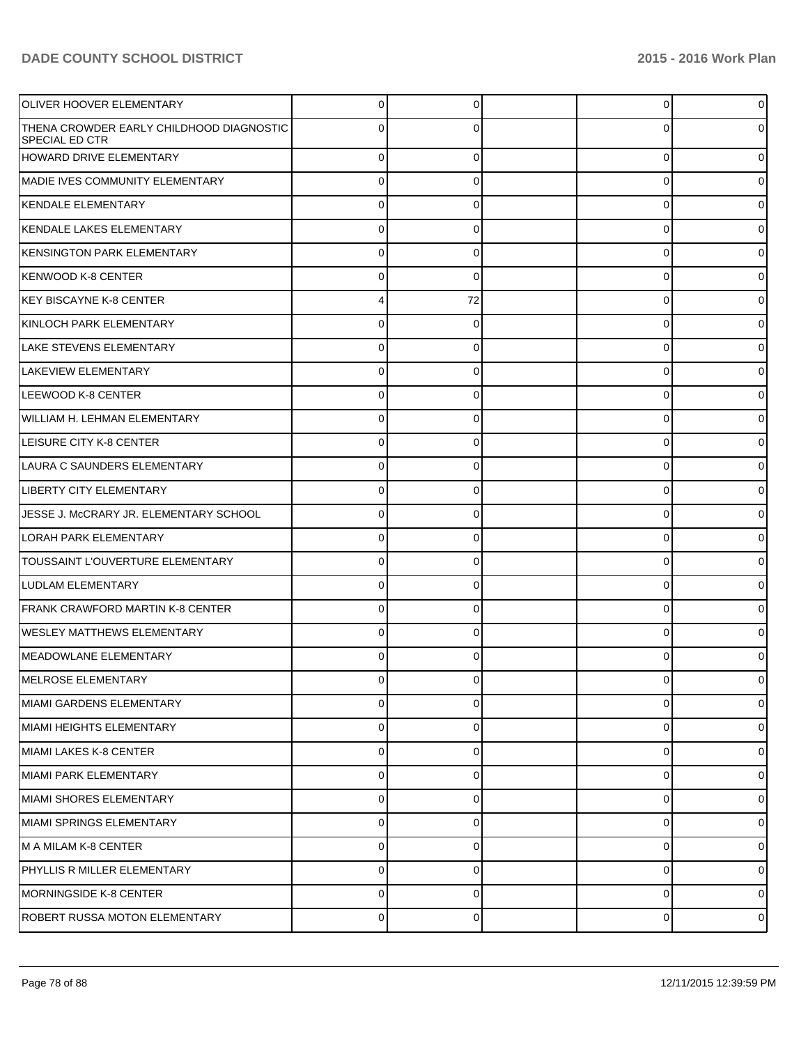| OLIVER HOOVER ELEMENTARY                                          | 0           |          | 0        | 01             |
|-------------------------------------------------------------------|-------------|----------|----------|----------------|
| THENA CROWDER EARLY CHILDHOOD DIAGNOSTIC<br><b>SPECIAL ED CTR</b> | 0           |          | C        | 0              |
| HOWARD DRIVE ELEMENTARY                                           | $\Omega$    | 0        | 0        | 0              |
| <b>IMADIE IVES COMMUNITY ELEMENTARY</b>                           | $\Omega$    | 0        | 0        | 0              |
| KENDALE ELEMENTARY                                                | $\Omega$    | 0        | 0        | 0              |
| KENDALE LAKES ELEMENTARY                                          | $\Omega$    | 0        | 0        | 0              |
| <b>IKENSINGTON PARK ELEMENTARY</b>                                | $\Omega$    | 0        | 0        | 0              |
| KENWOOD K-8 CENTER                                                | $\Omega$    | 0        | 0        | 0              |
| KEY BISCAYNE K-8 CENTER                                           |             | 72       | 0        | 0              |
| KINLOCH PARK ELEMENTARY                                           | $\Omega$    | 0        | 0        | 0              |
| <b>LAKE STEVENS ELEMENTARY</b>                                    | $\Omega$    | 0        | 0        | 0              |
| LAKEVIEW ELEMENTARY                                               | $\Omega$    | 0        | $\Omega$ | 0              |
| LEEWOOD K-8 CENTER                                                | $\Omega$    | 0        | 0        | 0              |
| WILLIAM H. LEHMAN ELEMENTARY                                      | $\Omega$    | 0        | 0        |                |
| LEISURE CITY K-8 CENTER                                           | $\Omega$    | 0        | 0        | 0              |
| LAURA C SAUNDERS ELEMENTARY                                       | $\Omega$    | 0        | 0        | 0              |
| LIBERTY CITY ELEMENTARY                                           | $\Omega$    | 0        | 0        | 0              |
| JESSE J. McCRARY JR. ELEMENTARY SCHOOL                            | $\Omega$    |          | $\Omega$ |                |
| <b>LORAH PARK ELEMENTARY</b>                                      | $\Omega$    | 0        | 0        |                |
| TOUSSAINT L'OUVERTURE ELEMENTARY                                  | $\Omega$    | 0        | 0        |                |
| LUDLAM ELEMENTARY                                                 | $\Omega$    | 0        | 0        | 0              |
| FRANK CRAWFORD MARTIN K-8 CENTER                                  | $\Omega$    |          | $\Omega$ |                |
| <b>WESLEY MATTHEWS ELEMENTARY</b>                                 | $\Omega$    | 0        | $\Omega$ |                |
| MEADOWLANE ELEMENTARY                                             |             |          |          |                |
| MELROSE ELEMENTARY                                                |             |          |          |                |
| MIAMI GARDENS ELEMENTARY                                          | 0           | 0        | $\Omega$ | 0              |
| MIAMI HEIGHTS ELEMENTARY                                          | $\Omega$    | $\Omega$ | 0        | $\Omega$       |
| MIAMI LAKES K-8 CENTER                                            | $\Omega$    | 0        | 0        | 0              |
| MIAMI PARK ELEMENTARY                                             | $\Omega$    | 0        | 0        | 0              |
| MIAMI SHORES ELEMENTARY                                           | $\Omega$    | 0        | 0        | 0              |
| MIAMI SPRINGS ELEMENTARY                                          | $\Omega$    | $\Omega$ | $\Omega$ | $\Omega$       |
| M A MILAM K-8 CENTER                                              | $\Omega$    | 0        | 0        | 0              |
| PHYLLIS R MILLER ELEMENTARY                                       | $\Omega$    | $\Omega$ | 0        | 0              |
| MORNINGSIDE K-8 CENTER                                            | $\Omega$    | $\Omega$ | 0        | 01             |
| ROBERT RUSSA MOTON ELEMENTARY                                     | $\mathbf 0$ | $\Omega$ | 0        | $\overline{0}$ |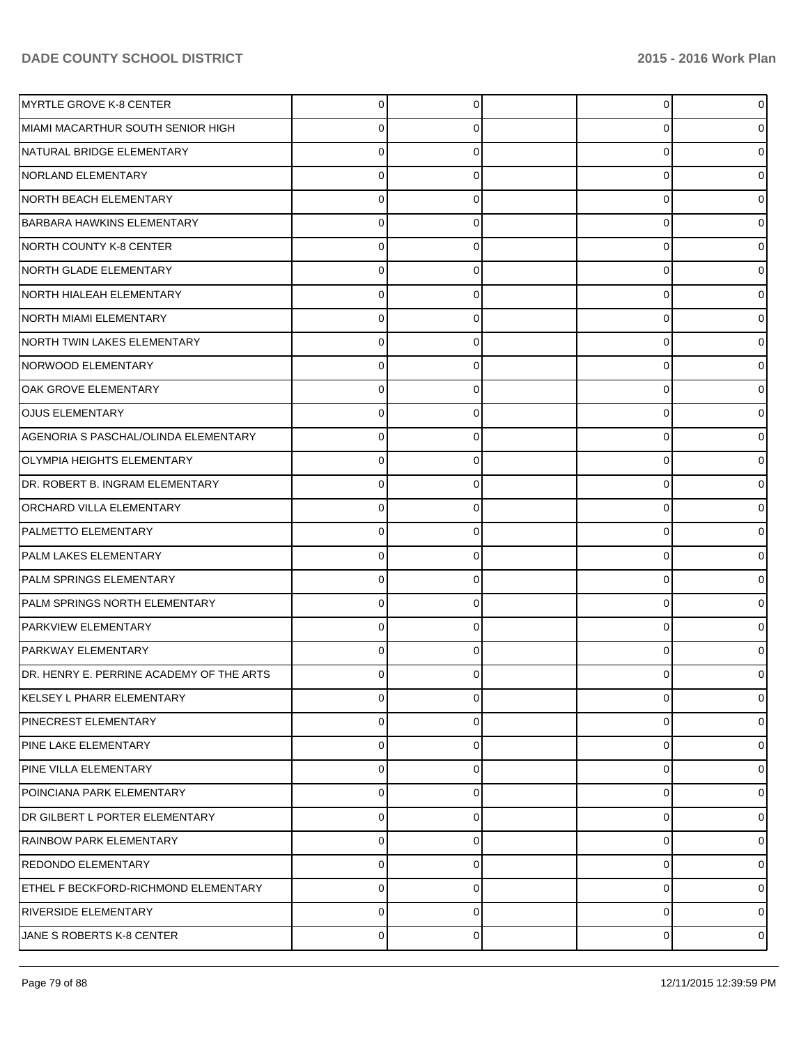| MYRTLE GROVE K-8 CENTER                  | 0              |   | $\overline{0}$ |                |
|------------------------------------------|----------------|---|----------------|----------------|
| MIAMI MACARTHUR SOUTH SENIOR HIGH        |                |   | 0              |                |
| NATURAL BRIDGE ELEMENTARY                | 0              |   | 0              |                |
| <b>NORLAND ELEMENTARY</b>                | 0              |   | 0              |                |
| NORTH BEACH ELEMENTARY                   | 0              |   | 0              |                |
| <b>BARBARA HAWKINS ELEMENTARY</b>        | 0              |   | 0              |                |
| NORTH COUNTY K-8 CENTER                  | 0              |   | 0              |                |
| NORTH GLADE ELEMENTARY                   | 0              |   | 0              |                |
| NORTH HIALEAH ELEMENTARY                 | 0              |   | 0              |                |
| <b>NORTH MIAMI ELEMENTARY</b>            | 0              |   | 0              |                |
| NORTH TWIN LAKES ELEMENTARY              | 0              |   | 0              |                |
| NORWOOD ELEMENTARY                       | 0              |   | 0              |                |
| OAK GROVE ELEMENTARY                     |                |   | 0              |                |
| <b>OJUS ELEMENTARY</b>                   | 0              |   | 0              |                |
| AGENORIA S PASCHAL/OLINDA ELEMENTARY     | 0              |   | 0              |                |
| <b>OLYMPIA HEIGHTS ELEMENTARY</b>        | 0              |   | 0              |                |
| DR. ROBERT B. INGRAM ELEMENTARY          |                |   | 0              |                |
| <b>ORCHARD VILLA ELEMENTARY</b>          | 0              |   | 0              |                |
| <b>PALMETTO ELEMENTARY</b>               | 0              |   | 0              |                |
| <b>PALM LAKES ELEMENTARY</b>             | 0              |   | 0              |                |
| PALM SPRINGS ELEMENTARY                  | 0              |   | 0              |                |
| PALM SPRINGS NORTH ELEMENTARY            | 0              |   | 0              |                |
| <b>PARKVIEW ELEMENTARY</b>               |                |   | 0              |                |
| PARKWAY ELEMENTARY                       | 0              |   | $\Omega$       |                |
| DR. HENRY E. PERRINE ACADEMY OF THE ARTS | 0              |   | 0              |                |
| <b>KELSEY L PHARR ELEMENTARY</b>         | 0              | O | 0              |                |
| PINECREST ELEMENTARY                     | 0              | O | 0              |                |
| PINE LAKE ELEMENTARY                     | 0              |   | 0              | 0              |
| PINE VILLA ELEMENTARY                    | 0              | 0 | 0              | o              |
| POINCIANA PARK ELEMENTARY                | 0              |   | 0              | o              |
| DR GILBERT L PORTER ELEMENTARY           | 0              | 0 | 0              | o              |
| <b>RAINBOW PARK ELEMENTARY</b>           | 0              |   | 0              | o              |
| REDONDO ELEMENTARY                       | 0              | 0 | 0              | o              |
| ETHEL F BECKFORD-RICHMOND ELEMENTARY     | 0              | O | 0              | o              |
| <b>RIVERSIDE ELEMENTARY</b>              | 0              | 0 | 0              | 0              |
| JANE S ROBERTS K-8 CENTER                | $\overline{0}$ | 0 | 0              | $\overline{0}$ |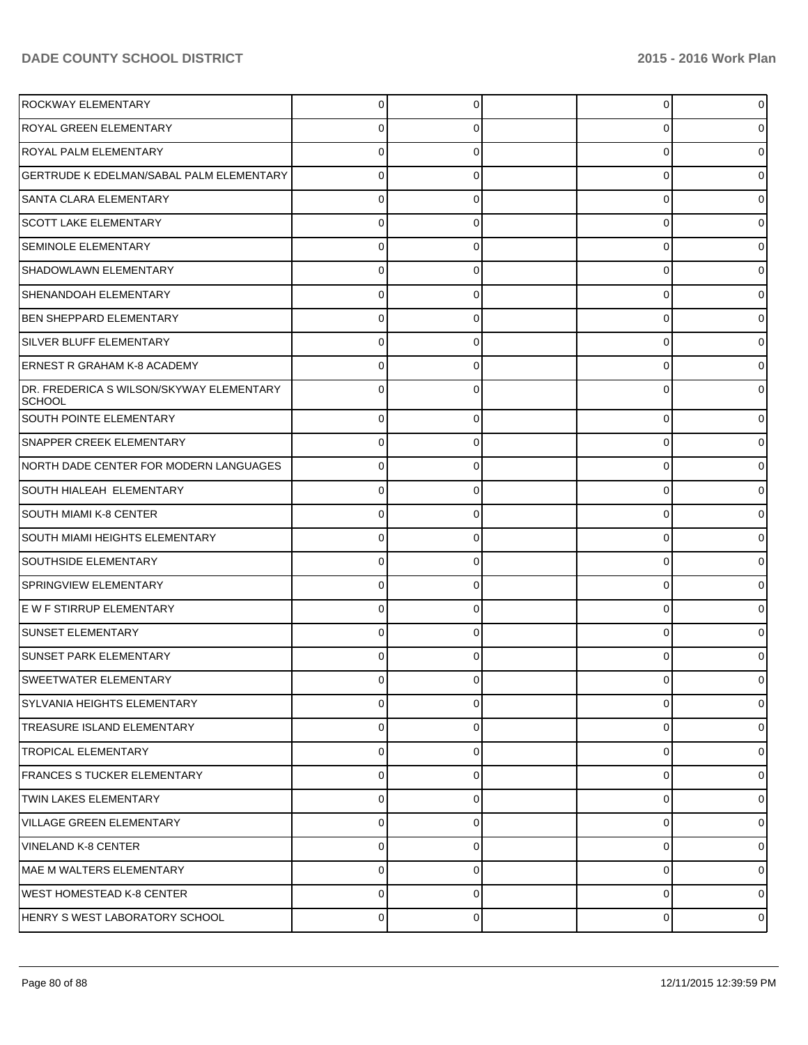| <b>ROCKWAY ELEMENTARY</b>                                 | 0           |          | 0 | $\overline{0}$ |
|-----------------------------------------------------------|-------------|----------|---|----------------|
| <b>ROYAL GREEN ELEMENTARY</b>                             |             |          | U | 0              |
| <b>ROYAL PALM ELEMENTARY</b>                              |             |          | U | 0              |
| <b>GERTRUDE K EDELMAN/SABAL PALM ELEMENTARY</b>           |             |          | 0 | 0              |
| <b>SANTA CLARA ELEMENTARY</b>                             |             |          | U | 0              |
| <b>SCOTT LAKE ELEMENTARY</b>                              |             |          | U | 0              |
| <b>SEMINOLE ELEMENTARY</b>                                |             |          | U | 0              |
| SHADOWLAWN ELEMENTARY                                     |             |          | 0 | 0              |
| SHENANDOAH ELEMENTARY                                     |             |          | U | 0              |
| <b>BEN SHEPPARD ELEMENTARY</b>                            |             |          | 0 | 0              |
| SILVER BLUFF ELEMENTARY                                   |             |          | U | 0              |
| <b>ERNEST R GRAHAM K-8 ACADEMY</b>                        |             |          | U | 0              |
| DR. FREDERICA S WILSON/SKYWAY ELEMENTARY<br><b>SCHOOL</b> |             |          | U | 0              |
| SOUTH POINTE ELEMENTARY                                   | 0           | 0        | 0 | 0              |
| <b>SNAPPER CREEK ELEMENTARY</b>                           | 0           | 0        | 0 | 0              |
| NORTH DADE CENTER FOR MODERN LANGUAGES                    | 0           | 0        | 0 | 0              |
| SOUTH HIALEAH ELEMENTARY                                  | 0           | 0        | 0 | 0              |
| SOUTH MIAMI K-8 CENTER                                    | U           |          | 0 | 0              |
| SOUTH MIAMI HEIGHTS ELEMENTARY                            | 0           | 0        | 0 | 0              |
| <b>SOUTHSIDE ELEMENTARY</b>                               | 0           | 0        | 0 | 0              |
| SPRINGVIEW ELEMENTARY                                     | 0           | 0        | 0 | 0              |
| E W F STIRRUP ELEMENTARY                                  | U           |          | 0 | 0              |
| <b>SUNSET ELEMENTARY</b>                                  | 0           | 0        | 0 | 0              |
| <b>SUNSET PARK ELEMENTARY</b>                             |             |          | U |                |
| SWEETWATER ELEMENTARY                                     | 0           |          |   | 0              |
| <b>SYLVANIA HEIGHTS ELEMENTARY</b>                        | $\Omega$    | 0        | 0 | 0              |
| <b>TREASURE ISLAND ELEMENTARY</b>                         | $\Omega$    | $\Omega$ | 0 | 0              |
| <b>TROPICAL ELEMENTARY</b>                                | $\mathbf 0$ | 0        | 0 | 01             |
| <b>FRANCES S TUCKER ELEMENTARY</b>                        | $\Omega$    | 0        | 0 | 0              |
| <b>TWIN LAKES ELEMENTARY</b>                              | $\mathbf 0$ | 0        | 0 | 01             |
| <b>VILLAGE GREEN ELEMENTARY</b>                           | $\Omega$    | 0        | 0 | 0              |
| <b>VINELAND K-8 CENTER</b>                                | $\Omega$    | 0        | 0 | 01             |
| MAE M WALTERS ELEMENTARY                                  | $\Omega$    | 0        | 0 | $\overline{0}$ |
| WEST HOMESTEAD K-8 CENTER                                 | $\Omega$    | 0        | 0 | $\overline{0}$ |
| HENRY S WEST LABORATORY SCHOOL                            | $\mathbf 0$ | 0        | 0 | $\overline{0}$ |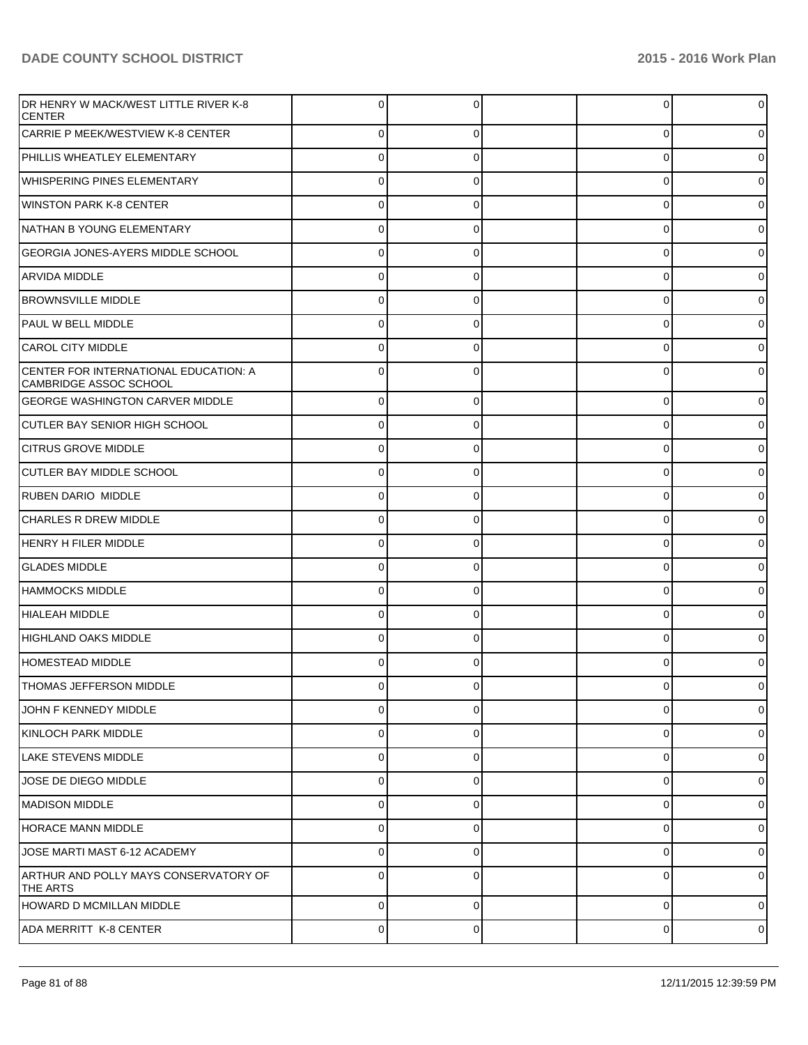| <b>IDR HENRY W MACK/WEST LITTLE RIVER K-8</b><br><b>CENTER</b>  |             |             | $\Omega$ | 01             |
|-----------------------------------------------------------------|-------------|-------------|----------|----------------|
| CARRIE P MEEK/WESTVIEW K-8 CENTER                               | $\Omega$    | 0           | 0        | 0              |
| PHILLIS WHEATLEY ELEMENTARY                                     | 0           | 0           | 0        | 0              |
| <b>WHISPERING PINES ELEMENTARY</b>                              | 0           | U           | $\Omega$ | 0              |
| WINSTON PARK K-8 CENTER                                         | 0           | 0           | 0        | 0              |
| NATHAN B YOUNG ELEMENTARY                                       | 0           | U           | 0        |                |
| <b>GEORGIA JONES-AYERS MIDDLE SCHOOL</b>                        | 0           | 0           | 0        | 0              |
| <b>ARVIDA MIDDLE</b>                                            | 0           | U           | 0        |                |
| <b>BROWNSVILLE MIDDLE</b>                                       | 0           | 0           | 0        | o              |
| <b>PAUL W BELL MIDDLE</b>                                       | 0           |             | 0        |                |
| CAROL CITY MIDDLE                                               |             | 0           | 0        |                |
| CENTER FOR INTERNATIONAL EDUCATION: A<br>CAMBRIDGE ASSOC SCHOOL |             |             | C        |                |
| <b>GEORGE WASHINGTON CARVER MIDDLE</b>                          | $\mathbf 0$ | 0           | $\Omega$ | 0              |
| ICUTLER BAY SENIOR HIGH SCHOOL                                  | 0           | 0           | 0        |                |
| <b>ICITRUS GROVE MIDDLE</b>                                     | 0           | 0           | $\Omega$ |                |
| <b>CUTLER BAY MIDDLE SCHOOL</b>                                 | 0           | 0           | 0        |                |
| RUBEN DARIO MIDDLE                                              | $\mathbf 0$ | 0           | 0        |                |
| <b>CHARLES R DREW MIDDLE</b>                                    | 0           | 0           | 0        |                |
| <b>HENRY H FILER MIDDLE</b>                                     | 0           | 0           | 0        |                |
| <b>GLADES MIDDLE</b>                                            | 0           | 0           | 0        |                |
| <b>HAMMOCKS MIDDLE</b>                                          | 0           | 0           | 0        |                |
| HIALEAH MIDDLE                                                  | 0           | 0           | 0        |                |
| HIGHLAND OAKS MIDDLE                                            | 0           | 0           | $\Omega$ |                |
| HOMESTEAD MIDDLE                                                |             |             | U        |                |
| THOMAS JEFFERSON MIDDLE                                         |             |             |          |                |
| JOHN F KENNEDY MIDDLE                                           | $\mathbf 0$ | $\Omega$    | $\Omega$ | $\overline{0}$ |
| KINLOCH PARK MIDDLE                                             | $\mathbf 0$ | 0           | 0        | $\overline{0}$ |
| LAKE STEVENS MIDDLE                                             | $\pmb{0}$   | 0           | 0        | $\overline{0}$ |
| JOSE DE DIEGO MIDDLE                                            | 0           | 0           | 0        | $\overline{0}$ |
| MADISON MIDDLE                                                  | $\mathbf 0$ | 0           | 0        | $\overline{0}$ |
| HORACE MANN MIDDLE                                              | $\mathbf 0$ | 0           | 0        | $\overline{0}$ |
| JOSE MARTI MAST 6-12 ACADEMY                                    | $\mathbf 0$ | 0           | $\Omega$ | $\overline{0}$ |
| ARTHUR AND POLLY MAYS CONSERVATORY OF<br>THE ARTS               | $\Omega$    | 0           | 0        | $\overline{0}$ |
| HOWARD D MCMILLAN MIDDLE                                        | $\Omega$    | $\Omega$    | $\Omega$ | $\overline{0}$ |
| ADA MERRITT K-8 CENTER                                          | $\mathbf 0$ | $\mathbf 0$ | 0        | $\overline{0}$ |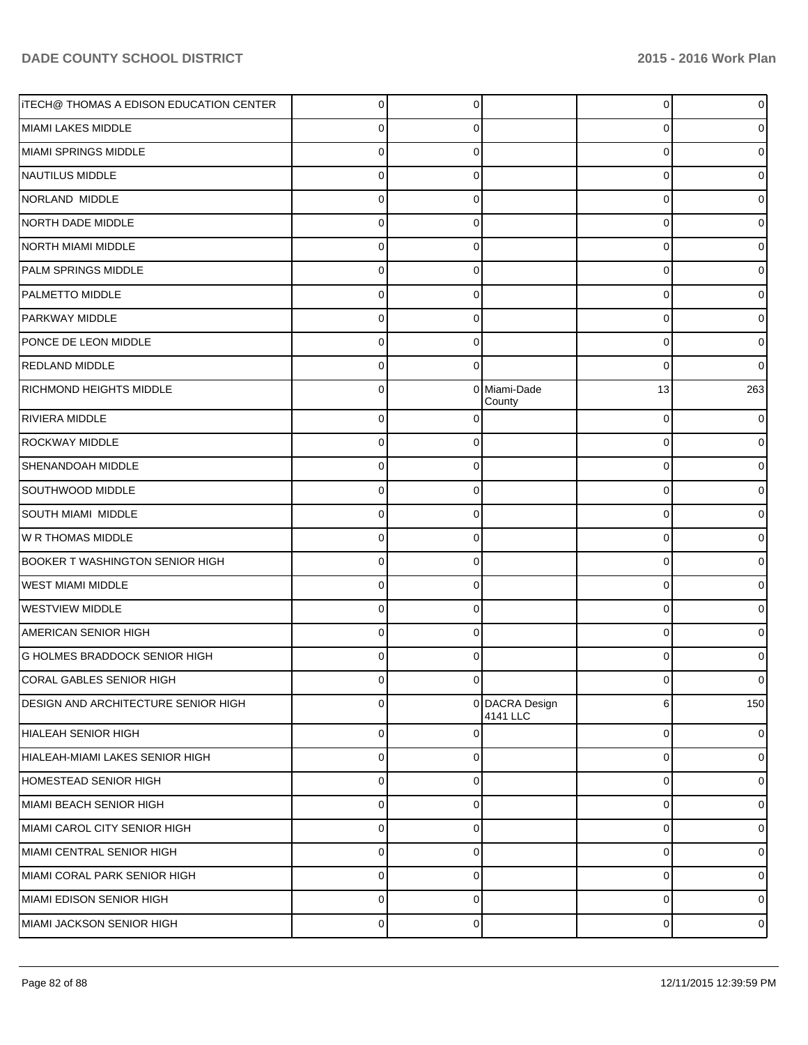| <b>ITECH@ THOMAS A EDISON EDUCATION CENTER</b> | $\Omega$       | $\Omega$    |                            | 0  | 0              |
|------------------------------------------------|----------------|-------------|----------------------------|----|----------------|
| MIAMI LAKES MIDDLE                             | 0              | O           |                            | 0  |                |
| MIAMI SPRINGS MIDDLE                           | 0              | n           |                            | 0  |                |
| NAUTILUS MIDDLE                                | 0              | 0           |                            | 0  |                |
| NORLAND MIDDLE                                 | 0              | n           |                            | 0  |                |
| NORTH DADE MIDDLE                              | 0              | 0           |                            | 0  |                |
| NORTH MIAMI MIDDLE                             | 0              | n           |                            | 0  |                |
| <b>PALM SPRINGS MIDDLE</b>                     | 0              | 0           |                            | 0  |                |
| <b>PALMETTO MIDDLE</b>                         | 0              | n           |                            | 0  | 0              |
| PARKWAY MIDDLE                                 | 0              | 0           |                            | 0  | 0              |
| PONCE DE LEON MIDDLE                           | 0              | 0           |                            | 0  | 0              |
| <b>REDLAND MIDDLE</b>                          | 0              | $\Omega$    |                            | 0  | 0              |
| <b>RICHMOND HEIGHTS MIDDLE</b>                 | 0              |             | 0 Miami-Dade<br>County     | 13 | 263            |
| RIVIERA MIDDLE                                 | $\Omega$       |             |                            | 0  | 0              |
| <b>ROCKWAY MIDDLE</b>                          | $\Omega$       | $\Omega$    |                            | 0  | $\overline{0}$ |
| <b>SHENANDOAH MIDDLE</b>                       | $\Omega$       | $\Omega$    |                            | 0  | 01             |
| SOUTHWOOD MIDDLE                               | $\Omega$       | 0           |                            | 0  | 01             |
| <b>SOUTH MIAMI MIDDLE</b>                      | $\Omega$       | $\Omega$    |                            | 0  | 01             |
| W R THOMAS MIDDLE                              | $\Omega$       | 0           |                            | 0  | 01             |
| <b>BOOKER T WASHINGTON SENIOR HIGH</b>         | $\Omega$       | $\Omega$    |                            | 0  | 01             |
| <b>WEST MIAMI MIDDLE</b>                       | $\Omega$       | $\Omega$    |                            | 0  | 01             |
| <b>WESTVIEW MIDDLE</b>                         | $\Omega$       | $\Omega$    |                            | 0  | 01             |
| <b>AMERICAN SENIOR HIGH</b>                    | $\Omega$       | 0           |                            | 0  | 01             |
| <b>G HOLMES BRADDOCK SENIOR HIGH</b>           | $\Omega$       | $\Omega$    |                            | 0  | 0              |
| CORAL GABLES SENIOR HIGH                       | 01             | $\Omega$    |                            | O  | 01             |
| DESIGN AND ARCHITECTURE SENIOR HIGH            | $\Omega$       |             | 0 DACRA Design<br>4141 LLC | 6  | 150            |
| HIALEAH SENIOR HIGH                            | $\overline{0}$ | $\Omega$    |                            | 0  | $\overline{0}$ |
| HIALEAH-MIAMI LAKES SENIOR HIGH                | $\overline{0}$ | $\mathbf 0$ |                            | 0  | $\overline{0}$ |
| HOMESTEAD SENIOR HIGH                          | $\overline{0}$ | $\mathbf 0$ |                            | 0  | $\overline{0}$ |
| MIAMI BEACH SENIOR HIGH                        | $\overline{0}$ | $\mathbf 0$ |                            | 0  | $\overline{0}$ |
| MIAMI CAROL CITY SENIOR HIGH                   | $\overline{0}$ | $\mathbf 0$ |                            | 0  | $\overline{0}$ |
| İMIAMI CENTRAL SENIOR HIGH                     | $\overline{0}$ | $\mathbf 0$ |                            | 0  | $\overline{0}$ |
| MIAMI CORAL PARK SENIOR HIGH                   | $\overline{0}$ | $\mathbf 0$ |                            | 0  | $\overline{0}$ |
| MIAMI EDISON SENIOR HIGH                       | $\overline{0}$ | $\mathbf 0$ |                            | 0  | $\overline{0}$ |
| MIAMI JACKSON SENIOR HIGH                      | $\overline{0}$ | $\mathbf 0$ |                            | 0  | $\overline{0}$ |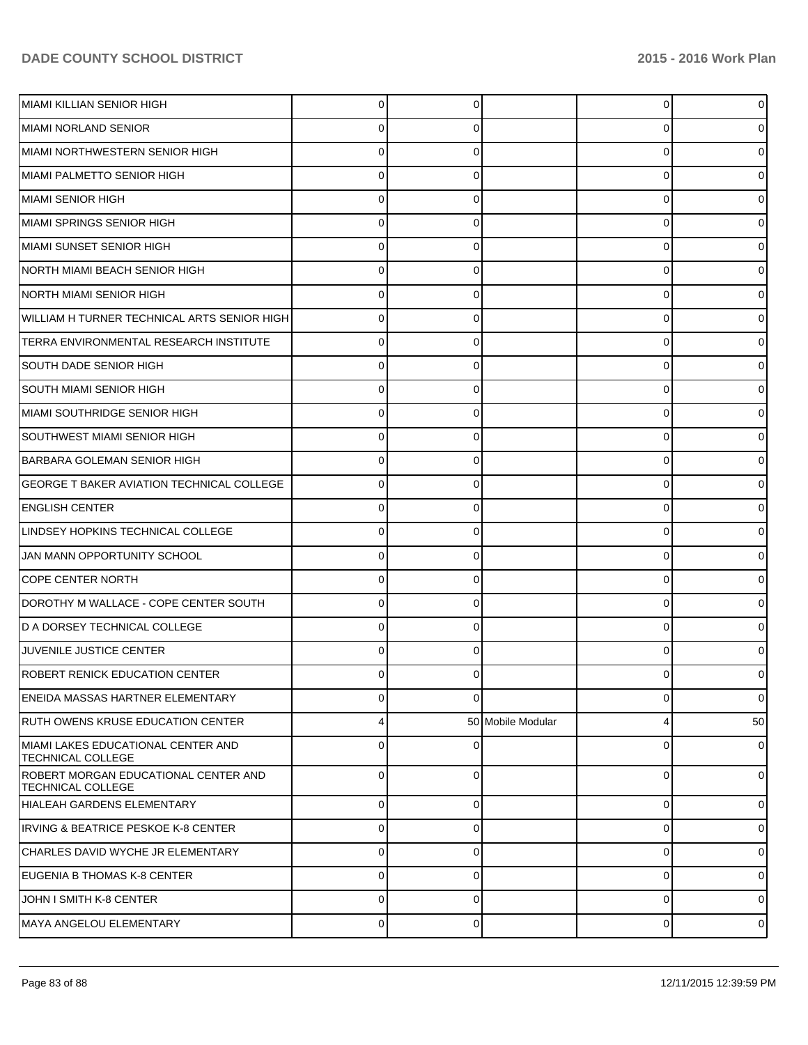| MIAMI KILLIAN SENIOR HIGH                                        | 0           | 0        |                   | 0 | 0              |
|------------------------------------------------------------------|-------------|----------|-------------------|---|----------------|
| MIAMI NORLAND SENIOR                                             | O           |          |                   | U |                |
| MIAMI NORTHWESTERN SENIOR HIGH                                   | ∩           |          |                   | 0 |                |
| <b>MIAMI PALMETTO SENIOR HIGH</b>                                | U           | 0        |                   | 0 |                |
| MIAMI SENIOR HIGH                                                | U           |          |                   | 0 |                |
| MIAMI SPRINGS SENIOR HIGH                                        | $\Omega$    | 0        |                   | 0 |                |
| İMIAMI SUNSET SENIOR HIGH                                        | ∩           |          |                   | 0 |                |
| NORTH MIAMI BEACH SENIOR HIGH                                    | 0           | 0        |                   | 0 |                |
| <b>NORTH MIAMI SENIOR HIGH</b>                                   | ∩           |          |                   | 0 |                |
| WILLIAM H TURNER TECHNICAL ARTS SENIOR HIGH                      | $\Omega$    | 0        |                   | 0 |                |
| TERRA ENVIRONMENTAL RESEARCH INSTITUTE                           | ∩           |          |                   | 0 |                |
| <b>SOUTH DADE SENIOR HIGH</b>                                    | $\Omega$    | 0        |                   | 0 | 0              |
| <b>SOUTH MIAMI SENIOR HIGH</b>                                   | ∩           |          |                   | 0 |                |
| MIAMI SOUTHRIDGE SENIOR HIGH                                     | 0           | 0        |                   | 0 |                |
| <b>SOUTHWEST MIAMI SENIOR HIGH</b>                               | ∩           |          |                   | 0 |                |
| <b>BARBARA GOLEMAN SENIOR HIGH</b>                               | $\Omega$    | 0        |                   | 0 |                |
| <b>GEORGE T BAKER AVIATION TECHNICAL COLLEGE</b>                 | O           |          |                   | 0 |                |
| <b>ENGLISH CENTER</b>                                            | $\Omega$    | 0        |                   | 0 | 0              |
| LINDSEY HOPKINS TECHNICAL COLLEGE                                | ∩           |          |                   | 0 |                |
| JAN MANN OPPORTUNITY SCHOOL                                      | $\Omega$    | 0        |                   | 0 |                |
| <b>COPE CENTER NORTH</b>                                         | ∩           |          |                   | 0 |                |
| DOROTHY M WALLACE - COPE CENTER SOUTH                            | $\Omega$    | 0        |                   | 0 | 0              |
| ID A DORSEY TECHNICAL COLLEGE                                    | ∩           |          |                   | 0 |                |
| JUVENILE JUSTICE CENTER                                          | ŋ           | 0        |                   | 0 |                |
| <b>ROBERT RENICK EDUCATION CENTER</b>                            |             |          |                   |   |                |
| ENEIDA MASSAS HARTNER ELEMENTARY                                 | $\Omega$    | $\Omega$ |                   | 0 | $\overline{0}$ |
| RUTH OWENS KRUSE EDUCATION CENTER                                | 4           |          | 50 Mobile Modular | 4 | 50             |
| MIAMI LAKES EDUCATIONAL CENTER AND<br><b>TECHNICAL COLLEGE</b>   | $\Omega$    | 0        |                   | 0 | $\overline{0}$ |
| ROBERT MORGAN EDUCATIONAL CENTER AND<br><b>TECHNICAL COLLEGE</b> | $\Omega$    | $\Omega$ |                   | 0 | $\overline{0}$ |
| HIALEAH GARDENS ELEMENTARY                                       | $\Omega$    | $\Omega$ |                   | 0 | $\overline{0}$ |
| <b>IRVING &amp; BEATRICE PESKOE K-8 CENTER</b>                   | $\Omega$    | $\Omega$ |                   | 0 | $\overline{0}$ |
| CHARLES DAVID WYCHE JR ELEMENTARY                                | $\Omega$    | $\Omega$ |                   | 0 | $\overline{0}$ |
| EUGENIA B THOMAS K-8 CENTER                                      | $\Omega$    | $\Omega$ |                   | 0 | $\overline{0}$ |
| JOHN I SMITH K-8 CENTER                                          | $\Omega$    | $\Omega$ |                   | 0 | $\overline{0}$ |
| MAYA ANGELOU ELEMENTARY                                          | $\mathbf 0$ | 0        |                   | 0 | $\overline{0}$ |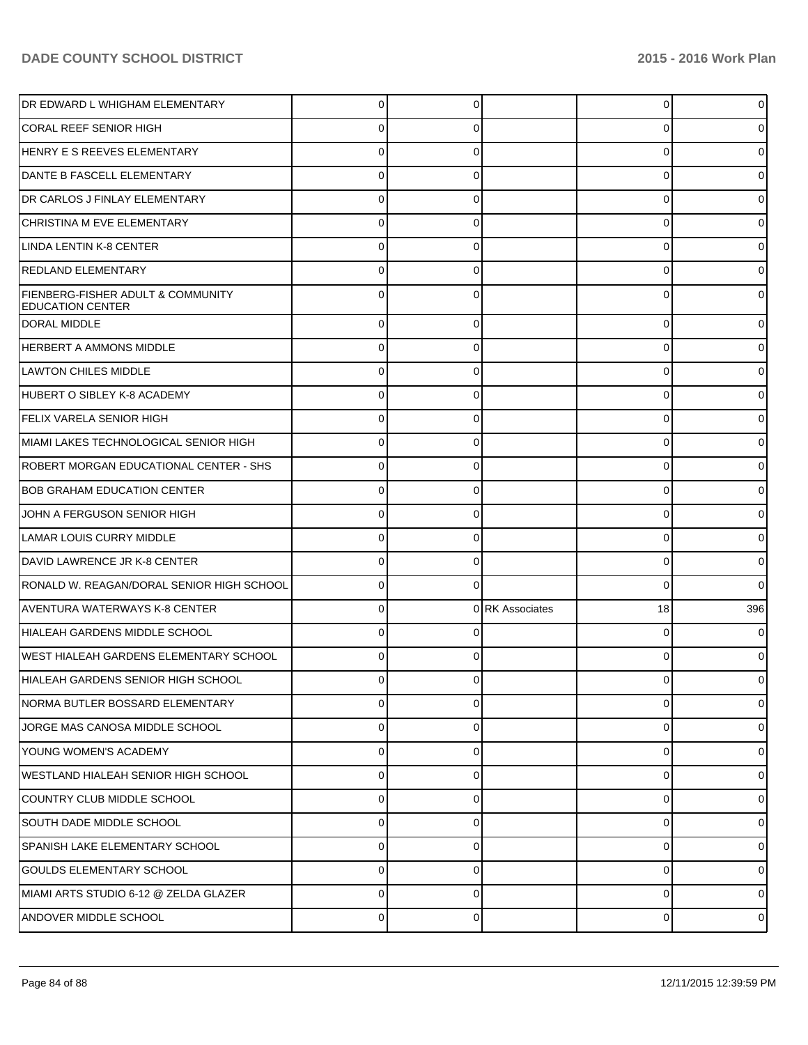| DR EDWARD L WHIGHAM ELEMENTARY                               | 0        |   |                 | 0              |          |
|--------------------------------------------------------------|----------|---|-----------------|----------------|----------|
| <b>CORAL REEF SENIOR HIGH</b>                                |          |   |                 | 0              |          |
| HENRY E S REEVES ELEMENTARY                                  |          |   |                 | 0              |          |
| DANTE B FASCELL ELEMENTARY                                   | 0        |   |                 | 0              |          |
| DR CARLOS J FINLAY ELEMENTARY                                | C        |   |                 | 0              |          |
| CHRISTINA M EVE ELEMENTARY                                   | 0        |   |                 | 0              |          |
| LINDA LENTIN K-8 CENTER                                      |          |   |                 | 0              |          |
| REDLAND ELEMENTARY                                           | 0        |   |                 | 0              |          |
| FIENBERG-FISHER ADULT & COMMUNITY<br><b>EDUCATION CENTER</b> | 0        |   |                 | 0              |          |
| <b>DORAL MIDDLE</b>                                          | $\Omega$ |   |                 | $\mathbf 0$    |          |
| <b>HERBERT A AMMONS MIDDLE</b>                               | $\Omega$ | 0 |                 | 0              |          |
| <b>LAWTON CHILES MIDDLE</b>                                  | $\Omega$ |   |                 | 0              |          |
| HUBERT O SIBLEY K-8 ACADEMY                                  | $\Omega$ | 0 |                 | 0              |          |
| <b>FELIX VARELA SENIOR HIGH</b>                              | $\Omega$ |   |                 | 0              |          |
| İMIAMI LAKES TECHNOLOGICAL SENIOR HIGH                       | $\Omega$ | 0 |                 | 0              |          |
| ROBERT MORGAN EDUCATIONAL CENTER - SHS                       | $\Omega$ |   |                 | 0              |          |
| <b>BOB GRAHAM EDUCATION CENTER</b>                           | $\Omega$ | 0 |                 | 0              |          |
| JOHN A FERGUSON SENIOR HIGH                                  | $\Omega$ |   |                 | 0              |          |
| LAMAR LOUIS CURRY MIDDLE                                     | $\Omega$ | 0 |                 | 0              | 0        |
| DAVID LAWRENCE JR K-8 CENTER                                 | $\Omega$ |   |                 | 0              |          |
| RONALD W. REAGAN/DORAL SENIOR HIGH SCHOOL                    | 0        | 0 |                 | $\mathbf 0$    | 0        |
| AVENTURA WATERWAYS K-8 CENTER                                | 0        |   | 0 RK Associates | 18             | 396      |
| HIALEAH GARDENS MIDDLE SCHOOL                                | 0        |   |                 | 0              |          |
| <b>WEST HIALEAH GARDENS ELEMENTARY SCHOOL</b>                | $\Omega$ |   |                 | 0              |          |
| HIALEAH GARDENS SENIOR HIGH SCHOOL                           | $\Omega$ |   |                 | 0              |          |
| NORMA BUTLER BOSSARD ELEMENTARY                              | $\Omega$ | 0 |                 | $\Omega$       | 0        |
| JORGE MAS CANOSA MIDDLE SCHOOL                               | $\Omega$ | 0 |                 | 0              | 0        |
| YOUNG WOMEN'S ACADEMY                                        | $\Omega$ | 0 |                 | 0              | 0        |
| WESTLAND HIALEAH SENIOR HIGH SCHOOL                          | $\Omega$ | 0 |                 | 0              | 0        |
| COUNTRY CLUB MIDDLE SCHOOL                                   | $\Omega$ | 0 |                 | $\overline{0}$ | $\Omega$ |
| <b>SOUTH DADE MIDDLE SCHOOL</b>                              | $\Omega$ | 0 |                 | 0              | 0        |
| <b>SPANISH LAKE ELEMENTARY SCHOOL</b>                        | $\Omega$ | 0 |                 | 0              | $\Omega$ |
| <b>GOULDS ELEMENTARY SCHOOL</b>                              | $\Omega$ | 0 |                 | 0              | 0        |
| IMIAMI ARTS STUDIO 6-12 @ ZELDA GLAZER_                      | $\Omega$ | 0 |                 | 0              | 0        |
| ANDOVER MIDDLE SCHOOL                                        | $\Omega$ | 0 |                 | $\overline{0}$ | 0        |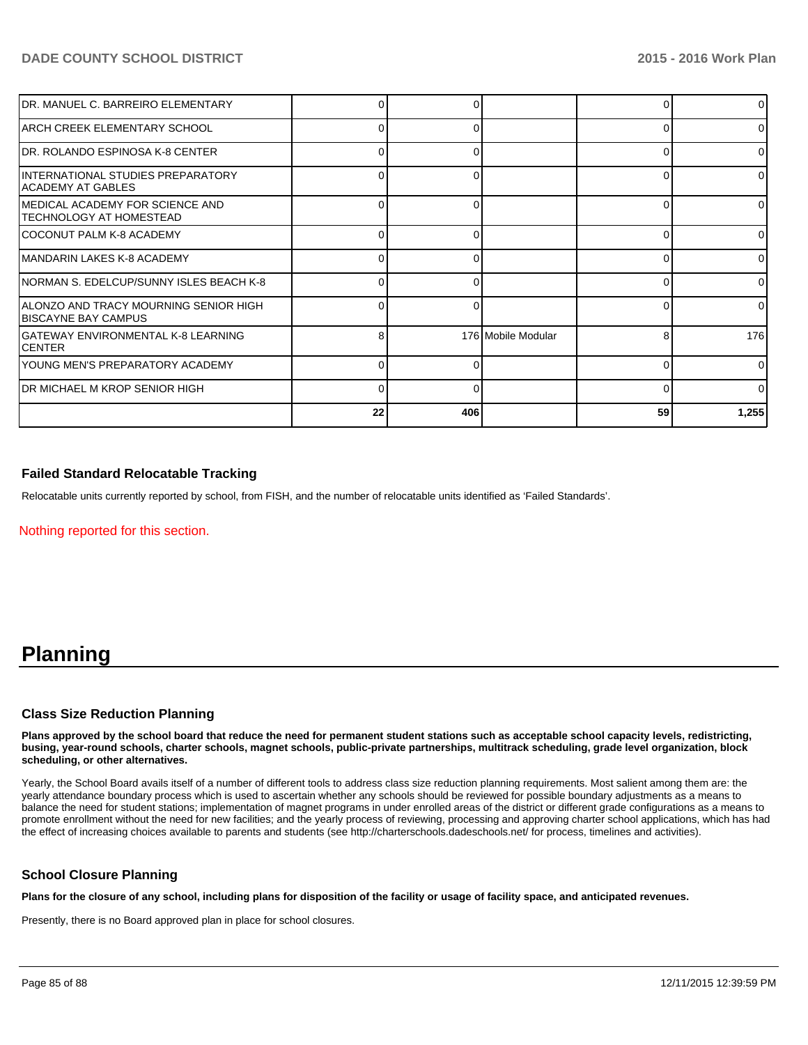| IDR. MANUEL C. BARREIRO ELEMENTARY                                    |    |     |                    |    | $\overline{0}$ |
|-----------------------------------------------------------------------|----|-----|--------------------|----|----------------|
| IARCH CREEK ELEMENTARY SCHOOL                                         | 0  |     |                    |    | $\Omega$       |
| IDR. ROLANDO ESPINOSA K-8 CENTER                                      | n  |     |                    |    | $\Omega$       |
| INTERNATIONAL STUDIES PREPARATORY<br>IACADEMY AT GABLES               | 0  |     |                    |    | $\Omega$       |
| IMEDICAL ACADEMY FOR SCIENCE AND<br>ITECHNOLOGY AT HOMESTEAD          | o  |     |                    | C  | 01             |
| ICOCONUT PALM K-8 ACADEMY                                             | 0  |     |                    | ∩  | $\overline{0}$ |
| IMANDARIN LAKES K-8 ACADEMY                                           |    |     |                    |    | $\Omega$       |
| INORMAN S. EDELCUP/SUNNY ISLES BEACH K-8                              | 0  | U   |                    | ∩  | $\Omega$       |
| IALONZO AND TRACY MOURNING SENIOR HIGH<br><b>IBISCAYNE BAY CAMPUS</b> | 0  | 0   |                    |    | $\Omega$       |
| IGATEWAY ENVIRONMENTAL K-8 LEARNING<br>ICENTER                        | 8  |     | 176 Mobile Modular | 8  | 176            |
| IYOUNG MEN'S PREPARATORY ACADEMY                                      |    |     |                    |    | $\Omega$       |
| IDR MICHAEL M KROP SENIOR HIGH                                        | 0  | ŋ   |                    |    | $\Omega$       |
|                                                                       | 22 | 406 |                    | 59 | 1,255          |

## **Failed Standard Relocatable Tracking**

Relocatable units currently reported by school, from FISH, and the number of relocatable units identified as 'Failed Standards'.

Nothing reported for this section.

## **Planning**

#### **Class Size Reduction Planning**

**Plans approved by the school board that reduce the need for permanent student stations such as acceptable school capacity levels, redistricting, busing, year-round schools, charter schools, magnet schools, public-private partnerships, multitrack scheduling, grade level organization, block scheduling, or other alternatives.**

Yearly, the School Board avails itself of a number of different tools to address class size reduction planning requirements. Most salient among them are: the yearly attendance boundary process which is used to ascertain whether any schools should be reviewed for possible boundary adjustments as a means to balance the need for student stations; implementation of magnet programs in under enrolled areas of the district or different grade configurations as a means to promote enrollment without the need for new facilities; and the yearly process of reviewing, processing and approving charter school applications, which has had the effect of increasing choices available to parents and students (see http://charterschools.dadeschools.net/ for process, timelines and activities).

#### **School Closure Planning**

**Plans for the closure of any school, including plans for disposition of the facility or usage of facility space, and anticipated revenues.**

Presently, there is no Board approved plan in place for school closures.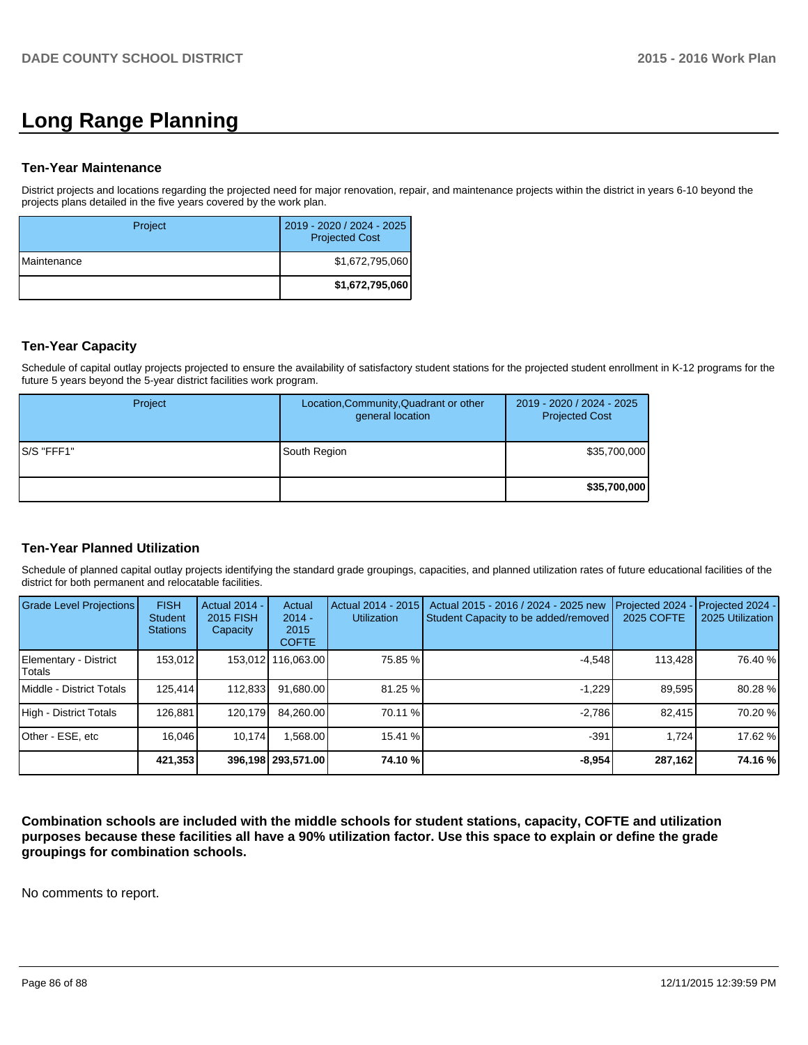# **Long Range Planning**

#### **Ten-Year Maintenance**

District projects and locations regarding the projected need for major renovation, repair, and maintenance projects within the district in years 6-10 beyond the projects plans detailed in the five years covered by the work plan.

| Project              | 2019 - 2020 / 2024 - 2025<br><b>Projected Cost</b> |
|----------------------|----------------------------------------------------|
| <b>I</b> Maintenance | \$1,672,795,060                                    |
|                      | \$1,672,795,060                                    |

### **Ten-Year Capacity**

Schedule of capital outlay projects projected to ensure the availability of satisfactory student stations for the projected student enrollment in K-12 programs for the future 5 years beyond the 5-year district facilities work program.

| Project     | Location, Community, Quadrant or other<br>general location | 2019 - 2020 / 2024 - 2025<br><b>Projected Cost</b> |
|-------------|------------------------------------------------------------|----------------------------------------------------|
| IS/S "FFF1" | South Region                                               | \$35,700,000                                       |
|             |                                                            | \$35,700,000                                       |

#### **Ten-Year Planned Utilization**

Schedule of planned capital outlay projects identifying the standard grade groupings, capacities, and planned utilization rates of future educational facilities of the district for both permanent and relocatable facilities.

| Grade Level Projections         | <b>FISH</b><br>Student<br><b>Stations</b> | <b>Actual 2014 -</b><br>2015 FISH<br>Capacity | Actual<br>$2014 -$<br>2015<br><b>COFTE</b> | Actual 2014 - 2015<br><b>Utilization</b> | Actual 2015 - 2016 / 2024 - 2025 new<br>Student Capacity to be added/removed | Projected 2024<br>2025 COFTE | Projected 2024 -<br>2025 Utilization |
|---------------------------------|-------------------------------------------|-----------------------------------------------|--------------------------------------------|------------------------------------------|------------------------------------------------------------------------------|------------------------------|--------------------------------------|
| Elementary - District<br>Totals | 153.012                                   |                                               | 153,012 116,063.00                         | 75.85 %                                  | $-4.548$                                                                     | 113,428                      | 76.40 %                              |
| Middle - District Totals        | 125.414                                   | 112.833                                       | 91.680.00                                  | 81.25 %                                  | $-1.229$                                                                     | 89.595                       | 80.28%                               |
| High - District Totals          | 126.881                                   | 120.179                                       | 84.260.00                                  | 70.11 %                                  | $-2.786$                                                                     | 82.415                       | 70.20 %                              |
| Other - ESE, etc                | 16.046                                    | 10.174                                        | .568.00                                    | 15.41 %                                  | $-391$                                                                       | 1.724                        | 17.62 %                              |
|                                 | 421,353                                   |                                               | 396,198 293,571.00                         | 74.10 %                                  | $-8.954$                                                                     | 287,162                      | 74.16 %                              |

**Combination schools are included with the middle schools for student stations, capacity, COFTE and utilization purposes because these facilities all have a 90% utilization factor. Use this space to explain or define the grade groupings for combination schools.**

No comments to report.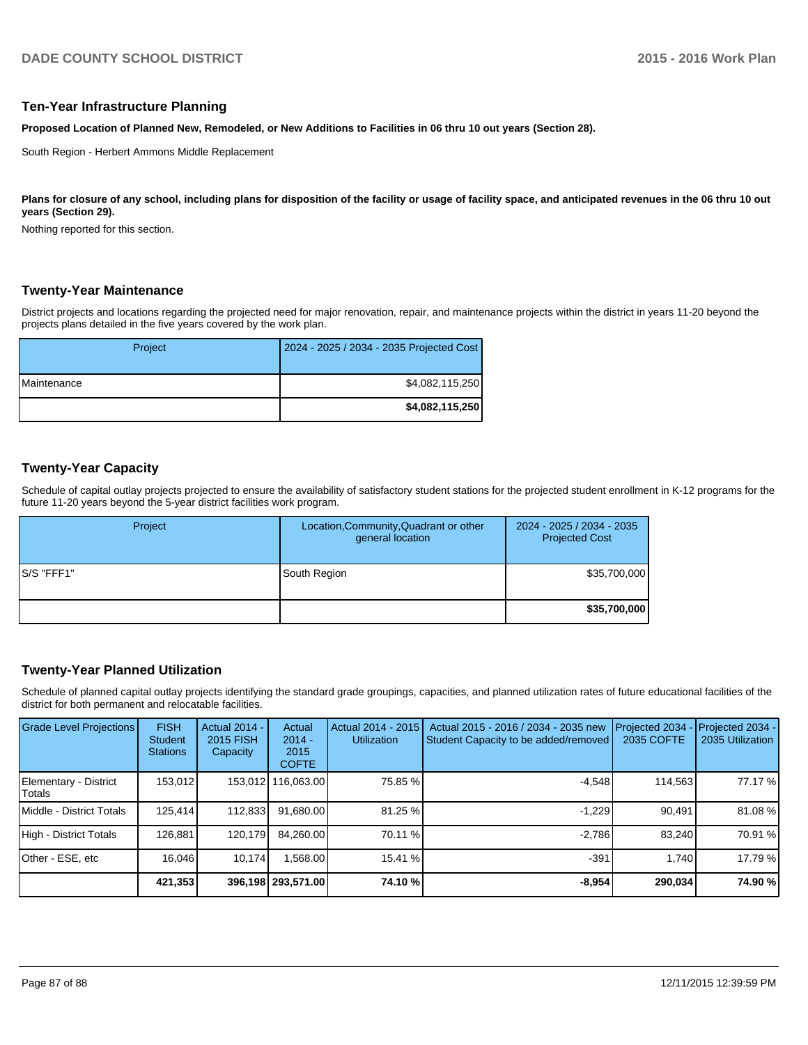#### **Ten-Year Infrastructure Planning**

**Proposed Location of Planned New, Remodeled, or New Additions to Facilities in 06 thru 10 out years (Section 28).**

South Region - Herbert Ammons Middle Replacement

Plans for closure of any school, including plans for disposition of the facility or usage of facility space, and anticipated revenues in the 06 thru 10 out **years (Section 29).**

Nothing reported for this section.

#### **Twenty-Year Maintenance**

District projects and locations regarding the projected need for major renovation, repair, and maintenance projects within the district in years 11-20 beyond the projects plans detailed in the five years covered by the work plan.

| Project              | 2024 - 2025 / 2034 - 2035 Projected Cost |
|----------------------|------------------------------------------|
| <b>I</b> Maintenance | \$4,082,115,250                          |
|                      | \$4,082,115,250                          |

#### **Twenty-Year Capacity**

Schedule of capital outlay projects projected to ensure the availability of satisfactory student stations for the projected student enrollment in K-12 programs for the future 11-20 years beyond the 5-year district facilities work program.

| Project     | Location, Community, Quadrant or other<br>general location | 2024 - 2025 / 2034 - 2035<br><b>Projected Cost</b> |
|-------------|------------------------------------------------------------|----------------------------------------------------|
| IS/S "FFF1" | South Region                                               | \$35,700,000                                       |
|             |                                                            | \$35,700,000                                       |

## **Twenty-Year Planned Utilization**

Schedule of planned capital outlay projects identifying the standard grade groupings, capacities, and planned utilization rates of future educational facilities of the district for both permanent and relocatable facilities.

| <b>Grade Level Projections</b>           | <b>FISH</b><br><b>Student</b><br><b>Stations</b> | <b>Actual 2014 -</b><br>2015 FISH<br>Capacity | Actual<br>$2014 -$<br>2015<br><b>COFTE</b> | Actual 2014 - 2015<br><b>Utilization</b> | Actual 2015 - 2016 / 2034 - 2035 new<br>Student Capacity to be added/removed | Projected 2034<br>2035 COFTE | Projected 2034 -<br>2035 Utilization |
|------------------------------------------|--------------------------------------------------|-----------------------------------------------|--------------------------------------------|------------------------------------------|------------------------------------------------------------------------------|------------------------------|--------------------------------------|
| Elementary - District<br><b>I</b> Totals | 153.012                                          |                                               | 153,012 116,063.00                         | 75.85 %                                  | $-4.548$                                                                     | 114,563                      | 77.17 %                              |
| Middle - District Totals                 | 125.414                                          | 112.833                                       | 91,680.00                                  | 81.25 %                                  | $-1.229$                                                                     | 90.491                       | 81.08 %                              |
| High - District Totals                   | 126.881                                          | 120.179                                       | 84.260.00                                  | 70.11 %                                  | $-2.786$                                                                     | 83.240                       | 70.91 %                              |
| Other - ESE, etc                         | 16.046                                           | 10.174                                        | .568.00                                    | 15.41 %                                  | $-391$                                                                       | 1.740                        | 17.79 %                              |
|                                          | 421,353                                          |                                               | 396,198 293,571.00                         | 74.10 %                                  | $-8.954$                                                                     | 290.034                      | 74.90 %                              |